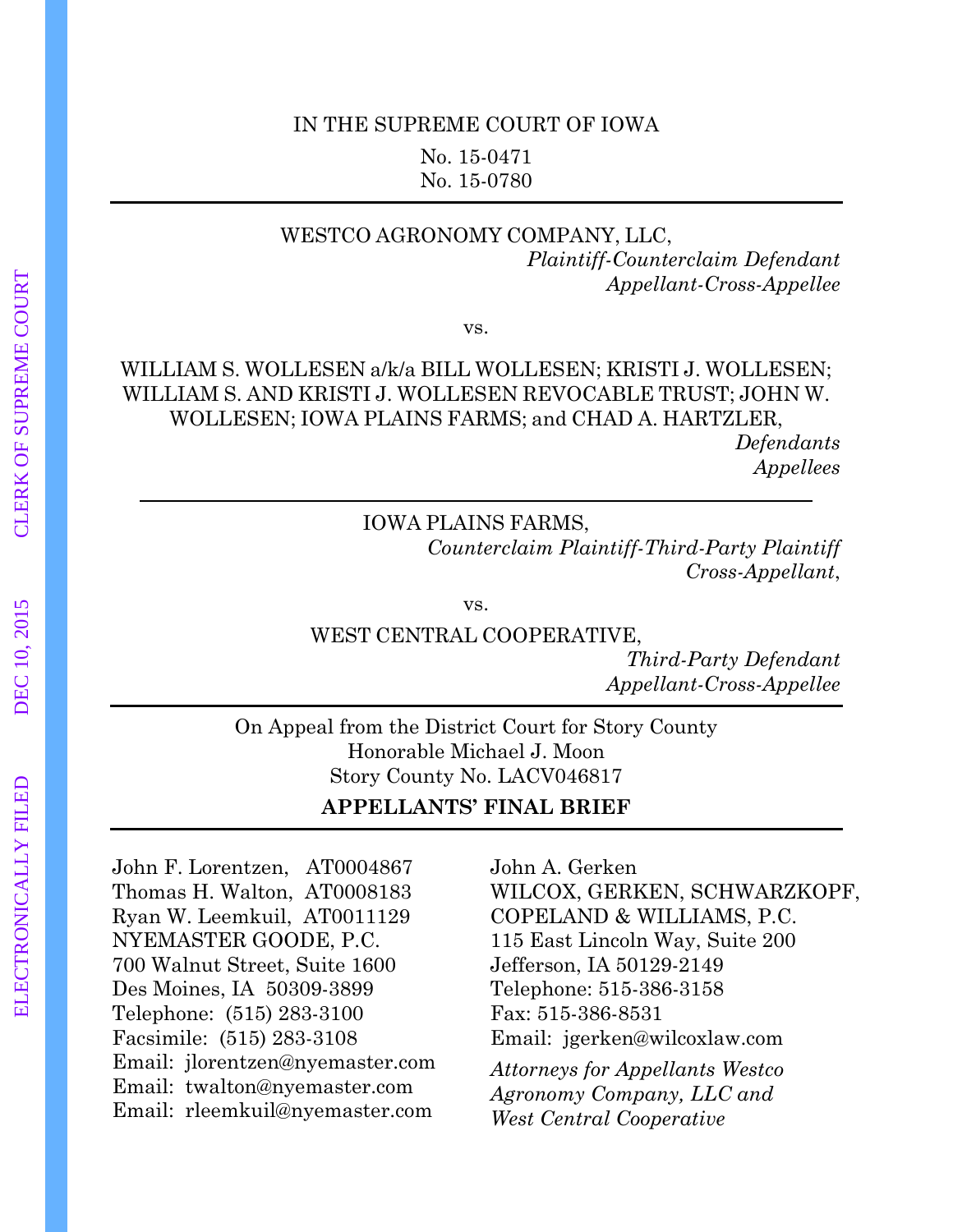### IN THE SUPREME COURT OF IOWA No. 15-0471 No. 15-0780

#### WESTCO AGRONOMY COMPANY, LLC, *Plaintiff-Counterclaim Defendant Appellant-Cross-Appellee*

vs.

### WILLIAM S. WOLLESEN a/k/a BILL WOLLESEN; KRISTI J. WOLLESEN; WILLIAM S. AND KRISTI J. WOLLESEN REVOCABLE TRUST; JOHN W. WOLLESEN; IOWA PLAINS FARMS; and CHAD A. HARTZLER,

*Defendants Appellees*

IOWA PLAINS FARMS,

*Counterclaim Plaintiff-Third-Party Plaintiff Cross-Appellant*,

vs.

WEST CENTRAL COOPERATIVE,

*Third-Party Defendant Appellant-Cross-Appellee* 

On Appeal from the District Court for Story County Honorable Michael J. Moon Story County No. LACV046817

**APPELLANTS' FINAL BRIEF** 

John F. Lorentzen, AT0004867 Thomas H. Walton, AT0008183 Ryan W. Leemkuil, AT0011129 NYEMASTER GOODE, P.C. 700 Walnut Street, Suite 1600 Des Moines, IA 50309-3899 Telephone: (515) 283-3100 Facsimile: (515) 283-3108 Email: jlorentzen@nyemaster.com Email: twalton@nyemaster.com Email: rleemkuil@nyemaster.com

John A. Gerken WILCOX, GERKEN, SCHWARZKOPF, COPELAND & WILLIAMS, P.C. 115 East Lincoln Way, Suite 200 Jefferson, IA 50129-2149 Telephone: 515-386-3158 Fax: 515-386-8531 Email: jgerken@wilcoxlaw.com

*Attorneys for Appellants Westco Agronomy Company, LLC and West Central Cooperative*

l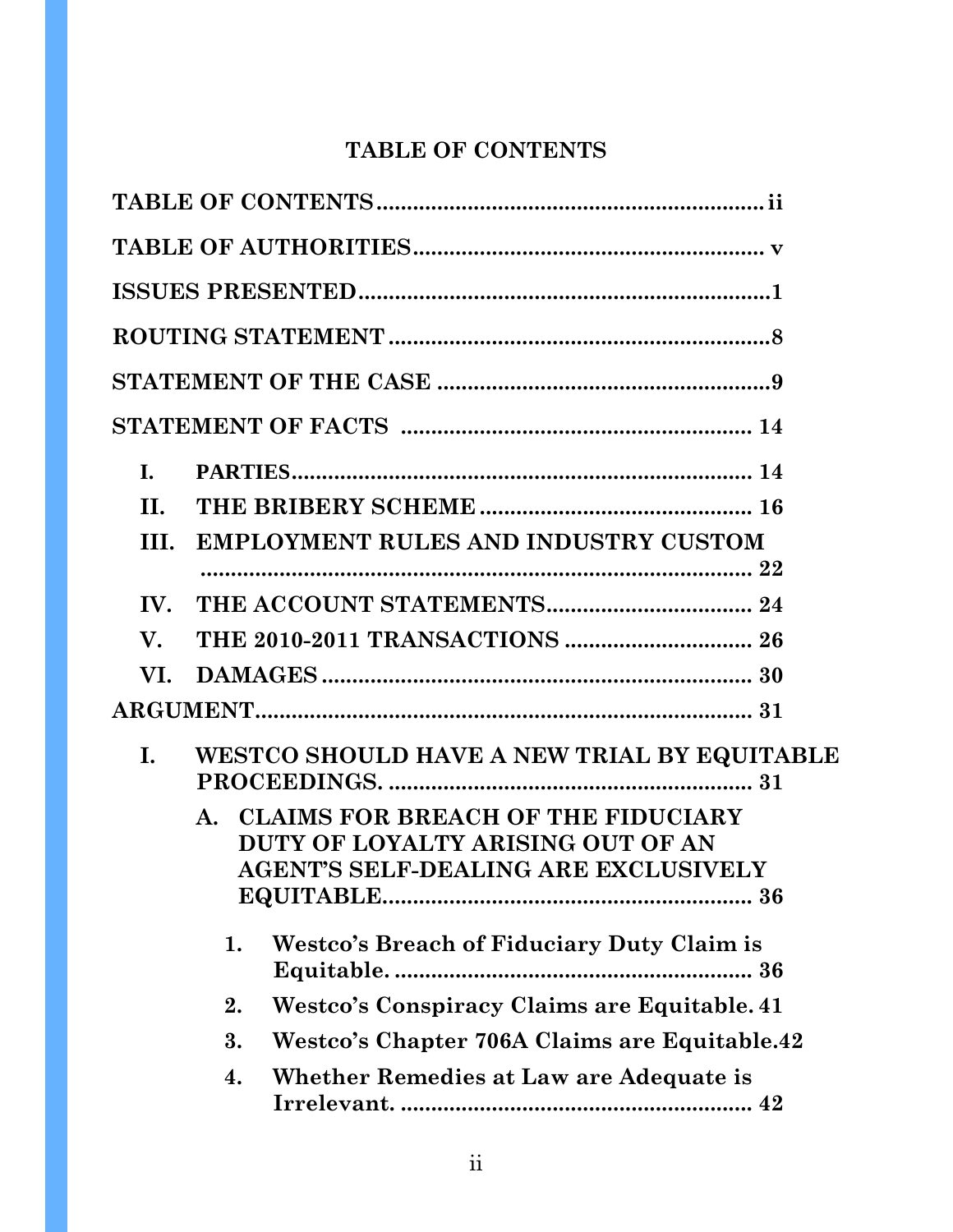# **TABLE OF CONTENTS**

| I.                    |                                                                                                                    |  |
|-----------------------|--------------------------------------------------------------------------------------------------------------------|--|
| II.                   |                                                                                                                    |  |
| III.                  | <b>EMPLOYMENT RULES AND INDUSTRY CUSTOM</b>                                                                        |  |
| $\mathbf{IV}_{\cdot}$ |                                                                                                                    |  |
| V.                    |                                                                                                                    |  |
| VI.                   |                                                                                                                    |  |
|                       |                                                                                                                    |  |
| L.                    | WESTCO SHOULD HAVE A NEW TRIAL BY EQUITABLE                                                                        |  |
|                       | A. CLAIMS FOR BREACH OF THE FIDUCIARY<br>DUTY OF LOYALTY ARISING OUT OF AN<br>AGENT'S SELF-DEALING ARE EXCLUSIVELY |  |
|                       | Westco's Breach of Fiduciary Duty Claim is<br>1.                                                                   |  |
|                       | Westco's Conspiracy Claims are Equitable. 41<br>2.                                                                 |  |
|                       | Westco's Chapter 706A Claims are Equitable.42<br>3.                                                                |  |
|                       | Whether Remedies at Law are Adequate is<br>4.                                                                      |  |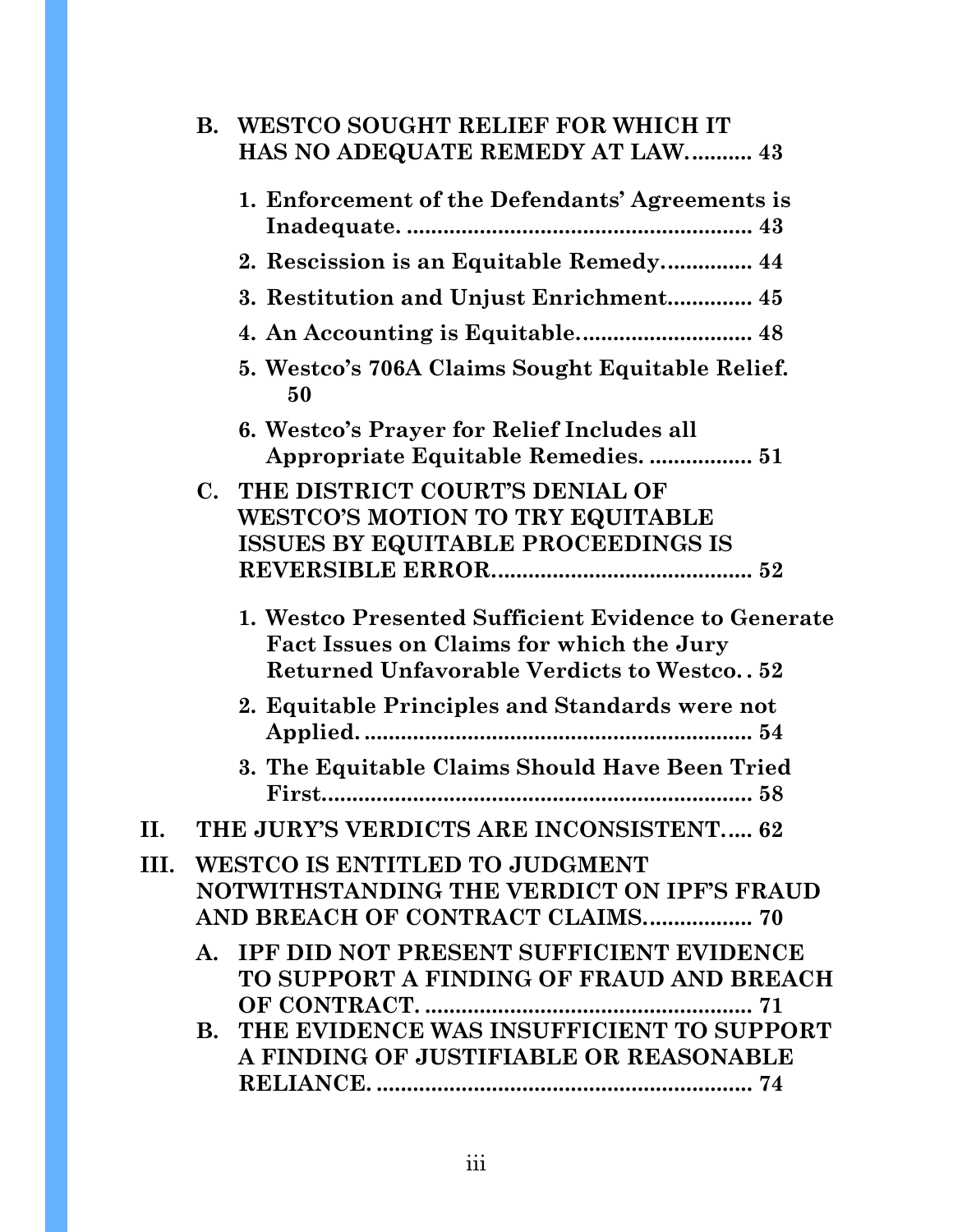|      |             | <b>B. WESTCO SOUGHT RELIEF FOR WHICH IT</b><br>HAS NO ADEQUATE REMEDY AT LAW 43                                                                      |
|------|-------------|------------------------------------------------------------------------------------------------------------------------------------------------------|
|      |             | 1. Enforcement of the Defendants' Agreements is                                                                                                      |
|      |             | 2. Rescission is an Equitable Remedy 44                                                                                                              |
|      |             | 3. Restitution and Unjust Enrichment 45                                                                                                              |
|      |             | 4. An Accounting is Equitable 48                                                                                                                     |
|      |             | 5. Westco's 706A Claims Sought Equitable Relief.<br>50                                                                                               |
|      |             | 6. Westco's Prayer for Relief Includes all<br>Appropriate Equitable Remedies.  51                                                                    |
|      |             | C. THE DISTRICT COURT'S DENIAL OF<br><b>WESTCO'S MOTION TO TRY EQUITABLE</b><br><b>ISSUES BY EQUITABLE PROCEEDINGS IS</b>                            |
|      |             | 1. Westco Presented Sufficient Evidence to Generate<br>Fact Issues on Claims for which the Jury<br><b>Returned Unfavorable Verdicts to Westco 52</b> |
|      |             | 2. Equitable Principles and Standards were not                                                                                                       |
|      |             | 3. The Equitable Claims Should Have Been Tried                                                                                                       |
| H.   |             | THE JURY'S VERDICTS ARE INCONSISTENT 62                                                                                                              |
| III. |             | <b>WESTCO IS ENTITLED TO JUDGMENT</b><br>NOTWITHSTANDING THE VERDICT ON IPF'S FRAUD<br>AND BREACH OF CONTRACT CLAIMS 70                              |
|      | $A_{\cdot}$ | <b>IPF DID NOT PRESENT SUFFICIENT EVIDENCE</b><br>TO SUPPORT A FINDING OF FRAUD AND BREACH                                                           |
|      |             | 71<br>B. THE EVIDENCE WAS INSUFFICIENT TO SUPPORT<br>A FINDING OF JUSTIFIABLE OR REASONABLE                                                          |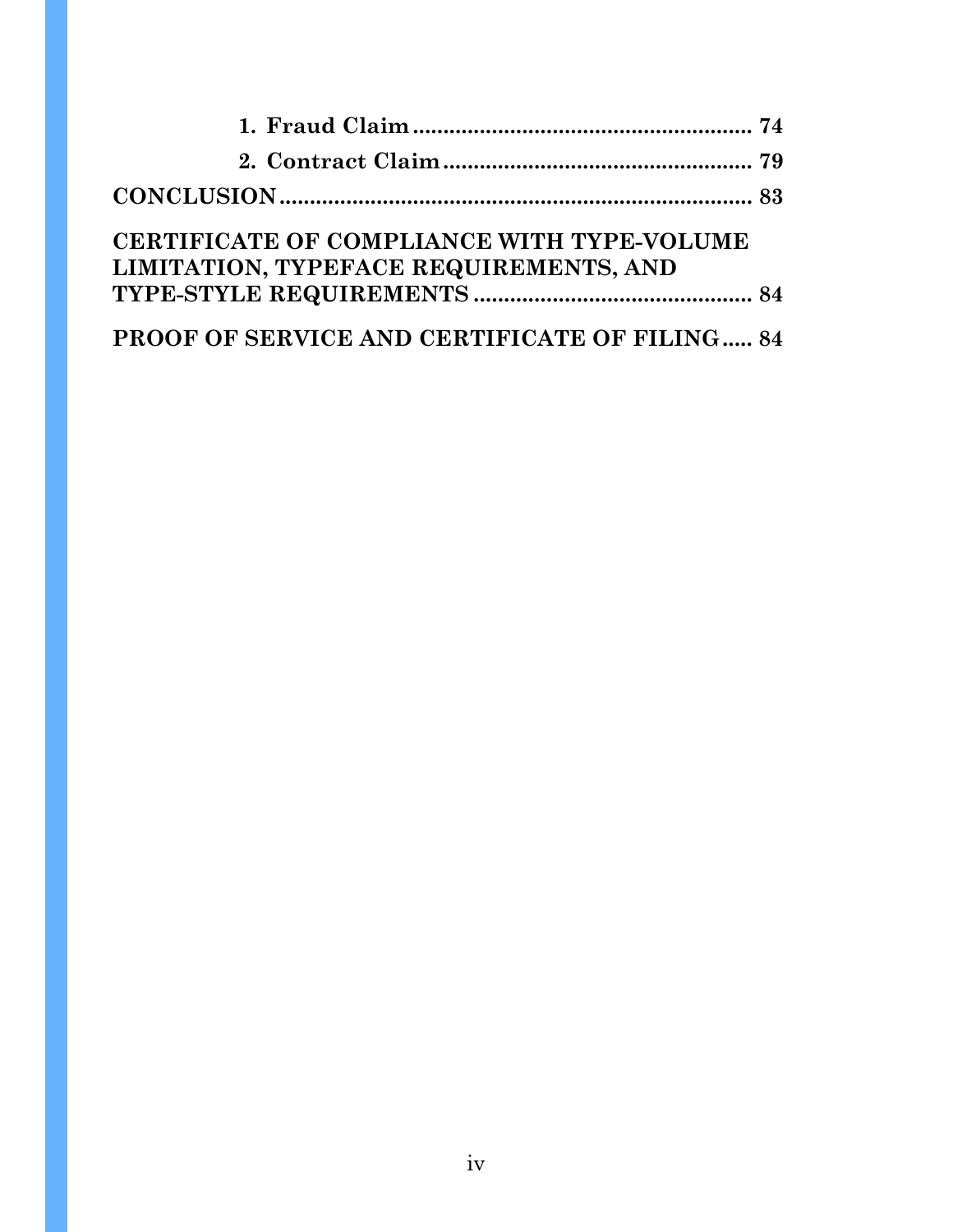| CERTIFICATE OF COMPLIANCE WITH TYPE-VOLUME<br>LIMITATION, TYPEFACE REQUIREMENTS, AND |  |
|--------------------------------------------------------------------------------------|--|
|                                                                                      |  |
| <b>PROOF OF SERVICE AND CERTIFICATE OF FILING 84</b>                                 |  |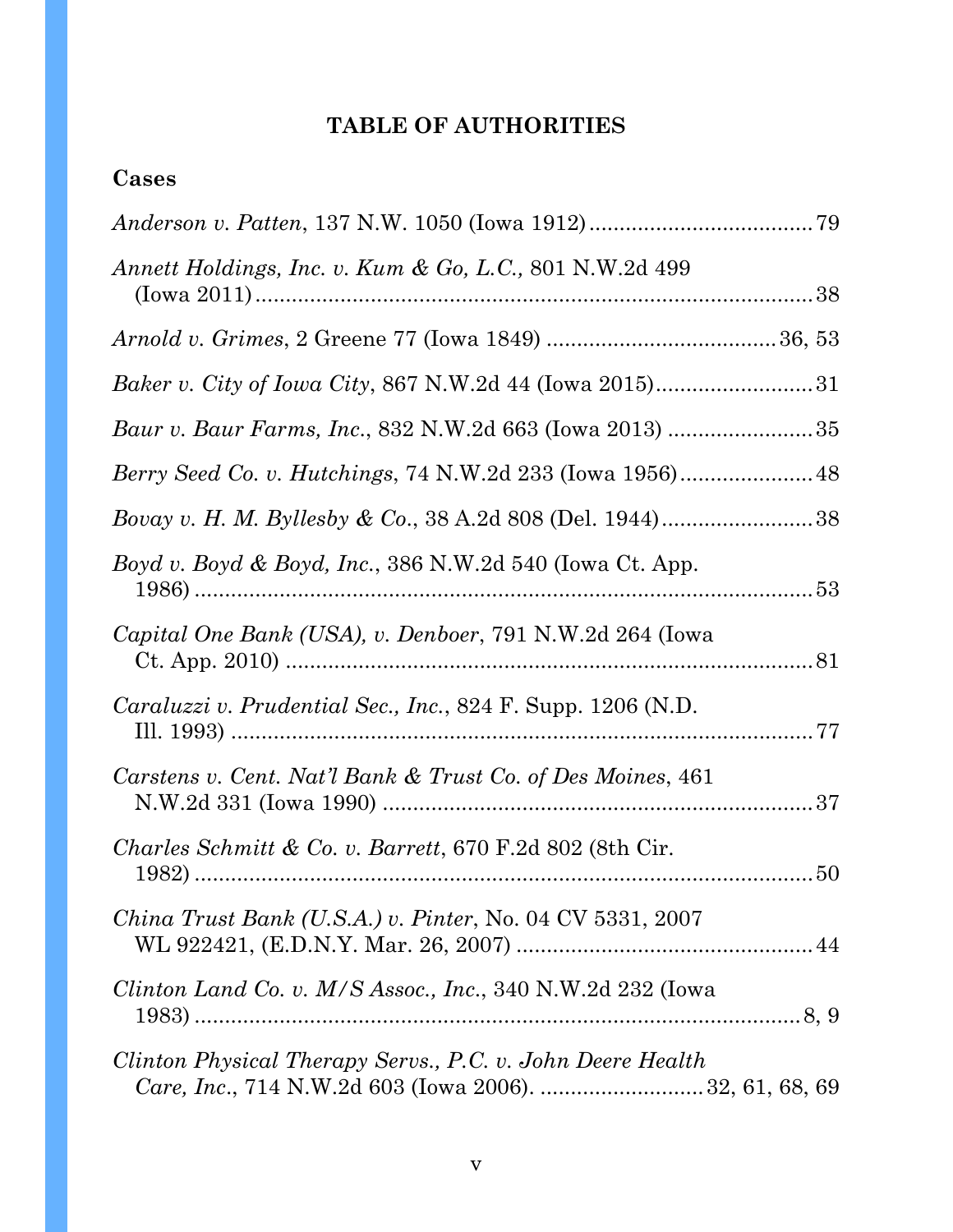# **TABLE OF AUTHORITIES**

### **Cases**

| Annett Holdings, Inc. v. Kum & Go, L.C., 801 N.W.2d 499                                                               |
|-----------------------------------------------------------------------------------------------------------------------|
|                                                                                                                       |
| <i>Baker v. City of Iowa City, 867 N.W.2d 44 (Iowa 2015)</i> 31                                                       |
|                                                                                                                       |
|                                                                                                                       |
|                                                                                                                       |
| Boyd v. Boyd & Boyd, Inc., 386 N.W.2d 540 (Iowa Ct. App.                                                              |
| Capital One Bank (USA), v. Denboer, 791 N.W.2d 264 (Iowa                                                              |
| <i>Caraluzzi v. Prudential Sec., Inc., 824 F. Supp. 1206 (N.D.</i>                                                    |
| Carstens v. Cent. Nat'l Bank & Trust Co. of Des Moines, 461                                                           |
| <i>Charles Schmitt &amp; Co. v. Barrett,</i> 670 F.2d 802 (8th Cir.<br>50                                             |
| <i>China Trust Bank (U.S.A.) v. Pinter, No.</i> 04 CV 5331, 2007                                                      |
| <i>Clinton Land Co. v. M/S Assoc., Inc.,</i> 340 N.W.2d 232 (Iowa                                                     |
| Clinton Physical Therapy Servs., P.C. v. John Deere Health<br>Care, Inc., 714 N.W.2d 603 (Iowa 2006).  32, 61, 68, 69 |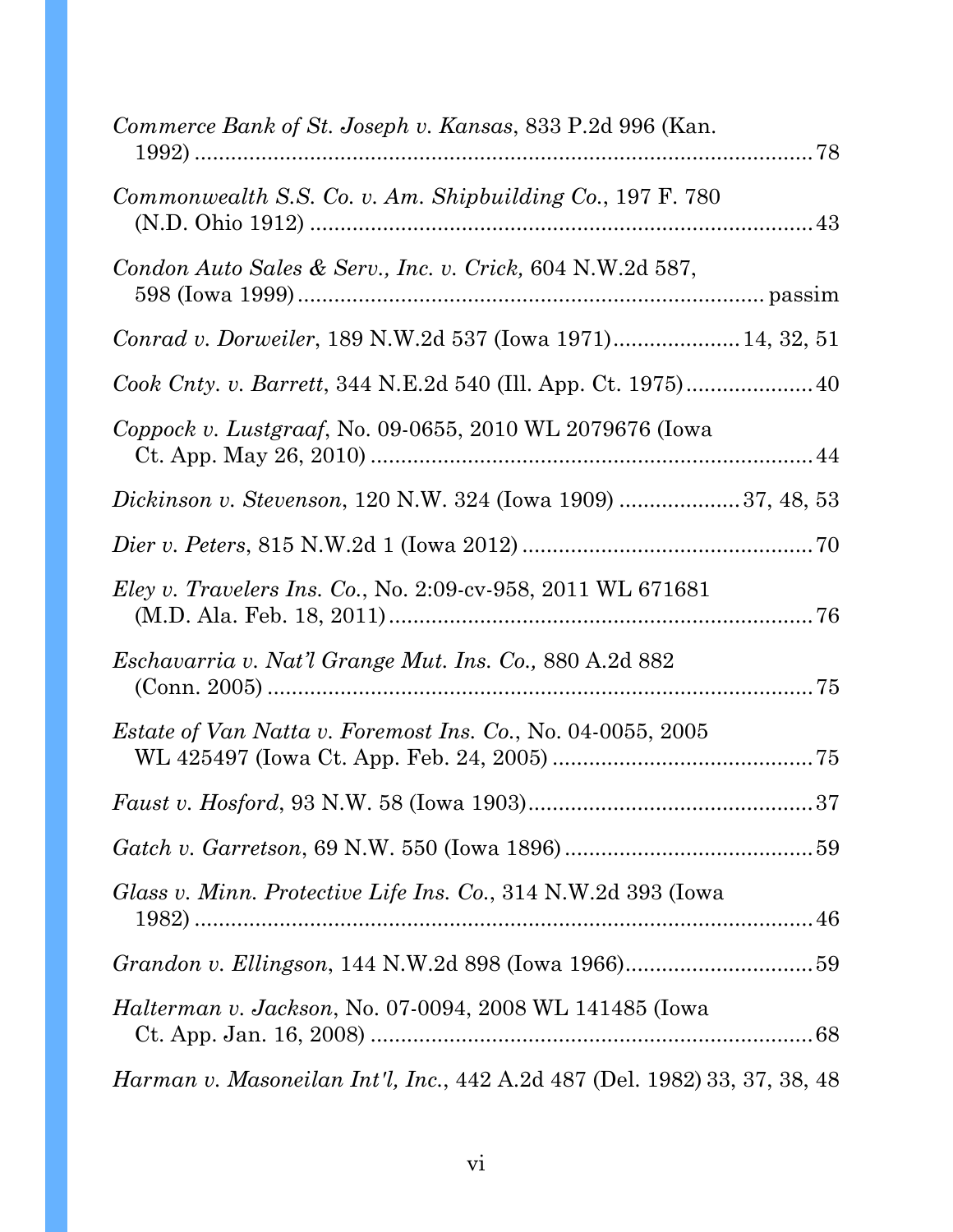| Commerce Bank of St. Joseph v. Kansas, 833 P.2d 996 (Kan.                 |  |
|---------------------------------------------------------------------------|--|
| Commonwealth S.S. Co. v. Am. Shipbuilding Co., 197 F. 780                 |  |
| Condon Auto Sales & Serv., Inc. v. Crick, 604 N.W.2d 587,                 |  |
| Conrad v. Dorweiler, 189 N.W.2d 537 (Iowa 1971) 14, 32, 51                |  |
|                                                                           |  |
| Coppock v. Lustgraaf, No. 09-0655, 2010 WL 2079676 (Iowa                  |  |
| Dickinson v. Stevenson, 120 N.W. 324 (Iowa 1909) 37, 48, 53               |  |
|                                                                           |  |
| <i>Eley v. Travelers Ins. Co., No. 2:09-cv-958, 2011 WL 671681</i>        |  |
| Eschavarria v. Nat'l Grange Mut. Ins. Co., 880 A.2d 882                   |  |
| <i>Estate of Van Natta v. Foremost Ins. Co., No.</i> 04-0055, 2005        |  |
|                                                                           |  |
|                                                                           |  |
| Glass v. Minn. Protective Life Ins. Co., 314 N.W.2d 393 (Iowa             |  |
| Grandon v. Ellingson, 144 N.W.2d 898 (Iowa 1966)59                        |  |
| <i>Halterman v. Jackson, No.</i> 07-0094, 2008 WL 141485 (Iowa            |  |
| Harman v. Masoneilan Int'l, Inc., 442 A.2d 487 (Del. 1982) 33, 37, 38, 48 |  |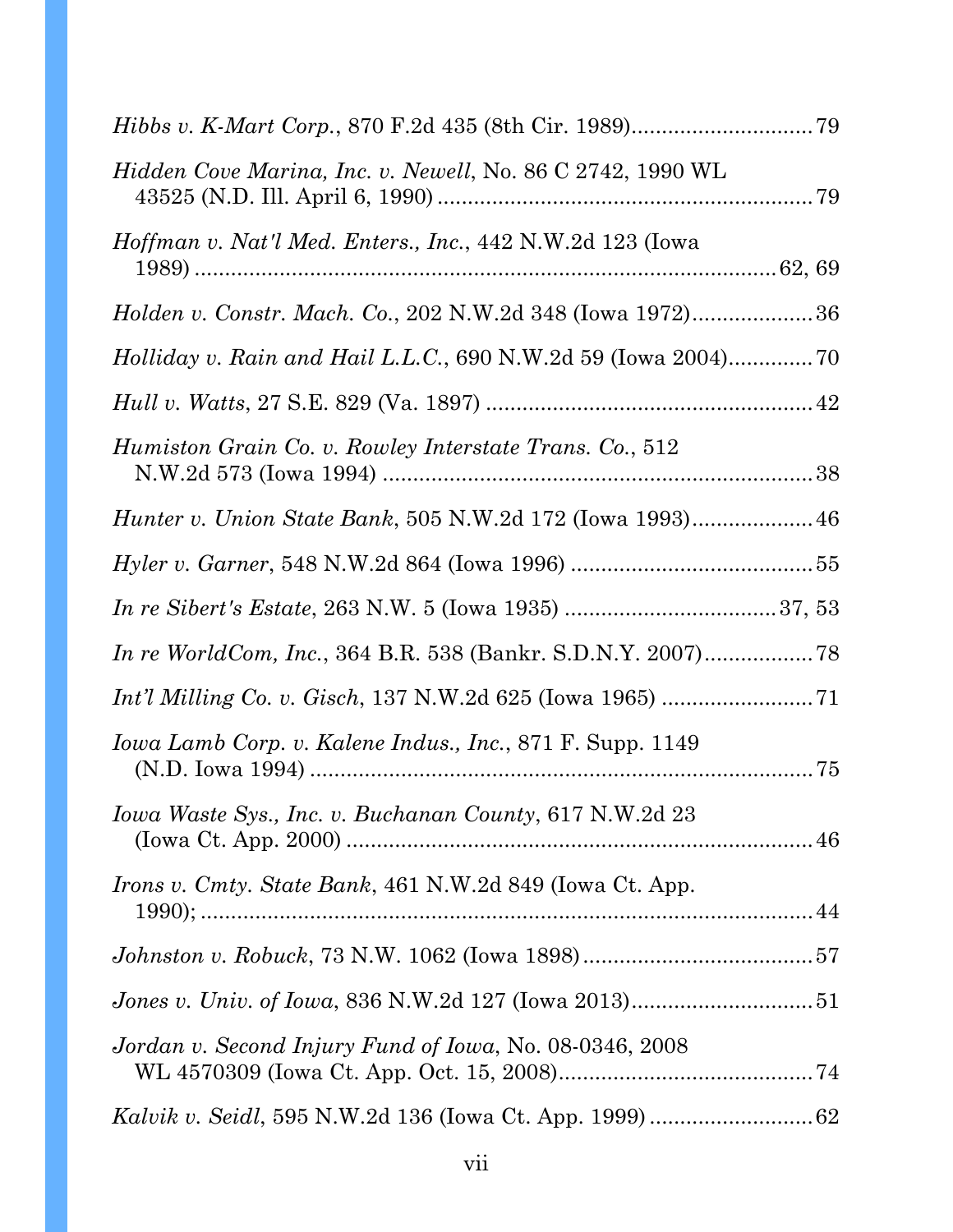| <i>Hidden Cove Marina, Inc. v. Newell, No.</i> 86 C 2742, 1990 WL   |  |
|---------------------------------------------------------------------|--|
| <i>Hoffman v. Nat'l Med. Enters., Inc., 442 N.W.2d 123 (Iowa</i>    |  |
| Holden v. Constr. Mach. Co., 202 N.W.2d 348 (Iowa 1972)36           |  |
|                                                                     |  |
|                                                                     |  |
| Humiston Grain Co. v. Rowley Interstate Trans. Co., 512             |  |
|                                                                     |  |
|                                                                     |  |
|                                                                     |  |
| <i>In re WorldCom, Inc., 364 B.R. 538 (Bankr. S.D.N.Y. 2007)</i> 78 |  |
|                                                                     |  |
| <i>Iowa Lamb Corp. v. Kalene Indus., Inc., 871 F. Supp.</i> 1149    |  |
| Iowa Waste Sys., Inc. v. Buchanan County, 617 N.W.2d 23             |  |
| <i>Irons v. Cmty. State Bank</i> , 461 N.W.2d 849 (Iowa Ct. App.    |  |
|                                                                     |  |
|                                                                     |  |
| Jordan v. Second Injury Fund of Iowa, No. 08-0346, 2008             |  |
|                                                                     |  |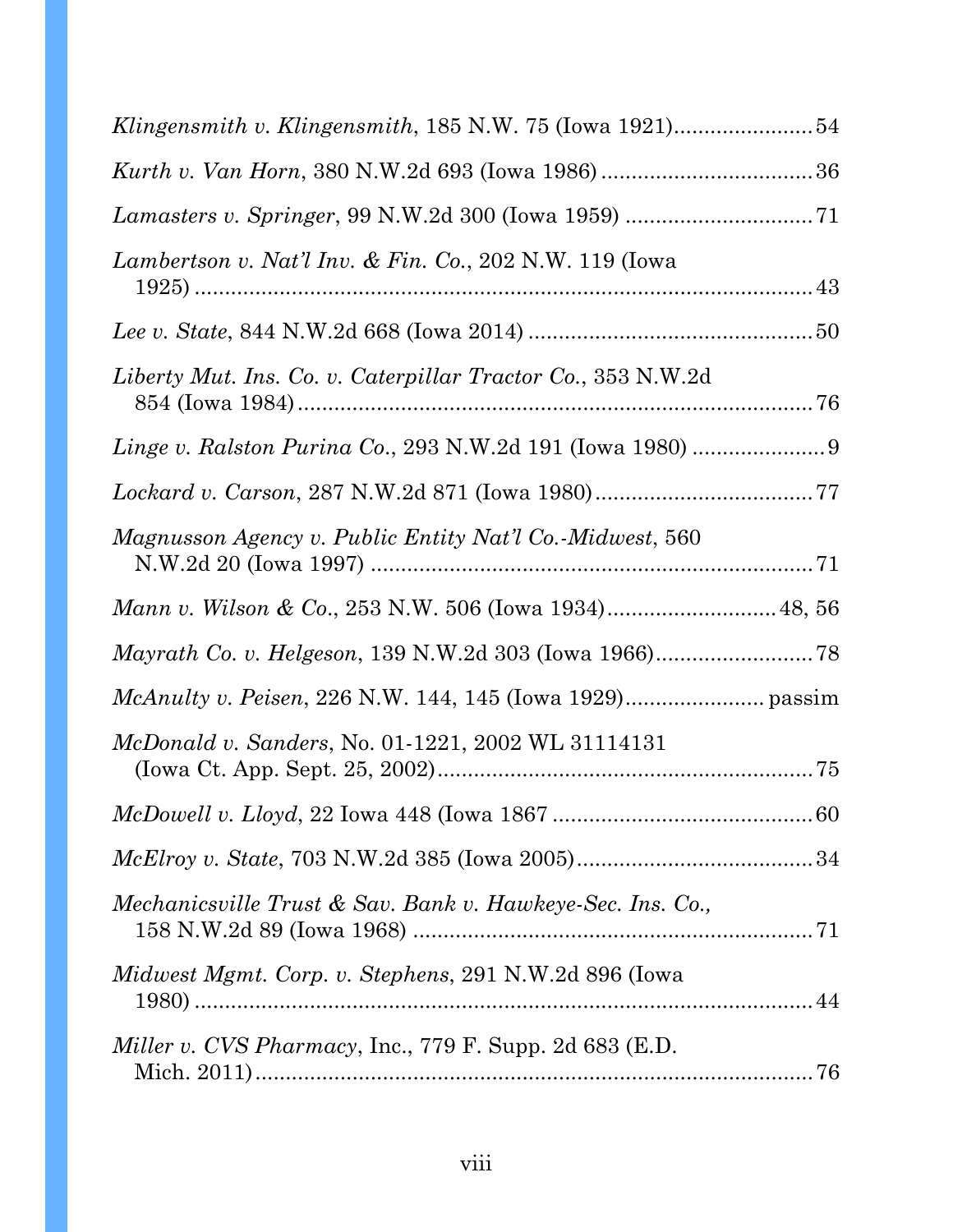| Klingensmith v. Klingensmith, 185 N.W. 75 (Iowa 1921)54            |
|--------------------------------------------------------------------|
|                                                                    |
|                                                                    |
| <i>Lambertson v. Nat'l Inv. &amp; Fin. Co., 202 N.W.</i> 119 (Iowa |
|                                                                    |
| Liberty Mut. Ins. Co. v. Caterpillar Tractor Co., 353 N.W.2d       |
| <i>Linge v. Ralston Purina Co., 293 N.W.2d 191 (Iowa 1980) </i> 9  |
|                                                                    |
| Magnusson Agency v. Public Entity Nat'l Co.-Midwest, 560           |
|                                                                    |
|                                                                    |
|                                                                    |
| <i>McDonald v. Sanders, No. 01-1221, 2002 WL 31114131</i>          |
|                                                                    |
|                                                                    |
| Mechanicsville Trust & Sav. Bank v. Hawkeye-Sec. Ins. Co.,         |
| <i>Midwest Mgmt. Corp. v. Stephens, 291 N.W.2d 896 (Iowa</i>       |
| <i>Miller v. CVS Pharmacy</i> , Inc., 779 F. Supp. 2d 683 (E.D.    |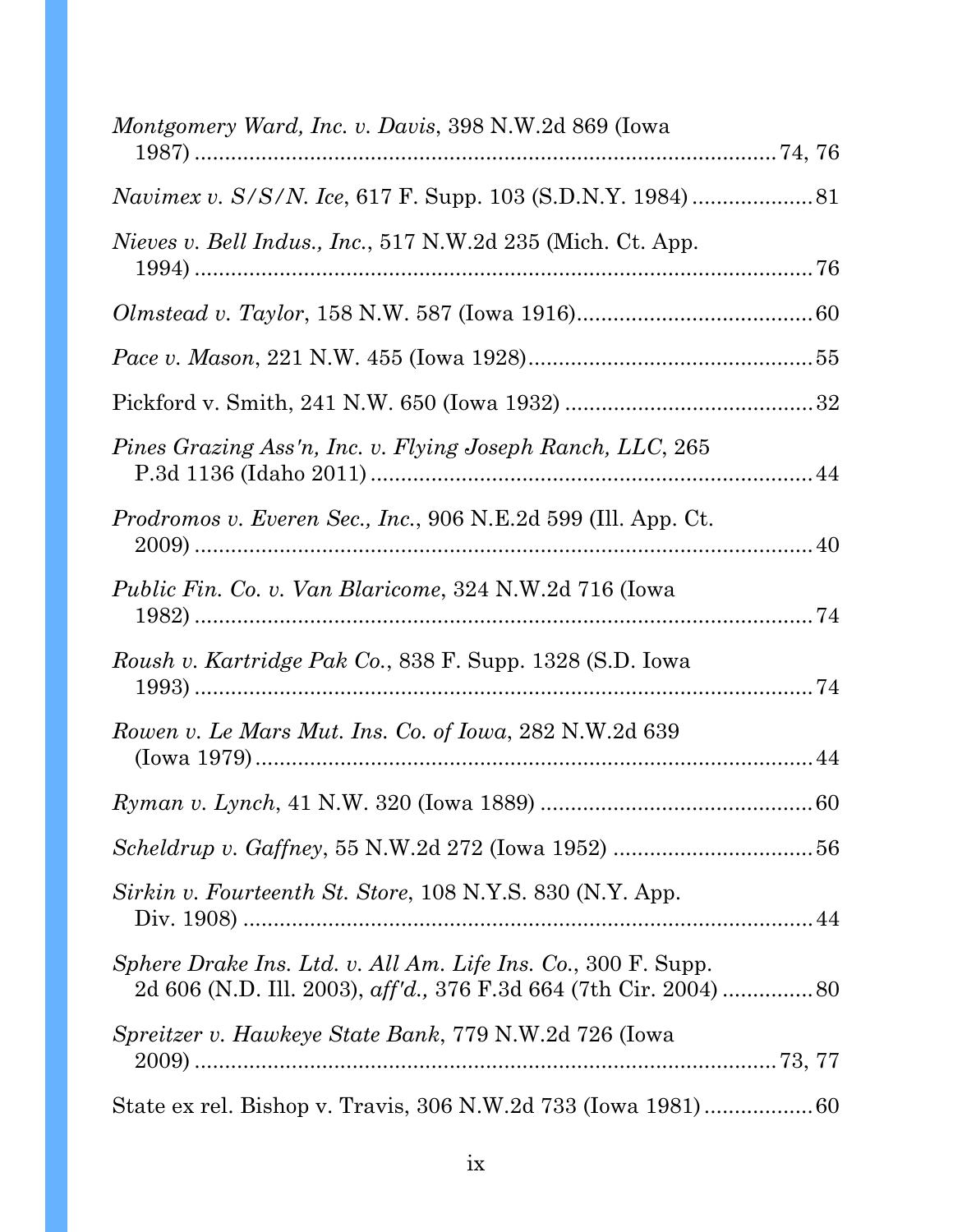| <i>Montgomery Ward, Inc. v. Davis, 398 N.W.2d 869 (Iowa</i> )         |  |
|-----------------------------------------------------------------------|--|
|                                                                       |  |
| <i>Navimex v. S/S/N. Ice, 617 F. Supp. 103 (S.D.N.Y. 1984)</i> 81     |  |
| <i>Nieves v. Bell Indus., Inc.</i> , 517 N.W.2d 235 (Mich. Ct. App.   |  |
|                                                                       |  |
|                                                                       |  |
|                                                                       |  |
| Pines Grazing Ass'n, Inc. v. Flying Joseph Ranch, LLC, 265            |  |
| <i>Prodromos v. Everen Sec., Inc., 906 N.E.2d 599 (Ill. App. Ct.)</i> |  |
| <i>Public Fin. Co. v. Van Blaricome, 324 N.W.2d 716 (Iowa</i>         |  |
| <i>Roush v. Kartridge Pak Co., 838 F. Supp. 1328 (S.D. Iowa</i>       |  |
| Rowen v. Le Mars Mut. Ins. Co. of Iowa, 282 N.W.2d 639                |  |
|                                                                       |  |
|                                                                       |  |
| Sirkin v. Fourteenth St. Store, 108 N.Y.S. 830 (N.Y. App.             |  |
| Sphere Drake Ins. Ltd. v. All Am. Life Ins. Co., 300 F. Supp.         |  |
| <i>Spreitzer v. Hawkeye State Bank, 779 N.W.2d 726 (Iowa</i>          |  |
|                                                                       |  |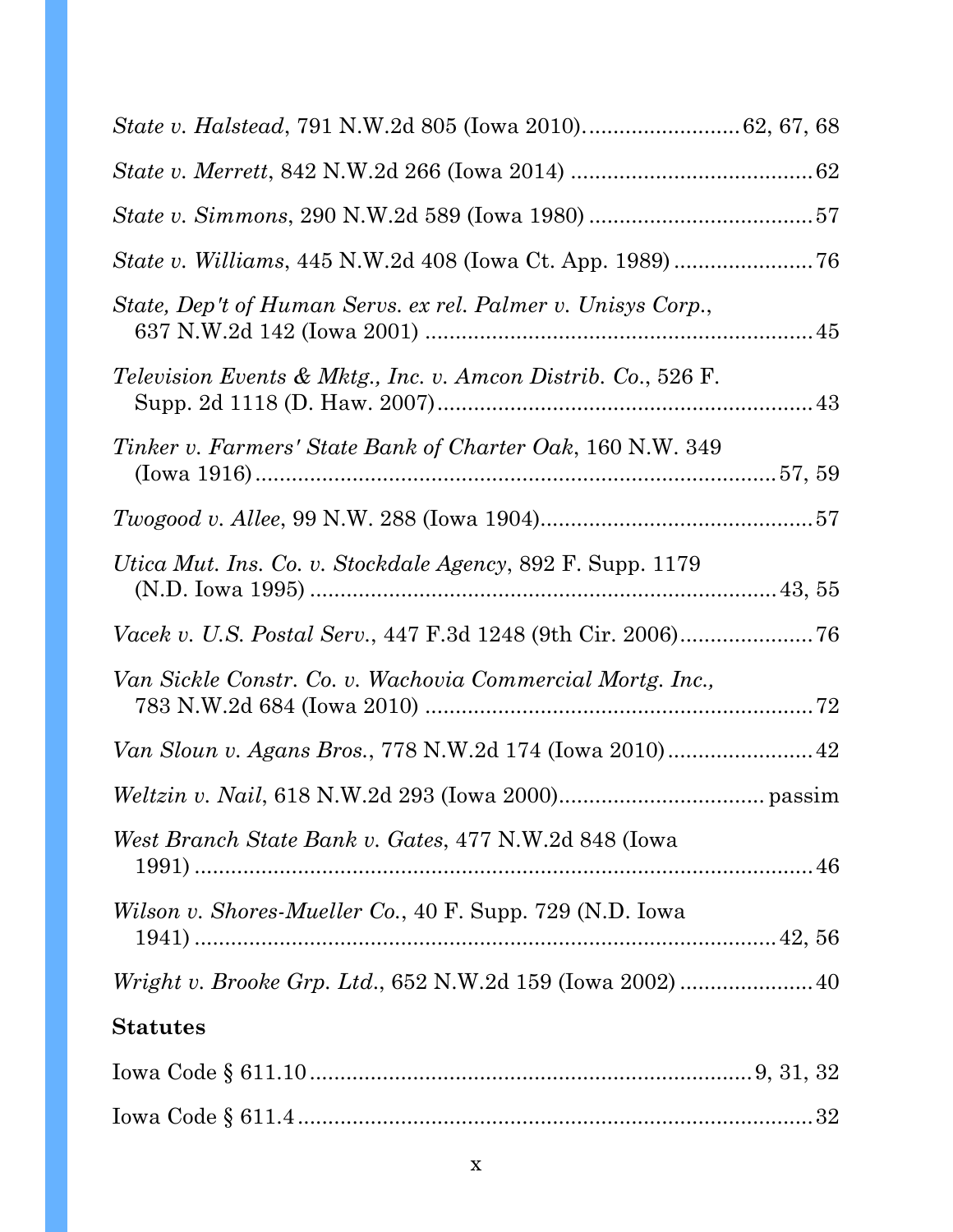| <i>State v. Williams, 445 N.W.2d 408 (Iowa Ct. App. 1989) </i> 76        |  |
|--------------------------------------------------------------------------|--|
| State, Dep't of Human Servs. ex rel. Palmer v. Unisys Corp.,             |  |
| <i>Television Events &amp; Mktg., Inc. v. Amcon Distrib. Co., 526 F.</i> |  |
| Tinker v. Farmers' State Bank of Charter Oak, 160 N.W. 349               |  |
|                                                                          |  |
| <i>Utica Mut. Ins. Co. v. Stockdale Agency, 892 F. Supp. 1179</i>        |  |
| Vacek v. U.S. Postal Serv., 447 F.3d 1248 (9th Cir. 2006)76              |  |
| Van Sickle Constr. Co. v. Wachovia Commercial Mortg. Inc.,               |  |
| Van Sloun v. Agans Bros., 778 N.W.2d 174 (Iowa 2010) 42                  |  |
|                                                                          |  |
| West Branch State Bank v. Gates, 477 N.W.2d 848 (Iowa                    |  |
| <i>Wilson v. Shores-Mueller Co., 40 F. Supp. 729 (N.D. Iowa</i>          |  |
|                                                                          |  |
| <b>Statutes</b>                                                          |  |
|                                                                          |  |
|                                                                          |  |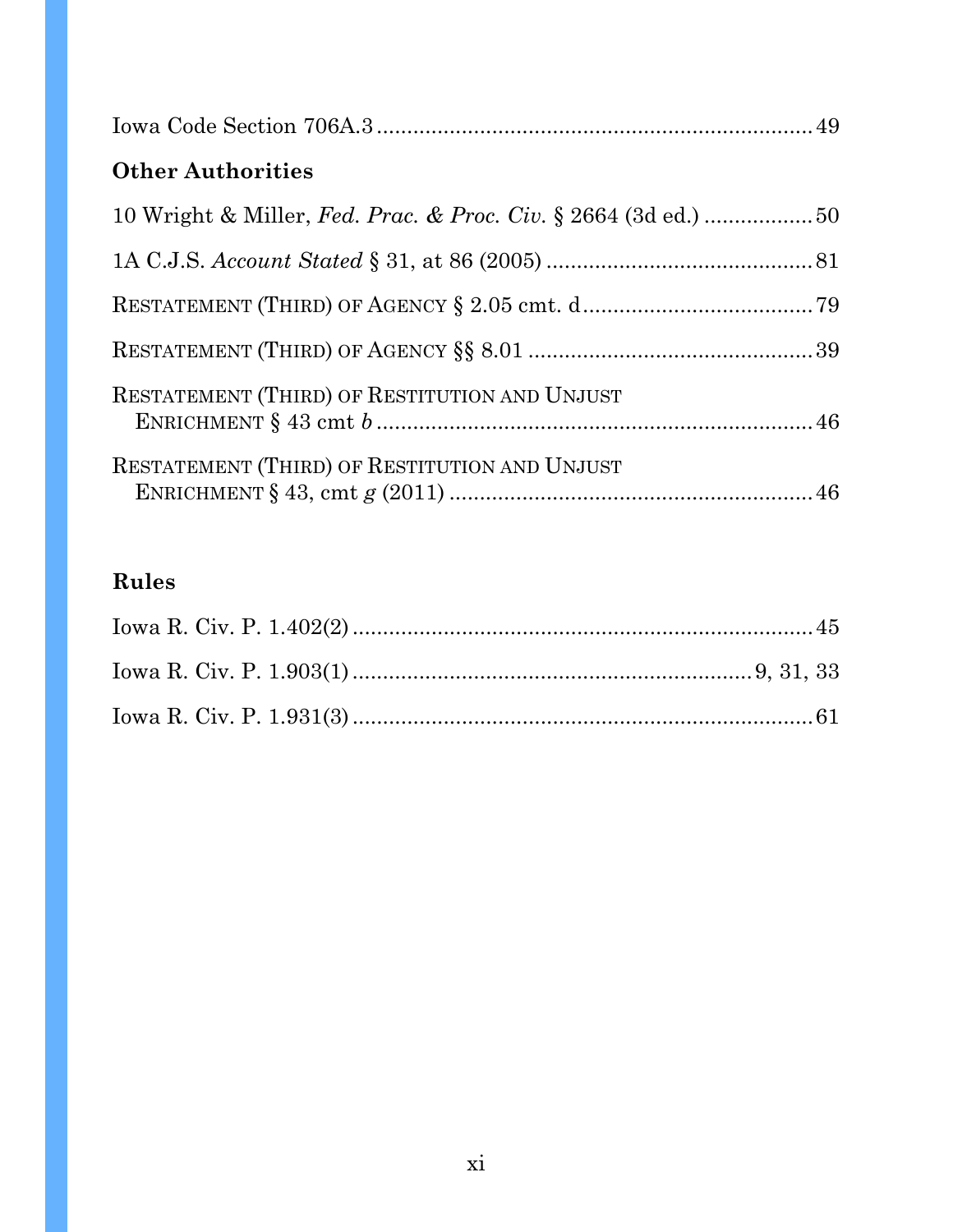| <b>Other Authorities</b>                      |  |
|-----------------------------------------------|--|
|                                               |  |
|                                               |  |
|                                               |  |
|                                               |  |
| RESTATEMENT (THIRD) OF RESTITUTION AND UNJUST |  |
| RESTATEMENT (THIRD) OF RESTITUTION AND UNJUST |  |

# **Rules**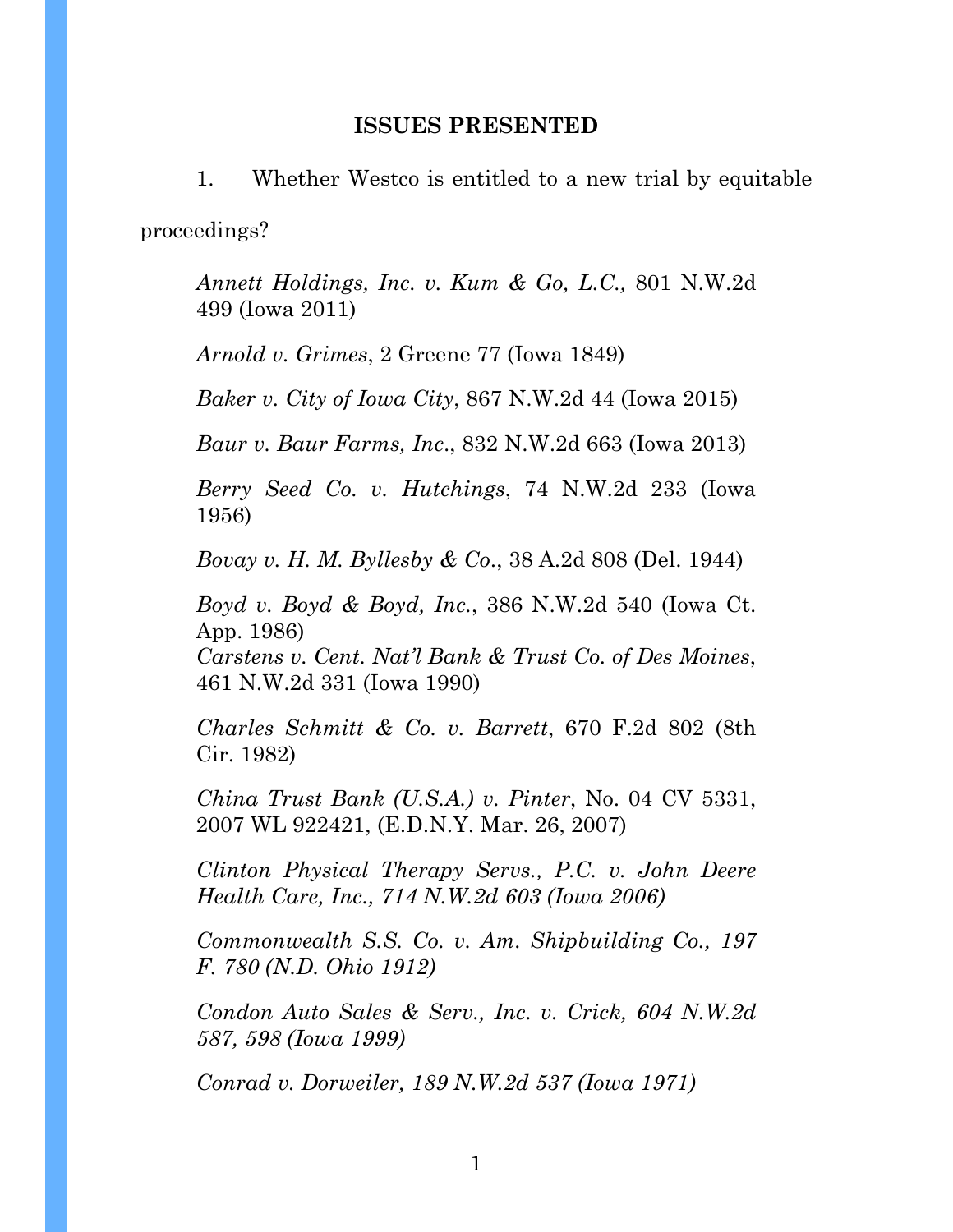#### **ISSUES PRESENTED**

1. Whether Westco is entitled to a new trial by equitable proceedings?

*Annett Holdings, Inc. v. Kum & Go, L.C.,* 801 N.W.2d 499 (Iowa 2011)

*Arnold v. Grimes*, 2 Greene 77 (Iowa 1849)

*Baker v. City of Iowa City*, 867 N.W.2d 44 (Iowa 2015)

*Baur v. Baur Farms, Inc*., 832 N.W.2d 663 (Iowa 2013)

*Berry Seed Co. v. Hutchings*, 74 N.W.2d 233 (Iowa 1956)

*Bovay v. H. M. Byllesby & Co*., 38 A.2d 808 (Del. 1944)

*Boyd v. Boyd & Boyd, Inc.*, 386 N.W.2d 540 (Iowa Ct. App. 1986)

*Carstens v. Cent. Nat'l Bank & Trust Co. of Des Moines*, 461 N.W.2d 331 (Iowa 1990)

*Charles Schmitt & Co. v. Barrett*, 670 F.2d 802 (8th Cir. 1982)

*China Trust Bank (U.S.A.) v. Pinter*, No. 04 CV 5331, 2007 WL 922421, (E.D.N.Y. Mar. 26, 2007)

*Clinton Physical Therapy Servs., P.C. v. John Deere Health Care, Inc., 714 N.W.2d 603 (Iowa 2006)* 

*Commonwealth S.S. Co. v. Am. Shipbuilding Co., 197 F. 780 (N.D. Ohio 1912)* 

*Condon Auto Sales & Serv., Inc. v. Crick, 604 N.W.2d 587, 598 (Iowa 1999)* 

*Conrad v. Dorweiler, 189 N.W.2d 537 (Iowa 1971)*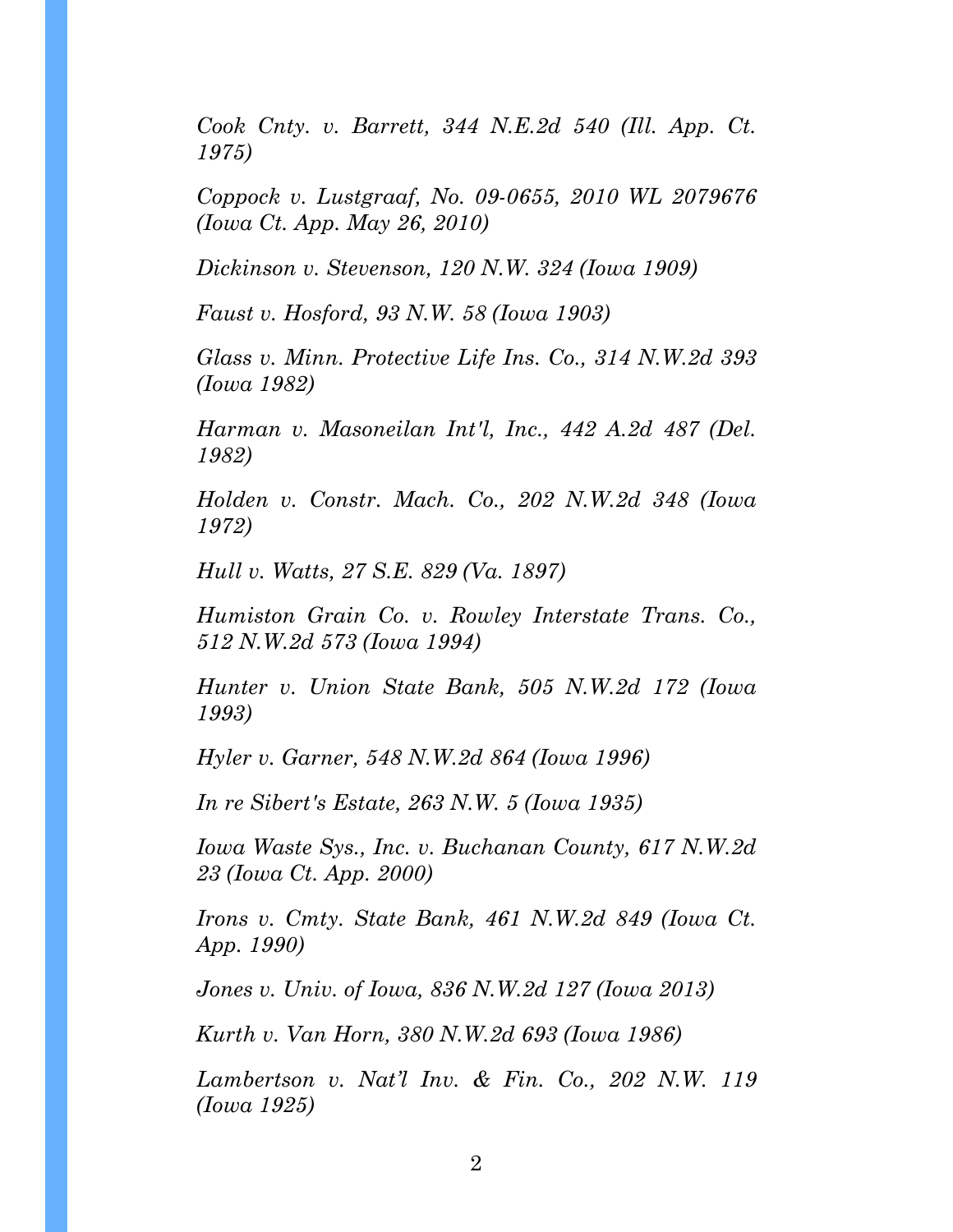*Cook Cnty. v. Barrett, 344 N.E.2d 540 (Ill. App. Ct. 1975)* 

*Coppock v. Lustgraaf, No. 09-0655, 2010 WL 2079676 (Iowa Ct. App. May 26, 2010)* 

*Dickinson v. Stevenson, 120 N.W. 324 (Iowa 1909)* 

*Faust v. Hosford, 93 N.W. 58 (Iowa 1903)* 

*Glass v. Minn. Protective Life Ins. Co., 314 N.W.2d 393 (Iowa 1982)* 

*Harman v. Masoneilan Int'l, Inc., 442 A.2d 487 (Del. 1982)* 

*Holden v. Constr. Mach. Co., 202 N.W.2d 348 (Iowa 1972)* 

*Hull v. Watts, 27 S.E. 829 (Va. 1897)* 

*Humiston Grain Co. v. Rowley Interstate Trans. Co., 512 N.W.2d 573 (Iowa 1994)* 

*Hunter v. Union State Bank, 505 N.W.2d 172 (Iowa 1993)* 

*Hyler v. Garner, 548 N.W.2d 864 (Iowa 1996)* 

*In re Sibert's Estate, 263 N.W. 5 (Iowa 1935)* 

*Iowa Waste Sys., Inc. v. Buchanan County, 617 N.W.2d 23 (Iowa Ct. App. 2000)* 

*Irons v. Cmty. State Bank, 461 N.W.2d 849 (Iowa Ct. App. 1990)* 

*Jones v. Univ. of Iowa, 836 N.W.2d 127 (Iowa 2013)* 

*Kurth v. Van Horn, 380 N.W.2d 693 (Iowa 1986)* 

*Lambertson v. Nat'l Inv. & Fin. Co., 202 N.W. 119 (Iowa 1925)*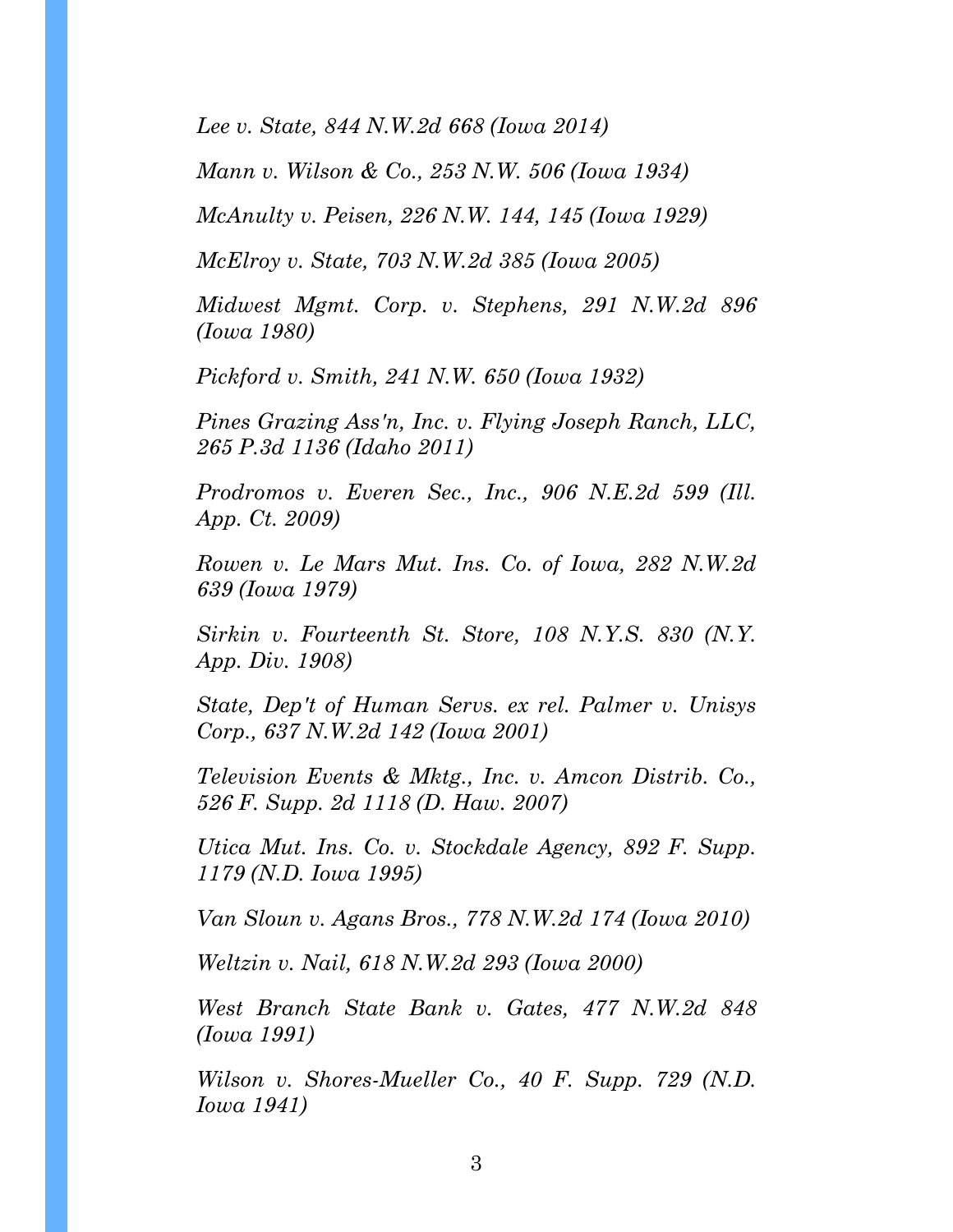*Lee v. State, 844 N.W.2d 668 (Iowa 2014)* 

*Mann v. Wilson & Co., 253 N.W. 506 (Iowa 1934)* 

*McAnulty v. Peisen, 226 N.W. 144, 145 (Iowa 1929)* 

*McElroy v. State, 703 N.W.2d 385 (Iowa 2005)* 

*Midwest Mgmt. Corp. v. Stephens, 291 N.W.2d 896 (Iowa 1980)* 

*Pickford v. Smith, 241 N.W. 650 (Iowa 1932)* 

*Pines Grazing Ass'n, Inc. v. Flying Joseph Ranch, LLC, 265 P.3d 1136 (Idaho 2011)* 

*Prodromos v. Everen Sec., Inc., 906 N.E.2d 599 (Ill. App. Ct. 2009)* 

*Rowen v. Le Mars Mut. Ins. Co. of Iowa, 282 N.W.2d 639 (Iowa 1979)* 

*Sirkin v. Fourteenth St. Store, 108 N.Y.S. 830 (N.Y. App. Div. 1908)* 

*State, Dep't of Human Servs. ex rel. Palmer v. Unisys Corp., 637 N.W.2d 142 (Iowa 2001)* 

*Television Events & Mktg., Inc. v. Amcon Distrib. Co., 526 F. Supp. 2d 1118 (D. Haw. 2007)* 

*Utica Mut. Ins. Co. v. Stockdale Agency, 892 F. Supp. 1179 (N.D. Iowa 1995)* 

*Van Sloun v. Agans Bros., 778 N.W.2d 174 (Iowa 2010)* 

*Weltzin v. Nail, 618 N.W.2d 293 (Iowa 2000)* 

*West Branch State Bank v. Gates, 477 N.W.2d 848 (Iowa 1991)* 

*Wilson v. Shores-Mueller Co., 40 F. Supp. 729 (N.D. Iowa 1941)*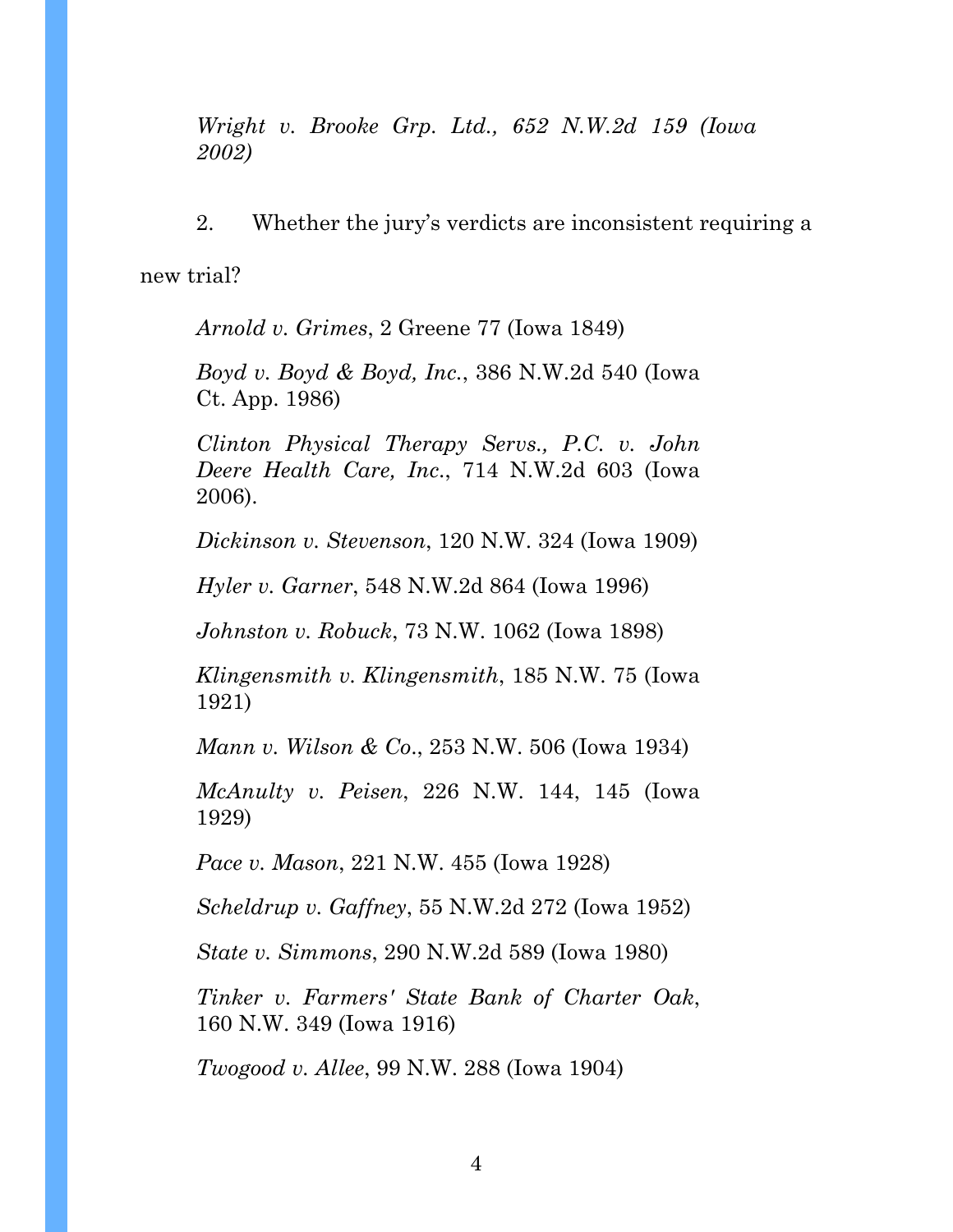*Wright v. Brooke Grp. Ltd., 652 N.W.2d 159 (Iowa 2002)*

2. Whether the jury's verdicts are inconsistent requiring a

new trial?

*Arnold v. Grimes*, 2 Greene 77 (Iowa 1849)

*Boyd v. Boyd & Boyd, Inc.*, 386 N.W.2d 540 (Iowa Ct. App. 1986)

*Clinton Physical Therapy Servs., P.C. v. John Deere Health Care, Inc*., 714 N.W.2d 603 (Iowa 2006).

*Dickinson v. Stevenson*, 120 N.W. 324 (Iowa 1909)

*Hyler v. Garner*, 548 N.W.2d 864 (Iowa 1996)

*Johnston v. Robuck*, 73 N.W. 1062 (Iowa 1898)

*Klingensmith v. Klingensmith*, 185 N.W. 75 (Iowa 1921)

*Mann v. Wilson & Co*., 253 N.W. 506 (Iowa 1934)

*McAnulty v. Peisen*, 226 N.W. 144, 145 (Iowa 1929)

*Pace v. Mason*, 221 N.W. 455 (Iowa 1928)

*Scheldrup v. Gaffney*, 55 N.W.2d 272 (Iowa 1952)

*State v. Simmons*, 290 N.W.2d 589 (Iowa 1980)

*Tinker v. Farmers' State Bank of Charter Oak*, 160 N.W. 349 (Iowa 1916)

*Twogood v. Allee*, 99 N.W. 288 (Iowa 1904)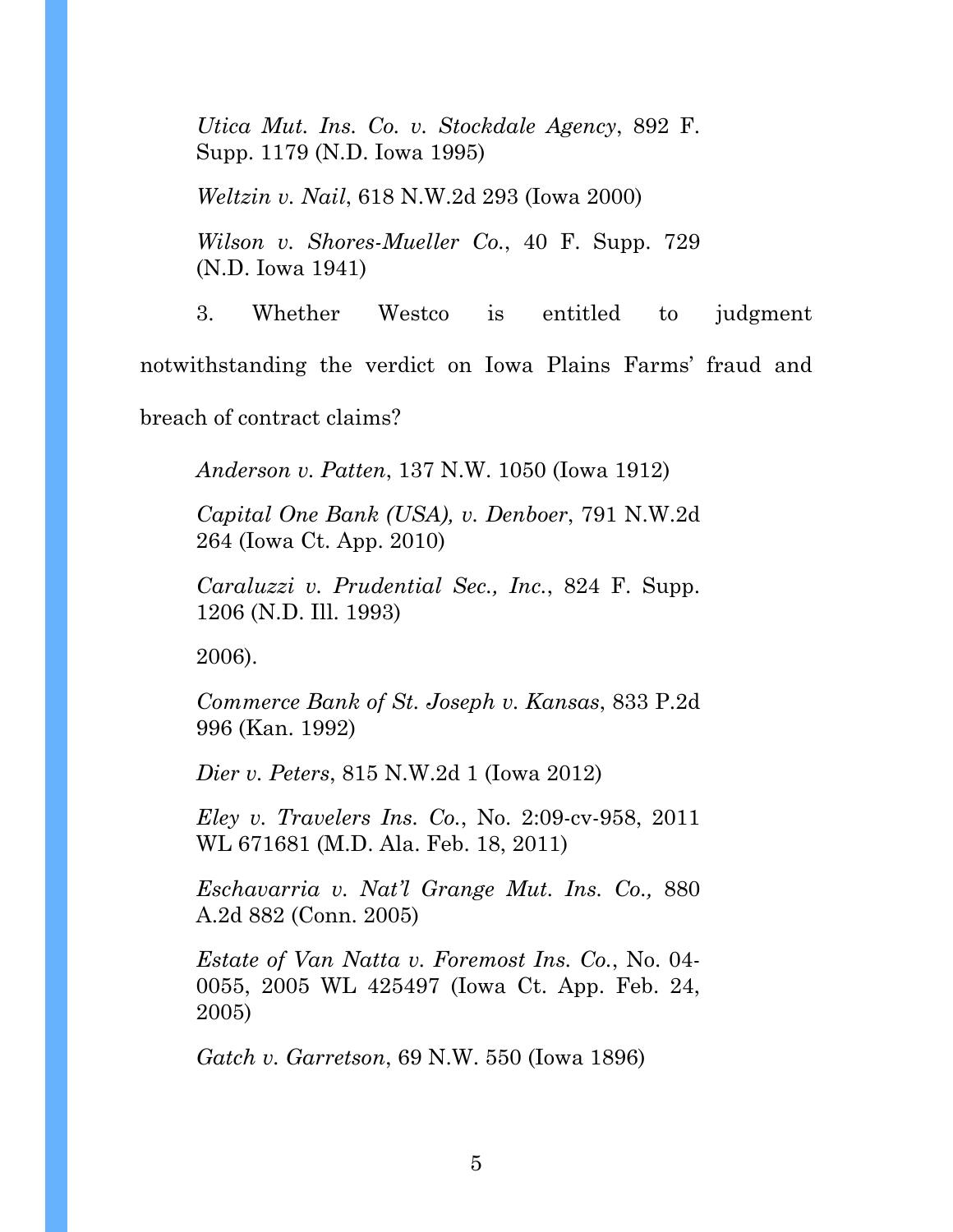*Utica Mut. Ins. Co. v. Stockdale Agency*, 892 F. Supp. 1179 (N.D. Iowa 1995)

*Weltzin v. Nail*, 618 N.W.2d 293 (Iowa 2000)

*Wilson v. Shores-Mueller Co.*, 40 F. Supp. 729 (N.D. Iowa 1941)

3. Whether Westco is entitled to judgment

notwithstanding the verdict on Iowa Plains Farms' fraud and

breach of contract claims?

*Anderson v. Patten*, 137 N.W. 1050 (Iowa 1912)

*Capital One Bank (USA), v. Denboer*, 791 N.W.2d 264 (Iowa Ct. App. 2010)

*Caraluzzi v. Prudential Sec., Inc.*, 824 F. Supp. 1206 (N.D. Ill. 1993)

2006).

*Commerce Bank of St. Joseph v. Kansas*, 833 P.2d 996 (Kan. 1992)

*Dier v. Peters*, 815 N.W.2d 1 (Iowa 2012)

*Eley v. Travelers Ins. Co.*, No. 2:09-cv-958, 2011 WL 671681 (M.D. Ala. Feb. 18, 2011)

*Eschavarria v. Nat'l Grange Mut. Ins. Co.,* 880 A.2d 882 (Conn. 2005)

*Estate of Van Natta v. Foremost Ins. Co.*, No. 04- 0055, 2005 WL 425497 (Iowa Ct. App. Feb. 24, 2005)

*Gatch v. Garretson*, 69 N.W. 550 (Iowa 1896)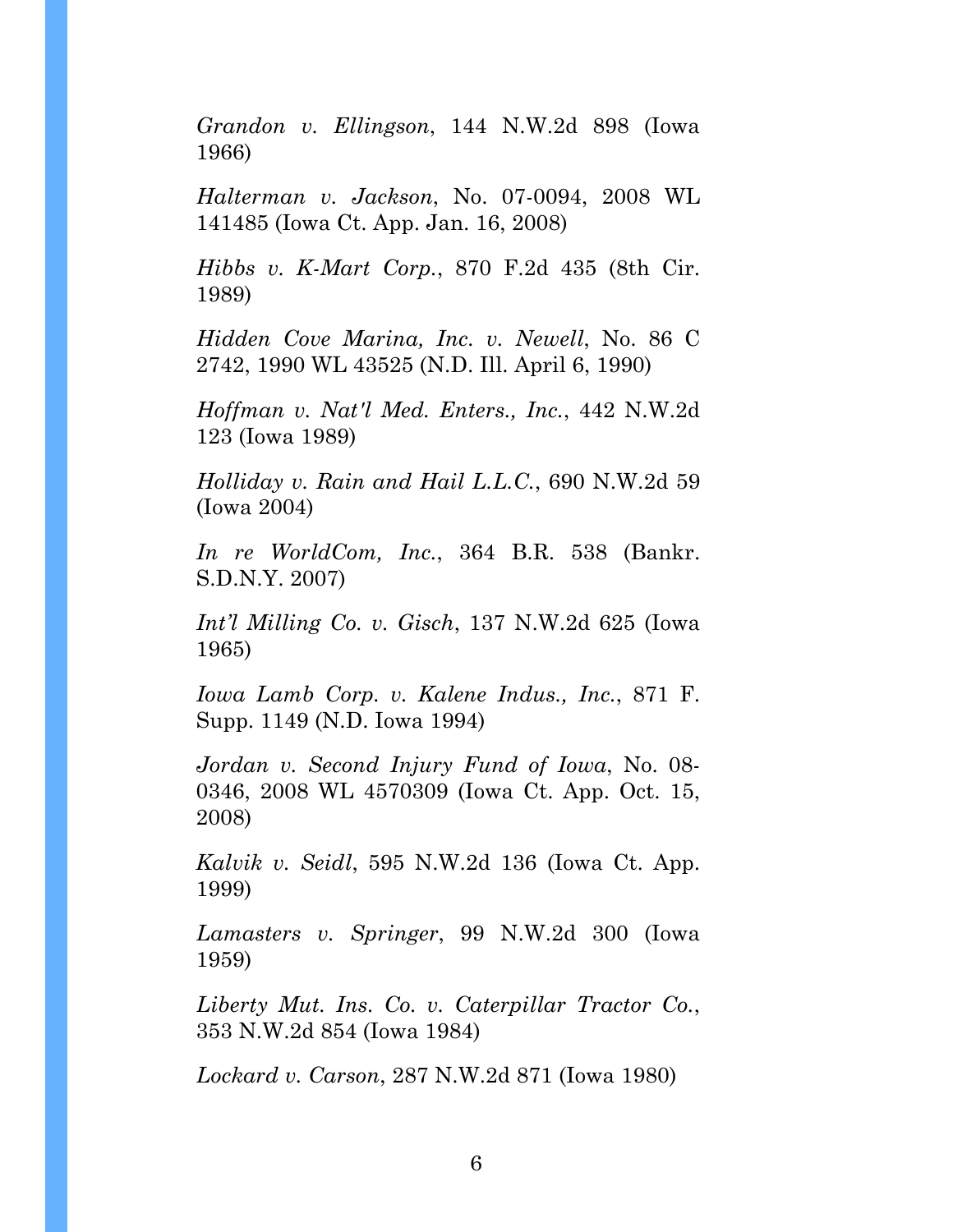*Grandon v. Ellingson*, 144 N.W.2d 898 (Iowa 1966)

*Halterman v. Jackson*, No. 07-0094, 2008 WL 141485 (Iowa Ct. App. Jan. 16, 2008)

*Hibbs v. K-Mart Corp.*, 870 F.2d 435 (8th Cir. 1989)

*Hidden Cove Marina, Inc. v. Newell*, No. 86 C 2742, 1990 WL 43525 (N.D. Ill. April 6, 1990)

*Hoffman v. Nat'l Med. Enters., Inc.*, 442 N.W.2d 123 (Iowa 1989)

*Holliday v. Rain and Hail L.L.C.*, 690 N.W.2d 59 (Iowa 2004)

*In re WorldCom, Inc.*, 364 B.R. 538 (Bankr. S.D.N.Y. 2007)

*Int'l Milling Co. v. Gisch*, 137 N.W.2d 625 (Iowa 1965)

*Iowa Lamb Corp. v. Kalene Indus., Inc.*, 871 F. Supp. 1149 (N.D. Iowa 1994)

*Jordan v. Second Injury Fund of Iowa*, No. 08- 0346, 2008 WL 4570309 (Iowa Ct. App. Oct. 15, 2008)

*Kalvik v. Seidl*, 595 N.W.2d 136 (Iowa Ct. App. 1999)

*Lamasters v. Springer*, 99 N.W.2d 300 (Iowa 1959)

*Liberty Mut. Ins. Co. v. Caterpillar Tractor Co.*, 353 N.W.2d 854 (Iowa 1984)

*Lockard v. Carson*, 287 N.W.2d 871 (Iowa 1980)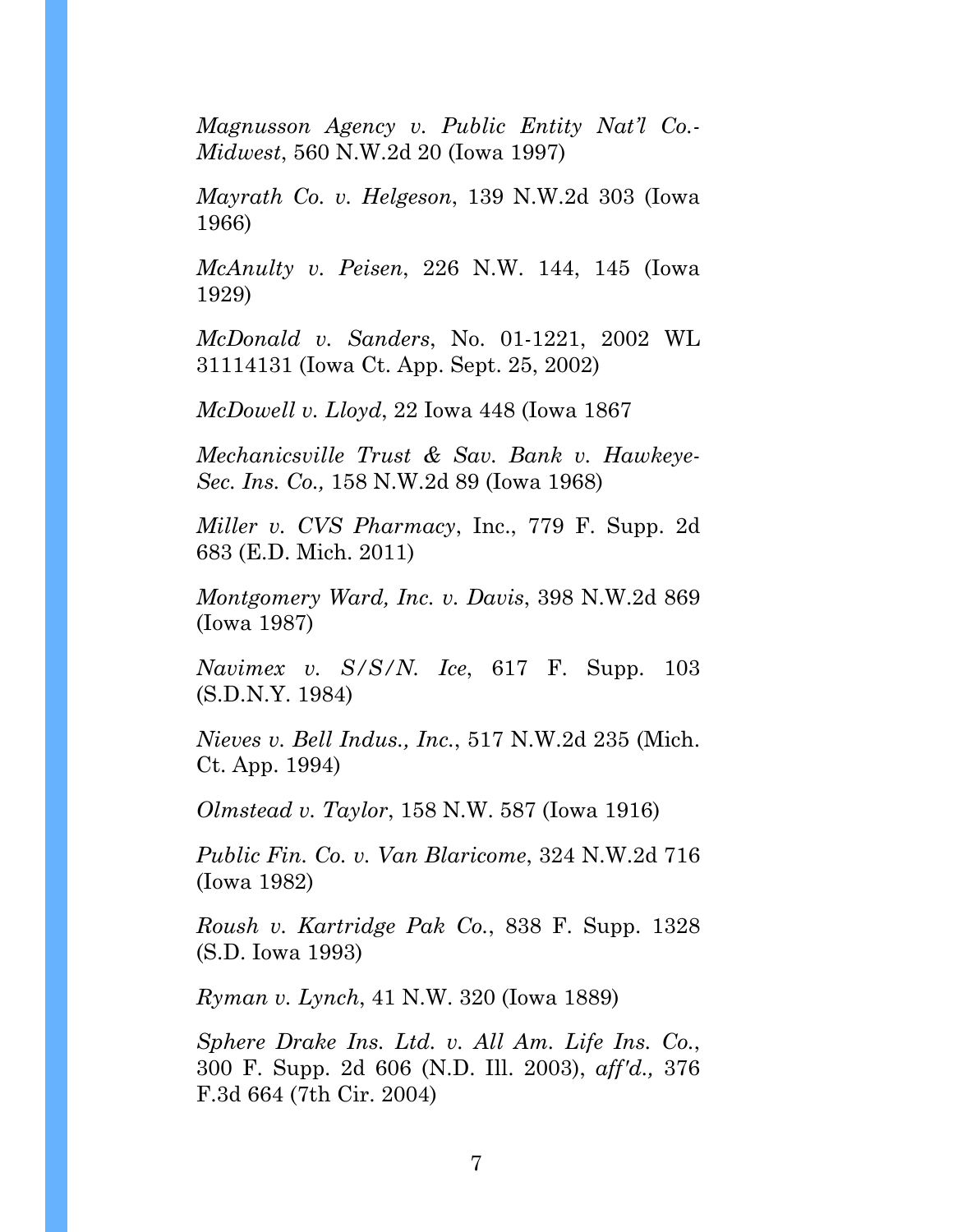*Magnusson Agency v. Public Entity Nat'l Co.- Midwest*, 560 N.W.2d 20 (Iowa 1997)

*Mayrath Co. v. Helgeson*, 139 N.W.2d 303 (Iowa 1966)

*McAnulty v. Peisen*, 226 N.W. 144, 145 (Iowa 1929)

*McDonald v. Sanders*, No. 01-1221, 2002 WL 31114131 (Iowa Ct. App. Sept. 25, 2002)

*McDowell v. Lloyd*, 22 Iowa 448 (Iowa 1867

*Mechanicsville Trust & Sav. Bank v. Hawkeye-Sec. Ins. Co.,* 158 N.W.2d 89 (Iowa 1968)

*Miller v. CVS Pharmacy*, Inc., 779 F. Supp. 2d 683 (E.D. Mich. 2011)

*Montgomery Ward, Inc. v. Davis*, 398 N.W.2d 869 (Iowa 1987)

*Navimex v. S/S/N. Ice*, 617 F. Supp. 103 (S.D.N.Y. 1984)

*Nieves v. Bell Indus., Inc.*, 517 N.W.2d 235 (Mich. Ct. App. 1994)

*Olmstead v. Taylor*, 158 N.W. 587 (Iowa 1916)

*Public Fin. Co. v. Van Blaricome*, 324 N.W.2d 716 (Iowa 1982)

*Roush v. Kartridge Pak Co.*, 838 F. Supp. 1328 (S.D. Iowa 1993)

*Ryman v. Lynch*, 41 N.W. 320 (Iowa 1889)

*Sphere Drake Ins. Ltd. v. All Am. Life Ins. Co.*, 300 F. Supp. 2d 606 (N.D. Ill. 2003), *aff'd.,* 376 F.3d 664 (7th Cir. 2004)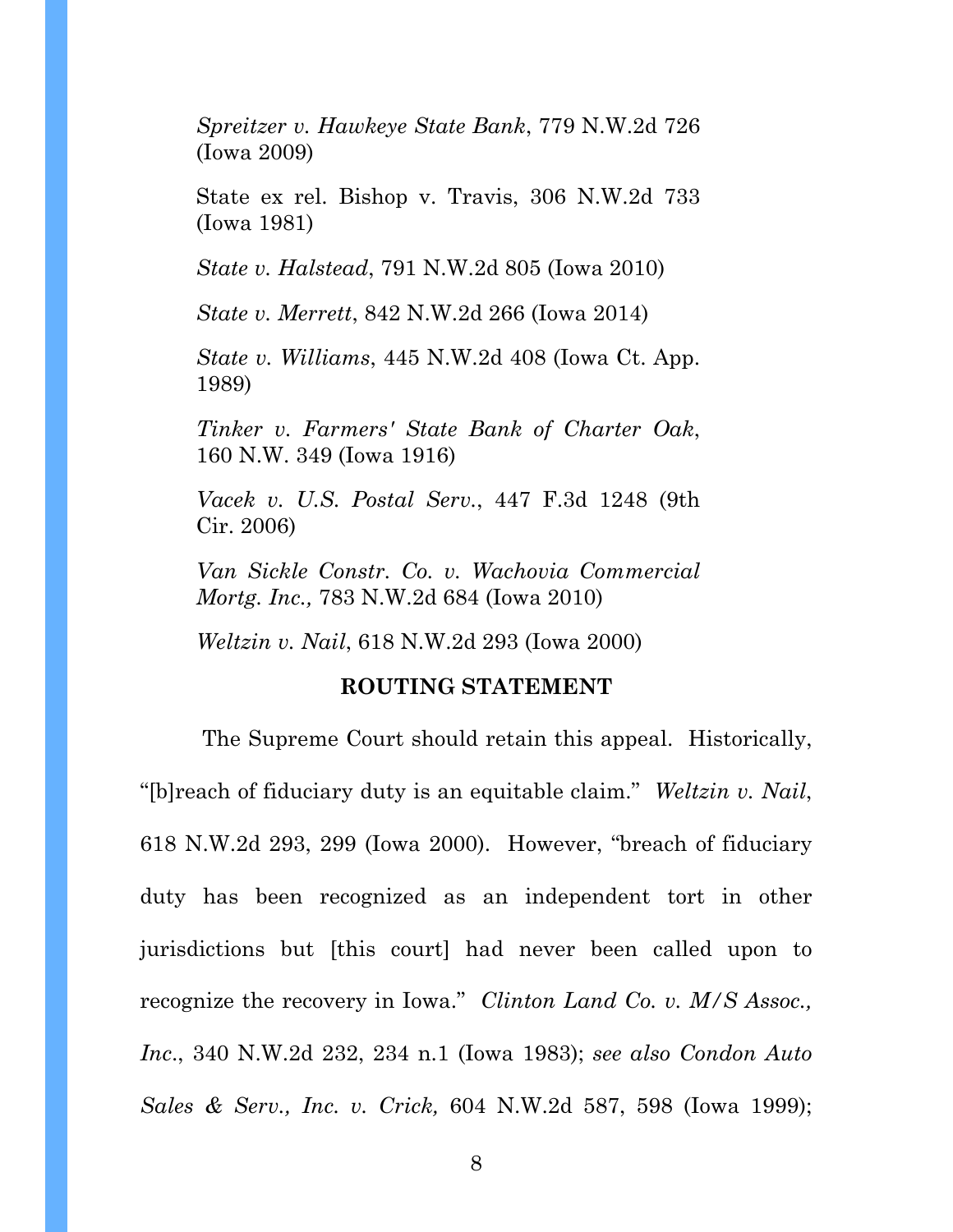*Spreitzer v. Hawkeye State Bank*, 779 N.W.2d 726 (Iowa 2009)

State ex rel. Bishop v. Travis, 306 N.W.2d 733 (Iowa 1981)

*State v. Halstead*, 791 N.W.2d 805 (Iowa 2010)

*State v. Merrett*, 842 N.W.2d 266 (Iowa 2014)

*State v. Williams*, 445 N.W.2d 408 (Iowa Ct. App. 1989)

*Tinker v. Farmers' State Bank of Charter Oak*, 160 N.W. 349 (Iowa 1916)

*Vacek v. U.S. Postal Serv.*, 447 F.3d 1248 (9th Cir. 2006)

*Van Sickle Constr. Co. v. Wachovia Commercial Mortg. Inc.,* 783 N.W.2d 684 (Iowa 2010)

*Weltzin v. Nail*, 618 N.W.2d 293 (Iowa 2000)

#### **ROUTING STATEMENT**

 The Supreme Court should retain this appeal. Historically, "[b]reach of fiduciary duty is an equitable claim." *Weltzin v. Nail*, 618 N.W.2d 293, 299 (Iowa 2000). However, "breach of fiduciary duty has been recognized as an independent tort in other jurisdictions but [this court] had never been called upon to recognize the recovery in Iowa." *Clinton Land Co. v. M/S Assoc., Inc*., 340 N.W.2d 232, 234 n.1 (Iowa 1983); *see also Condon Auto Sales & Serv., Inc. v. Crick,* 604 N.W.2d 587, 598 (Iowa 1999);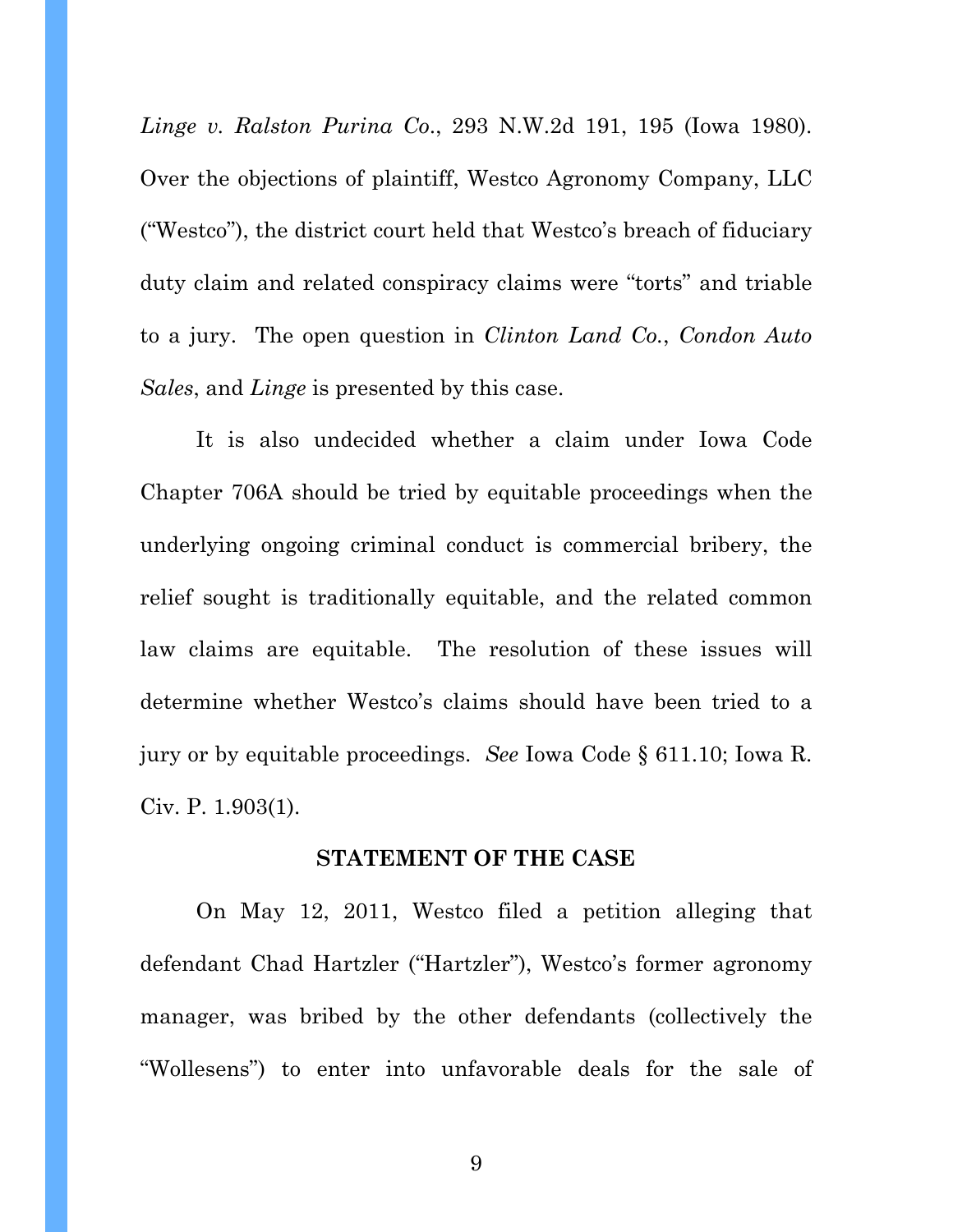*Linge v. Ralston Purina Co*., 293 N.W.2d 191, 195 (Iowa 1980). Over the objections of plaintiff, Westco Agronomy Company, LLC ("Westco"), the district court held that Westco's breach of fiduciary duty claim and related conspiracy claims were "torts" and triable to a jury. The open question in *Clinton Land Co.*, *Condon Auto Sales*, and *Linge* is presented by this case.

It is also undecided whether a claim under Iowa Code Chapter 706A should be tried by equitable proceedings when the underlying ongoing criminal conduct is commercial bribery, the relief sought is traditionally equitable, and the related common law claims are equitable. The resolution of these issues will determine whether Westco's claims should have been tried to a jury or by equitable proceedings. *See* Iowa Code § 611.10; Iowa R. Civ. P. 1.903(1).

#### **STATEMENT OF THE CASE**

On May 12, 2011, Westco filed a petition alleging that defendant Chad Hartzler ("Hartzler"), Westco's former agronomy manager, was bribed by the other defendants (collectively the "Wollesens") to enter into unfavorable deals for the sale of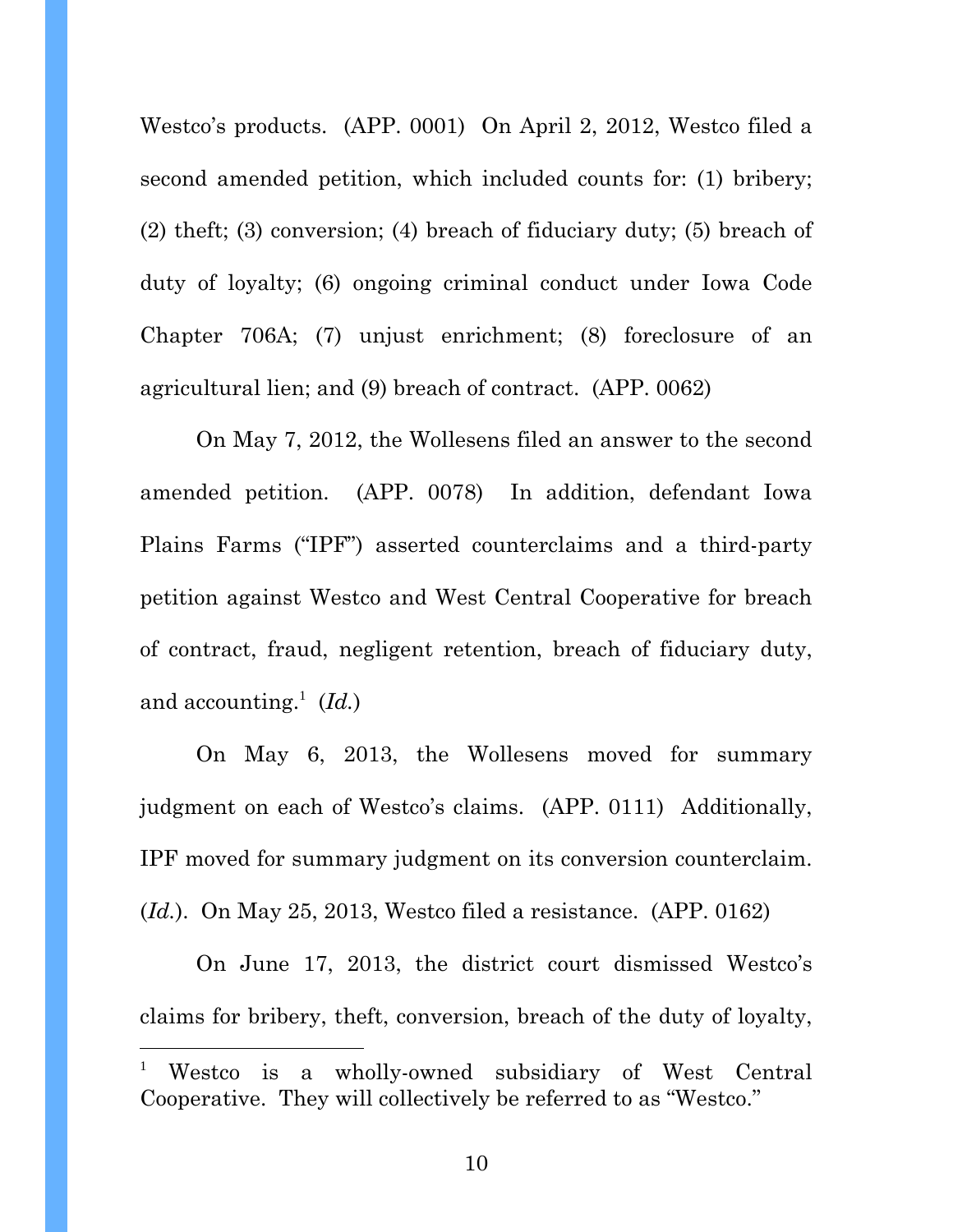Westco's products. (APP. 0001) On April 2, 2012, Westco filed a second amended petition, which included counts for: (1) bribery; (2) theft; (3) conversion; (4) breach of fiduciary duty; (5) breach of duty of loyalty; (6) ongoing criminal conduct under Iowa Code Chapter 706A; (7) unjust enrichment; (8) foreclosure of an agricultural lien; and (9) breach of contract. (APP. 0062)

On May 7, 2012, the Wollesens filed an answer to the second amended petition. (APP. 0078) In addition, defendant Iowa Plains Farms ("IPF") asserted counterclaims and a third-party petition against Westco and West Central Cooperative for breach of contract, fraud, negligent retention, breach of fiduciary duty, and accounting.<sup>1</sup>  $(Id.)$ 

On May 6, 2013, the Wollesens moved for summary judgment on each of Westco's claims. (APP. 0111) Additionally, IPF moved for summary judgment on its conversion counterclaim. (*Id.*). On May 25, 2013, Westco filed a resistance. (APP. 0162)

On June 17, 2013, the district court dismissed Westco's claims for bribery, theft, conversion, breach of the duty of loyalty,

l

<sup>1</sup> Westco is a wholly-owned subsidiary of West Central Cooperative. They will collectively be referred to as "Westco."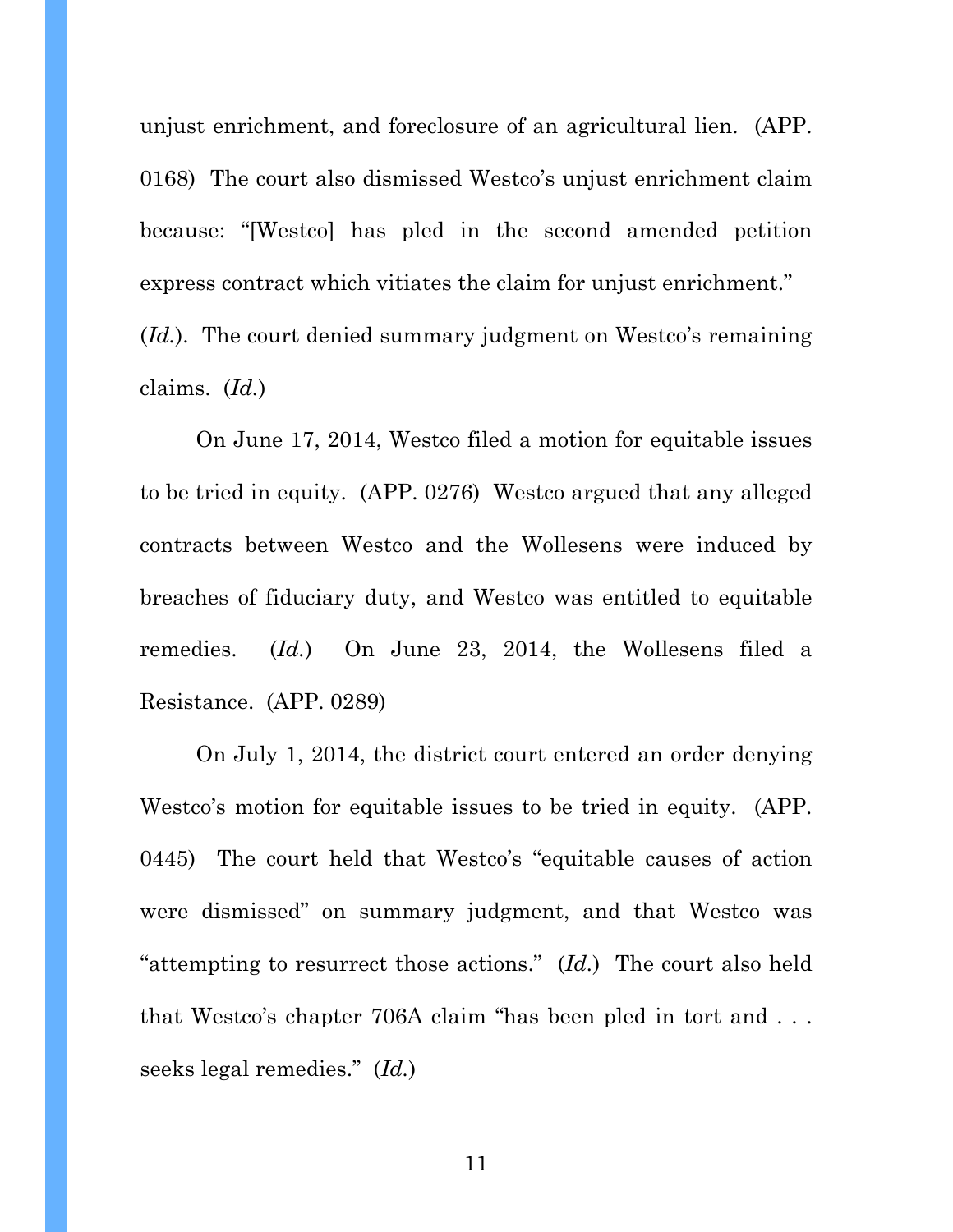unjust enrichment, and foreclosure of an agricultural lien. (APP. 0168) The court also dismissed Westco's unjust enrichment claim because: "[Westco] has pled in the second amended petition express contract which vitiates the claim for unjust enrichment."

(*Id.*). The court denied summary judgment on Westco's remaining claims. (*Id.*)

On June 17, 2014, Westco filed a motion for equitable issues to be tried in equity. (APP. 0276) Westco argued that any alleged contracts between Westco and the Wollesens were induced by breaches of fiduciary duty, and Westco was entitled to equitable remedies. (*Id.*) On June 23, 2014, the Wollesens filed a Resistance. (APP. 0289)

On July 1, 2014, the district court entered an order denying Westco's motion for equitable issues to be tried in equity. (APP. 0445) The court held that Westco's "equitable causes of action were dismissed" on summary judgment, and that Westco was "attempting to resurrect those actions." (*Id.*) The court also held that Westco's chapter 706A claim "has been pled in tort and . . . seeks legal remedies." (*Id.*)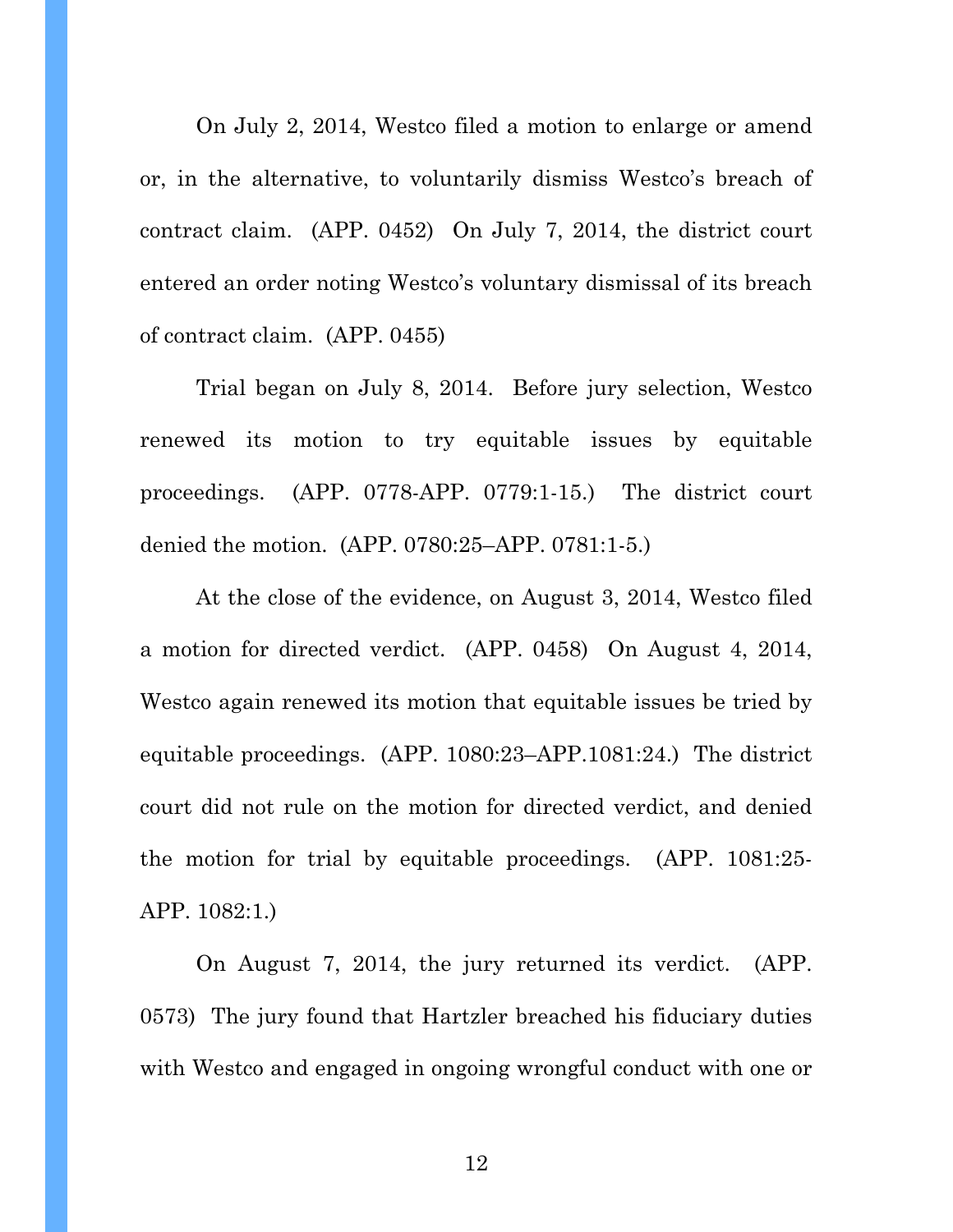On July 2, 2014, Westco filed a motion to enlarge or amend or, in the alternative, to voluntarily dismiss Westco's breach of contract claim. (APP. 0452) On July 7, 2014, the district court entered an order noting Westco's voluntary dismissal of its breach of contract claim. (APP. 0455)

Trial began on July 8, 2014. Before jury selection, Westco renewed its motion to try equitable issues by equitable proceedings. (APP. 0778-APP. 0779:1-15.) The district court denied the motion. (APP. 0780:25–APP. 0781:1-5.)

At the close of the evidence, on August 3, 2014, Westco filed a motion for directed verdict. (APP. 0458) On August 4, 2014, Westco again renewed its motion that equitable issues be tried by equitable proceedings. (APP. 1080:23–APP.1081:24.) The district court did not rule on the motion for directed verdict, and denied the motion for trial by equitable proceedings. (APP. 1081:25- APP. 1082:1.)

On August 7, 2014, the jury returned its verdict. (APP. 0573) The jury found that Hartzler breached his fiduciary duties with Westco and engaged in ongoing wrongful conduct with one or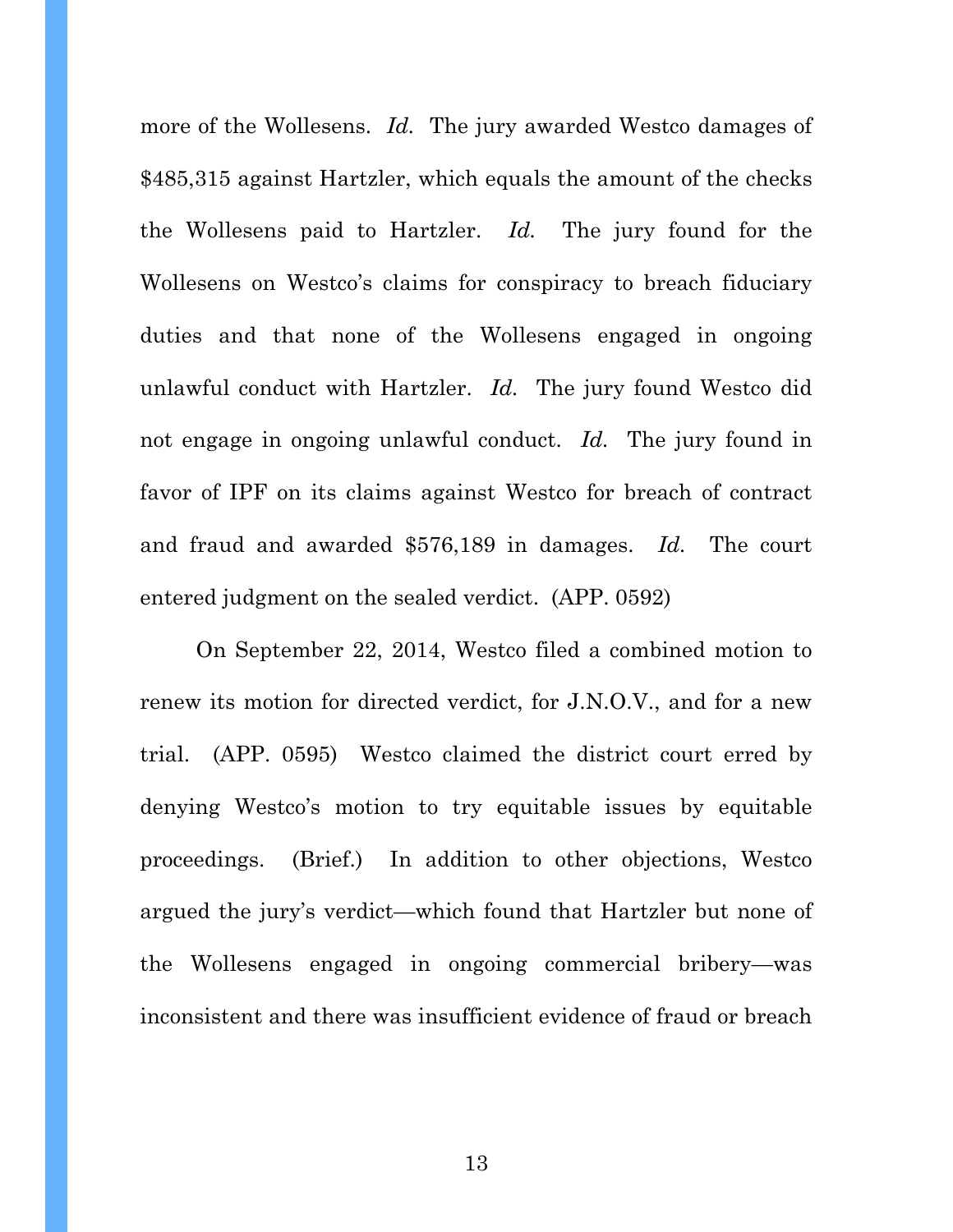more of the Wollesens. *Id.* The jury awarded Westco damages of \$485,315 against Hartzler, which equals the amount of the checks the Wollesens paid to Hartzler. *Id.* The jury found for the Wollesens on Westco's claims for conspiracy to breach fiduciary duties and that none of the Wollesens engaged in ongoing unlawful conduct with Hartzler. *Id.* The jury found Westco did not engage in ongoing unlawful conduct. *Id.* The jury found in favor of IPF on its claims against Westco for breach of contract and fraud and awarded \$576,189 in damages. *Id.* The court entered judgment on the sealed verdict. (APP. 0592)

On September 22, 2014, Westco filed a combined motion to renew its motion for directed verdict, for J.N.O.V., and for a new trial. (APP. 0595) Westco claimed the district court erred by denying Westco's motion to try equitable issues by equitable proceedings. (Brief.) In addition to other objections, Westco argued the jury's verdict—which found that Hartzler but none of the Wollesens engaged in ongoing commercial bribery—was inconsistent and there was insufficient evidence of fraud or breach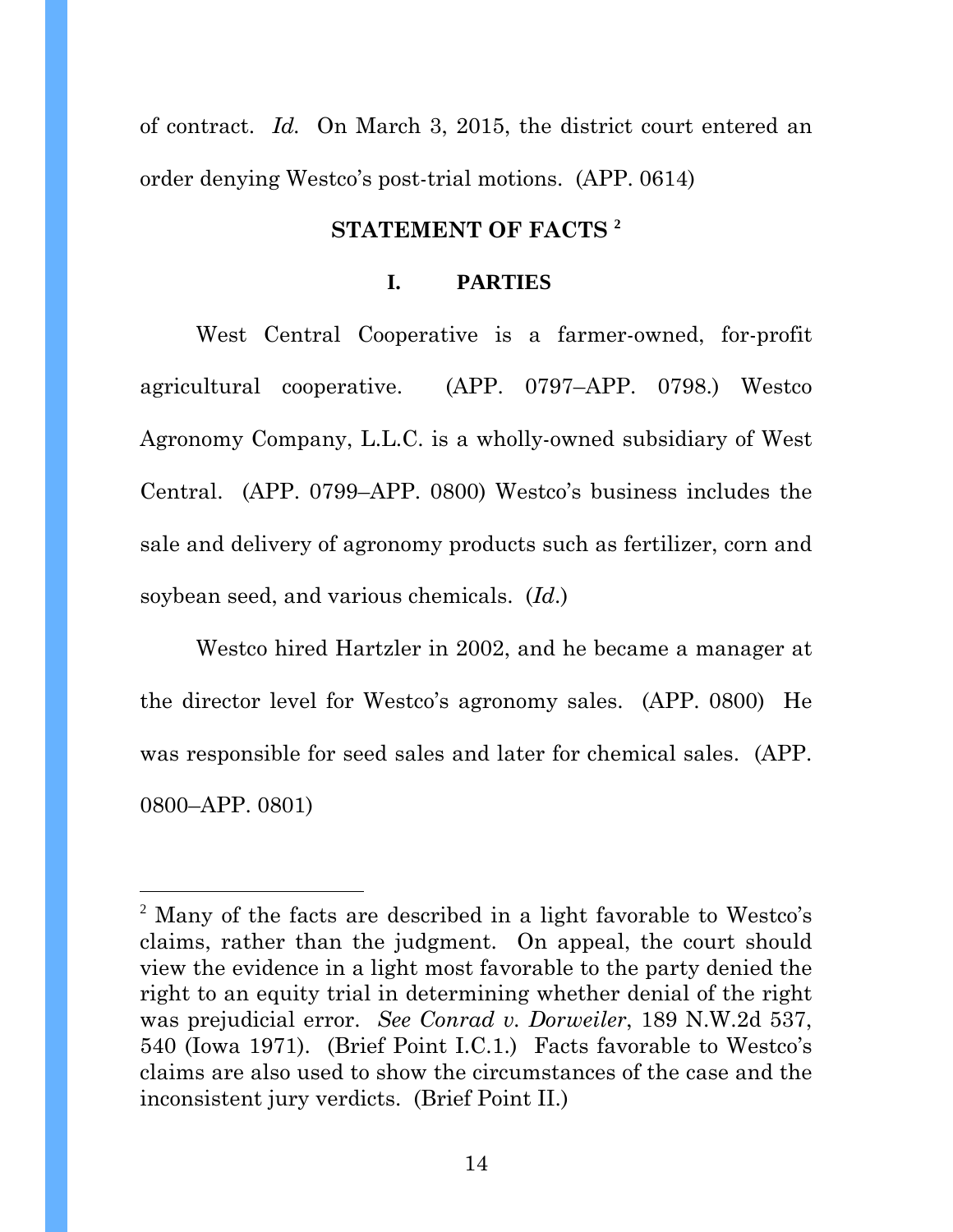of contract. *Id.* On March 3, 2015, the district court entered an order denying Westco's post-trial motions. (APP. 0614)

#### **STATEMENT OF FACTS <sup>2</sup>**

#### **I. PARTIES**

West Central Cooperative is a farmer-owned, for-profit agricultural cooperative. (APP. 0797–APP. 0798.) Westco Agronomy Company, L.L.C. is a wholly-owned subsidiary of West Central. (APP. 0799–APP. 0800) Westco's business includes the sale and delivery of agronomy products such as fertilizer, corn and soybean seed, and various chemicals. (*Id*.)

Westco hired Hartzler in 2002, and he became a manager at the director level for Westco's agronomy sales. (APP. 0800) He was responsible for seed sales and later for chemical sales. (APP. 0800–APP. 0801)

l

<sup>&</sup>lt;sup>2</sup> Many of the facts are described in a light favorable to Westco's claims, rather than the judgment. On appeal, the court should view the evidence in a light most favorable to the party denied the right to an equity trial in determining whether denial of the right was prejudicial error. *See Conrad v. Dorweiler*, 189 N.W.2d 537, 540 (Iowa 1971). (Brief Point I.C.1.) Facts favorable to Westco's claims are also used to show the circumstances of the case and the inconsistent jury verdicts. (Brief Point II.)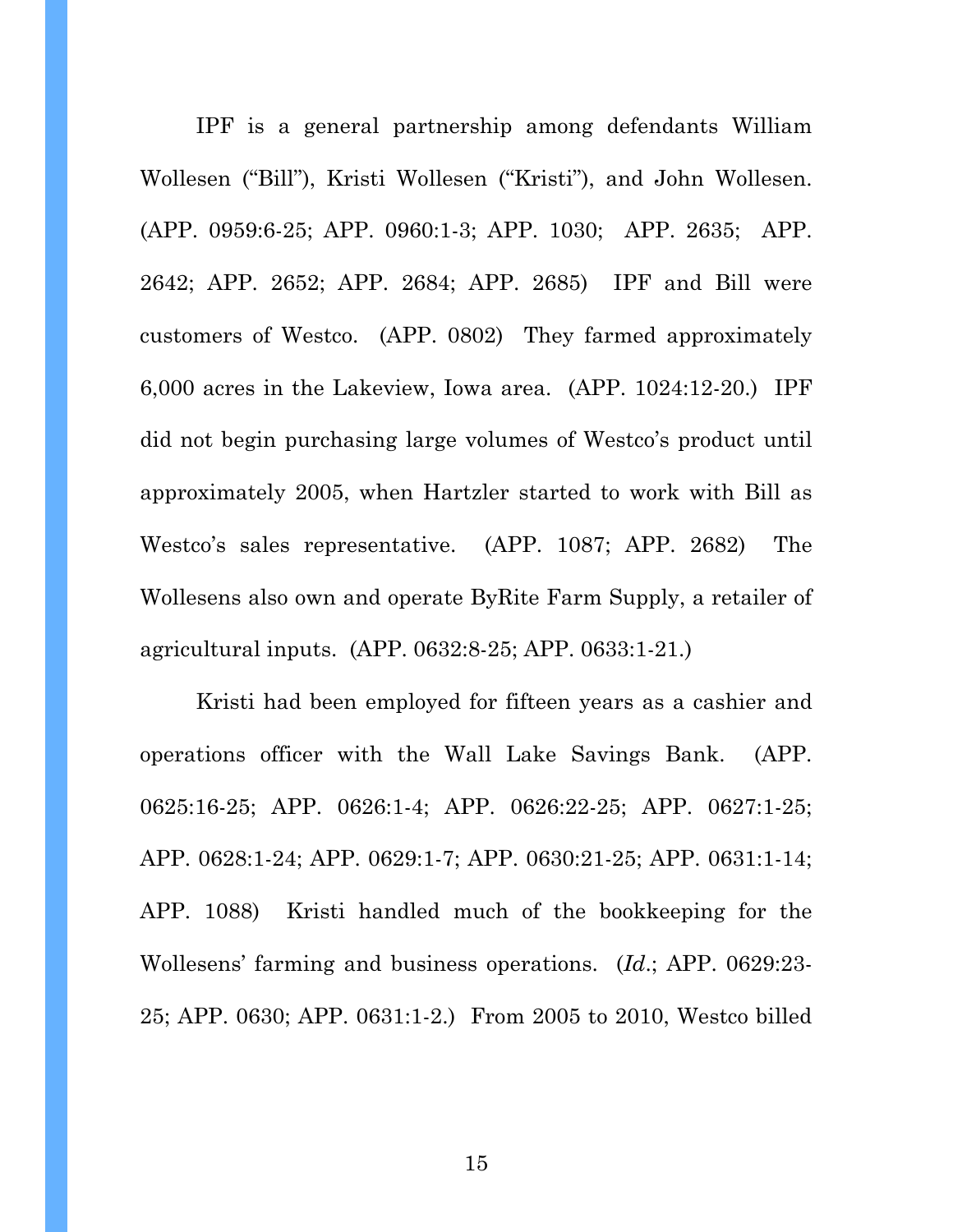IPF is a general partnership among defendants William Wollesen ("Bill"), Kristi Wollesen ("Kristi"), and John Wollesen. (APP. 0959:6-25; APP. 0960:1-3; APP. 1030; APP. 2635; APP. 2642; APP. 2652; APP. 2684; APP. 2685) IPF and Bill were customers of Westco. (APP. 0802) They farmed approximately 6,000 acres in the Lakeview, Iowa area. (APP. 1024:12-20.) IPF did not begin purchasing large volumes of Westco's product until approximately 2005, when Hartzler started to work with Bill as Westco's sales representative. (APP. 1087; APP. 2682) The Wollesens also own and operate ByRite Farm Supply, a retailer of agricultural inputs. (APP. 0632:8-25; APP. 0633:1-21.)

Kristi had been employed for fifteen years as a cashier and operations officer with the Wall Lake Savings Bank. (APP. 0625:16-25; APP. 0626:1-4; APP. 0626:22-25; APP. 0627:1-25; APP. 0628:1-24; APP. 0629:1-7; APP. 0630:21-25; APP. 0631:1-14; APP. 1088) Kristi handled much of the bookkeeping for the Wollesens' farming and business operations. (*Id*.; APP. 0629:23- 25; APP. 0630; APP. 0631:1-2.) From 2005 to 2010, Westco billed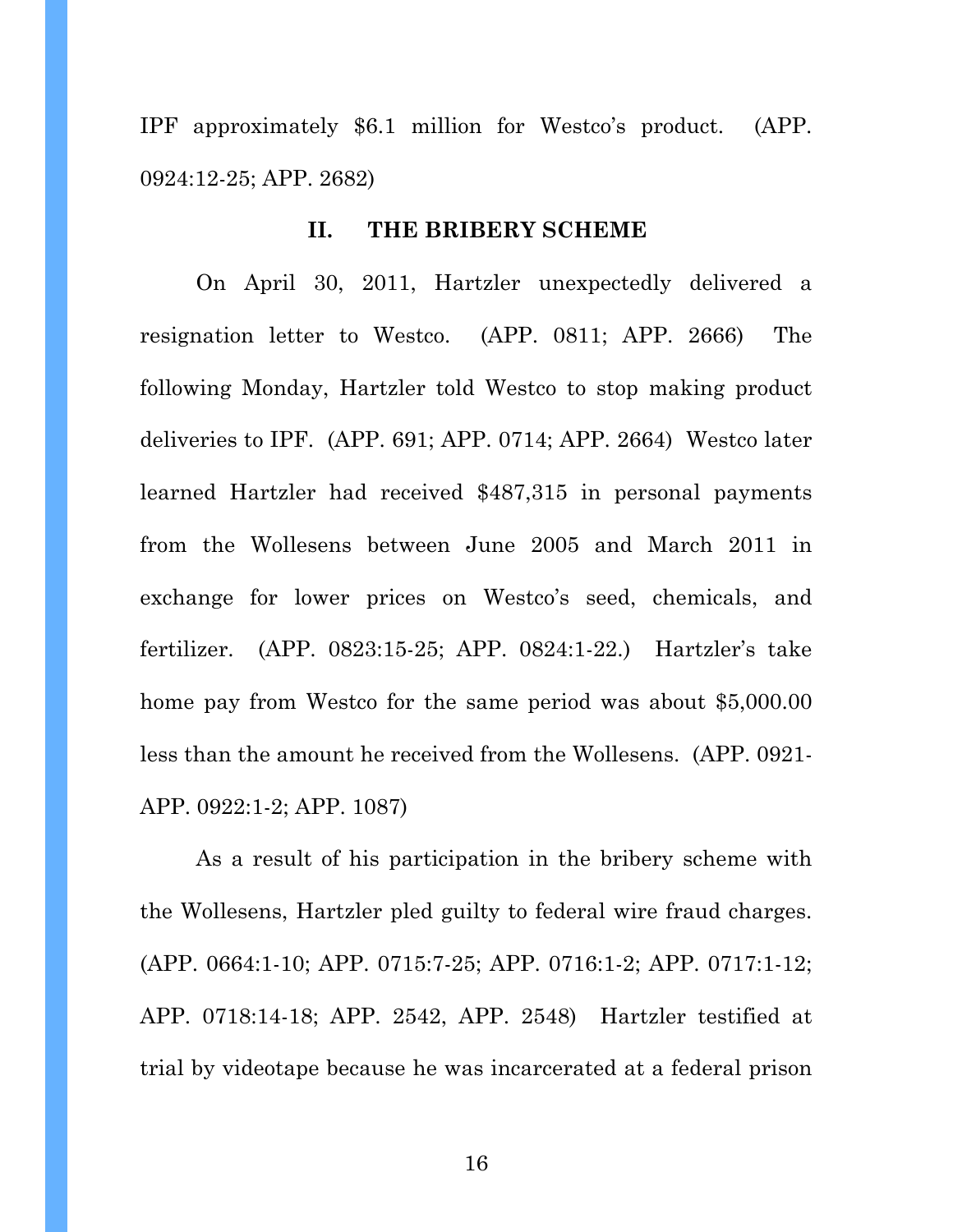IPF approximately \$6.1 million for Westco's product. (APP. 0924:12-25; APP. 2682)

#### **II. THE BRIBERY SCHEME**

On April 30, 2011, Hartzler unexpectedly delivered a resignation letter to Westco. (APP. 0811; APP. 2666) The following Monday, Hartzler told Westco to stop making product deliveries to IPF. (APP. 691; APP. 0714; APP. 2664) Westco later learned Hartzler had received \$487,315 in personal payments from the Wollesens between June 2005 and March 2011 in exchange for lower prices on Westco's seed, chemicals, and fertilizer. (APP. 0823:15-25; APP. 0824:1-22.) Hartzler's take home pay from Westco for the same period was about \$5,000.00 less than the amount he received from the Wollesens. (APP. 0921- APP. 0922:1-2; APP. 1087)

As a result of his participation in the bribery scheme with the Wollesens, Hartzler pled guilty to federal wire fraud charges. (APP. 0664:1-10; APP. 0715:7-25; APP. 0716:1-2; APP. 0717:1-12; APP. 0718:14-18; APP. 2542, APP. 2548) Hartzler testified at trial by videotape because he was incarcerated at a federal prison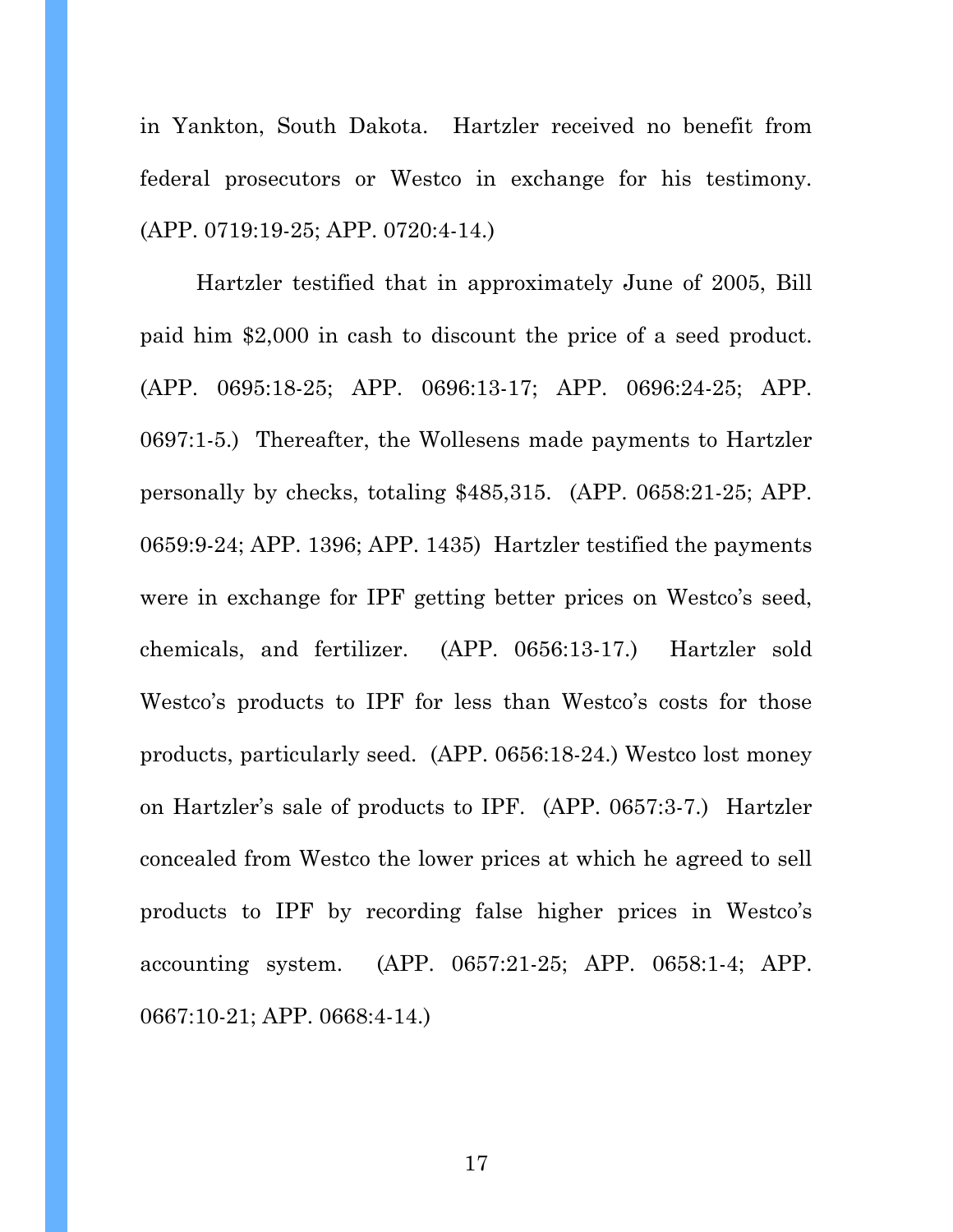in Yankton, South Dakota. Hartzler received no benefit from federal prosecutors or Westco in exchange for his testimony. (APP. 0719:19-25; APP. 0720:4-14.)

Hartzler testified that in approximately June of 2005, Bill paid him \$2,000 in cash to discount the price of a seed product. (APP. 0695:18-25; APP. 0696:13-17; APP. 0696:24-25; APP. 0697:1-5.) Thereafter, the Wollesens made payments to Hartzler personally by checks, totaling \$485,315. (APP. 0658:21-25; APP. 0659:9-24; APP. 1396; APP. 1435) Hartzler testified the payments were in exchange for IPF getting better prices on Westco's seed, chemicals, and fertilizer. (APP. 0656:13-17.) Hartzler sold Westco's products to IPF for less than Westco's costs for those products, particularly seed. (APP. 0656:18-24.) Westco lost money on Hartzler's sale of products to IPF. (APP. 0657:3-7.) Hartzler concealed from Westco the lower prices at which he agreed to sell products to IPF by recording false higher prices in Westco's accounting system. (APP. 0657:21-25; APP. 0658:1-4; APP. 0667:10-21; APP. 0668:4-14.)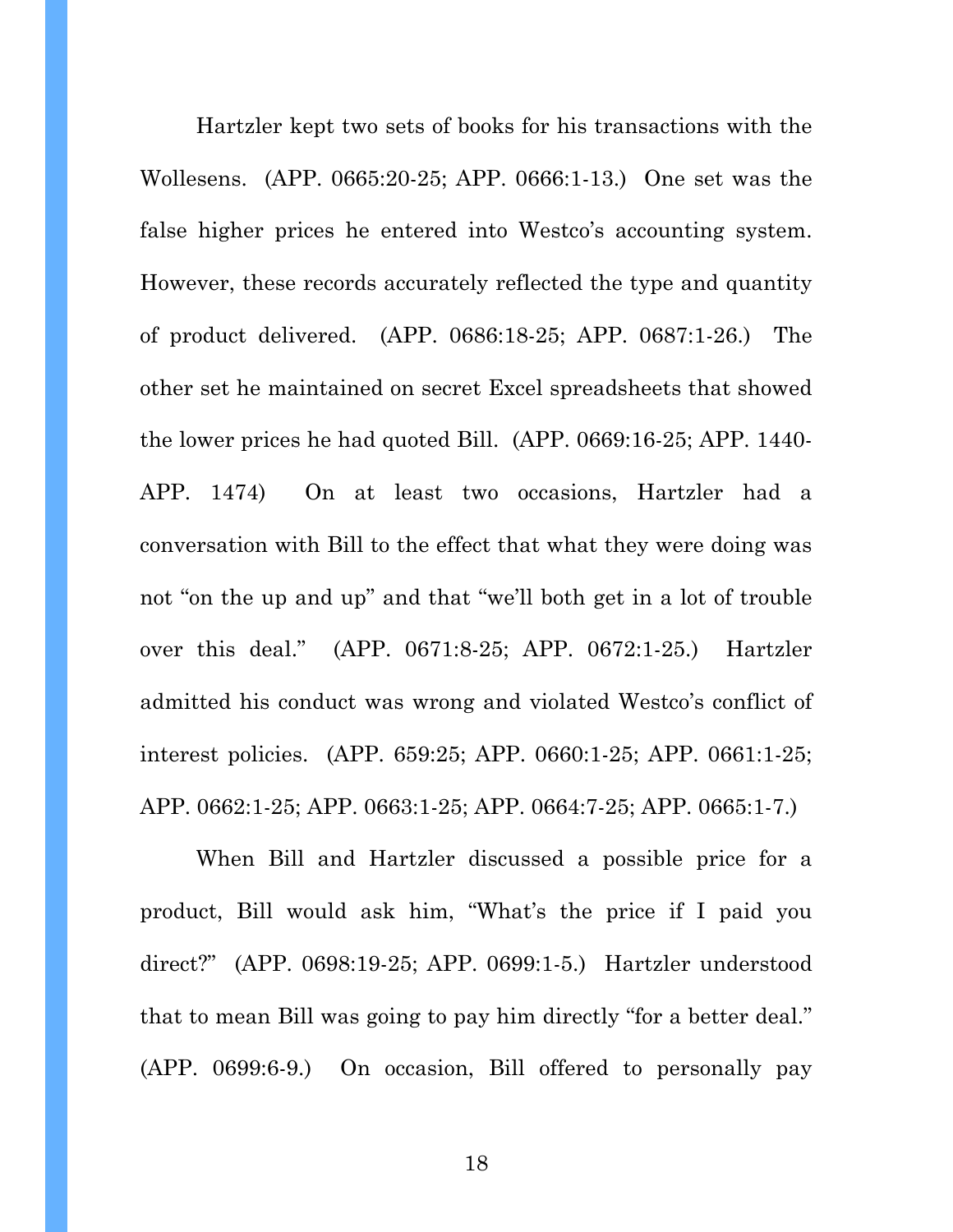Hartzler kept two sets of books for his transactions with the Wollesens. (APP. 0665:20-25; APP. 0666:1-13.) One set was the false higher prices he entered into Westco's accounting system. However, these records accurately reflected the type and quantity of product delivered. (APP. 0686:18-25; APP. 0687:1-26.) The other set he maintained on secret Excel spreadsheets that showed the lower prices he had quoted Bill. (APP. 0669:16-25; APP. 1440- APP. 1474) On at least two occasions, Hartzler had a conversation with Bill to the effect that what they were doing was not "on the up and up" and that "we'll both get in a lot of trouble over this deal." (APP. 0671:8-25; APP. 0672:1-25.) Hartzler admitted his conduct was wrong and violated Westco's conflict of interest policies. (APP. 659:25; APP. 0660:1-25; APP. 0661:1-25; APP. 0662:1-25; APP. 0663:1-25; APP. 0664:7-25; APP. 0665:1-7.)

When Bill and Hartzler discussed a possible price for a product, Bill would ask him, "What's the price if I paid you direct?" (APP. 0698:19-25; APP. 0699:1-5.) Hartzler understood that to mean Bill was going to pay him directly "for a better deal." (APP. 0699:6-9.) On occasion, Bill offered to personally pay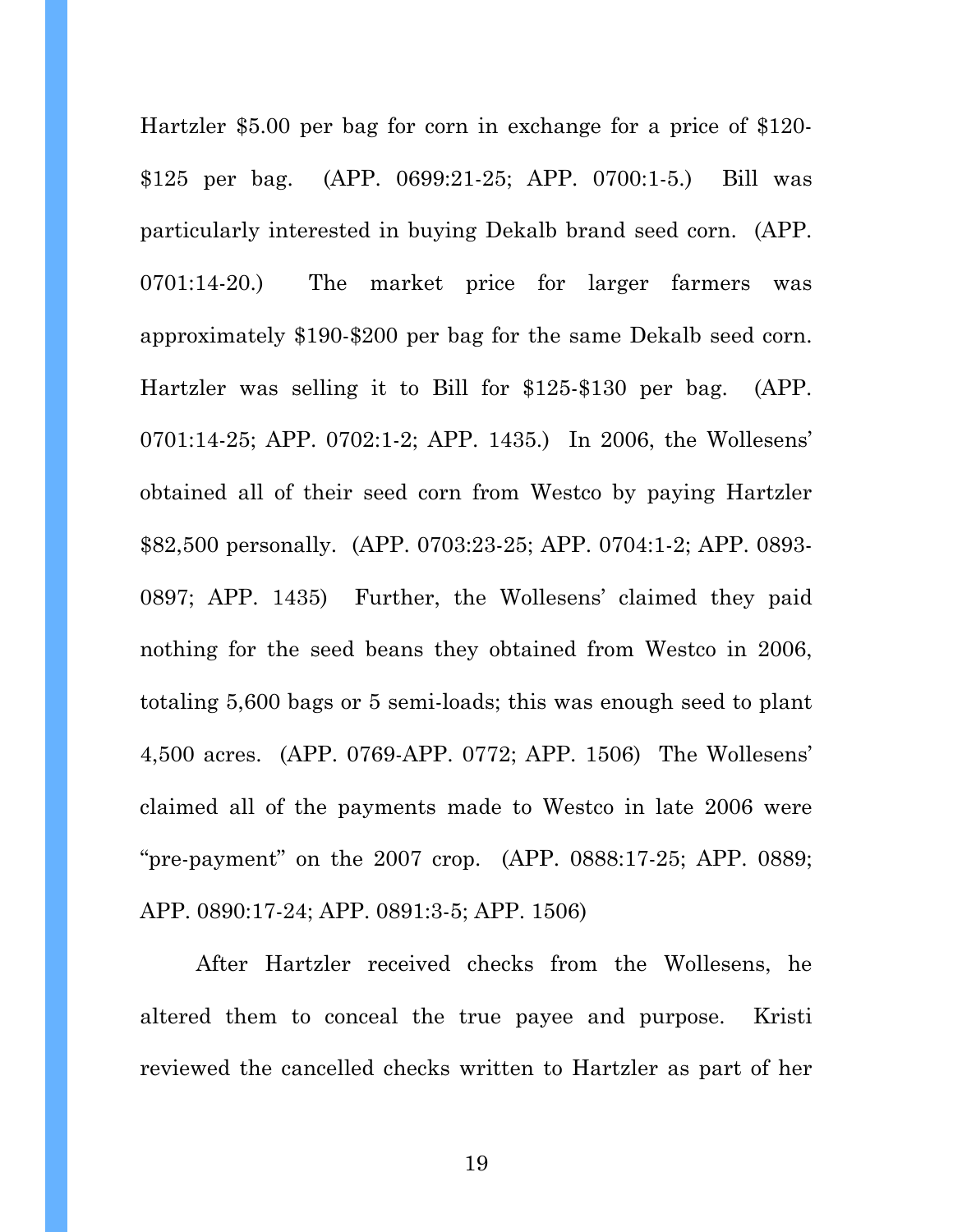Hartzler \$5.00 per bag for corn in exchange for a price of \$120- \$125 per bag. (APP. 0699:21-25; APP. 0700:1-5.) Bill was particularly interested in buying Dekalb brand seed corn. (APP. 0701:14-20.) The market price for larger farmers was approximately \$190-\$200 per bag for the same Dekalb seed corn. Hartzler was selling it to Bill for \$125-\$130 per bag. (APP. 0701:14-25; APP. 0702:1-2; APP. 1435.) In 2006, the Wollesens' obtained all of their seed corn from Westco by paying Hartzler \$82,500 personally. (APP. 0703:23-25; APP. 0704:1-2; APP. 0893- 0897; APP. 1435) Further, the Wollesens' claimed they paid nothing for the seed beans they obtained from Westco in 2006, totaling 5,600 bags or 5 semi-loads; this was enough seed to plant 4,500 acres. (APP. 0769-APP. 0772; APP. 1506) The Wollesens' claimed all of the payments made to Westco in late 2006 were "pre-payment" on the 2007 crop. (APP. 0888:17-25; APP. 0889; APP. 0890:17-24; APP. 0891:3-5; APP. 1506)

 After Hartzler received checks from the Wollesens, he altered them to conceal the true payee and purpose. Kristi reviewed the cancelled checks written to Hartzler as part of her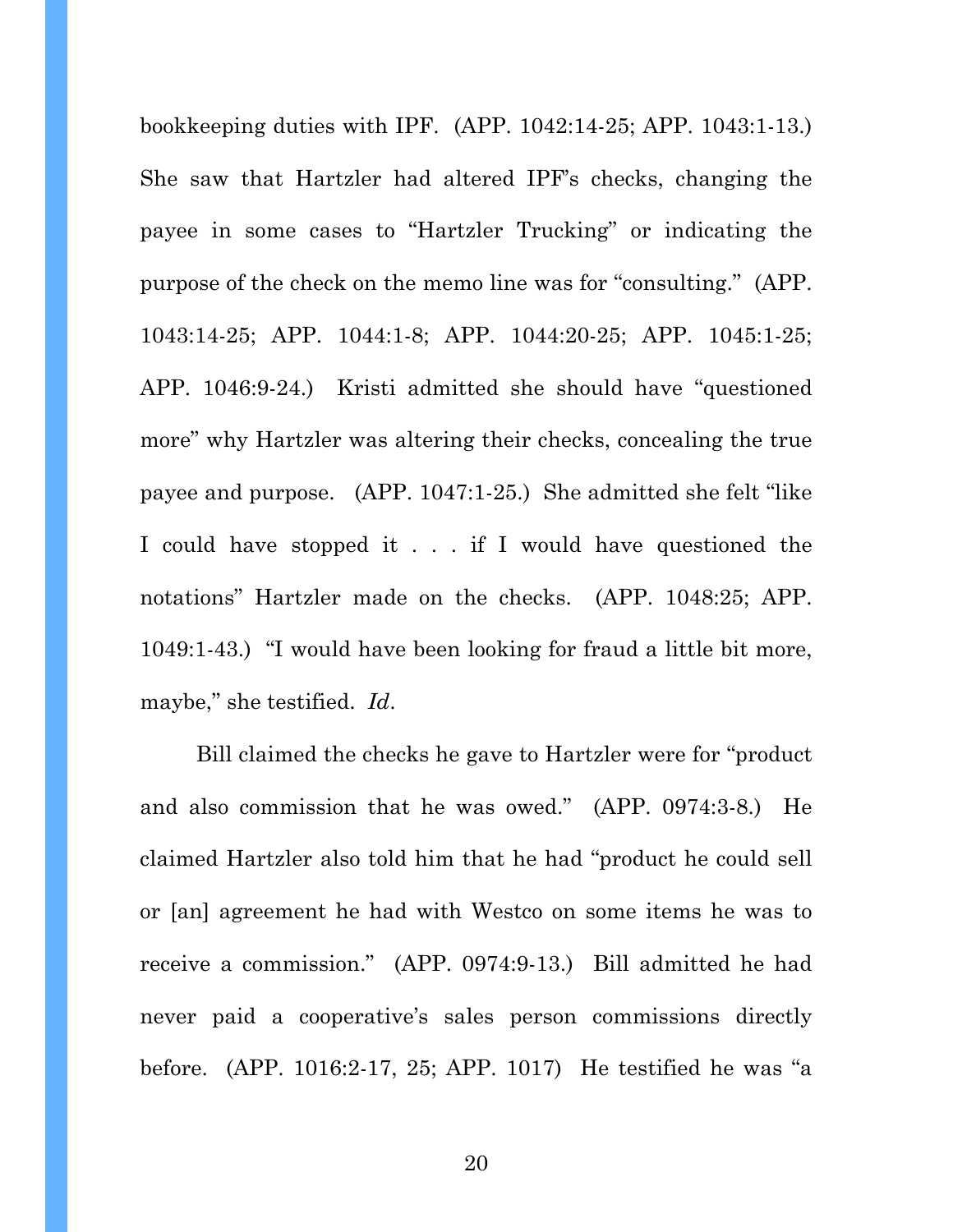bookkeeping duties with IPF. (APP. 1042:14-25; APP. 1043:1-13.) She saw that Hartzler had altered IPF's checks, changing the payee in some cases to "Hartzler Trucking" or indicating the purpose of the check on the memo line was for "consulting." (APP. 1043:14-25; APP. 1044:1-8; APP. 1044:20-25; APP. 1045:1-25; APP. 1046:9-24.) Kristi admitted she should have "questioned more" why Hartzler was altering their checks, concealing the true payee and purpose. (APP. 1047:1-25.) She admitted she felt "like I could have stopped it . . . if I would have questioned the notations" Hartzler made on the checks. (APP. 1048:25; APP. 1049:1-43.) "I would have been looking for fraud a little bit more, maybe," she testified. *Id*.

Bill claimed the checks he gave to Hartzler were for "product and also commission that he was owed." (APP. 0974:3-8.) He claimed Hartzler also told him that he had "product he could sell or [an] agreement he had with Westco on some items he was to receive a commission." (APP. 0974:9-13.) Bill admitted he had never paid a cooperative's sales person commissions directly before. (APP. 1016:2-17, 25; APP. 1017) He testified he was "a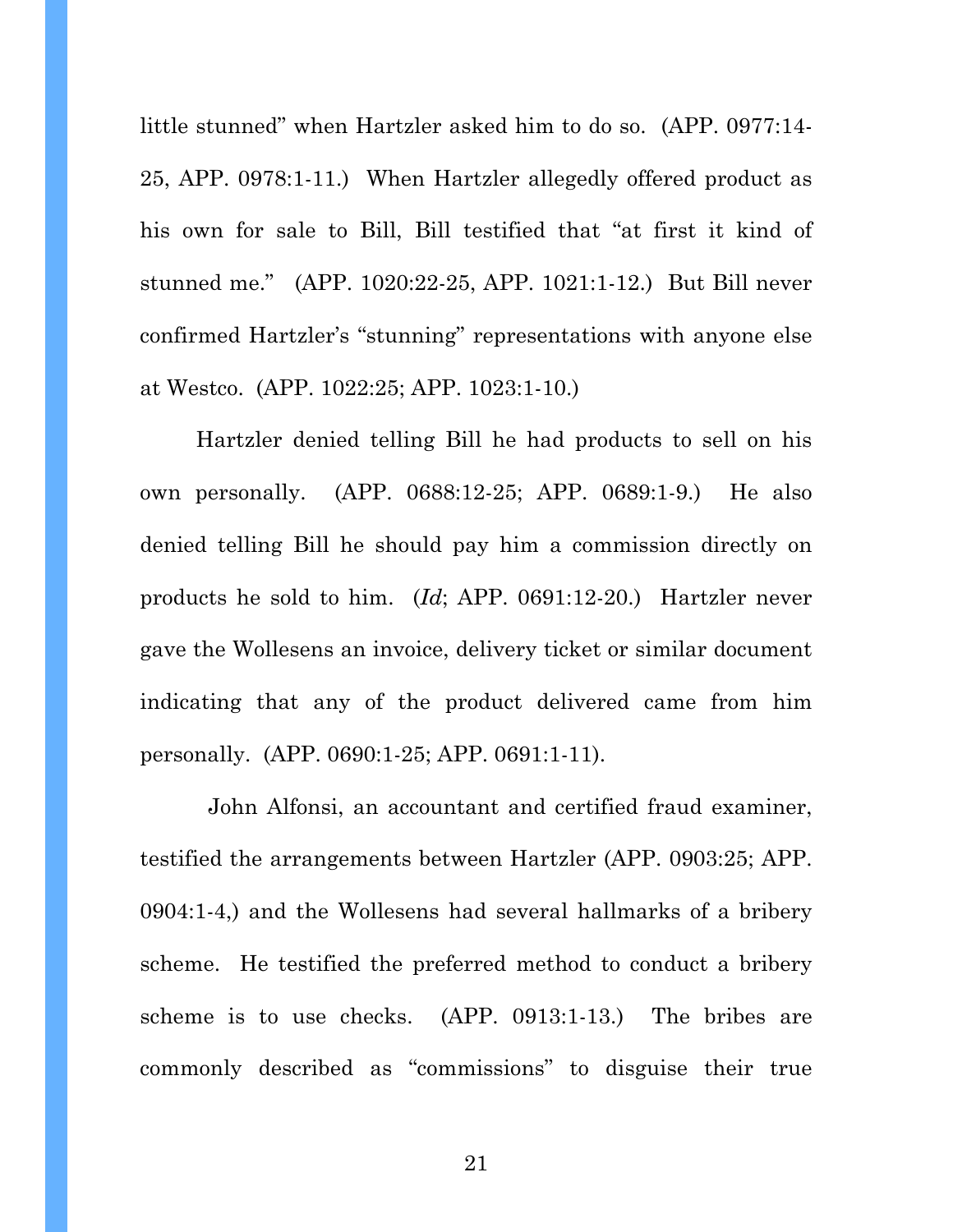little stunned" when Hartzler asked him to do so. (APP. 0977:14- 25, APP. 0978:1-11.) When Hartzler allegedly offered product as his own for sale to Bill, Bill testified that "at first it kind of stunned me." (APP. 1020:22-25, APP. 1021:1-12.) But Bill never confirmed Hartzler's "stunning" representations with anyone else at Westco. (APP. 1022:25; APP. 1023:1-10.)

 Hartzler denied telling Bill he had products to sell on his own personally. (APP. 0688:12-25; APP. 0689:1-9.) He also denied telling Bill he should pay him a commission directly on products he sold to him. (*Id*; APP. 0691:12-20.) Hartzler never gave the Wollesens an invoice, delivery ticket or similar document indicating that any of the product delivered came from him personally. (APP. 0690:1-25; APP. 0691:1-11).

 John Alfonsi, an accountant and certified fraud examiner, testified the arrangements between Hartzler (APP. 0903:25; APP. 0904:1-4,) and the Wollesens had several hallmarks of a bribery scheme. He testified the preferred method to conduct a bribery scheme is to use checks. (APP. 0913:1-13.) The bribes are commonly described as "commissions" to disguise their true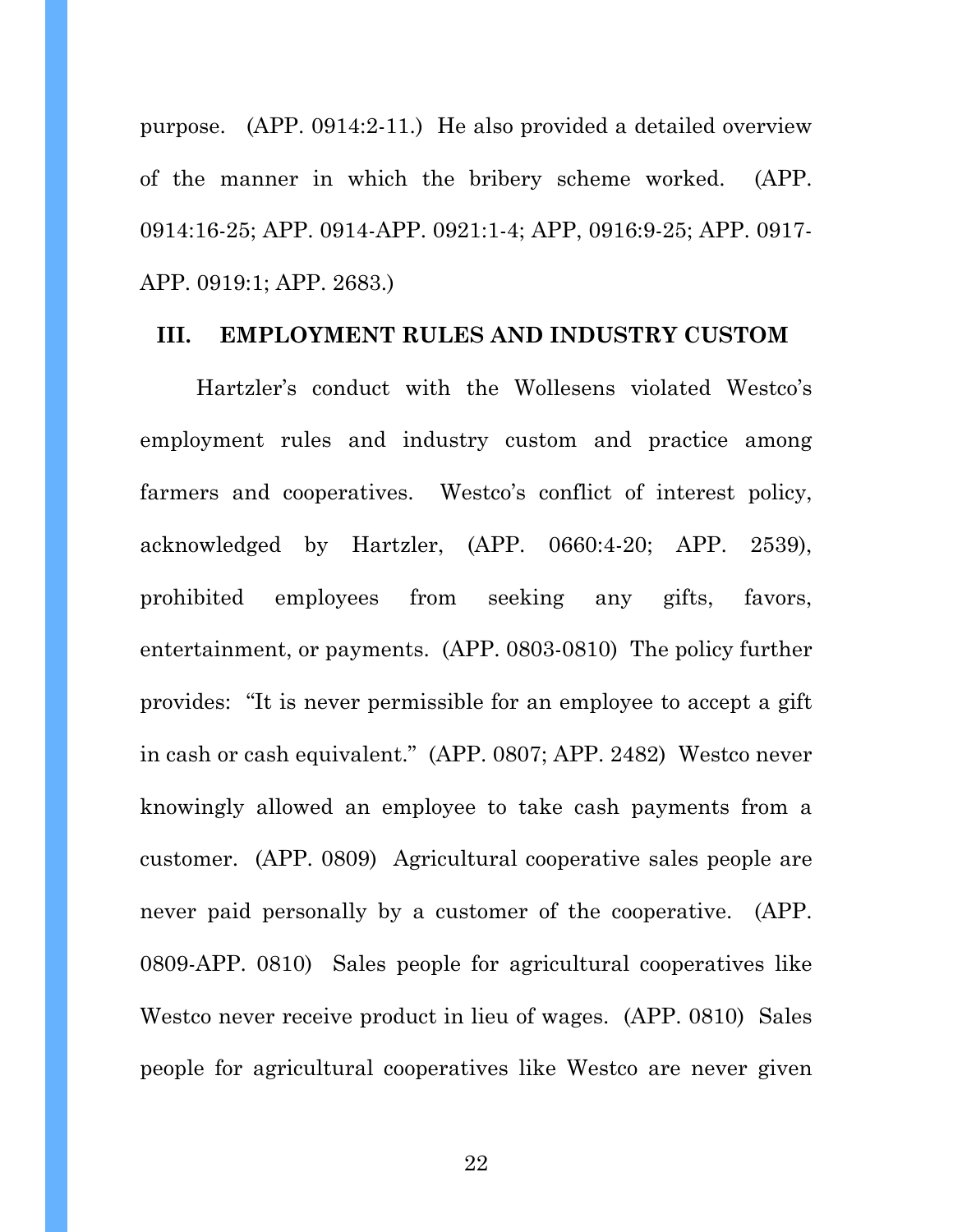purpose. (APP. 0914:2-11.) He also provided a detailed overview of the manner in which the bribery scheme worked. (APP. 0914:16-25; APP. 0914-APP. 0921:1-4; APP, 0916:9-25; APP. 0917- APP. 0919:1; APP. 2683.)

#### **III. EMPLOYMENT RULES AND INDUSTRY CUSTOM**

 Hartzler's conduct with the Wollesens violated Westco's employment rules and industry custom and practice among farmers and cooperatives. Westco's conflict of interest policy, acknowledged by Hartzler, (APP. 0660:4-20; APP. 2539), prohibited employees from seeking any gifts, favors, entertainment, or payments. (APP. 0803-0810) The policy further provides: "It is never permissible for an employee to accept a gift in cash or cash equivalent." (APP. 0807; APP. 2482) Westco never knowingly allowed an employee to take cash payments from a customer. (APP. 0809) Agricultural cooperative sales people are never paid personally by a customer of the cooperative. (APP. 0809-APP. 0810) Sales people for agricultural cooperatives like Westco never receive product in lieu of wages. (APP. 0810) Sales people for agricultural cooperatives like Westco are never given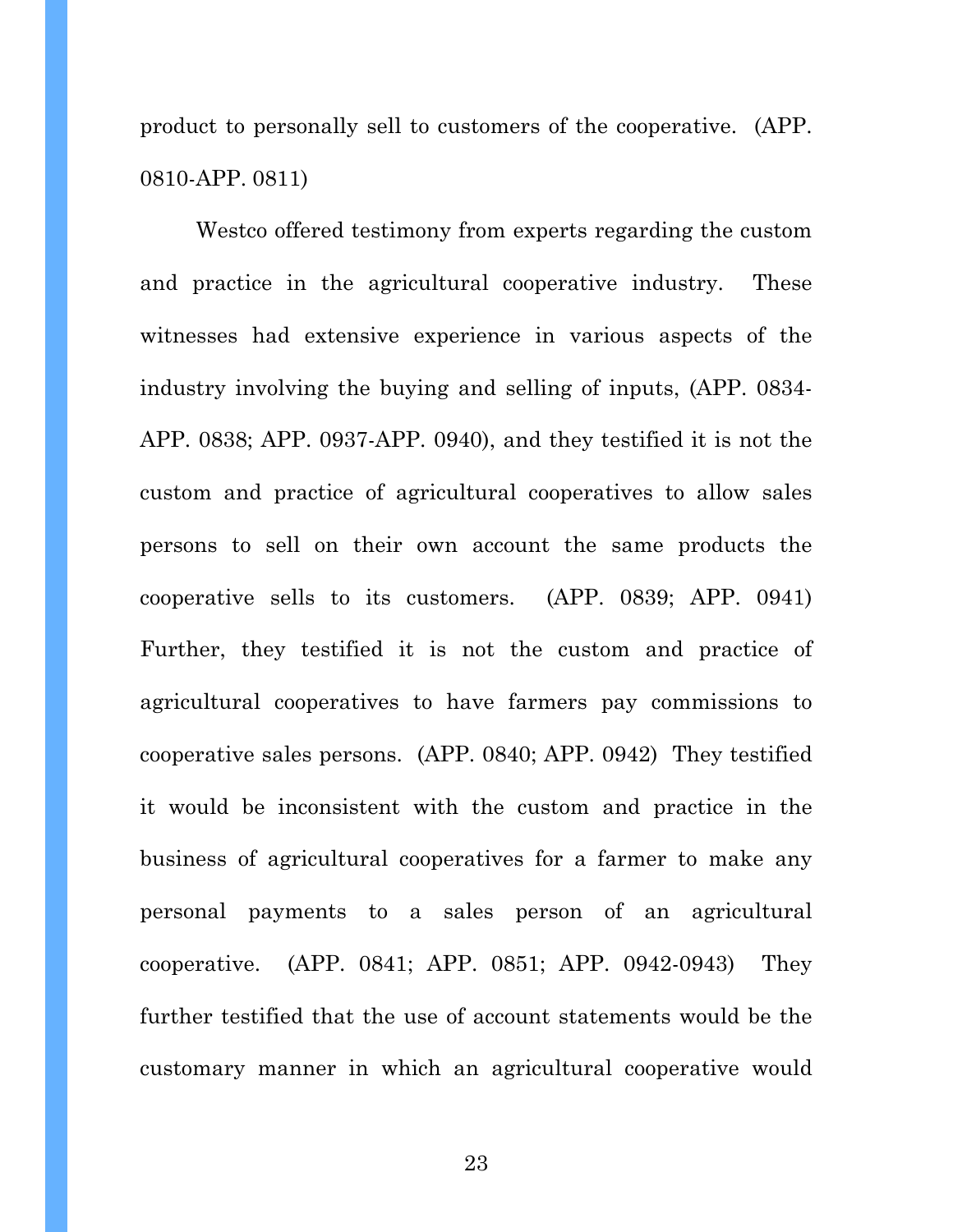product to personally sell to customers of the cooperative. (APP. 0810-APP. 0811)

 Westco offered testimony from experts regarding the custom and practice in the agricultural cooperative industry. These witnesses had extensive experience in various aspects of the industry involving the buying and selling of inputs, (APP. 0834- APP. 0838; APP. 0937-APP. 0940), and they testified it is not the custom and practice of agricultural cooperatives to allow sales persons to sell on their own account the same products the cooperative sells to its customers. (APP. 0839; APP. 0941) Further, they testified it is not the custom and practice of agricultural cooperatives to have farmers pay commissions to cooperative sales persons. (APP. 0840; APP. 0942) They testified it would be inconsistent with the custom and practice in the business of agricultural cooperatives for a farmer to make any personal payments to a sales person of an agricultural cooperative. (APP. 0841; APP. 0851; APP. 0942-0943) They further testified that the use of account statements would be the customary manner in which an agricultural cooperative would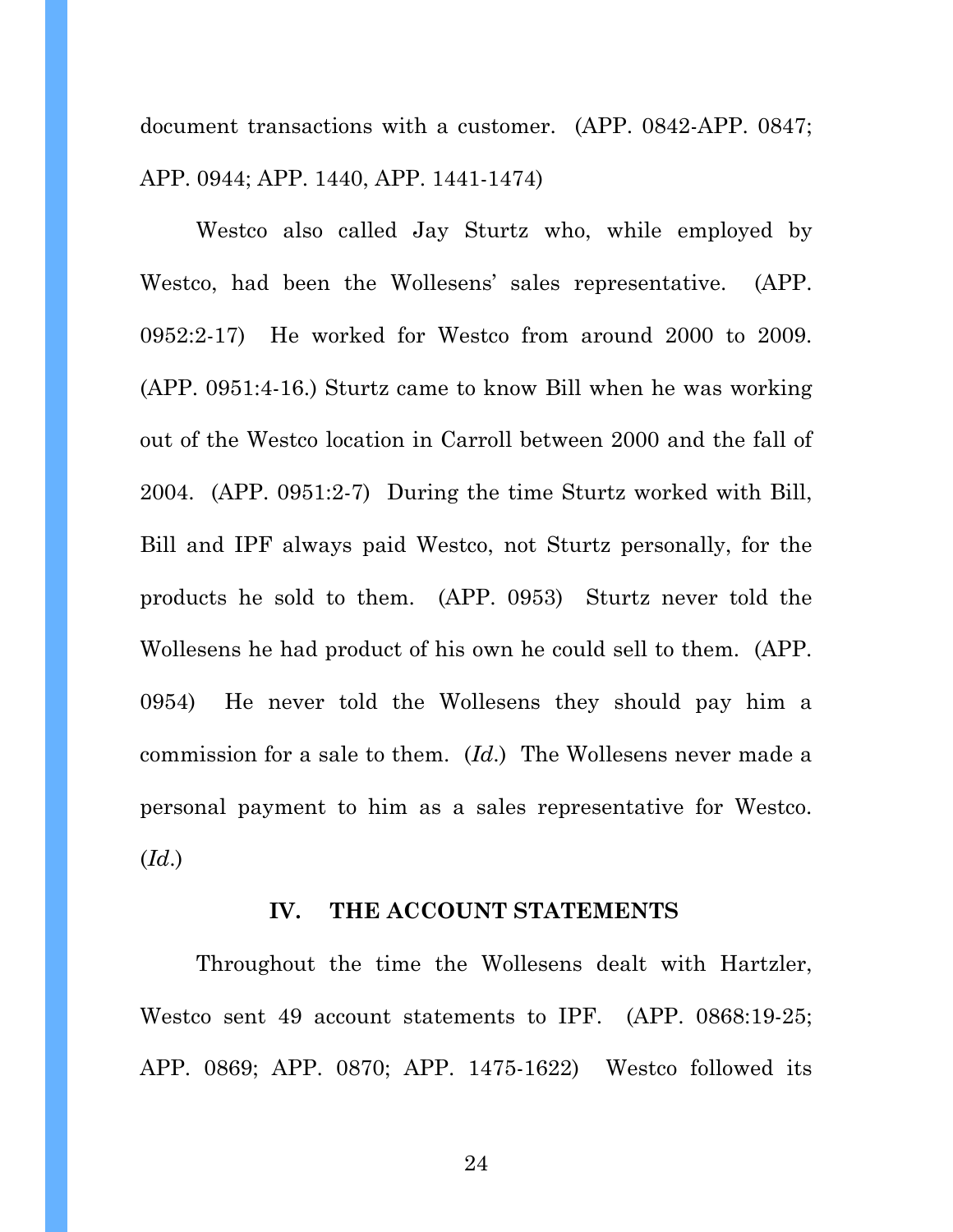document transactions with a customer. (APP. 0842-APP. 0847; APP. 0944; APP. 1440, APP. 1441-1474)

 Westco also called Jay Sturtz who, while employed by Westco, had been the Wollesens' sales representative. (APP. 0952:2-17) He worked for Westco from around 2000 to 2009. (APP. 0951:4-16.) Sturtz came to know Bill when he was working out of the Westco location in Carroll between 2000 and the fall of 2004. (APP. 0951:2-7) During the time Sturtz worked with Bill, Bill and IPF always paid Westco, not Sturtz personally, for the products he sold to them. (APP. 0953) Sturtz never told the Wollesens he had product of his own he could sell to them. (APP. 0954) He never told the Wollesens they should pay him a commission for a sale to them. (*Id*.) The Wollesens never made a personal payment to him as a sales representative for Westco. (*Id*.)

#### **IV. THE ACCOUNT STATEMENTS**

 Throughout the time the Wollesens dealt with Hartzler, Westco sent 49 account statements to IPF. (APP. 0868:19-25; APP. 0869; APP. 0870; APP. 1475-1622) Westco followed its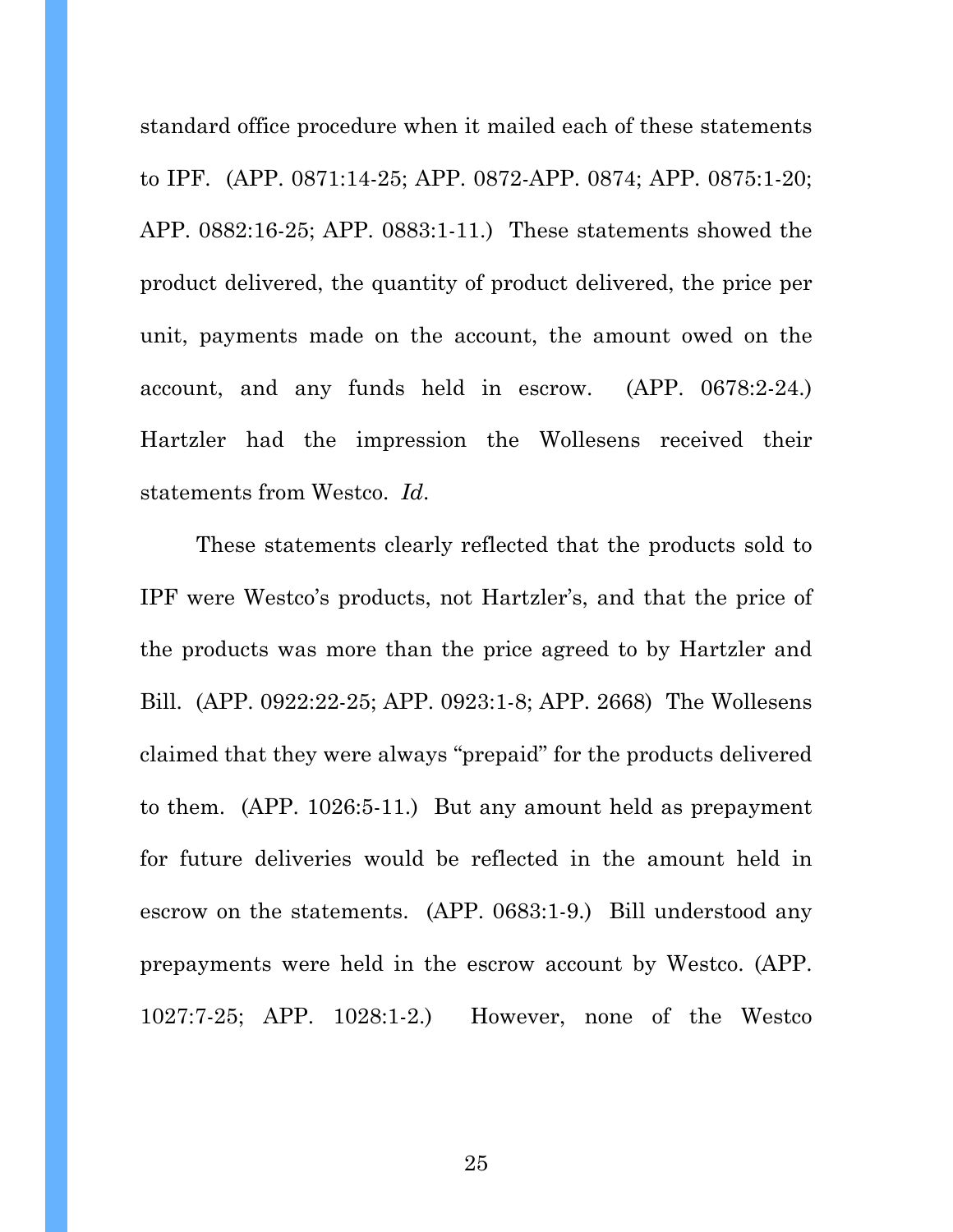standard office procedure when it mailed each of these statements to IPF. (APP. 0871:14-25; APP. 0872-APP. 0874; APP. 0875:1-20; APP. 0882:16-25; APP. 0883:1-11.) These statements showed the product delivered, the quantity of product delivered, the price per unit, payments made on the account, the amount owed on the account, and any funds held in escrow. (APP. 0678:2-24.) Hartzler had the impression the Wollesens received their statements from Westco. *Id*.

These statements clearly reflected that the products sold to IPF were Westco's products, not Hartzler's, and that the price of the products was more than the price agreed to by Hartzler and Bill. (APP. 0922:22-25; APP. 0923:1-8; APP. 2668) The Wollesens claimed that they were always "prepaid" for the products delivered to them. (APP. 1026:5-11.) But any amount held as prepayment for future deliveries would be reflected in the amount held in escrow on the statements. (APP. 0683:1-9.) Bill understood any prepayments were held in the escrow account by Westco. (APP. 1027:7-25; APP. 1028:1-2.) However, none of the Westco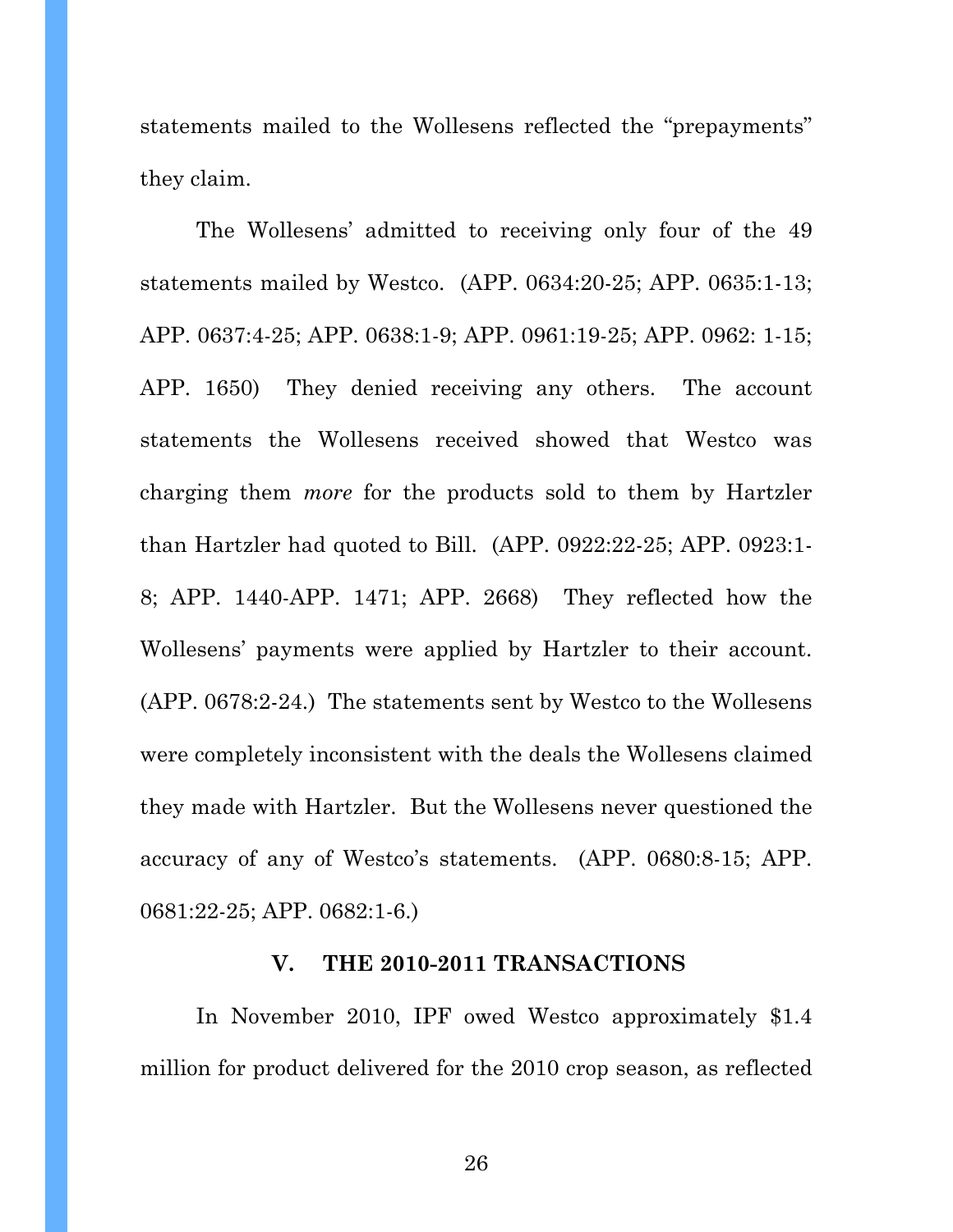statements mailed to the Wollesens reflected the "prepayments" they claim.

The Wollesens' admitted to receiving only four of the 49 statements mailed by Westco. (APP. 0634:20-25; APP. 0635:1-13; APP. 0637:4-25; APP. 0638:1-9; APP. 0961:19-25; APP. 0962: 1-15; APP. 1650) They denied receiving any others. The account statements the Wollesens received showed that Westco was charging them *more* for the products sold to them by Hartzler than Hartzler had quoted to Bill. (APP. 0922:22-25; APP. 0923:1- 8; APP. 1440-APP. 1471; APP. 2668) They reflected how the Wollesens' payments were applied by Hartzler to their account. (APP. 0678:2-24.) The statements sent by Westco to the Wollesens were completely inconsistent with the deals the Wollesens claimed they made with Hartzler. But the Wollesens never questioned the accuracy of any of Westco's statements. (APP. 0680:8-15; APP. 0681:22-25; APP. 0682:1-6.)

#### **V. THE 2010-2011 TRANSACTIONS**

In November 2010, IPF owed Westco approximately \$1.4 million for product delivered for the 2010 crop season, as reflected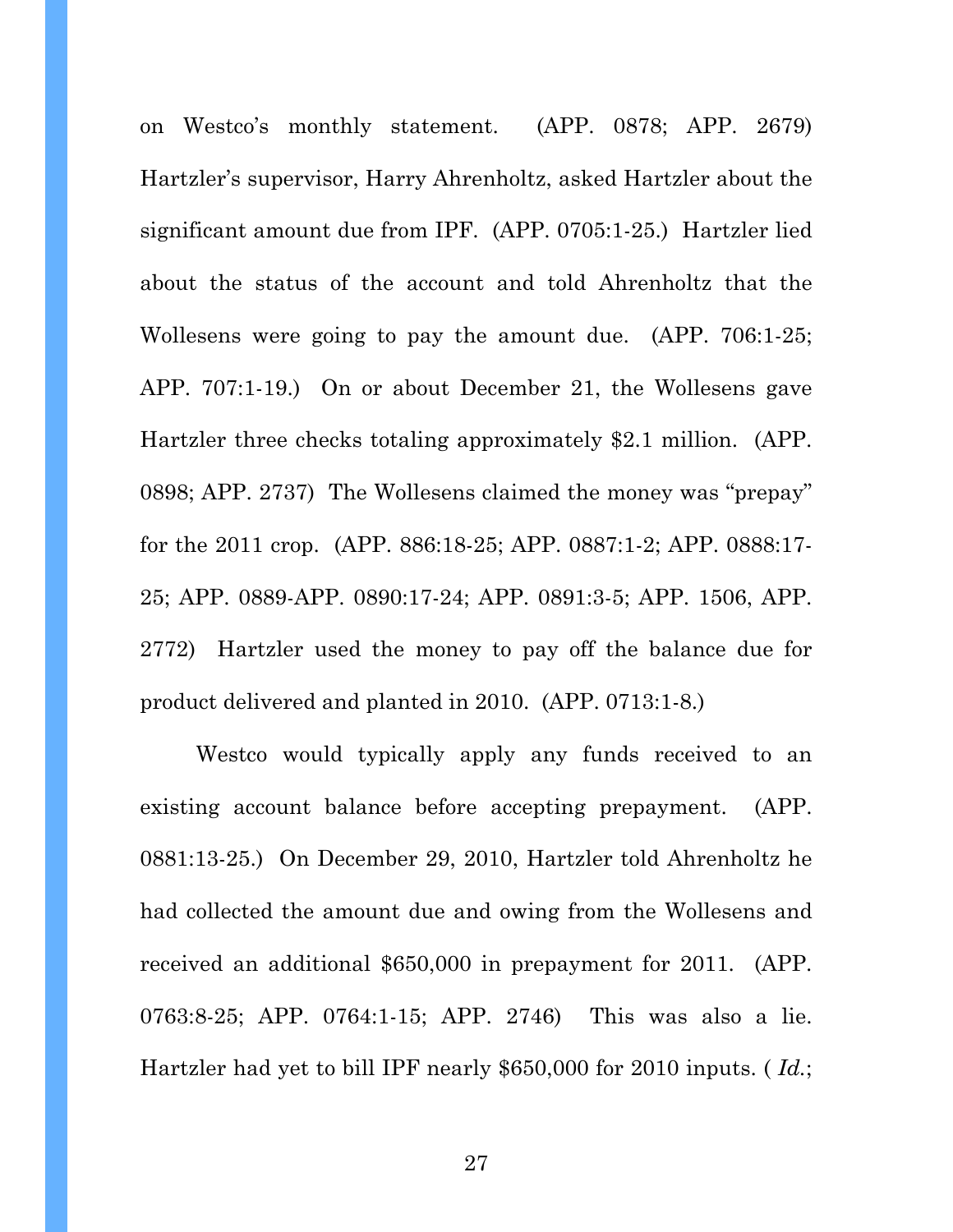on Westco's monthly statement. (APP. 0878; APP. 2679) Hartzler's supervisor, Harry Ahrenholtz, asked Hartzler about the significant amount due from IPF. (APP. 0705:1-25.) Hartzler lied about the status of the account and told Ahrenholtz that the Wollesens were going to pay the amount due. (APP. 706:1-25; APP. 707:1-19.) On or about December 21, the Wollesens gave Hartzler three checks totaling approximately \$2.1 million. (APP. 0898; APP. 2737) The Wollesens claimed the money was "prepay" for the 2011 crop. (APP. 886:18-25; APP. 0887:1-2; APP. 0888:17- 25; APP. 0889-APP. 0890:17-24; APP. 0891:3-5; APP. 1506, APP. 2772) Hartzler used the money to pay off the balance due for product delivered and planted in 2010. (APP. 0713:1-8.)

Westco would typically apply any funds received to an existing account balance before accepting prepayment. (APP. 0881:13-25.) On December 29, 2010, Hartzler told Ahrenholtz he had collected the amount due and owing from the Wollesens and received an additional \$650,000 in prepayment for 2011. (APP. 0763:8-25; APP. 0764:1-15; APP. 2746) This was also a lie. Hartzler had yet to bill IPF nearly \$650,000 for 2010 inputs. ( *Id.*;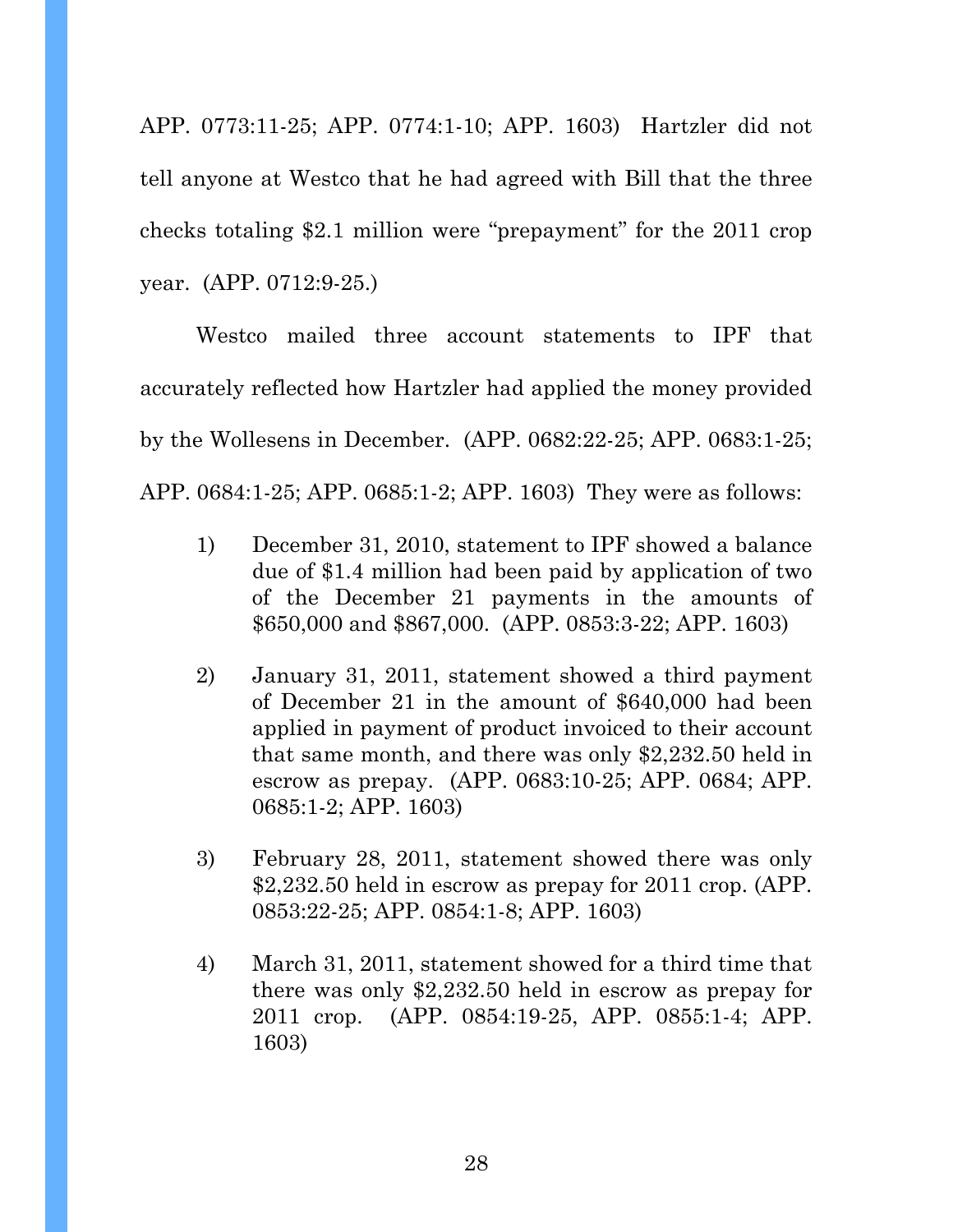APP. 0773:11-25; APP. 0774:1-10; APP. 1603) Hartzler did not tell anyone at Westco that he had agreed with Bill that the three checks totaling \$2.1 million were "prepayment" for the 2011 crop year. (APP. 0712:9-25.)

 Westco mailed three account statements to IPF that accurately reflected how Hartzler had applied the money provided by the Wollesens in December. (APP. 0682:22-25; APP. 0683:1-25; APP. 0684:1-25; APP. 0685:1-2; APP. 1603) They were as follows:

- 1) December 31, 2010, statement to IPF showed a balance due of \$1.4 million had been paid by application of two of the December 21 payments in the amounts of \$650,000 and \$867,000. (APP. 0853:3-22; APP. 1603)
- 2) January 31, 2011, statement showed a third payment of December 21 in the amount of \$640,000 had been applied in payment of product invoiced to their account that same month, and there was only \$2,232.50 held in escrow as prepay. (APP. 0683:10-25; APP. 0684; APP. 0685:1-2; APP. 1603)
- 3) February 28, 2011, statement showed there was only \$2,232.50 held in escrow as prepay for 2011 crop. (APP. 0853:22-25; APP. 0854:1-8; APP. 1603)
- 4) March 31, 2011, statement showed for a third time that there was only \$2,232.50 held in escrow as prepay for 2011 crop. (APP. 0854:19-25, APP. 0855:1-4; APP. 1603)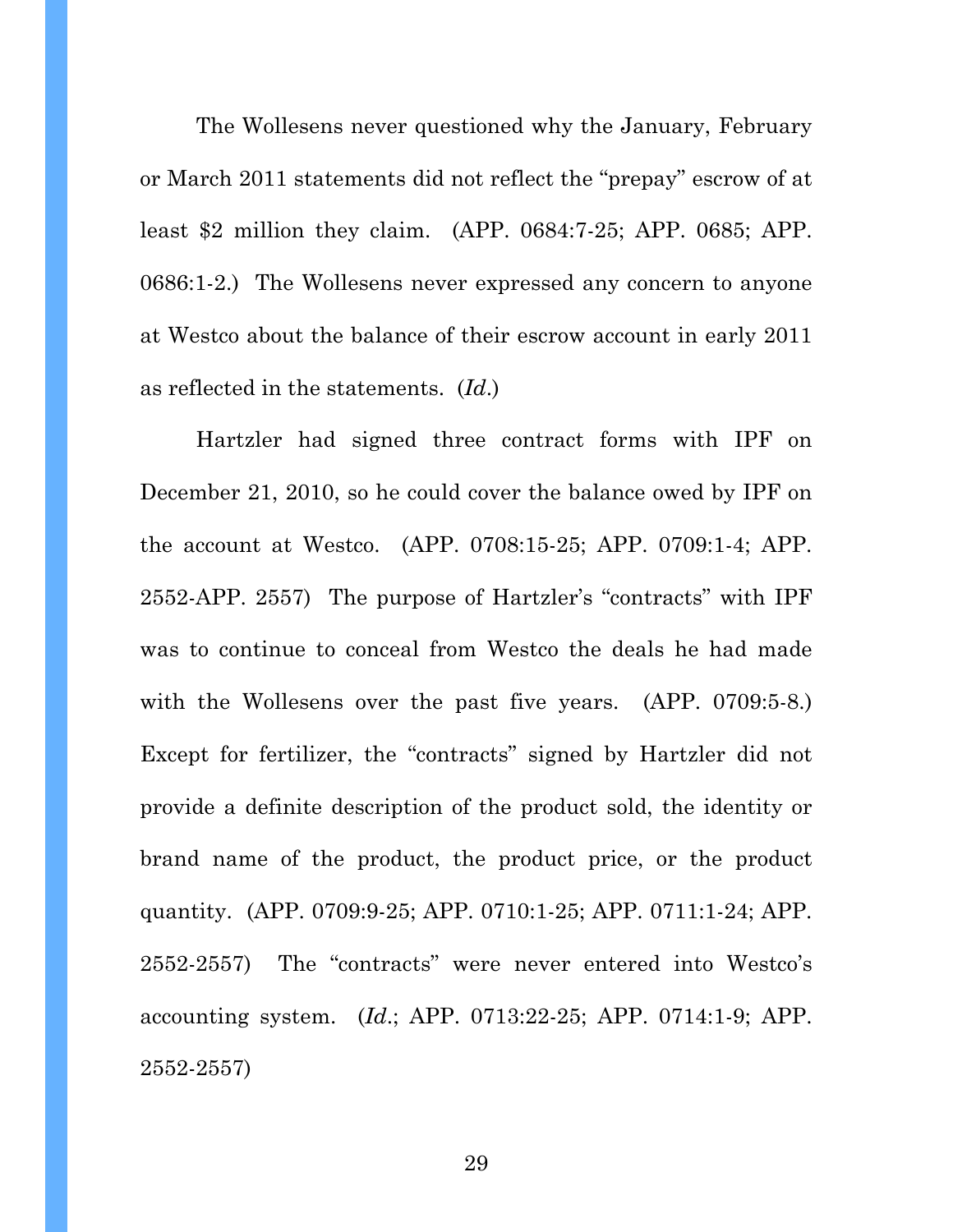The Wollesens never questioned why the January, February or March 2011 statements did not reflect the "prepay" escrow of at least \$2 million they claim. (APP. 0684:7-25; APP. 0685; APP. 0686:1-2.) The Wollesens never expressed any concern to anyone at Westco about the balance of their escrow account in early 2011 as reflected in the statements. (*Id*.)

 Hartzler had signed three contract forms with IPF on December 21, 2010, so he could cover the balance owed by IPF on the account at Westco. (APP. 0708:15-25; APP. 0709:1-4; APP. 2552-APP. 2557) The purpose of Hartzler's "contracts" with IPF was to continue to conceal from Westco the deals he had made with the Wollesens over the past five years. (APP. 0709:5-8.) Except for fertilizer, the "contracts" signed by Hartzler did not provide a definite description of the product sold, the identity or brand name of the product, the product price, or the product quantity. (APP. 0709:9-25; APP. 0710:1-25; APP. 0711:1-24; APP. 2552-2557) The "contracts" were never entered into Westco's accounting system. (*Id*.; APP. 0713:22-25; APP. 0714:1-9; APP. 2552-2557)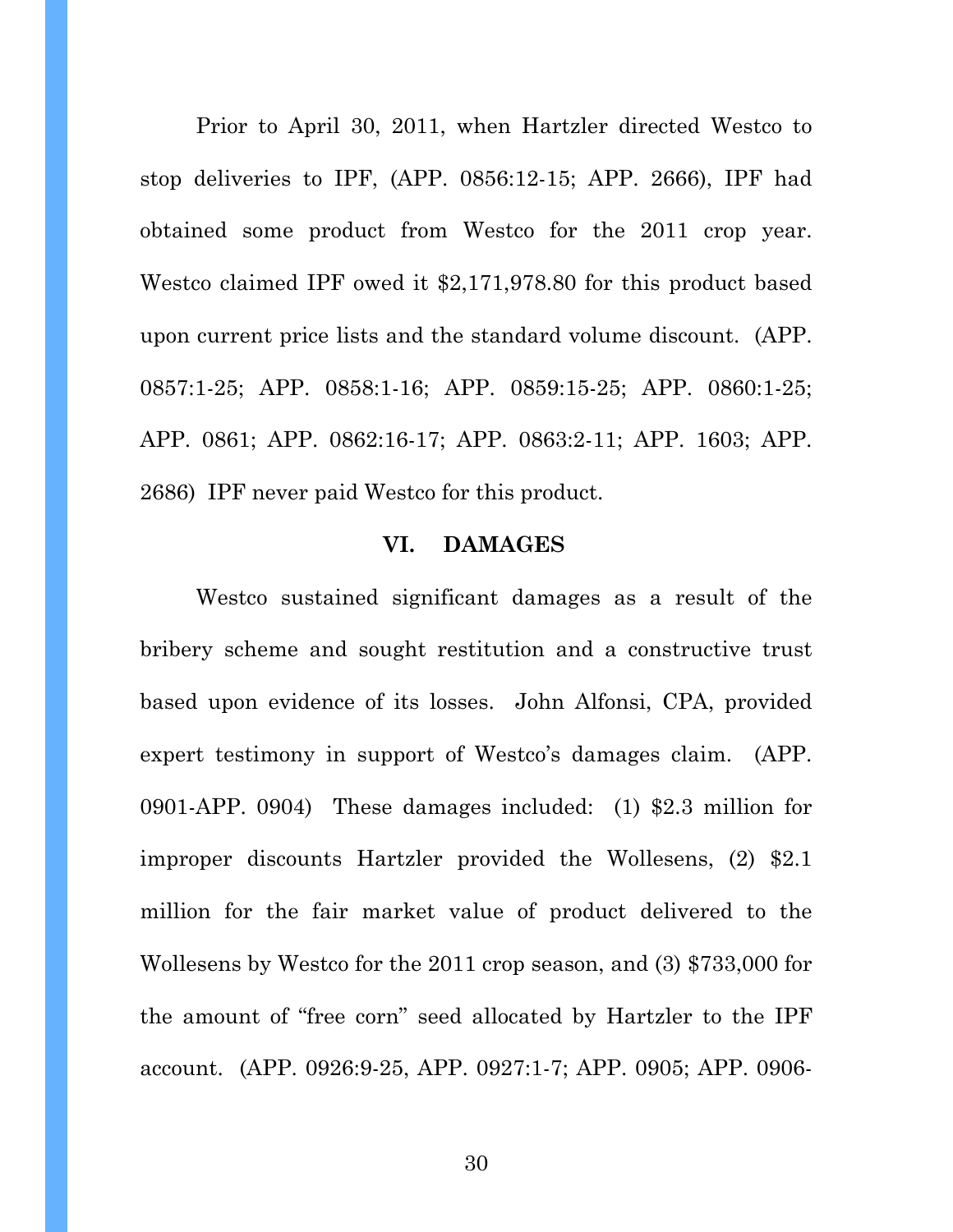Prior to April 30, 2011, when Hartzler directed Westco to stop deliveries to IPF, (APP. 0856:12-15; APP. 2666), IPF had obtained some product from Westco for the 2011 crop year. Westco claimed IPF owed it \$2,171,978.80 for this product based upon current price lists and the standard volume discount. (APP. 0857:1-25; APP. 0858:1-16; APP. 0859:15-25; APP. 0860:1-25; APP. 0861; APP. 0862:16-17; APP. 0863:2-11; APP. 1603; APP. 2686) IPF never paid Westco for this product.

#### **VI. DAMAGES**

 Westco sustained significant damages as a result of the bribery scheme and sought restitution and a constructive trust based upon evidence of its losses. John Alfonsi, CPA, provided expert testimony in support of Westco's damages claim. (APP. 0901-APP. 0904) These damages included: (1) \$2.3 million for improper discounts Hartzler provided the Wollesens, (2) \$2.1 million for the fair market value of product delivered to the Wollesens by Westco for the 2011 crop season, and (3) \$733,000 for the amount of "free corn" seed allocated by Hartzler to the IPF account. (APP. 0926:9-25, APP. 0927:1-7; APP. 0905; APP. 0906-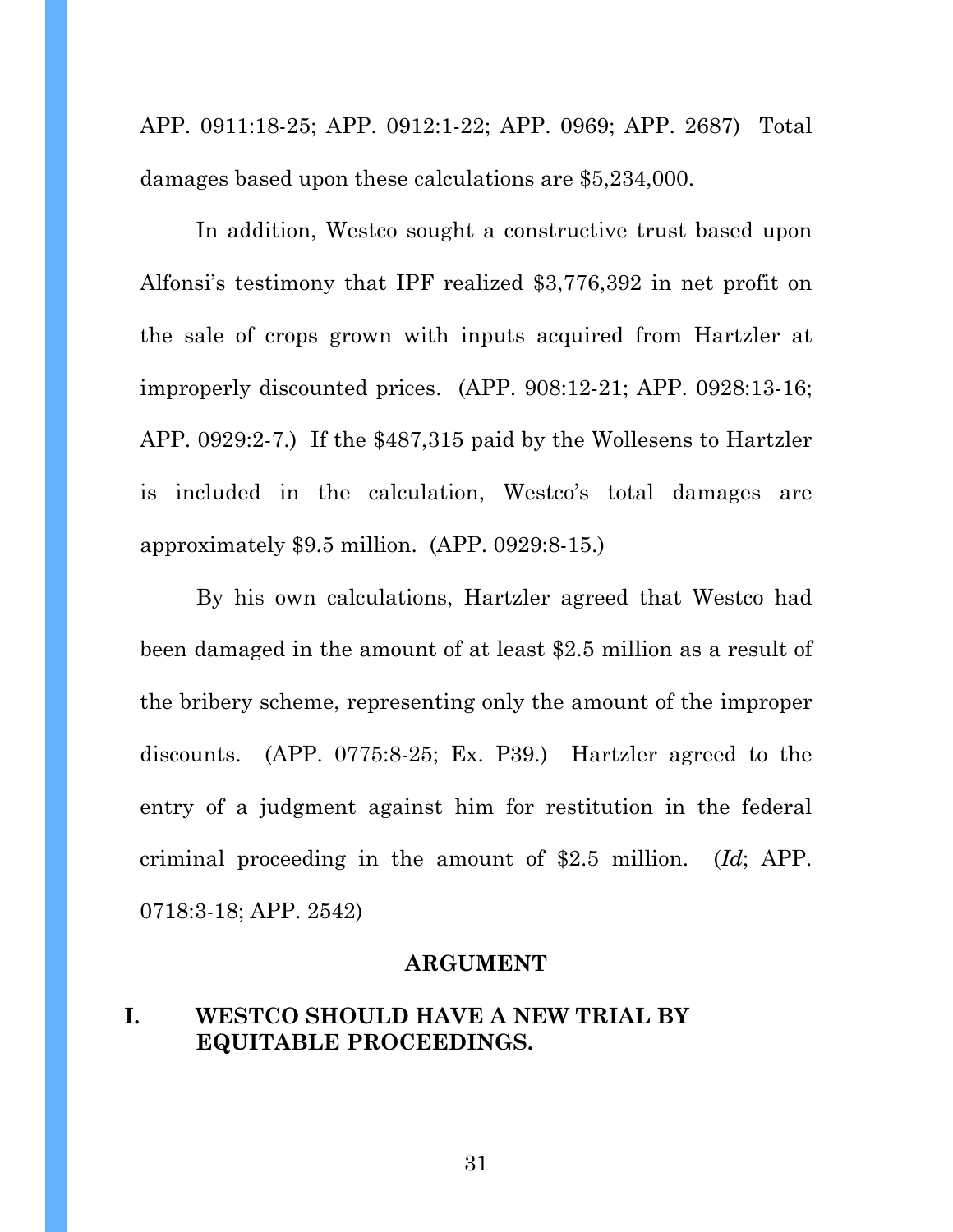APP. 0911:18-25; APP. 0912:1-22; APP. 0969; APP. 2687) Total damages based upon these calculations are \$5,234,000.

 In addition, Westco sought a constructive trust based upon Alfonsi's testimony that IPF realized \$3,776,392 in net profit on the sale of crops grown with inputs acquired from Hartzler at improperly discounted prices. (APP. 908:12-21; APP. 0928:13-16; APP. 0929:2-7.) If the \$487,315 paid by the Wollesens to Hartzler is included in the calculation, Westco's total damages are approximately \$9.5 million. (APP. 0929:8-15.)

 By his own calculations, Hartzler agreed that Westco had been damaged in the amount of at least \$2.5 million as a result of the bribery scheme, representing only the amount of the improper discounts. (APP. 0775:8-25; Ex. P39.) Hartzler agreed to the entry of a judgment against him for restitution in the federal criminal proceeding in the amount of \$2.5 million. (*Id*; APP. 0718:3-18; APP. 2542)

#### **ARGUMENT**

## **I. WESTCO SHOULD HAVE A NEW TRIAL BY EQUITABLE PROCEEDINGS.**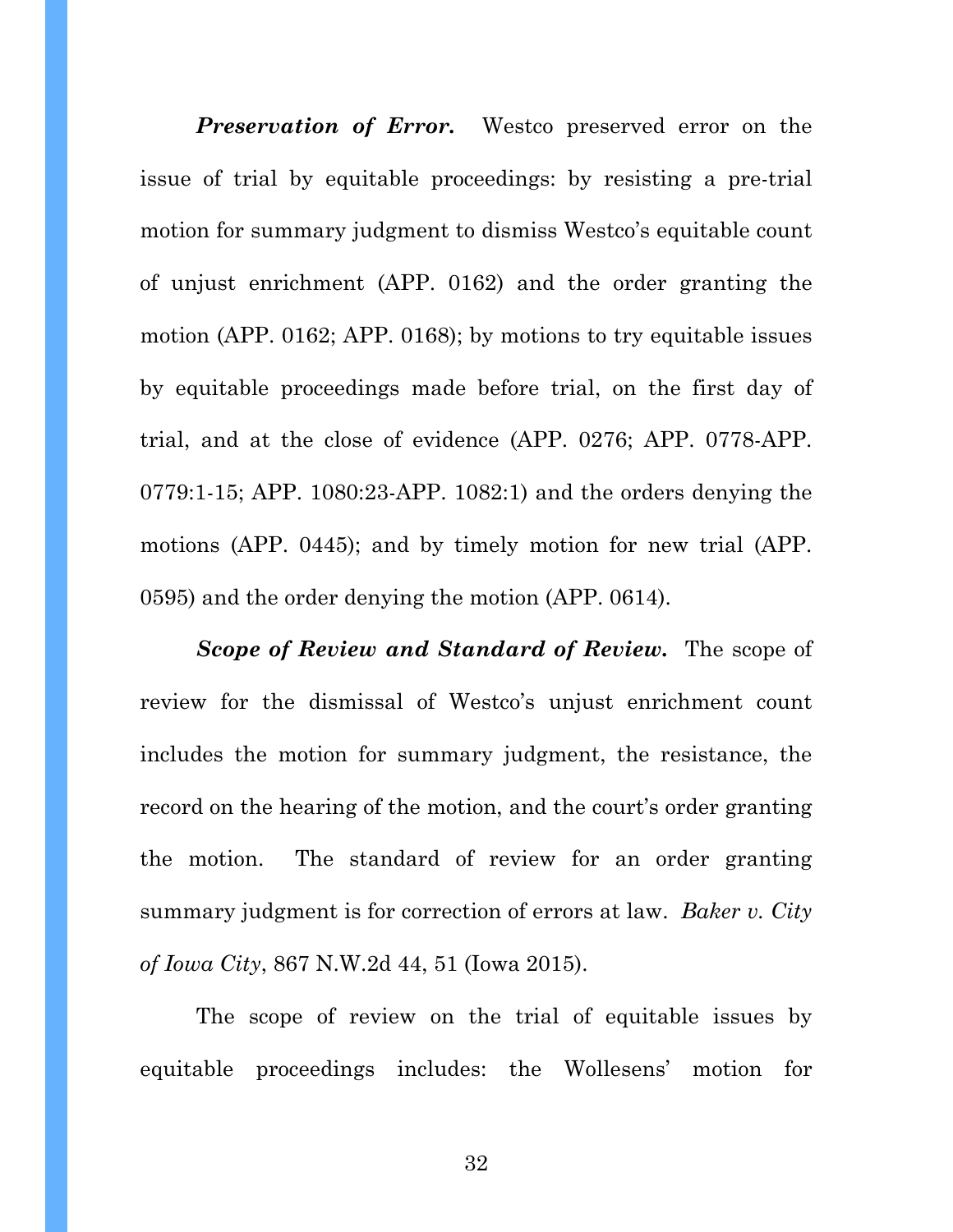**Preservation of Error.** Westco preserved error on the issue of trial by equitable proceedings: by resisting a pre-trial motion for summary judgment to dismiss Westco's equitable count of unjust enrichment (APP. 0162) and the order granting the motion (APP. 0162; APP. 0168); by motions to try equitable issues by equitable proceedings made before trial, on the first day of trial, and at the close of evidence (APP. 0276; APP. 0778-APP. 0779:1-15; APP. 1080:23-APP. 1082:1) and the orders denying the motions (APP. 0445); and by timely motion for new trial (APP. 0595) and the order denying the motion (APP. 0614).

*Scope of Review and Standard of Review.* The scope of review for the dismissal of Westco's unjust enrichment count includes the motion for summary judgment, the resistance, the record on the hearing of the motion, and the court's order granting the motion. The standard of review for an order granting summary judgment is for correction of errors at law. *Baker v. City of Iowa City*, 867 N.W.2d 44, 51 (Iowa 2015).

The scope of review on the trial of equitable issues by equitable proceedings includes: the Wollesens' motion for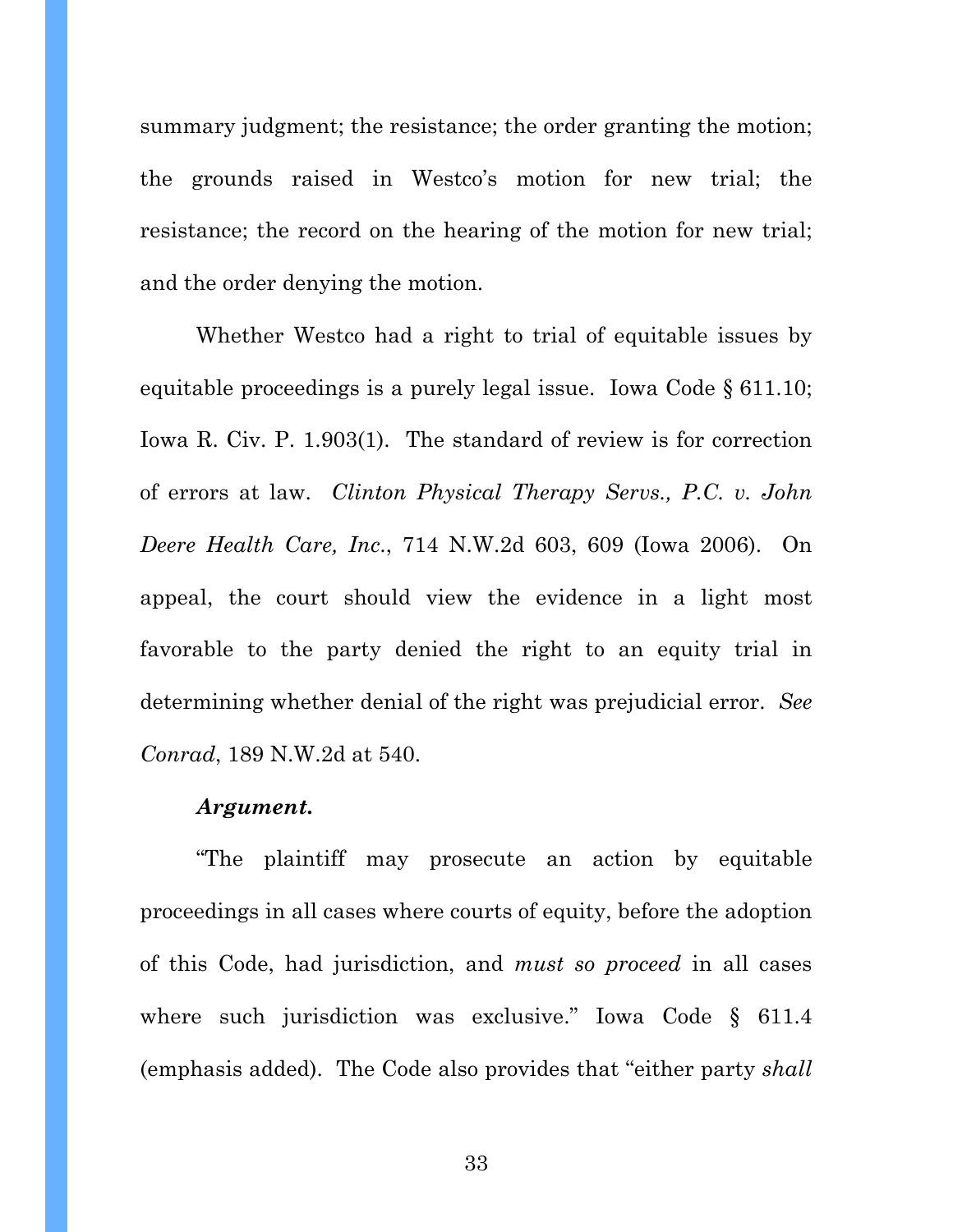summary judgment; the resistance; the order granting the motion; the grounds raised in Westco's motion for new trial; the resistance; the record on the hearing of the motion for new trial; and the order denying the motion.

Whether Westco had a right to trial of equitable issues by equitable proceedings is a purely legal issue. Iowa Code § 611.10; Iowa R. Civ. P. 1.903(1). The standard of review is for correction of errors at law. *Clinton Physical Therapy Servs., P.C. v. John Deere Health Care, Inc*., 714 N.W.2d 603, 609 (Iowa 2006). On appeal, the court should view the evidence in a light most favorable to the party denied the right to an equity trial in determining whether denial of the right was prejudicial error. *See Conrad*, 189 N.W.2d at 540.

#### *Argument.*

"The plaintiff may prosecute an action by equitable proceedings in all cases where courts of equity, before the adoption of this Code, had jurisdiction, and *must so proceed* in all cases where such jurisdiction was exclusive." Iowa Code § 611.4 (emphasis added). The Code also provides that "either party *shall*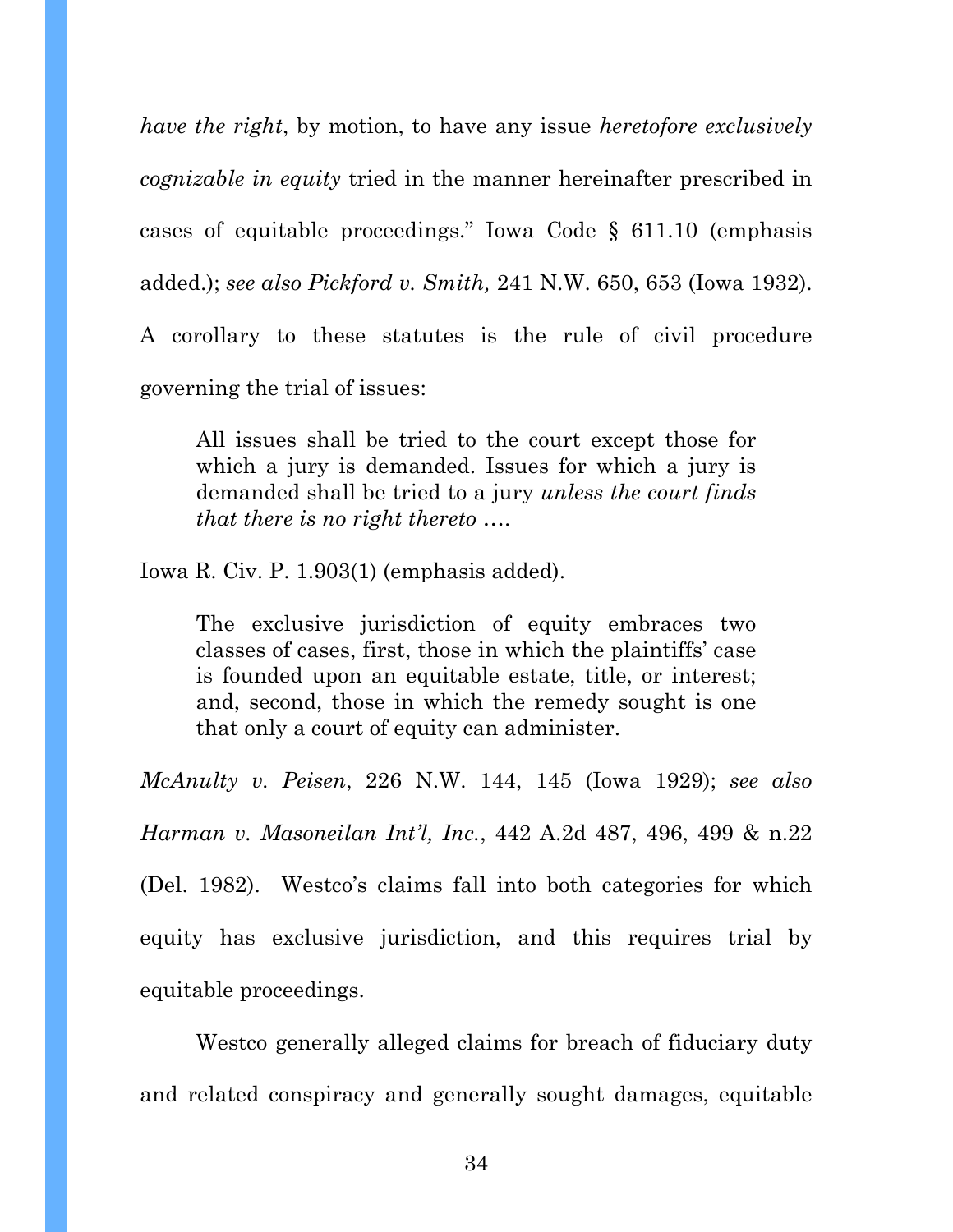*have the right*, by motion, to have any issue *heretofore exclusively cognizable in equity* tried in the manner hereinafter prescribed in cases of equitable proceedings." Iowa Code § 611.10 (emphasis added.); *see also Pickford v. Smith,* 241 N.W. 650, 653 (Iowa 1932).

A corollary to these statutes is the rule of civil procedure governing the trial of issues:

All issues shall be tried to the court except those for which a jury is demanded. Issues for which a jury is demanded shall be tried to a jury *unless the court finds that there is no right thereto* ….

Iowa R. Civ. P. 1.903(1) (emphasis added).

The exclusive jurisdiction of equity embraces two classes of cases, first, those in which the plaintiffs' case is founded upon an equitable estate, title, or interest; and, second, those in which the remedy sought is one that only a court of equity can administer.

*McAnulty v. Peisen*, 226 N.W. 144, 145 (Iowa 1929); *see also Harman v. Masoneilan Int'l, Inc.*, 442 A.2d 487, 496, 499 & n.22 (Del. 1982). Westco's claims fall into both categories for which equity has exclusive jurisdiction, and this requires trial by equitable proceedings.

 Westco generally alleged claims for breach of fiduciary duty and related conspiracy and generally sought damages, equitable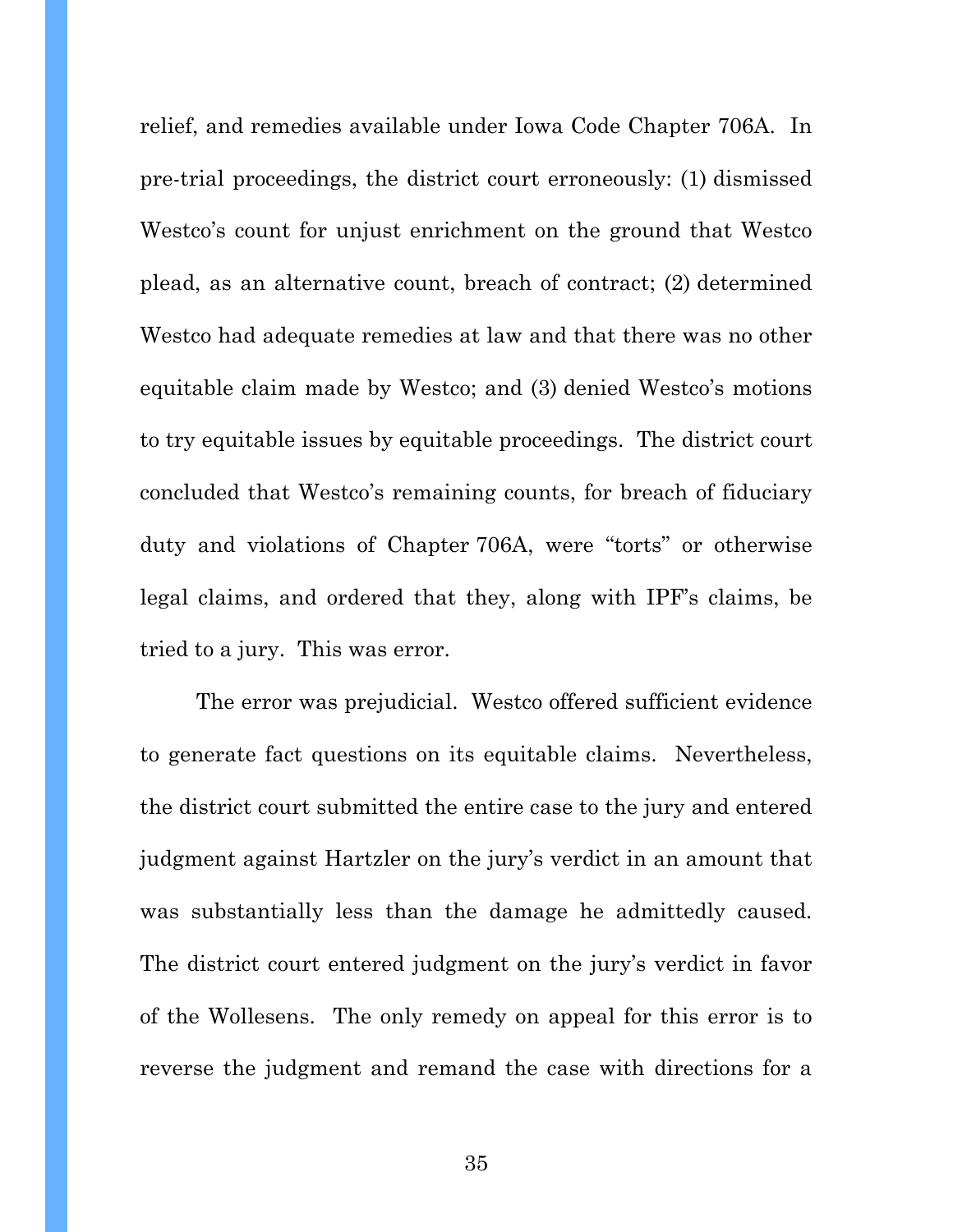relief, and remedies available under Iowa Code Chapter 706A. In pre-trial proceedings, the district court erroneously: (1) dismissed Westco's count for unjust enrichment on the ground that Westco plead, as an alternative count, breach of contract; (2) determined Westco had adequate remedies at law and that there was no other equitable claim made by Westco; and (3) denied Westco's motions to try equitable issues by equitable proceedings. The district court concluded that Westco's remaining counts, for breach of fiduciary duty and violations of Chapter 706A, were "torts" or otherwise legal claims, and ordered that they, along with IPF's claims, be tried to a jury. This was error.

The error was prejudicial. Westco offered sufficient evidence to generate fact questions on its equitable claims. Nevertheless, the district court submitted the entire case to the jury and entered judgment against Hartzler on the jury's verdict in an amount that was substantially less than the damage he admittedly caused. The district court entered judgment on the jury's verdict in favor of the Wollesens. The only remedy on appeal for this error is to reverse the judgment and remand the case with directions for a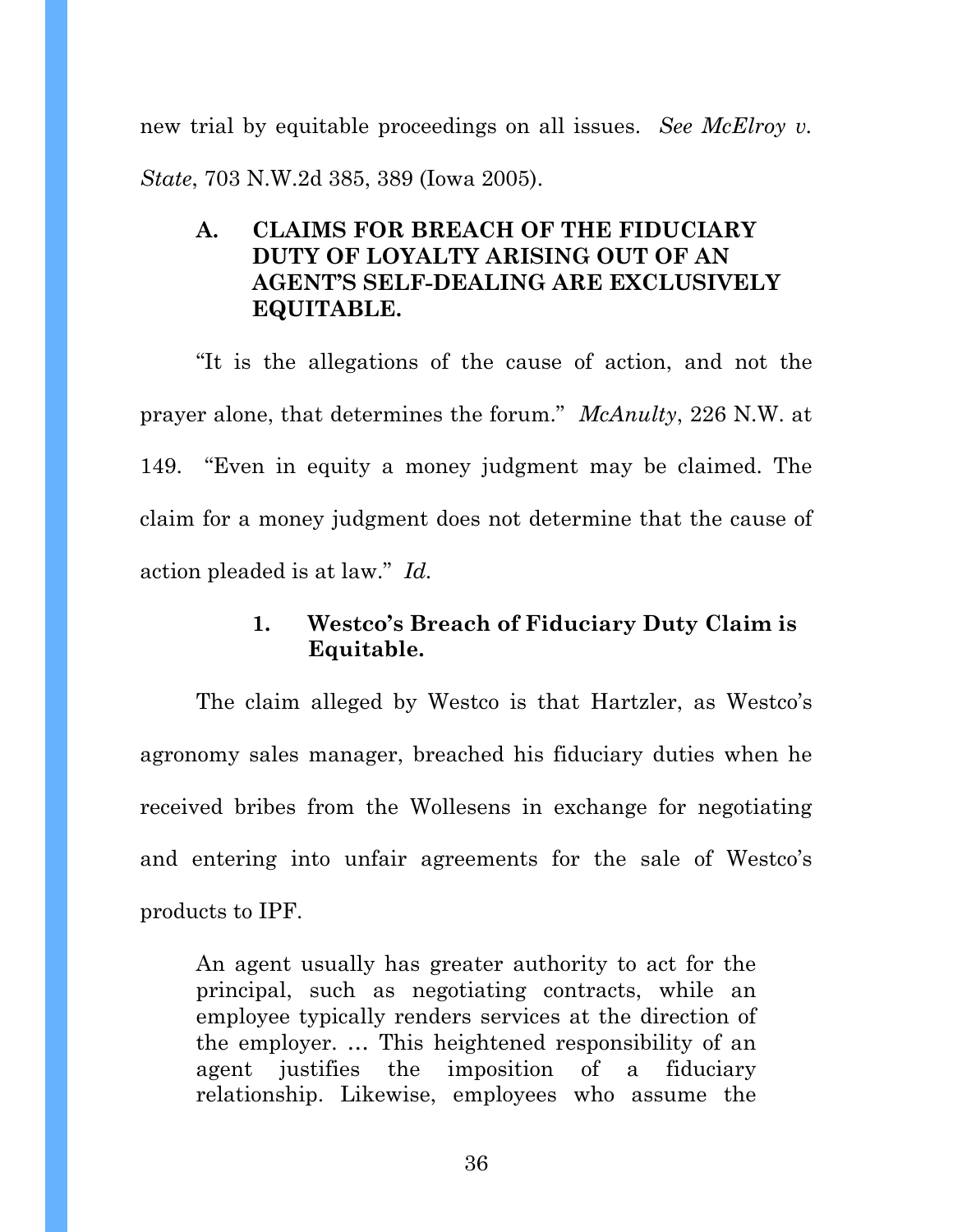new trial by equitable proceedings on all issues. *See McElroy v. State*, 703 N.W.2d 385, 389 (Iowa 2005).

# **A. CLAIMS FOR BREACH OF THE FIDUCIARY DUTY OF LOYALTY ARISING OUT OF AN AGENT'S SELF-DEALING ARE EXCLUSIVELY EQUITABLE.**

"It is the allegations of the cause of action, and not the prayer alone, that determines the forum." *McAnulty*, 226 N.W. at 149. "Even in equity a money judgment may be claimed. The claim for a money judgment does not determine that the cause of action pleaded is at law." *Id.* 

# **1. Westco's Breach of Fiduciary Duty Claim is Equitable.**

The claim alleged by Westco is that Hartzler, as Westco's agronomy sales manager, breached his fiduciary duties when he received bribes from the Wollesens in exchange for negotiating and entering into unfair agreements for the sale of Westco's products to IPF.

An agent usually has greater authority to act for the principal, such as negotiating contracts, while an employee typically renders services at the direction of the employer. … This heightened responsibility of an agent justifies the imposition of a fiduciary relationship. Likewise, employees who assume the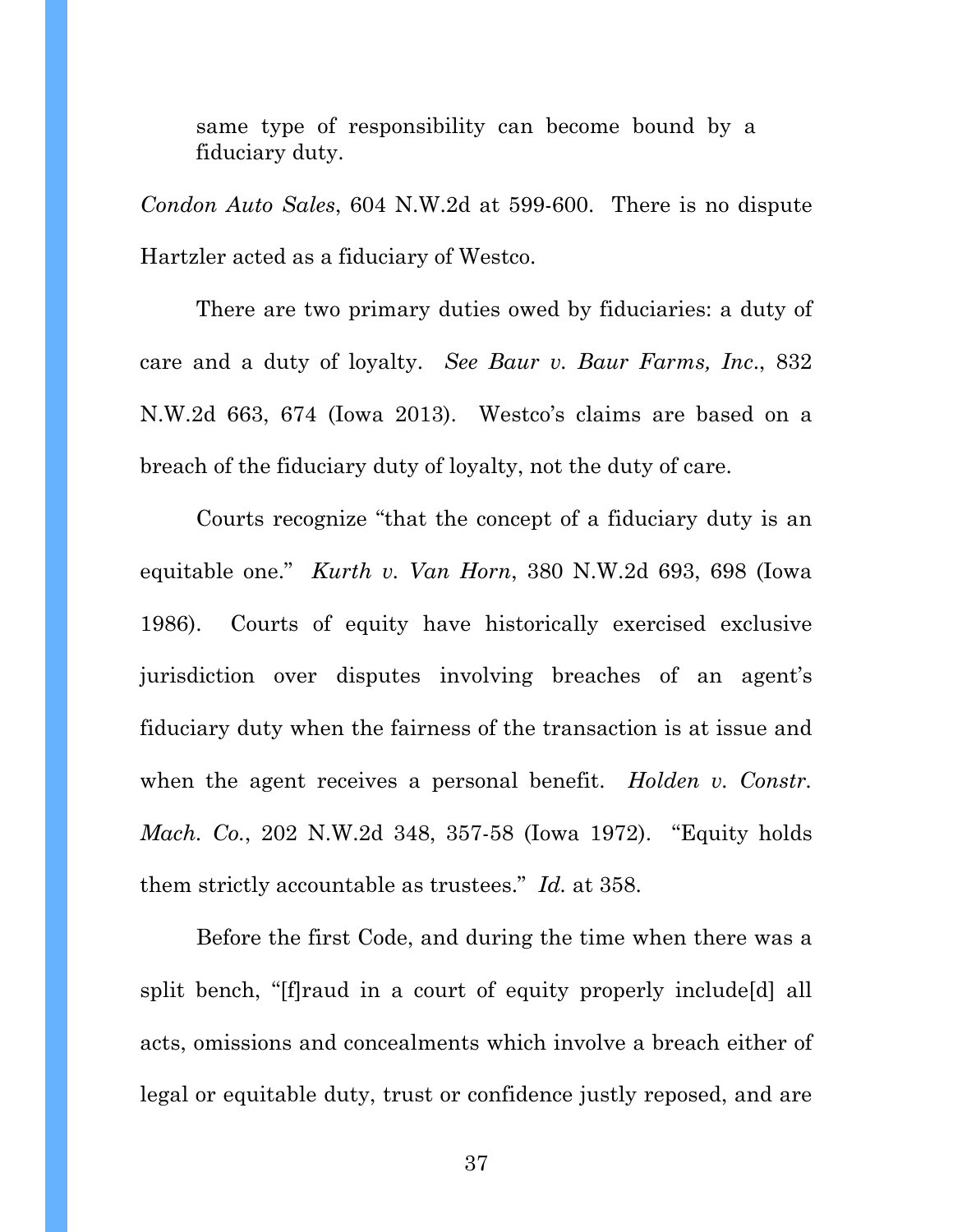same type of responsibility can become bound by a fiduciary duty.

*Condon Auto Sales*, 604 N.W.2d at 599-600. There is no dispute Hartzler acted as a fiduciary of Westco.

 There are two primary duties owed by fiduciaries: a duty of care and a duty of loyalty. *See Baur v. Baur Farms, Inc*., 832 N.W.2d 663, 674 (Iowa 2013). Westco's claims are based on a breach of the fiduciary duty of loyalty, not the duty of care.

 Courts recognize "that the concept of a fiduciary duty is an equitable one." *Kurth v. Van Horn*, 380 N.W.2d 693, 698 (Iowa 1986). Courts of equity have historically exercised exclusive jurisdiction over disputes involving breaches of an agent's fiduciary duty when the fairness of the transaction is at issue and when the agent receives a personal benefit. *Holden v. Constr. Mach. Co.*, 202 N.W.2d 348, 357-58 (Iowa 1972). "Equity holds them strictly accountable as trustees." *Id.* at 358.

Before the first Code, and during the time when there was a split bench, "[f]raud in a court of equity properly include[d] all acts, omissions and concealments which involve a breach either of legal or equitable duty, trust or confidence justly reposed, and are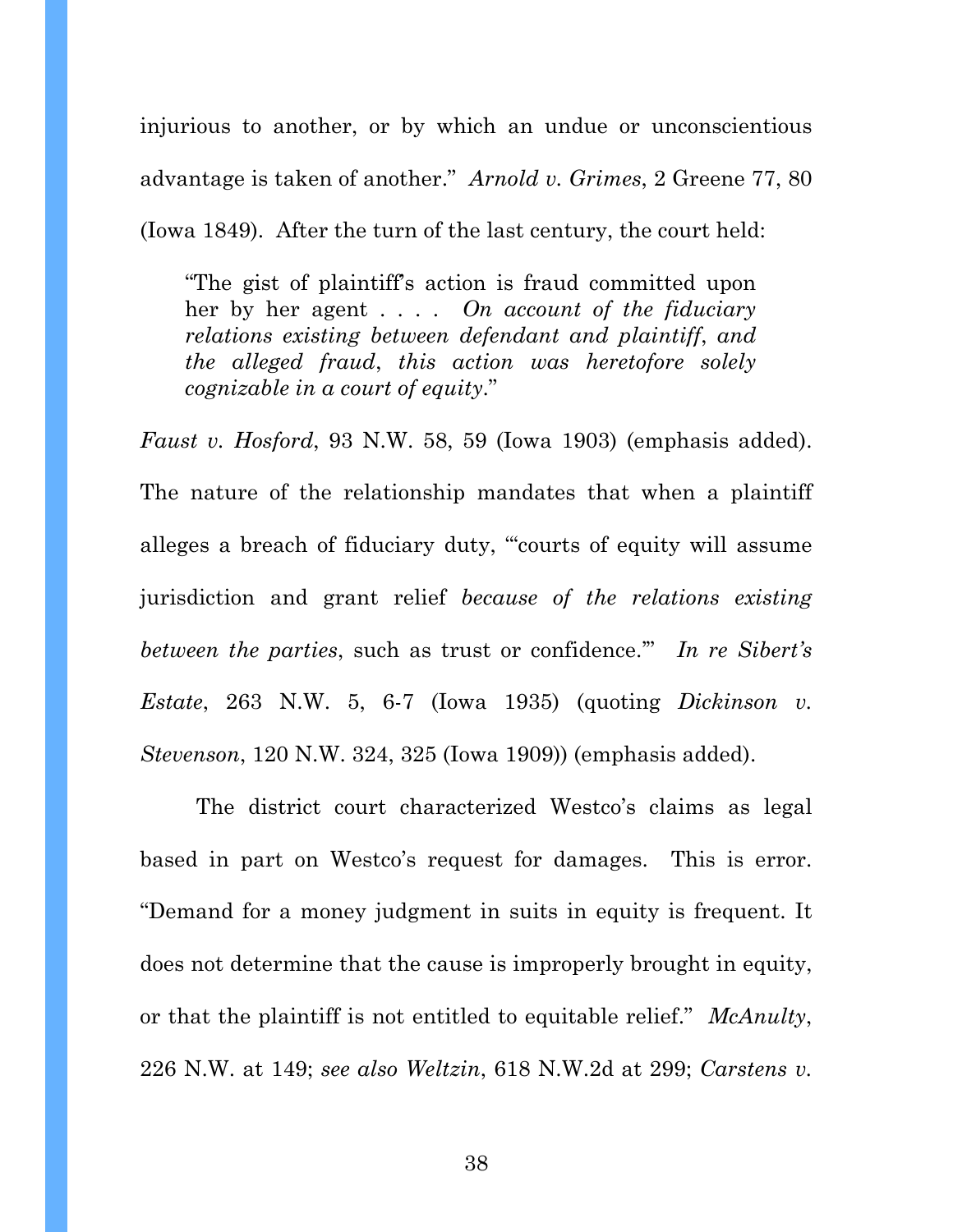injurious to another, or by which an undue or unconscientious advantage is taken of another." *Arnold v. Grimes*, 2 Greene 77, 80 (Iowa 1849). After the turn of the last century, the court held:

"The gist of plaintiff's action is fraud committed upon her by her agent . . . . *On account of the fiduciary relations existing between defendant and plaintiff*, *and the alleged fraud*, *this action was heretofore solely cognizable in a court of equity*."

*Faust v. Hosford*, 93 N.W. 58, 59 (Iowa 1903) (emphasis added). The nature of the relationship mandates that when a plaintiff alleges a breach of fiduciary duty, "'courts of equity will assume jurisdiction and grant relief *because of the relations existing between the parties*, such as trust or confidence.'" *In re Sibert's Estate*, 263 N.W. 5, 6-7 (Iowa 1935) (quoting *Dickinson v. Stevenson*, 120 N.W. 324, 325 (Iowa 1909)) (emphasis added).

The district court characterized Westco's claims as legal based in part on Westco's request for damages. This is error. "Demand for a money judgment in suits in equity is frequent. It does not determine that the cause is improperly brought in equity, or that the plaintiff is not entitled to equitable relief." *McAnulty*, 226 N.W. at 149; *see also Weltzin*, 618 N.W.2d at 299; *Carstens v.*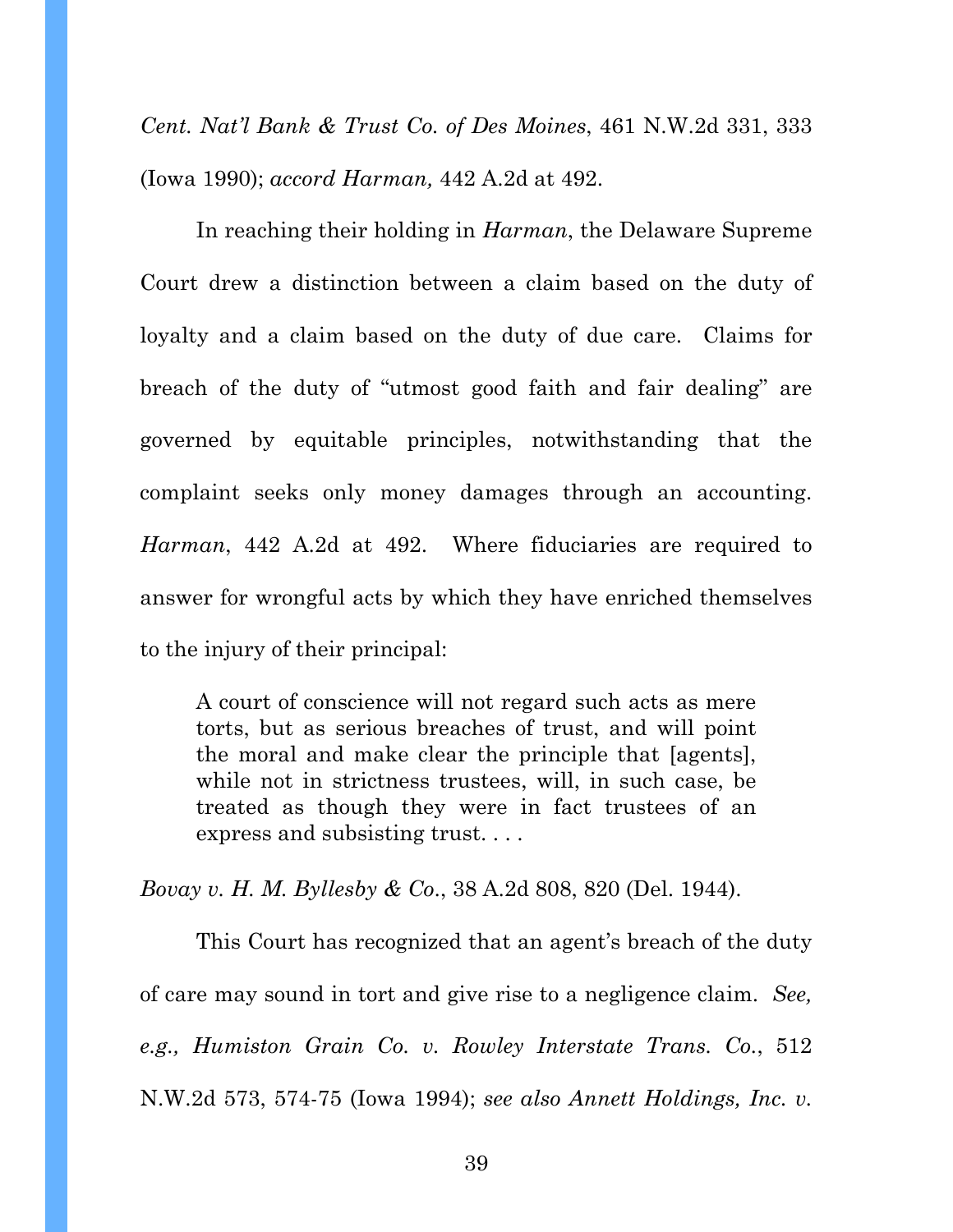*Cent. Nat'l Bank & Trust Co. of Des Moines*, 461 N.W.2d 331, 333 (Iowa 1990); *accord Harman,* 442 A.2d at 492.

In reaching their holding in *Harman*, the Delaware Supreme Court drew a distinction between a claim based on the duty of loyalty and a claim based on the duty of due care. Claims for breach of the duty of "utmost good faith and fair dealing" are governed by equitable principles, notwithstanding that the complaint seeks only money damages through an accounting. *Harman*, 442 A.2d at 492. Where fiduciaries are required to answer for wrongful acts by which they have enriched themselves to the injury of their principal:

A court of conscience will not regard such acts as mere torts, but as serious breaches of trust, and will point the moral and make clear the principle that [agents], while not in strictness trustees, will, in such case, be treated as though they were in fact trustees of an express and subsisting trust. . . .

*Bovay v. H. M. Byllesby & Co*., 38 A.2d 808, 820 (Del. 1944).

This Court has recognized that an agent's breach of the duty of care may sound in tort and give rise to a negligence claim. *See, e.g., Humiston Grain Co. v. Rowley Interstate Trans. Co.*, 512 N.W.2d 573, 574-75 (Iowa 1994); *see also Annett Holdings, Inc. v.*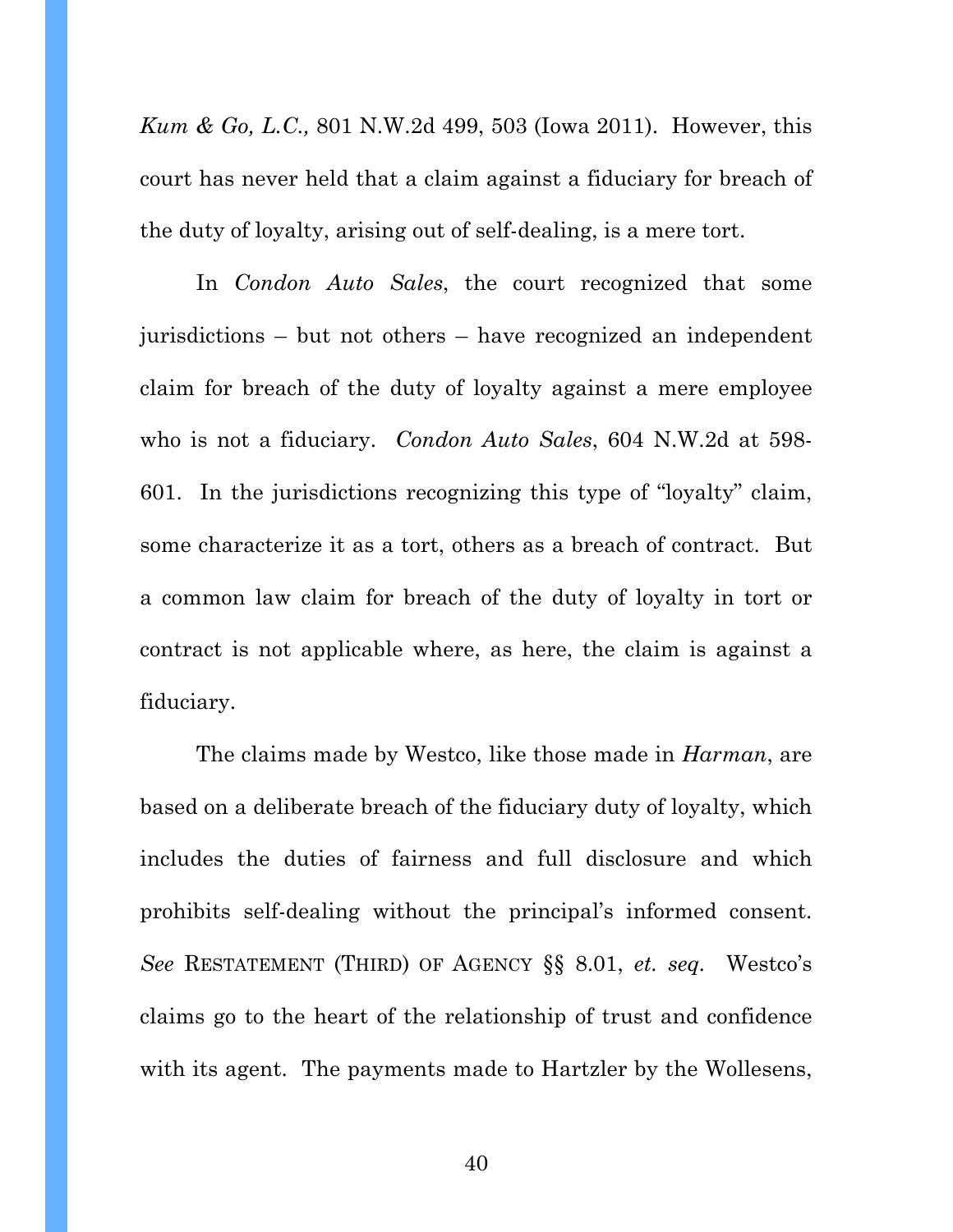*Kum & Go, L.C.,* 801 N.W.2d 499, 503 (Iowa 2011). However, this court has never held that a claim against a fiduciary for breach of the duty of loyalty, arising out of self-dealing, is a mere tort.

In *Condon Auto Sales*, the court recognized that some jurisdictions – but not others – have recognized an independent claim for breach of the duty of loyalty against a mere employee who is not a fiduciary. *Condon Auto Sales*, 604 N.W.2d at 598- 601. In the jurisdictions recognizing this type of "loyalty" claim, some characterize it as a tort, others as a breach of contract. But a common law claim for breach of the duty of loyalty in tort or contract is not applicable where, as here, the claim is against a fiduciary.

The claims made by Westco, like those made in *Harman*, are based on a deliberate breach of the fiduciary duty of loyalty, which includes the duties of fairness and full disclosure and which prohibits self-dealing without the principal's informed consent. *See* RESTATEMENT (THIRD) OF AGENCY §§ 8.01, *et. seq.* Westco's claims go to the heart of the relationship of trust and confidence with its agent. The payments made to Hartzler by the Wollesens,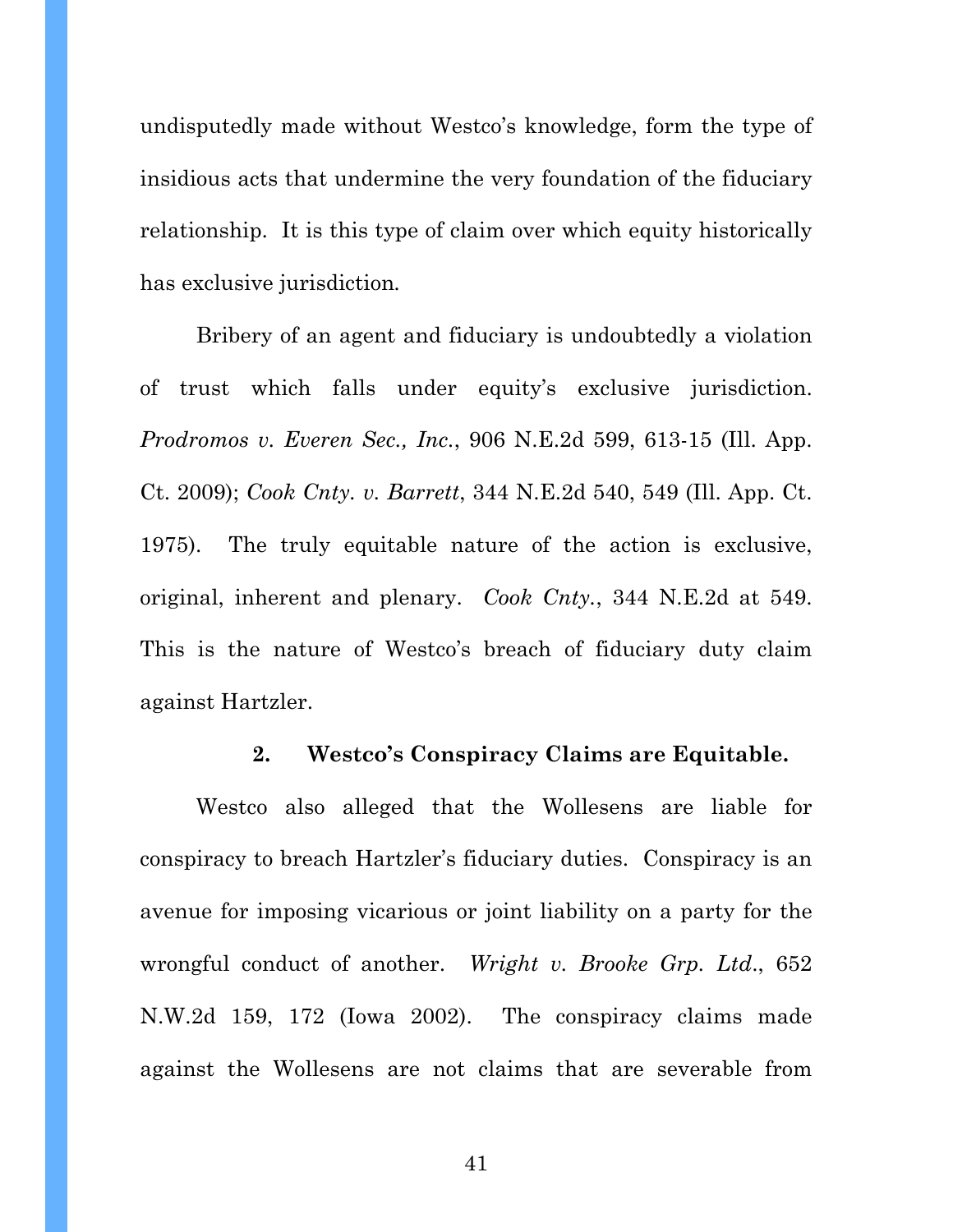undisputedly made without Westco's knowledge, form the type of insidious acts that undermine the very foundation of the fiduciary relationship. It is this type of claim over which equity historically has exclusive jurisdiction*.* 

Bribery of an agent and fiduciary is undoubtedly a violation of trust which falls under equity's exclusive jurisdiction. *Prodromos v. Everen Sec., Inc.*, 906 N.E.2d 599, 613-15 (Ill. App. Ct. 2009); *Cook Cnty. v. Barrett*, 344 N.E.2d 540, 549 (Ill. App. Ct. 1975). The truly equitable nature of the action is exclusive, original, inherent and plenary. *Cook Cnty.*, 344 N.E.2d at 549. This is the nature of Westco's breach of fiduciary duty claim against Hartzler.

### **2. Westco's Conspiracy Claims are Equitable.**

Westco also alleged that the Wollesens are liable for conspiracy to breach Hartzler's fiduciary duties. Conspiracy is an avenue for imposing vicarious or joint liability on a party for the wrongful conduct of another. *Wright v. Brooke Grp. Ltd*., 652 N.W.2d 159, 172 (Iowa 2002). The conspiracy claims made against the Wollesens are not claims that are severable from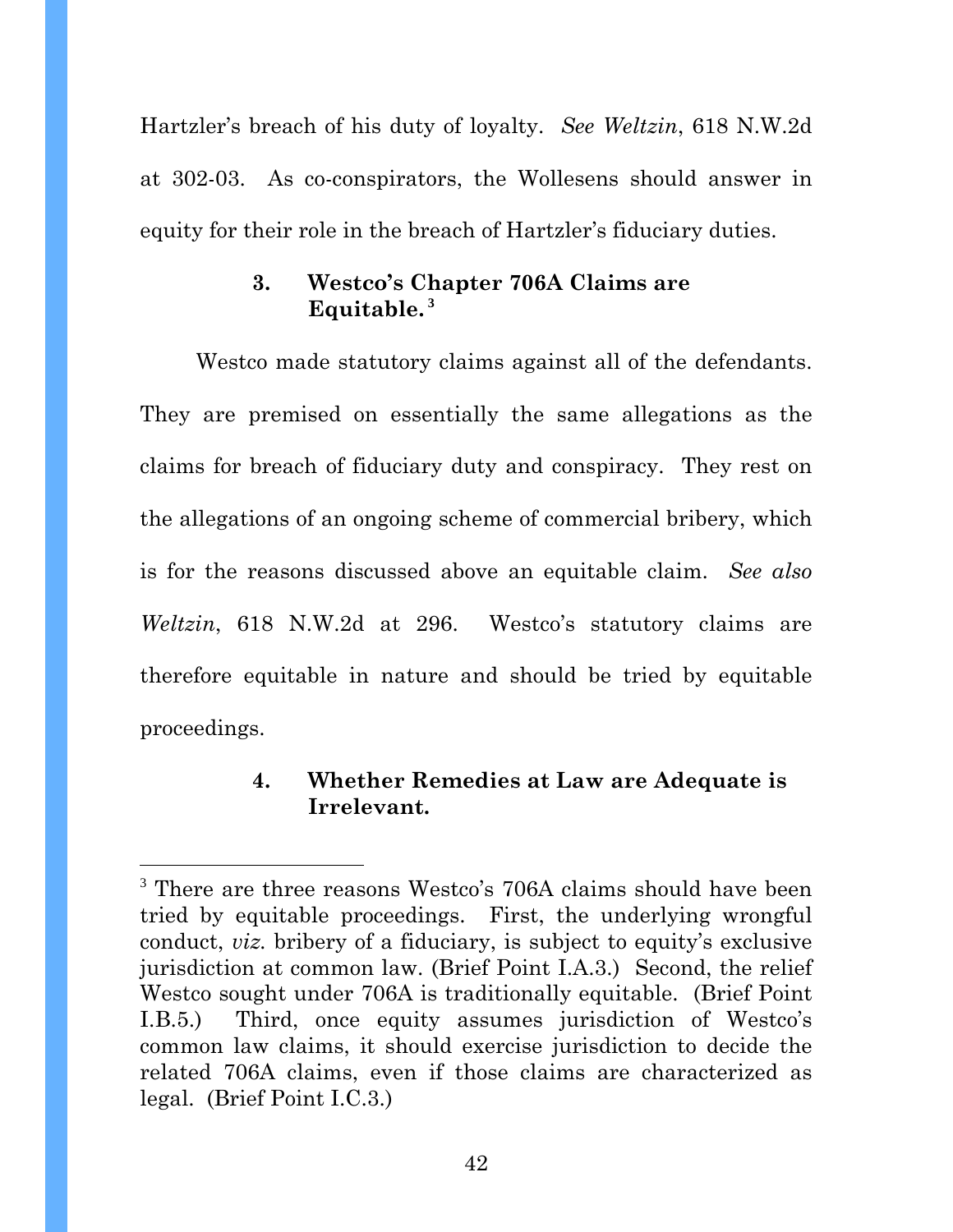Hartzler's breach of his duty of loyalty. *See Weltzin*, 618 N.W.2d at 302-03. As co-conspirators, the Wollesens should answer in equity for their role in the breach of Hartzler's fiduciary duties.

# **3. Westco's Chapter 706A Claims are Equitable.<sup>3</sup>**

Westco made statutory claims against all of the defendants. They are premised on essentially the same allegations as the claims for breach of fiduciary duty and conspiracy. They rest on the allegations of an ongoing scheme of commercial bribery, which is for the reasons discussed above an equitable claim. *See also Weltzin*, 618 N.W.2d at 296. Westco's statutory claims are therefore equitable in nature and should be tried by equitable proceedings.

# **4. Whether Remedies at Law are Adequate is Irrelevant.**

l

<sup>&</sup>lt;sup>3</sup> There are three reasons Westco's 706A claims should have been tried by equitable proceedings. First, the underlying wrongful conduct, *viz.* bribery of a fiduciary, is subject to equity's exclusive jurisdiction at common law. (Brief Point I.A.3.) Second, the relief Westco sought under 706A is traditionally equitable. (Brief Point I.B.5.) Third, once equity assumes jurisdiction of Westco's common law claims, it should exercise jurisdiction to decide the related 706A claims, even if those claims are characterized as legal. (Brief Point I.C.3.)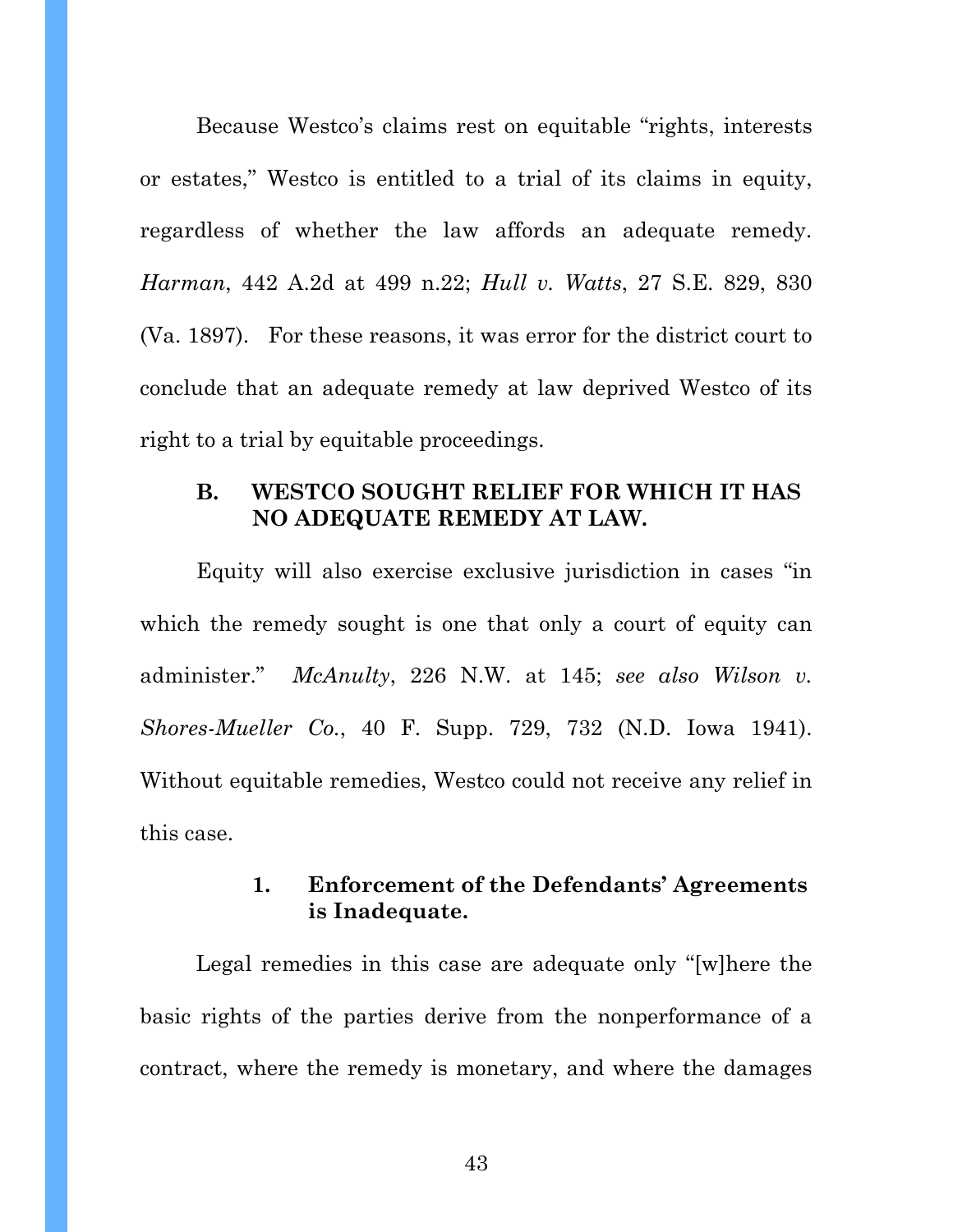Because Westco's claims rest on equitable "rights, interests or estates," Westco is entitled to a trial of its claims in equity, regardless of whether the law affords an adequate remedy. *Harman*, 442 A.2d at 499 n.22; *Hull v. Watts*, 27 S.E. 829, 830 (Va. 1897). For these reasons, it was error for the district court to conclude that an adequate remedy at law deprived Westco of its right to a trial by equitable proceedings.

### **B. WESTCO SOUGHT RELIEF FOR WHICH IT HAS NO ADEQUATE REMEDY AT LAW.**

Equity will also exercise exclusive jurisdiction in cases "in which the remedy sought is one that only a court of equity can administer." *McAnulty*, 226 N.W. at 145; *see also Wilson v. Shores-Mueller Co.*, 40 F. Supp. 729, 732 (N.D. Iowa 1941). Without equitable remedies, Westco could not receive any relief in this case.

## **1. Enforcement of the Defendants' Agreements is Inadequate.**

Legal remedies in this case are adequate only "[w]here the basic rights of the parties derive from the nonperformance of a contract, where the remedy is monetary, and where the damages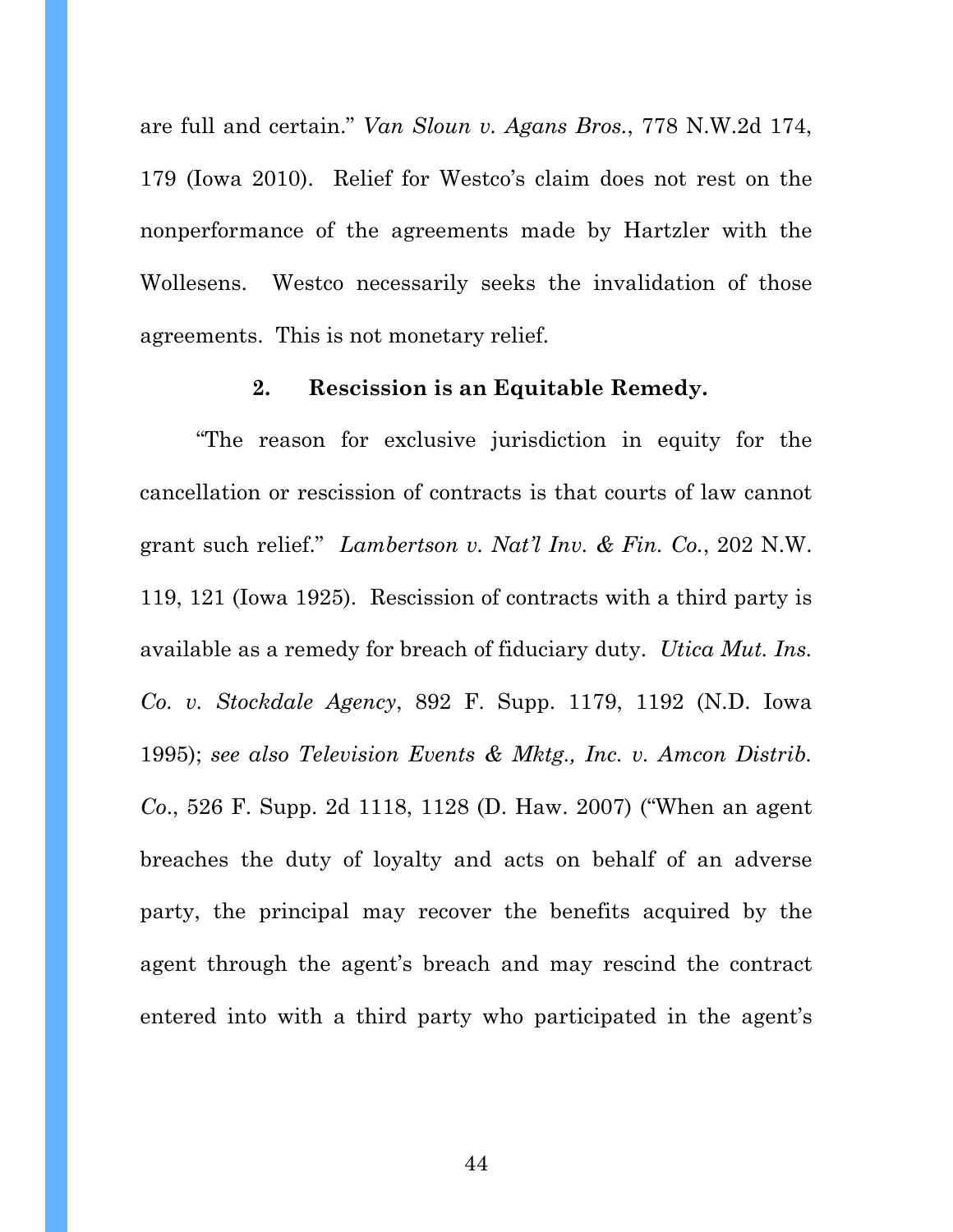are full and certain." *Van Sloun v. Agans Bros.*, 778 N.W.2d 174, 179 (Iowa 2010). Relief for Westco's claim does not rest on the nonperformance of the agreements made by Hartzler with the Wollesens. Westco necessarily seeks the invalidation of those agreements. This is not monetary relief.

### **2. Rescission is an Equitable Remedy.**

"The reason for exclusive jurisdiction in equity for the cancellation or rescission of contracts is that courts of law cannot grant such relief." *Lambertson v. Nat'l Inv. & Fin. Co.*, 202 N.W. 119, 121 (Iowa 1925). Rescission of contracts with a third party is available as a remedy for breach of fiduciary duty. *Utica Mut. Ins. Co. v. Stockdale Agency*, 892 F. Supp. 1179, 1192 (N.D. Iowa 1995); *see also Television Events & Mktg., Inc. v. Amcon Distrib. Co*., 526 F. Supp. 2d 1118, 1128 (D. Haw. 2007) ("When an agent breaches the duty of loyalty and acts on behalf of an adverse party, the principal may recover the benefits acquired by the agent through the agent's breach and may rescind the contract entered into with a third party who participated in the agent's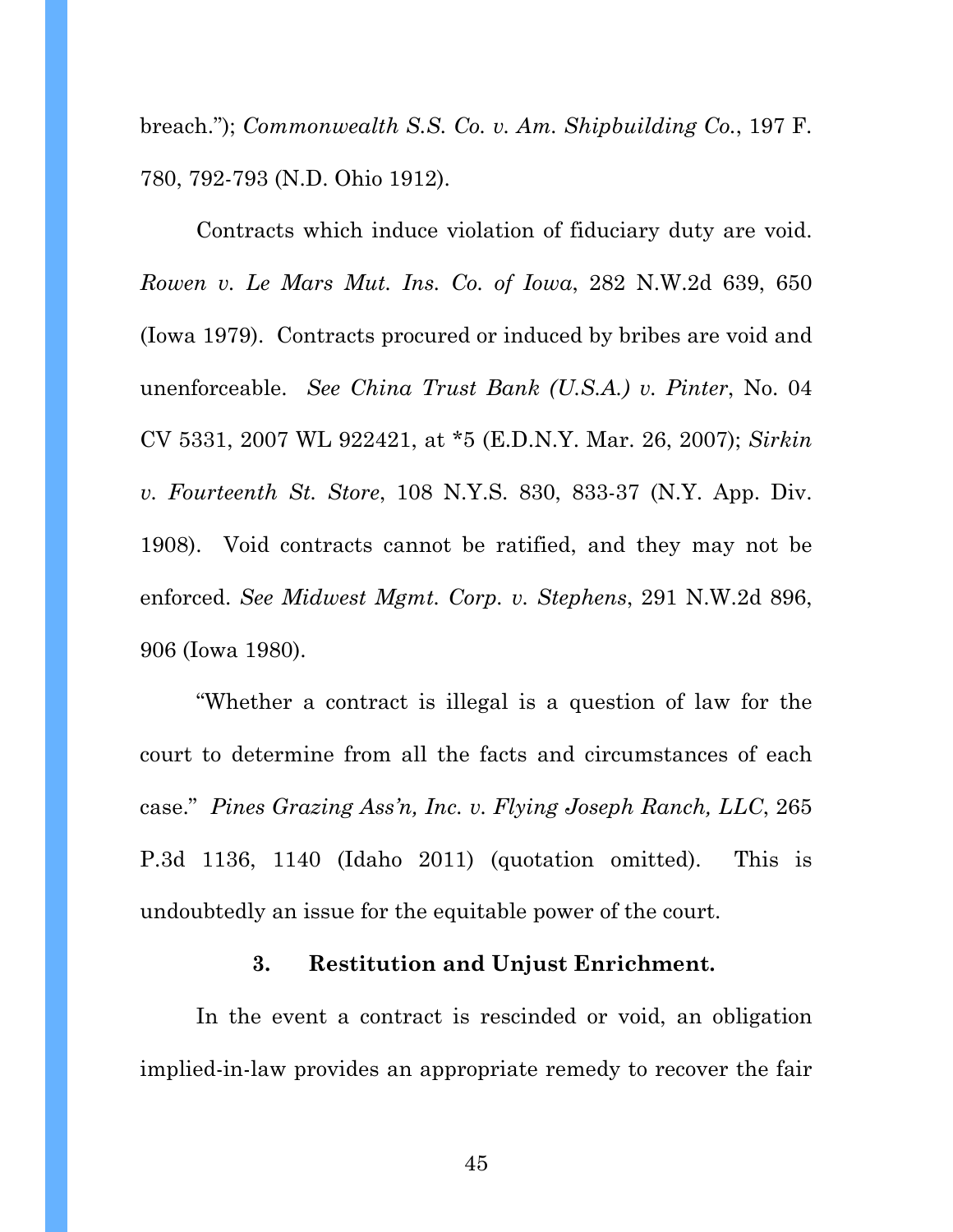breach."); *Commonwealth S.S. Co. v. Am. Shipbuilding Co.*, 197 F. 780, 792-793 (N.D. Ohio 1912).

Contracts which induce violation of fiduciary duty are void. *Rowen v. Le Mars Mut. Ins. Co. of Iowa*, 282 N.W.2d 639, 650 (Iowa 1979). Contracts procured or induced by bribes are void and unenforceable. *See China Trust Bank (U.S.A.) v. Pinter*, No. 04 CV 5331, 2007 WL 922421, at \*5 (E.D.N.Y. Mar. 26, 2007); *Sirkin v. Fourteenth St. Store*, 108 N.Y.S. 830, 833-37 (N.Y. App. Div. 1908). Void contracts cannot be ratified, and they may not be enforced. *See Midwest Mgmt. Corp. v. Stephens*, 291 N.W.2d 896, 906 (Iowa 1980).

"Whether a contract is illegal is a question of law for the court to determine from all the facts and circumstances of each case." *Pines Grazing Ass'n, Inc. v. Flying Joseph Ranch, LLC*, 265 P.3d 1136, 1140 (Idaho 2011) (quotation omitted). This is undoubtedly an issue for the equitable power of the court.

## **3. Restitution and Unjust Enrichment.**

In the event a contract is rescinded or void, an obligation implied-in-law provides an appropriate remedy to recover the fair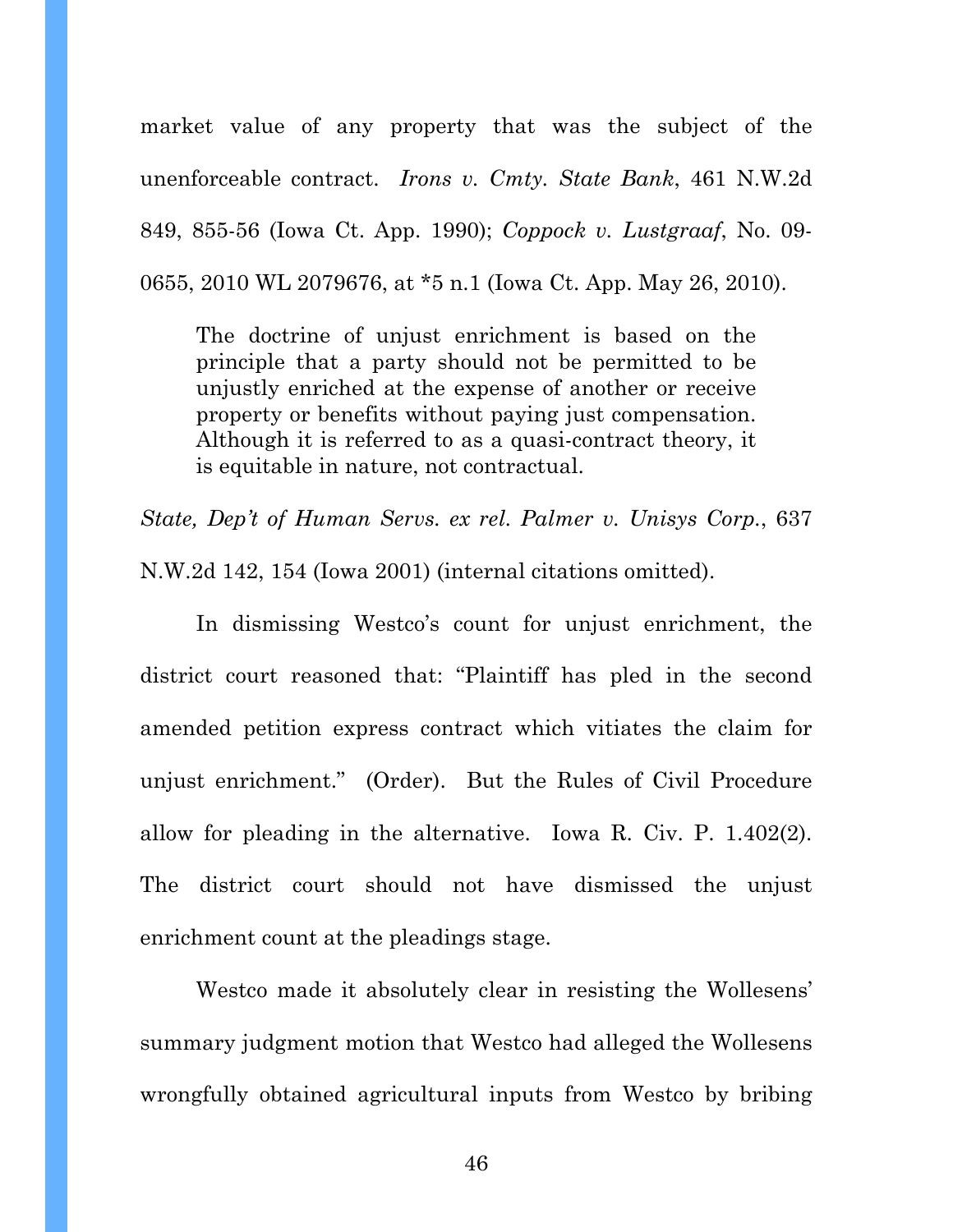market value of any property that was the subject of the unenforceable contract. *Irons v. Cmty. State Bank*, 461 N.W.2d 849, 855-56 (Iowa Ct. App. 1990); *Coppock v. Lustgraaf*, No. 09- 0655, 2010 WL 2079676, at \*5 n.1 (Iowa Ct. App. May 26, 2010).

The doctrine of unjust enrichment is based on the principle that a party should not be permitted to be unjustly enriched at the expense of another or receive property or benefits without paying just compensation. Although it is referred to as a quasi-contract theory, it is equitable in nature, not contractual.

*State, Dep't of Human Servs. ex rel. Palmer v. Unisys Corp.*, 637 N.W.2d 142, 154 (Iowa 2001) (internal citations omitted).

 In dismissing Westco's count for unjust enrichment, the district court reasoned that: "Plaintiff has pled in the second amended petition express contract which vitiates the claim for unjust enrichment." (Order). But the Rules of Civil Procedure allow for pleading in the alternative. Iowa R. Civ. P. 1.402(2). The district court should not have dismissed the unjust enrichment count at the pleadings stage.

Westco made it absolutely clear in resisting the Wollesens' summary judgment motion that Westco had alleged the Wollesens wrongfully obtained agricultural inputs from Westco by bribing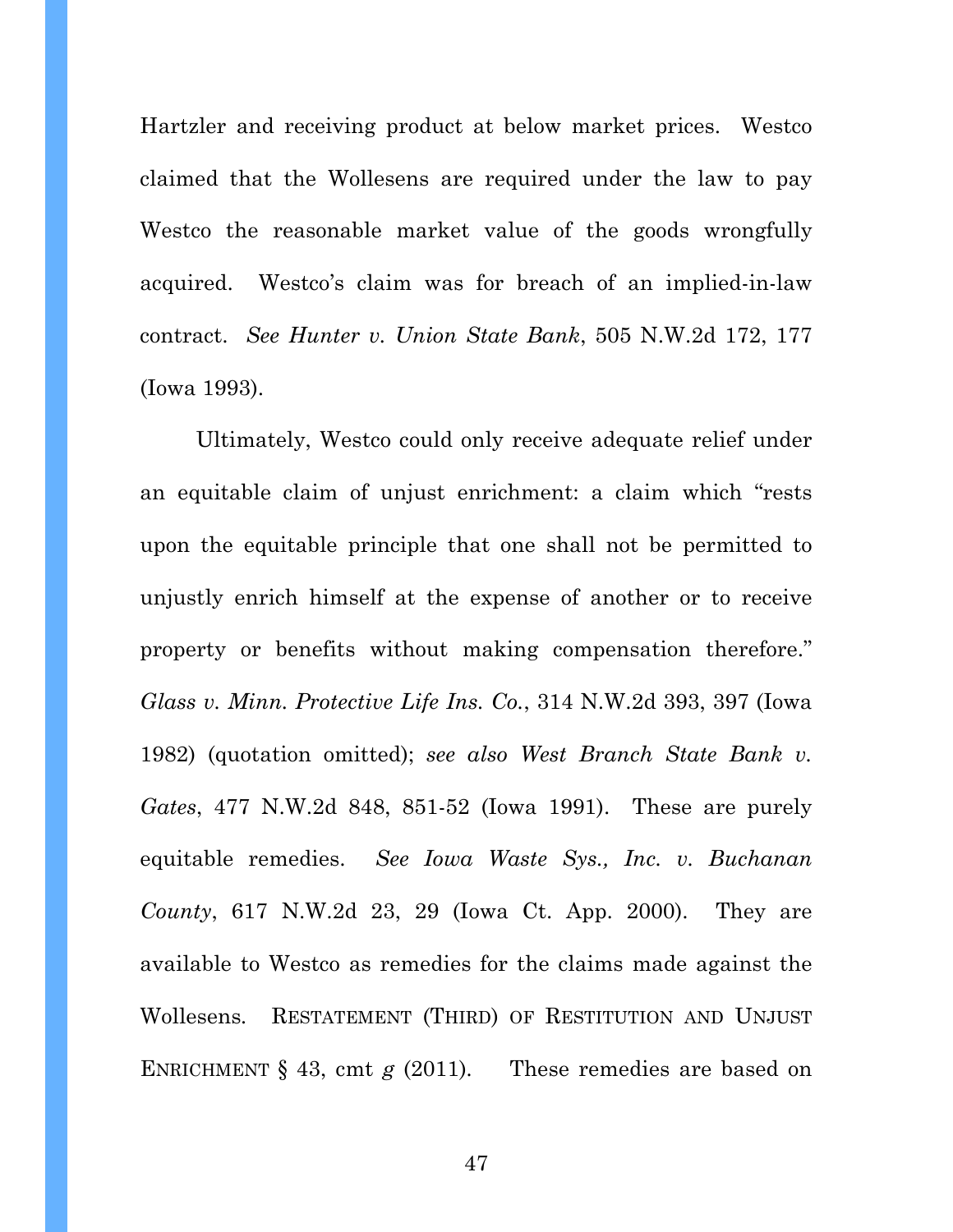Hartzler and receiving product at below market prices. Westco claimed that the Wollesens are required under the law to pay Westco the reasonable market value of the goods wrongfully acquired. Westco's claim was for breach of an implied-in-law contract. *See Hunter v. Union State Bank*, 505 N.W.2d 172, 177 (Iowa 1993).

Ultimately, Westco could only receive adequate relief under an equitable claim of unjust enrichment: a claim which "rests upon the equitable principle that one shall not be permitted to unjustly enrich himself at the expense of another or to receive property or benefits without making compensation therefore." *Glass v. Minn. Protective Life Ins. Co.*, 314 N.W.2d 393, 397 (Iowa 1982) (quotation omitted); *see also West Branch State Bank v. Gates*, 477 N.W.2d 848, 851-52 (Iowa 1991). These are purely equitable remedies. *See Iowa Waste Sys., Inc. v. Buchanan County*, 617 N.W.2d 23, 29 (Iowa Ct. App. 2000). They are available to Westco as remedies for the claims made against the Wollesens*.* RESTATEMENT (THIRD) OF RESTITUTION AND UNJUST ENRICHMENT § 43, cmt *g* (2011). These remedies are based on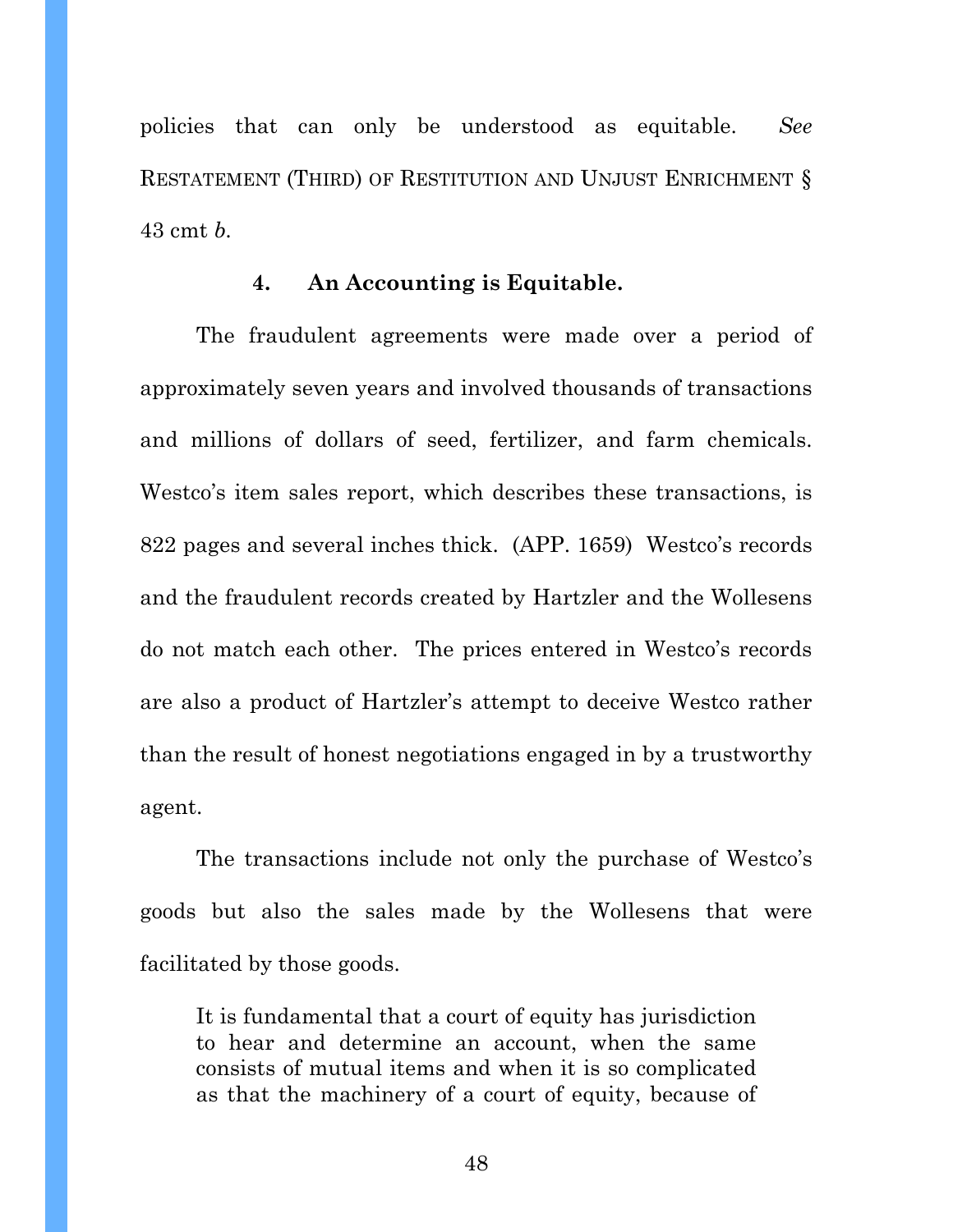policies that can only be understood as equitable. *See*  RESTATEMENT (THIRD) OF RESTITUTION AND UNJUST ENRICHMENT § 43 cmt *b.* 

### **4. An Accounting is Equitable.**

The fraudulent agreements were made over a period of approximately seven years and involved thousands of transactions and millions of dollars of seed, fertilizer, and farm chemicals. Westco's item sales report, which describes these transactions, is 822 pages and several inches thick. (APP. 1659) Westco's records and the fraudulent records created by Hartzler and the Wollesens do not match each other. The prices entered in Westco's records are also a product of Hartzler's attempt to deceive Westco rather than the result of honest negotiations engaged in by a trustworthy agent.

The transactions include not only the purchase of Westco's goods but also the sales made by the Wollesens that were facilitated by those goods.

It is fundamental that a court of equity has jurisdiction to hear and determine an account, when the same consists of mutual items and when it is so complicated as that the machinery of a court of equity, because of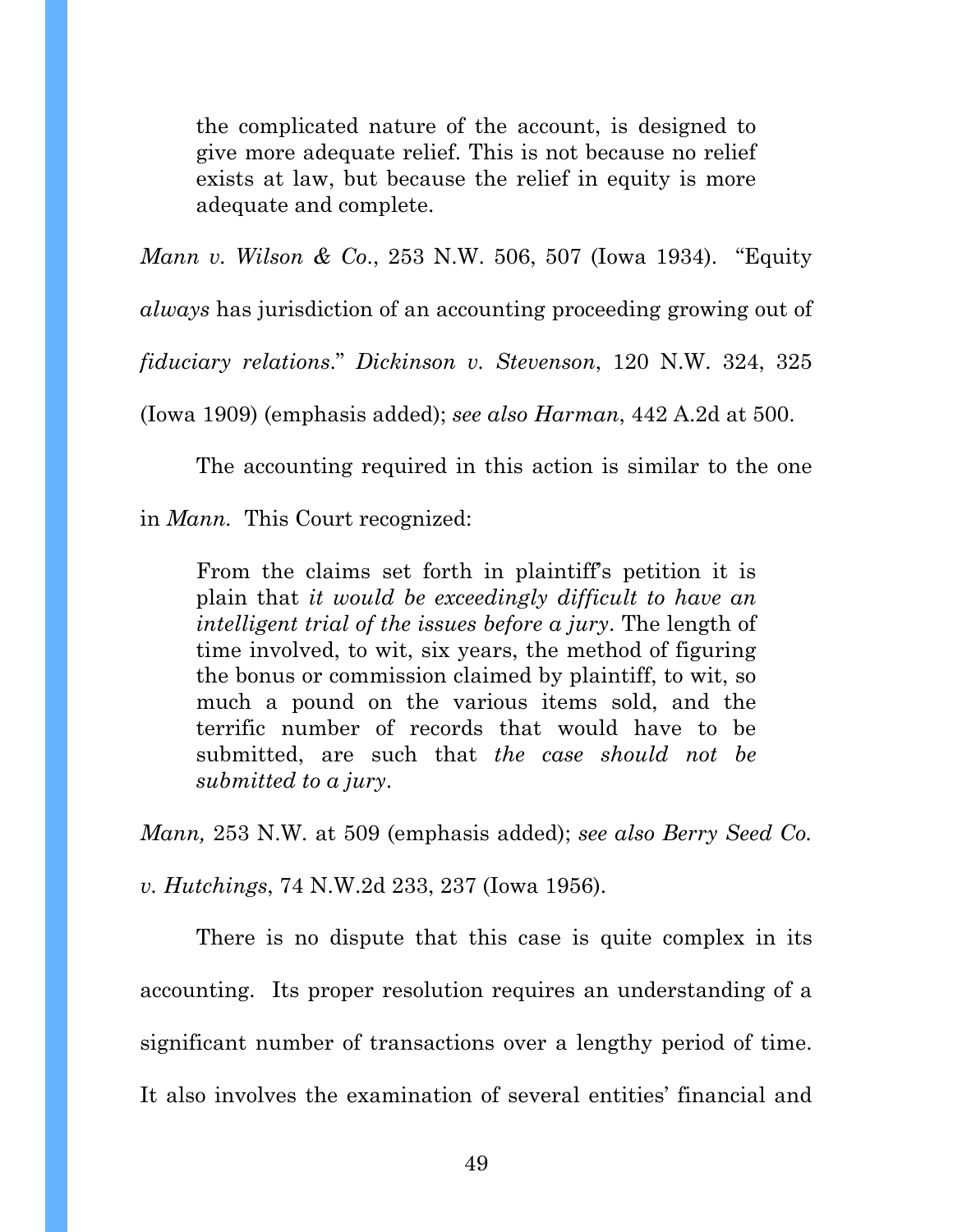the complicated nature of the account, is designed to give more adequate relief. This is not because no relief exists at law, but because the relief in equity is more adequate and complete.

*Mann v. Wilson & Co*., 253 N.W. 506, 507 (Iowa 1934). "Equity

*always* has jurisdiction of an accounting proceeding growing out of

*fiduciary relations*." *Dickinson v. Stevenson*, 120 N.W. 324, 325

(Iowa 1909) (emphasis added); *see also Harman*, 442 A.2d at 500.

The accounting required in this action is similar to the one

in *Mann.* This Court recognized:

From the claims set forth in plaintiff's petition it is plain that *it would be exceedingly difficult to have an intelligent trial of the issues before a jury*. The length of time involved, to wit, six years, the method of figuring the bonus or commission claimed by plaintiff, to wit, so much a pound on the various items sold, and the terrific number of records that would have to be submitted, are such that *the case should not be submitted to a jury*.

*Mann,* 253 N.W*.* at 509 (emphasis added); *see also Berry Seed Co.* 

*v. Hutchings*, 74 N.W.2d 233, 237 (Iowa 1956).

There is no dispute that this case is quite complex in its accounting. Its proper resolution requires an understanding of a significant number of transactions over a lengthy period of time. It also involves the examination of several entities' financial and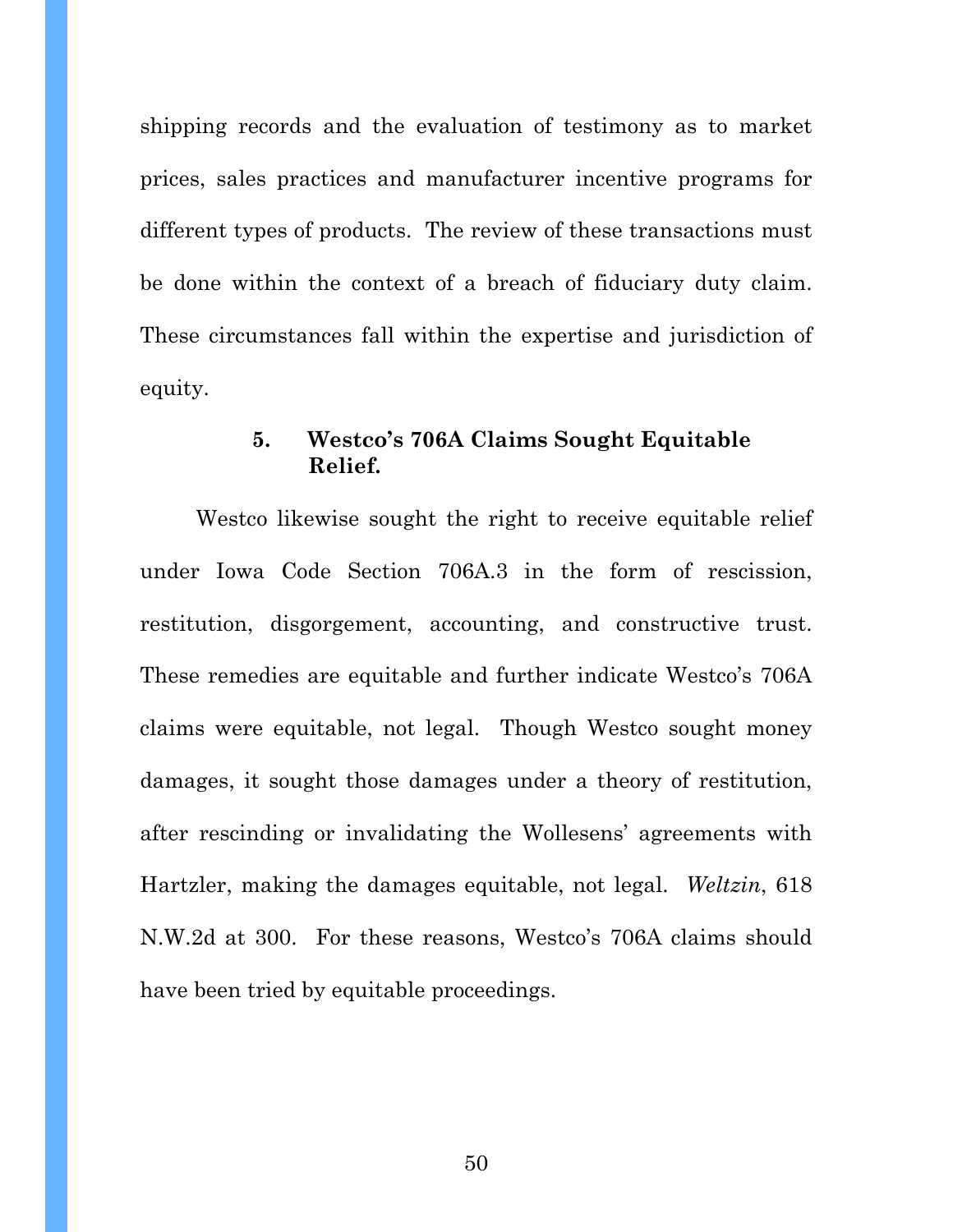shipping records and the evaluation of testimony as to market prices, sales practices and manufacturer incentive programs for different types of products. The review of these transactions must be done within the context of a breach of fiduciary duty claim. These circumstances fall within the expertise and jurisdiction of equity.

## **5. Westco's 706A Claims Sought Equitable Relief.**

Westco likewise sought the right to receive equitable relief under Iowa Code Section 706A.3 in the form of rescission, restitution, disgorgement, accounting, and constructive trust. These remedies are equitable and further indicate Westco's 706A claims were equitable, not legal. Though Westco sought money damages, it sought those damages under a theory of restitution, after rescinding or invalidating the Wollesens' agreements with Hartzler, making the damages equitable, not legal. *Weltzin*, 618 N.W.2d at 300. For these reasons, Westco's 706A claims should have been tried by equitable proceedings.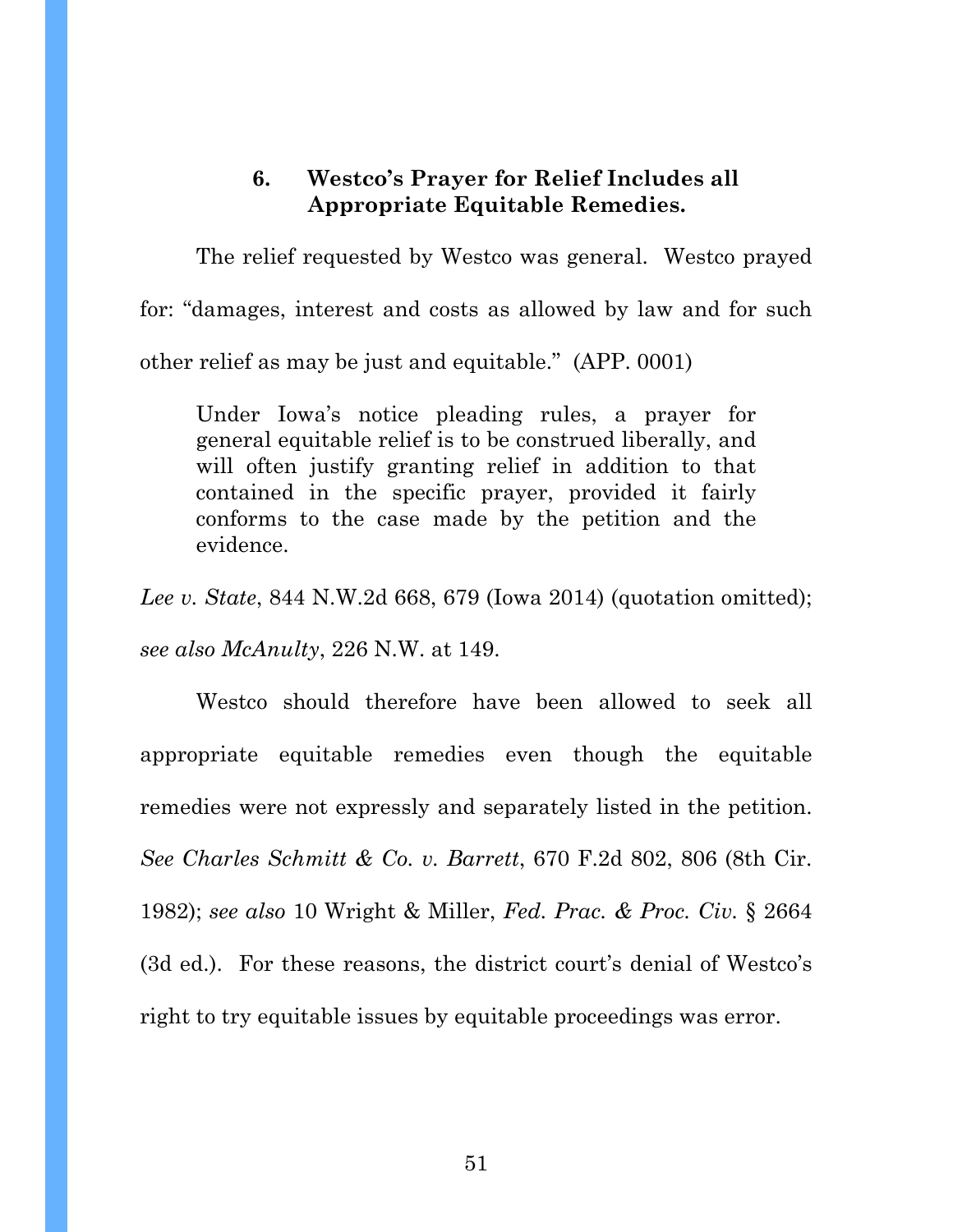# **6. Westco's Prayer for Relief Includes all Appropriate Equitable Remedies.**

The relief requested by Westco was general. Westco prayed for: "damages, interest and costs as allowed by law and for such other relief as may be just and equitable." (APP. 0001)

Under Iowa's notice pleading rules, a prayer for general equitable relief is to be construed liberally, and will often justify granting relief in addition to that contained in the specific prayer, provided it fairly conforms to the case made by the petition and the evidence.

*Lee v. State*, 844 N.W.2d 668, 679 (Iowa 2014) (quotation omitted); *see also McAnulty*, 226 N.W. at 149.

Westco should therefore have been allowed to seek all appropriate equitable remedies even though the equitable remedies were not expressly and separately listed in the petition. *See Charles Schmitt & Co. v. Barrett*, 670 F.2d 802, 806 (8th Cir. 1982); *see also* 10 Wright & Miller, *Fed. Prac. & Proc. Civ.* § 2664 (3d ed.). For these reasons, the district court's denial of Westco's right to try equitable issues by equitable proceedings was error.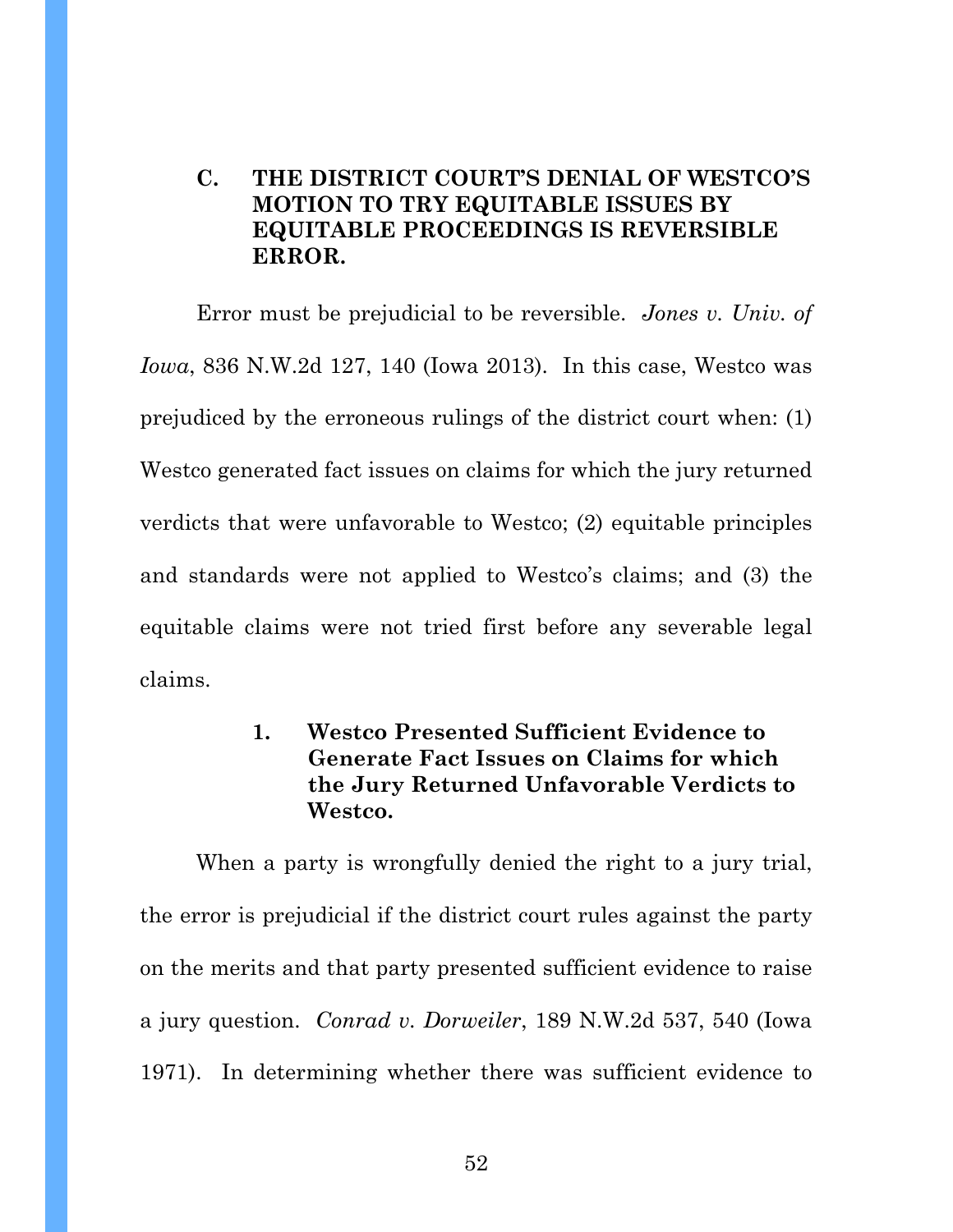# **C. THE DISTRICT COURT'S DENIAL OF WESTCO'S MOTION TO TRY EQUITABLE ISSUES BY EQUITABLE PROCEEDINGS IS REVERSIBLE ERROR.**

Error must be prejudicial to be reversible. *Jones v. Univ. of Iowa*, 836 N.W.2d 127, 140 (Iowa 2013). In this case, Westco was prejudiced by the erroneous rulings of the district court when: (1) Westco generated fact issues on claims for which the jury returned verdicts that were unfavorable to Westco; (2) equitable principles and standards were not applied to Westco's claims; and (3) the equitable claims were not tried first before any severable legal claims.

# **1. Westco Presented Sufficient Evidence to Generate Fact Issues on Claims for which the Jury Returned Unfavorable Verdicts to Westco.**

When a party is wrongfully denied the right to a jury trial, the error is prejudicial if the district court rules against the party on the merits and that party presented sufficient evidence to raise a jury question. *Conrad v. Dorweiler*, 189 N.W.2d 537, 540 (Iowa 1971). In determining whether there was sufficient evidence to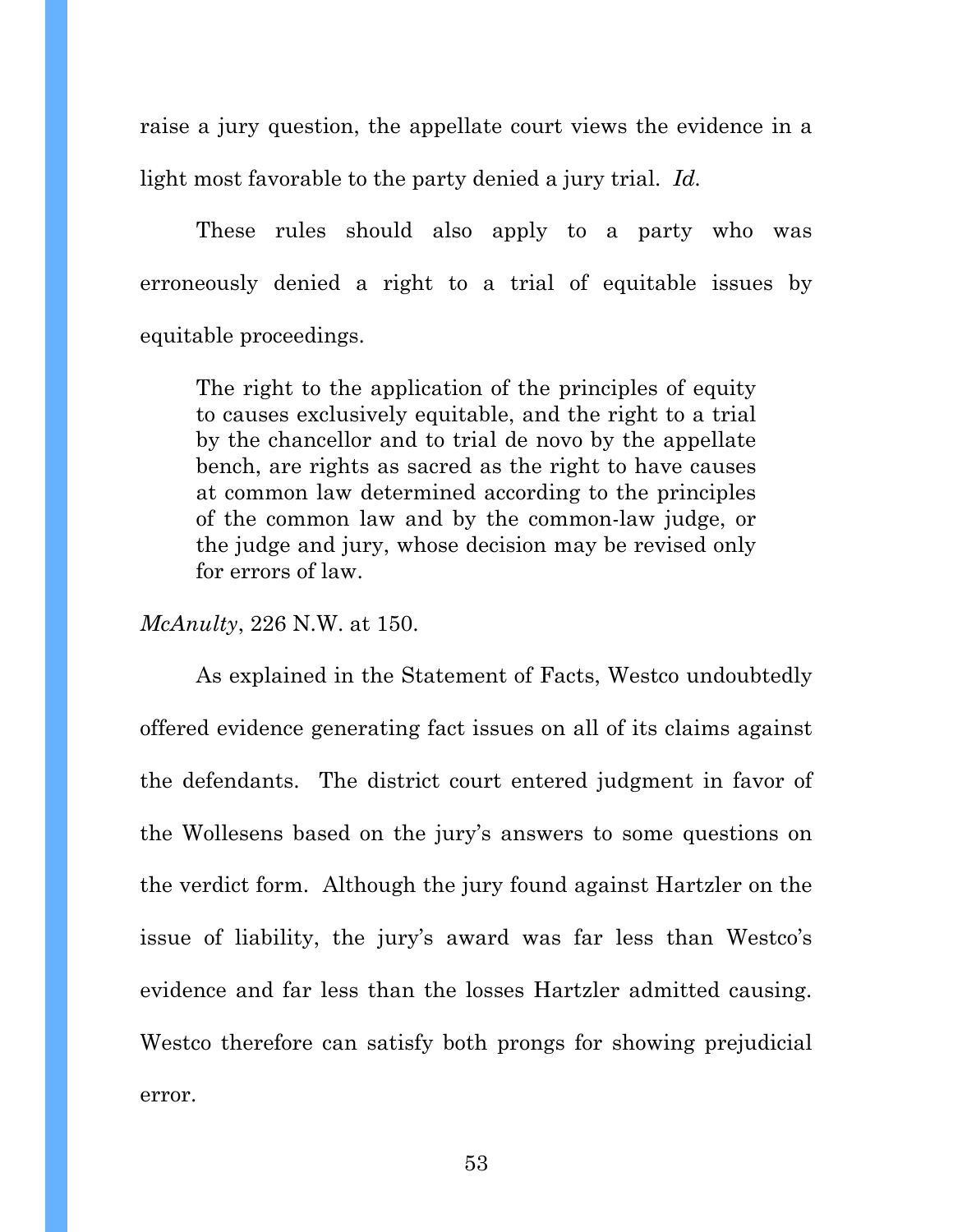raise a jury question, the appellate court views the evidence in a light most favorable to the party denied a jury trial. *Id.* 

These rules should also apply to a party who was erroneously denied a right to a trial of equitable issues by equitable proceedings.

The right to the application of the principles of equity to causes exclusively equitable, and the right to a trial by the chancellor and to trial de novo by the appellate bench, are rights as sacred as the right to have causes at common law determined according to the principles of the common law and by the common-law judge, or the judge and jury, whose decision may be revised only for errors of law.

*McAnulty*, 226 N.W. at 150.

As explained in the Statement of Facts, Westco undoubtedly offered evidence generating fact issues on all of its claims against the defendants. The district court entered judgment in favor of the Wollesens based on the jury's answers to some questions on the verdict form. Although the jury found against Hartzler on the issue of liability, the jury's award was far less than Westco's evidence and far less than the losses Hartzler admitted causing. Westco therefore can satisfy both prongs for showing prejudicial error.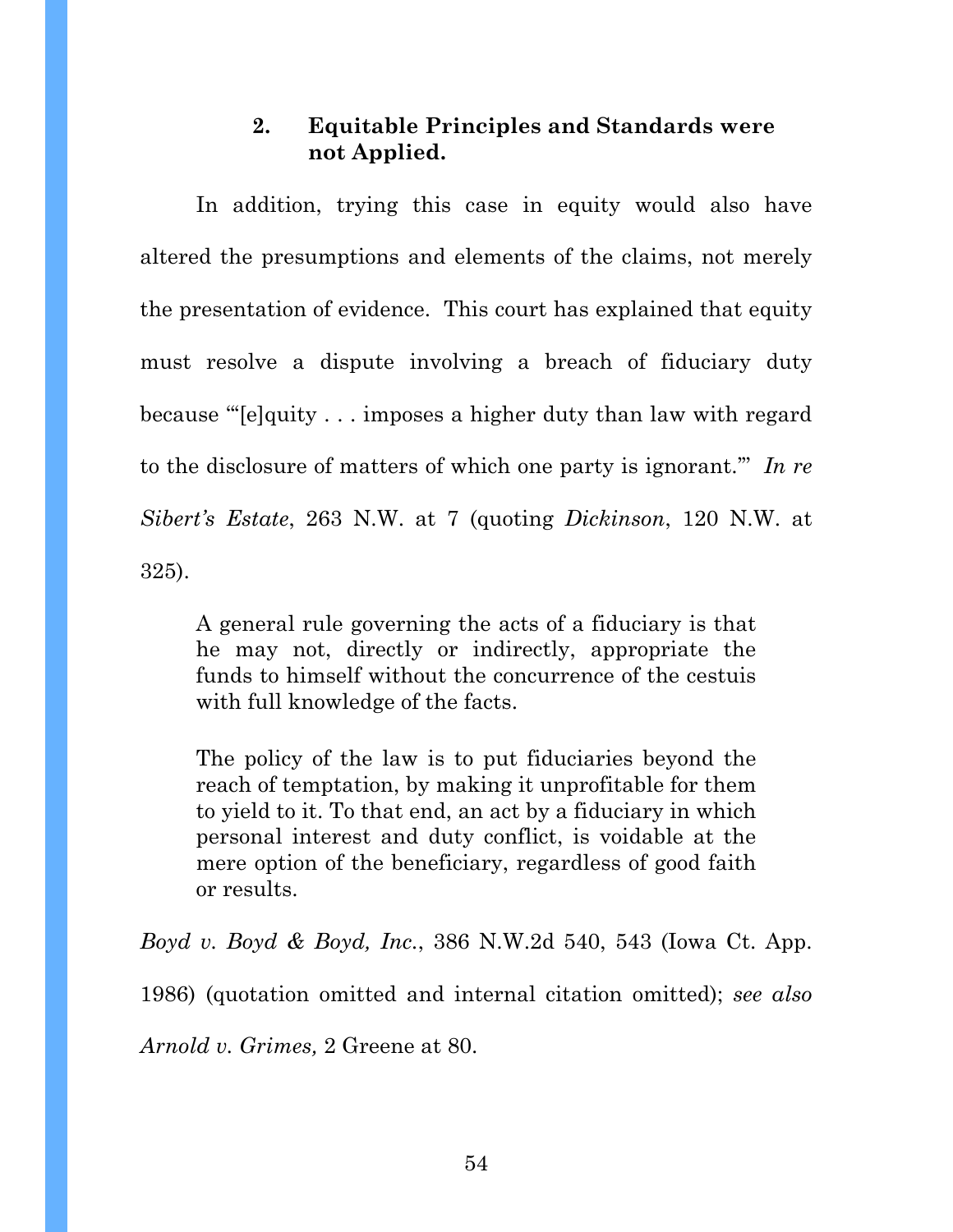# **2. Equitable Principles and Standards were not Applied.**

 In addition, trying this case in equity would also have altered the presumptions and elements of the claims, not merely the presentation of evidence. This court has explained that equity must resolve a dispute involving a breach of fiduciary duty because "'[e]quity . . . imposes a higher duty than law with regard to the disclosure of matters of which one party is ignorant.'" *In re Sibert's Estate*, 263 N.W. at 7 (quoting *Dickinson*, 120 N.W. at 325).

A general rule governing the acts of a fiduciary is that he may not, directly or indirectly, appropriate the funds to himself without the concurrence of the cestuis with full knowledge of the facts.

The policy of the law is to put fiduciaries beyond the reach of temptation, by making it unprofitable for them to yield to it. To that end, an act by a fiduciary in which personal interest and duty conflict, is voidable at the mere option of the beneficiary, regardless of good faith or results.

*Boyd v. Boyd & Boyd, Inc.*, 386 N.W.2d 540, 543 (Iowa Ct. App. 1986) (quotation omitted and internal citation omitted); *see also Arnold v. Grimes,* 2 Greene at 80.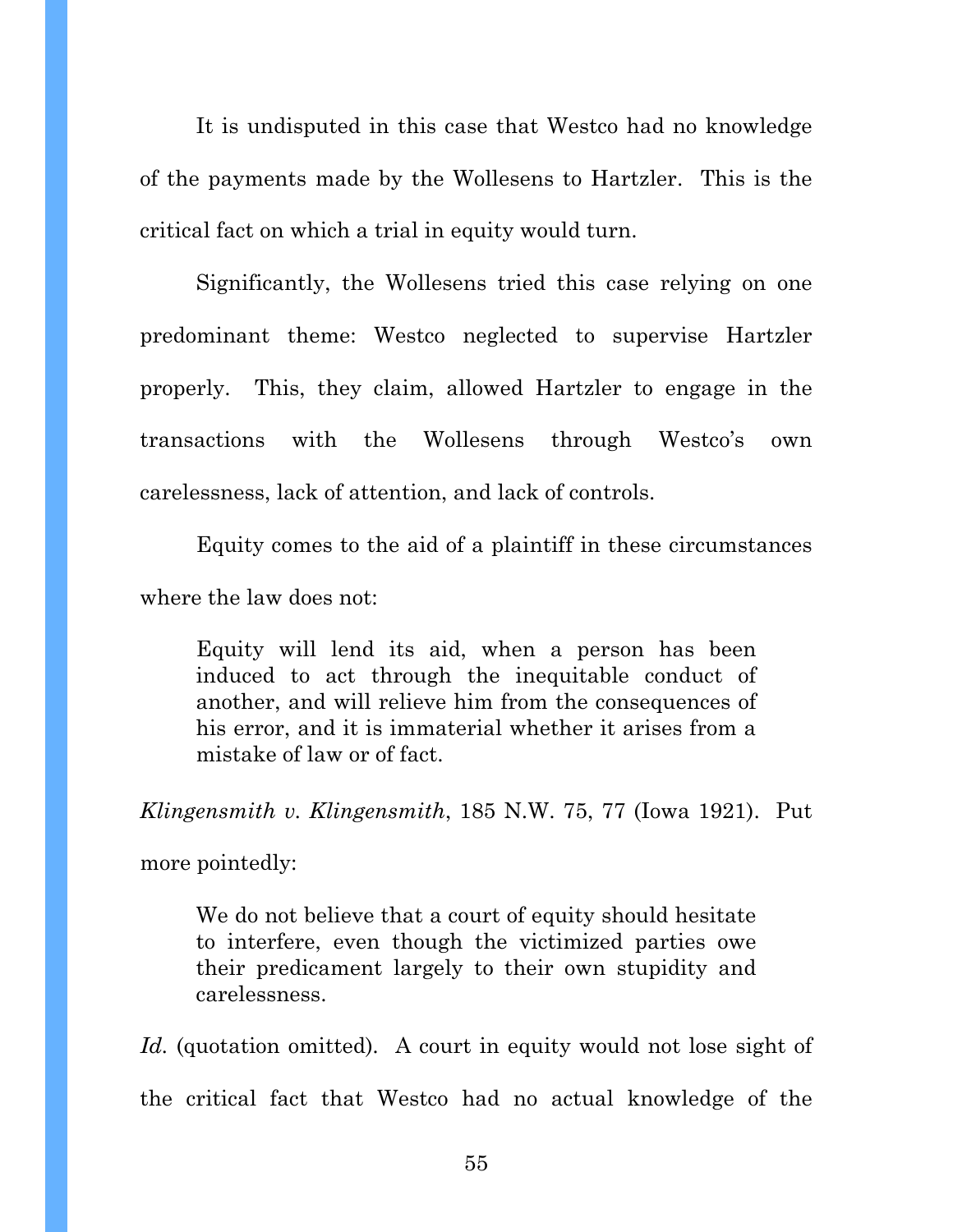It is undisputed in this case that Westco had no knowledge of the payments made by the Wollesens to Hartzler. This is the critical fact on which a trial in equity would turn.

Significantly, the Wollesens tried this case relying on one predominant theme: Westco neglected to supervise Hartzler properly. This, they claim, allowed Hartzler to engage in the transactions with the Wollesens through Westco's own carelessness, lack of attention, and lack of controls.

Equity comes to the aid of a plaintiff in these circumstances where the law does not:

Equity will lend its aid, when a person has been induced to act through the inequitable conduct of another, and will relieve him from the consequences of his error, and it is immaterial whether it arises from a mistake of law or of fact.

*Klingensmith v. Klingensmith*, 185 N.W. 75, 77 (Iowa 1921). Put

more pointedly:

We do not believe that a court of equity should hesitate to interfere, even though the victimized parties owe their predicament largely to their own stupidity and carelessness.

Id. (quotation omitted). A court in equity would not lose sight of the critical fact that Westco had no actual knowledge of the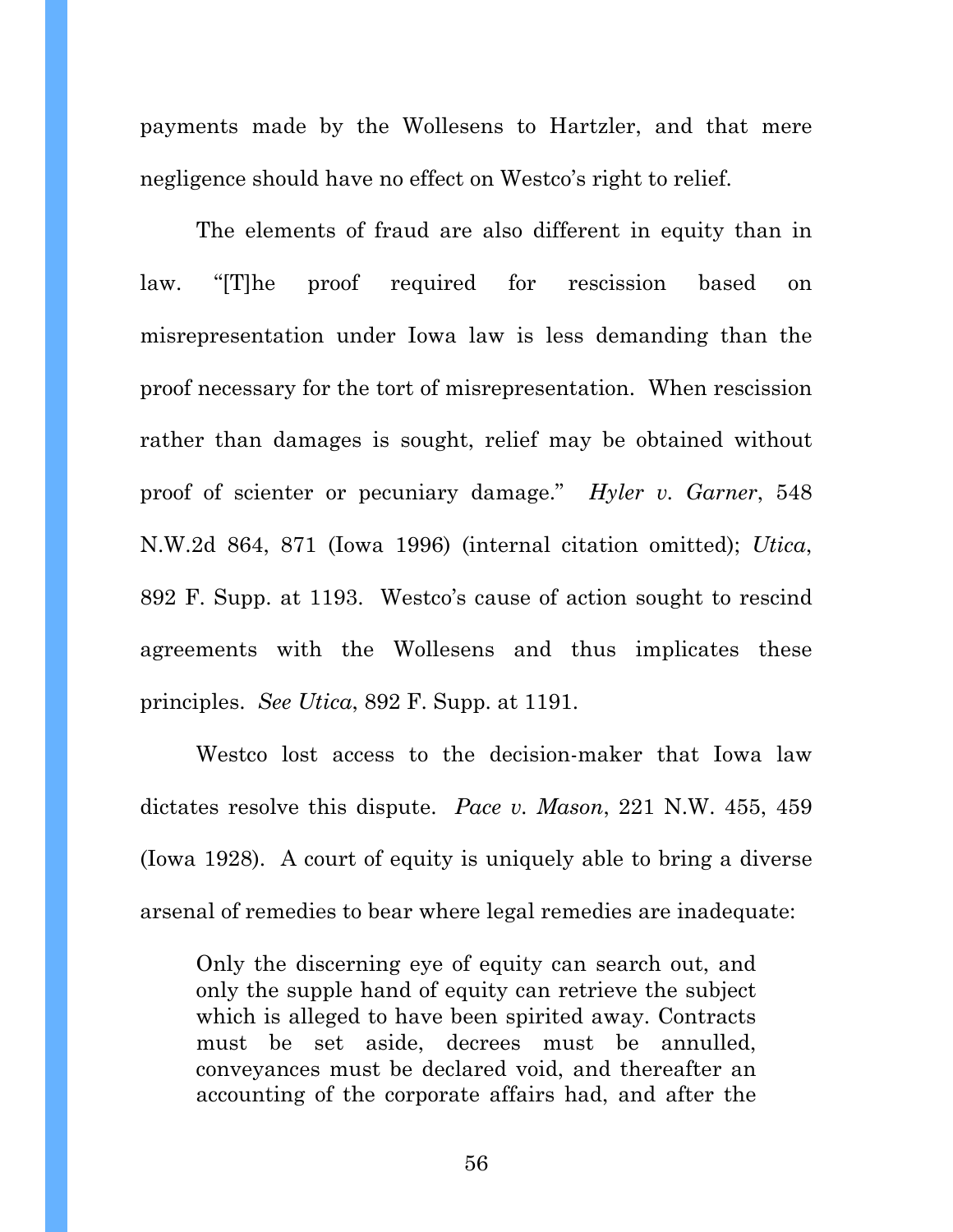payments made by the Wollesens to Hartzler, and that mere negligence should have no effect on Westco's right to relief.

The elements of fraud are also different in equity than in law. "[T]he proof required for rescission based on misrepresentation under Iowa law is less demanding than the proof necessary for the tort of misrepresentation. When rescission rather than damages is sought, relief may be obtained without proof of scienter or pecuniary damage." *Hyler v. Garner*, 548 N.W.2d 864, 871 (Iowa 1996) (internal citation omitted); *Utica*, 892 F. Supp. at 1193. Westco's cause of action sought to rescind agreements with the Wollesens and thus implicates these principles. *See Utica*, 892 F. Supp. at 1191.

Westco lost access to the decision-maker that Iowa law dictates resolve this dispute. *Pace v. Mason*, 221 N.W. 455, 459 (Iowa 1928). A court of equity is uniquely able to bring a diverse arsenal of remedies to bear where legal remedies are inadequate:

Only the discerning eye of equity can search out, and only the supple hand of equity can retrieve the subject which is alleged to have been spirited away. Contracts must be set aside, decrees must be annulled, conveyances must be declared void, and thereafter an accounting of the corporate affairs had, and after the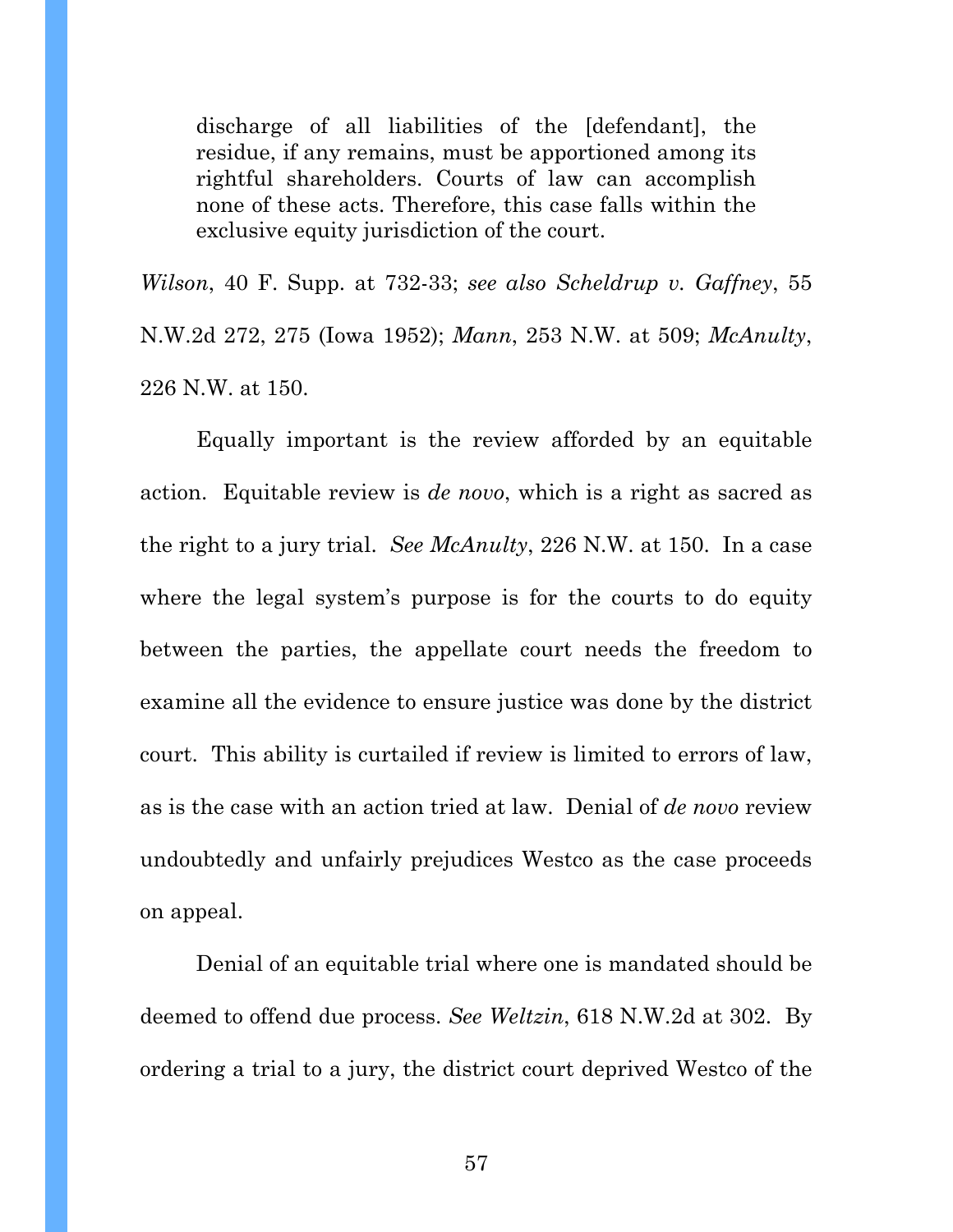discharge of all liabilities of the [defendant], the residue, if any remains, must be apportioned among its rightful shareholders. Courts of law can accomplish none of these acts. Therefore, this case falls within the exclusive equity jurisdiction of the court.

*Wilson*, 40 F. Supp. at 732-33; *see also Scheldrup v. Gaffney*, 55 N.W.2d 272, 275 (Iowa 1952); *Mann*, 253 N.W. at 509; *McAnulty*, 226 N.W. at 150.

Equally important is the review afforded by an equitable action. Equitable review is *de novo*, which is a right as sacred as the right to a jury trial. *See McAnulty*, 226 N.W. at 150. In a case where the legal system's purpose is for the courts to do equity between the parties, the appellate court needs the freedom to examine all the evidence to ensure justice was done by the district court. This ability is curtailed if review is limited to errors of law, as is the case with an action tried at law. Denial of *de novo* review undoubtedly and unfairly prejudices Westco as the case proceeds on appeal.

Denial of an equitable trial where one is mandated should be deemed to offend due process. *See Weltzin*, 618 N.W.2d at 302. By ordering a trial to a jury, the district court deprived Westco of the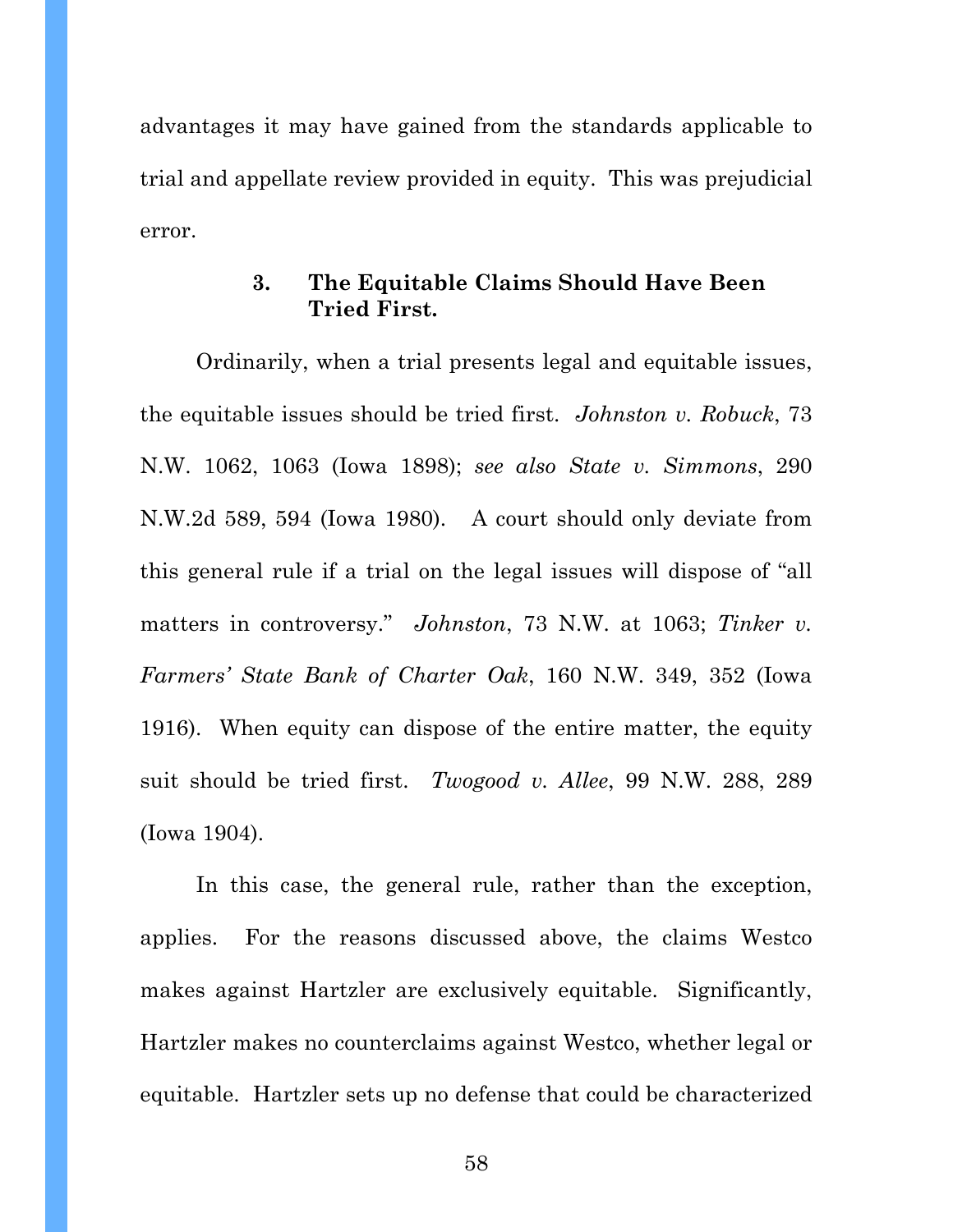advantages it may have gained from the standards applicable to trial and appellate review provided in equity. This was prejudicial error.

# **3. The Equitable Claims Should Have Been Tried First.**

Ordinarily, when a trial presents legal and equitable issues, the equitable issues should be tried first. *Johnston v. Robuck*, 73 N.W. 1062, 1063 (Iowa 1898); *see also State v. Simmons*, 290 N.W.2d 589, 594 (Iowa 1980). A court should only deviate from this general rule if a trial on the legal issues will dispose of "all matters in controversy." *Johnston*, 73 N.W. at 1063; *Tinker v. Farmers' State Bank of Charter Oak*, 160 N.W. 349, 352 (Iowa 1916). When equity can dispose of the entire matter, the equity suit should be tried first. *Twogood v. Allee*, 99 N.W. 288, 289 (Iowa 1904).

In this case, the general rule, rather than the exception, applies. For the reasons discussed above, the claims Westco makes against Hartzler are exclusively equitable. Significantly, Hartzler makes no counterclaims against Westco, whether legal or equitable. Hartzler sets up no defense that could be characterized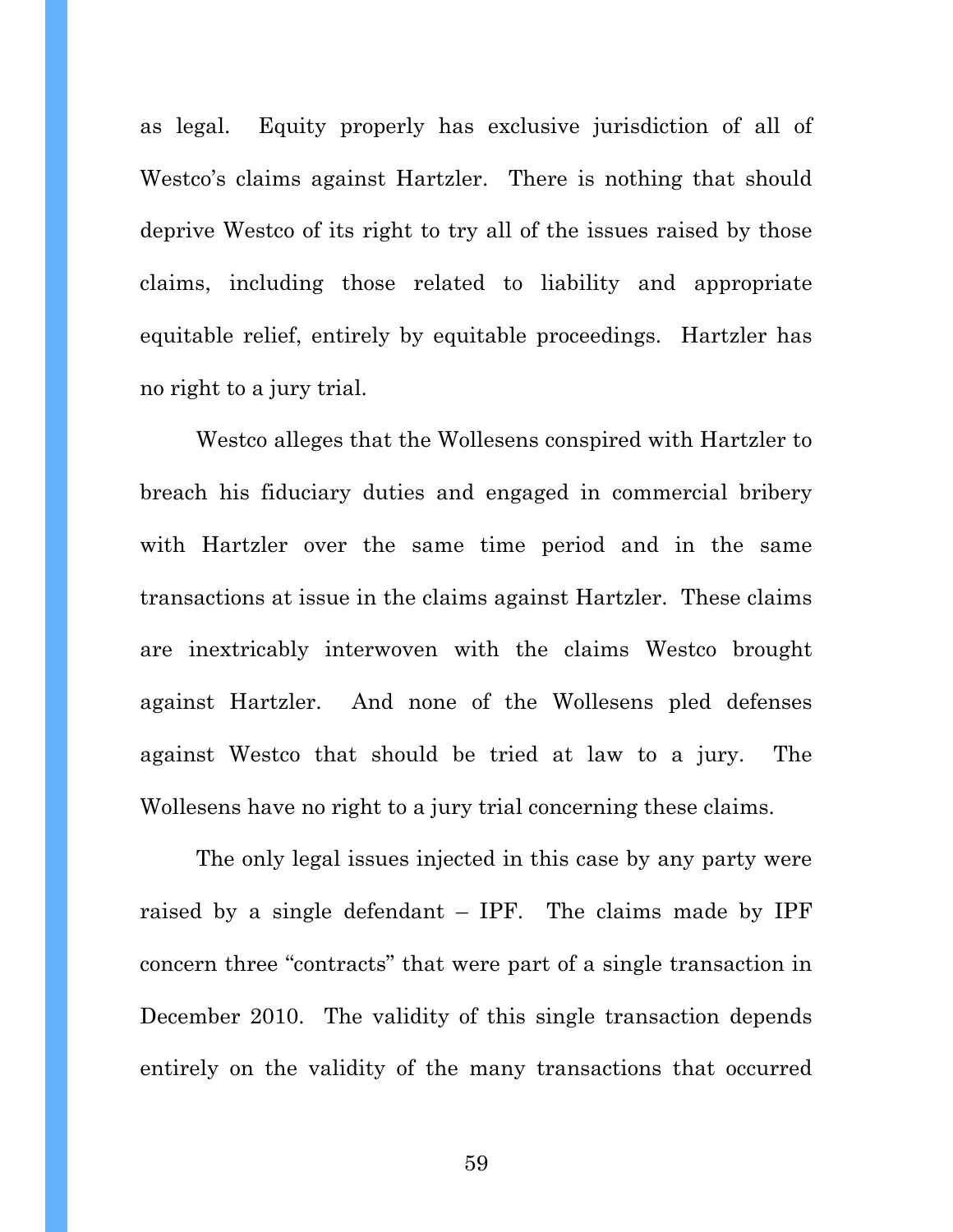as legal. Equity properly has exclusive jurisdiction of all of Westco's claims against Hartzler. There is nothing that should deprive Westco of its right to try all of the issues raised by those claims, including those related to liability and appropriate equitable relief, entirely by equitable proceedings. Hartzler has no right to a jury trial.

Westco alleges that the Wollesens conspired with Hartzler to breach his fiduciary duties and engaged in commercial bribery with Hartzler over the same time period and in the same transactions at issue in the claims against Hartzler. These claims are inextricably interwoven with the claims Westco brought against Hartzler. And none of the Wollesens pled defenses against Westco that should be tried at law to a jury. The Wollesens have no right to a jury trial concerning these claims.

The only legal issues injected in this case by any party were raised by a single defendant  $-$  IPF. The claims made by IPF concern three "contracts" that were part of a single transaction in December 2010. The validity of this single transaction depends entirely on the validity of the many transactions that occurred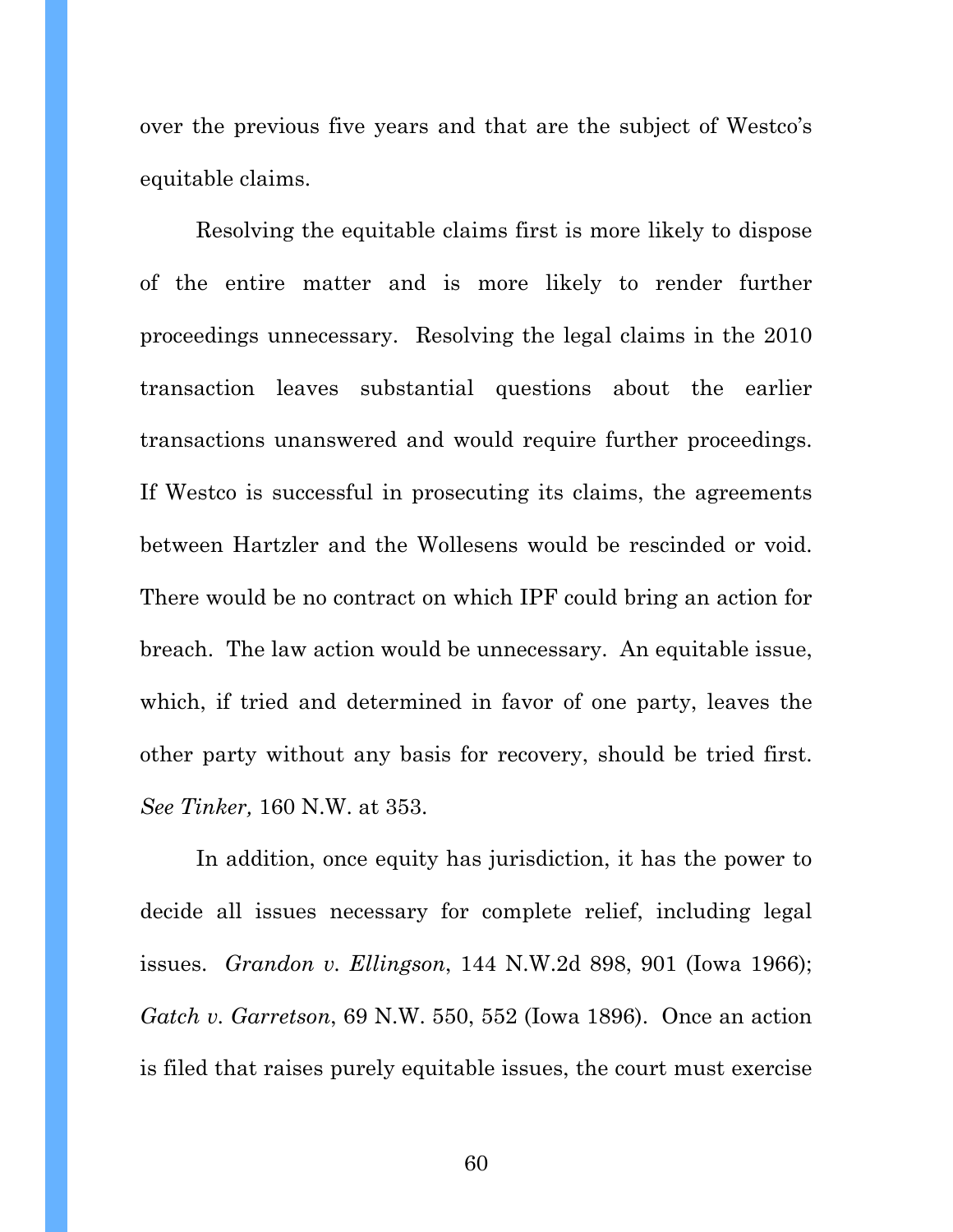over the previous five years and that are the subject of Westco's equitable claims.

Resolving the equitable claims first is more likely to dispose of the entire matter and is more likely to render further proceedings unnecessary. Resolving the legal claims in the 2010 transaction leaves substantial questions about the earlier transactions unanswered and would require further proceedings. If Westco is successful in prosecuting its claims, the agreements between Hartzler and the Wollesens would be rescinded or void. There would be no contract on which IPF could bring an action for breach. The law action would be unnecessary. An equitable issue, which, if tried and determined in favor of one party, leaves the other party without any basis for recovery, should be tried first. *See Tinker,* 160 N.W. at 353.

In addition, once equity has jurisdiction, it has the power to decide all issues necessary for complete relief, including legal issues. *Grandon v. Ellingson*, 144 N.W.2d 898, 901 (Iowa 1966); *Gatch v. Garretson*, 69 N.W. 550, 552 (Iowa 1896). Once an action is filed that raises purely equitable issues, the court must exercise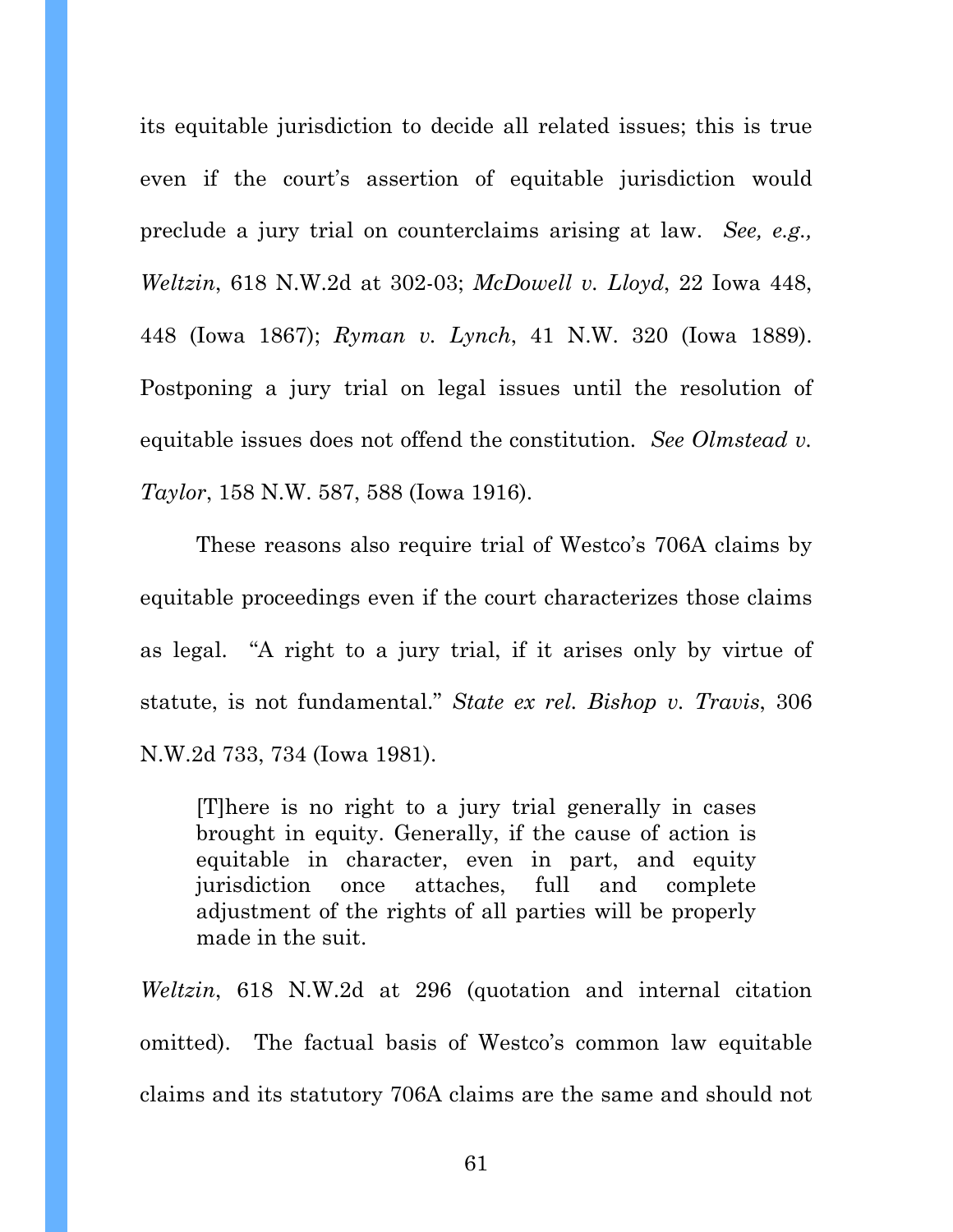its equitable jurisdiction to decide all related issues; this is true even if the court's assertion of equitable jurisdiction would preclude a jury trial on counterclaims arising at law. *See, e.g., Weltzin*, 618 N.W.2d at 302-03; *McDowell v. Lloyd*, 22 Iowa 448, 448 (Iowa 1867); *Ryman v. Lynch*, 41 N.W. 320 (Iowa 1889). Postponing a jury trial on legal issues until the resolution of equitable issues does not offend the constitution. *See Olmstead v. Taylor*, 158 N.W. 587, 588 (Iowa 1916).

These reasons also require trial of Westco's 706A claims by equitable proceedings even if the court characterizes those claims as legal. "A right to a jury trial, if it arises only by virtue of statute, is not fundamental." *State ex rel. Bishop v. Travis*, 306 N.W.2d 733, 734 (Iowa 1981).

[T]here is no right to a jury trial generally in cases brought in equity. Generally, if the cause of action is equitable in character, even in part, and equity jurisdiction once attaches, full and complete adjustment of the rights of all parties will be properly made in the suit.

*Weltzin*, 618 N.W.2d at 296 (quotation and internal citation omitted). The factual basis of Westco's common law equitable claims and its statutory 706A claims are the same and should not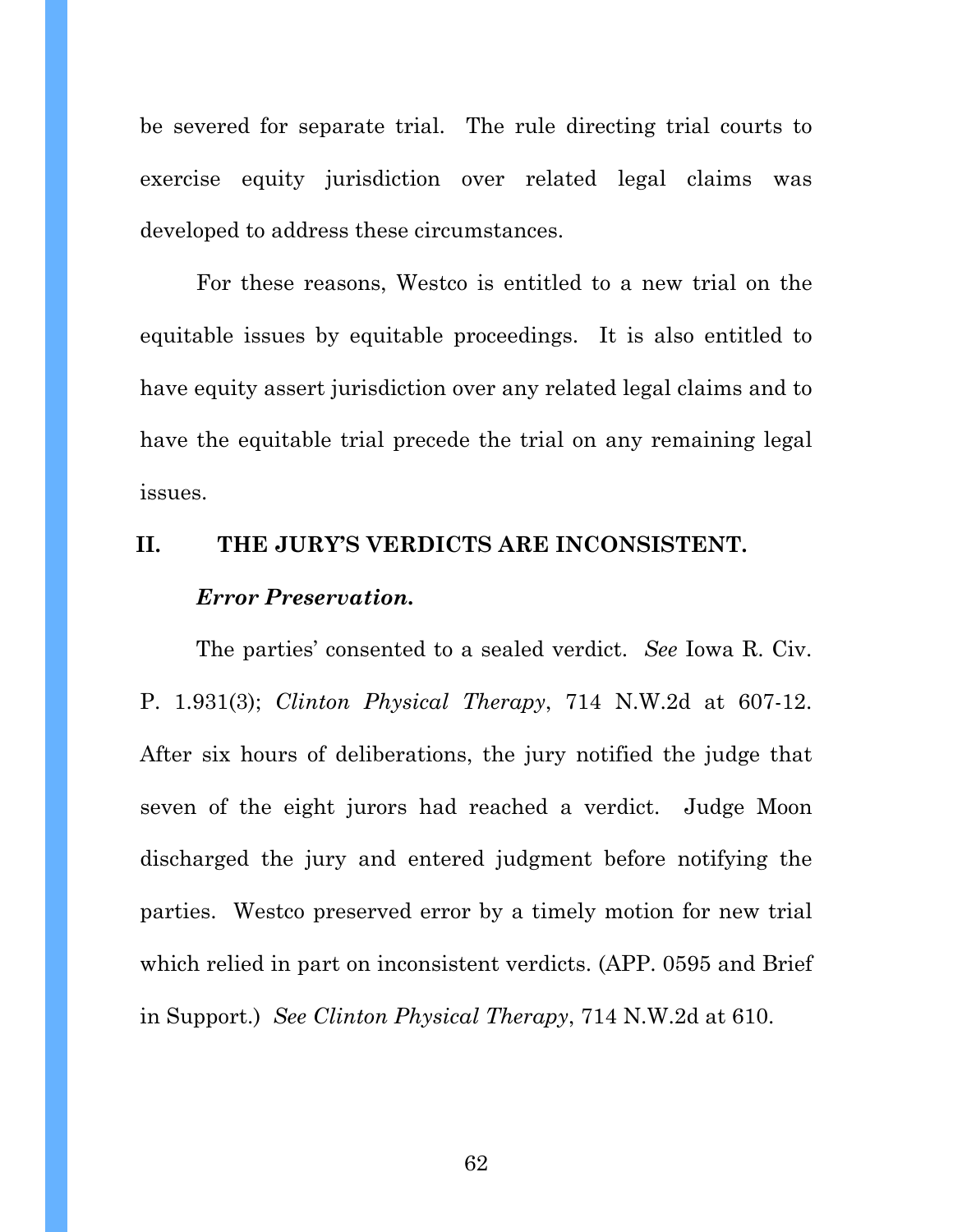be severed for separate trial. The rule directing trial courts to exercise equity jurisdiction over related legal claims was developed to address these circumstances.

For these reasons, Westco is entitled to a new trial on the equitable issues by equitable proceedings. It is also entitled to have equity assert jurisdiction over any related legal claims and to have the equitable trial precede the trial on any remaining legal issues.

# **II. THE JURY'S VERDICTS ARE INCONSISTENT.**  *Error Preservation.*

The parties' consented to a sealed verdict. *See* Iowa R. Civ. P. 1.931(3); *Clinton Physical Therapy*, 714 N.W.2d at 607-12. After six hours of deliberations, the jury notified the judge that seven of the eight jurors had reached a verdict. Judge Moon discharged the jury and entered judgment before notifying the parties. Westco preserved error by a timely motion for new trial which relied in part on inconsistent verdicts. (APP. 0595 and Brief in Support.) *See Clinton Physical Therapy*, 714 N.W.2d at 610.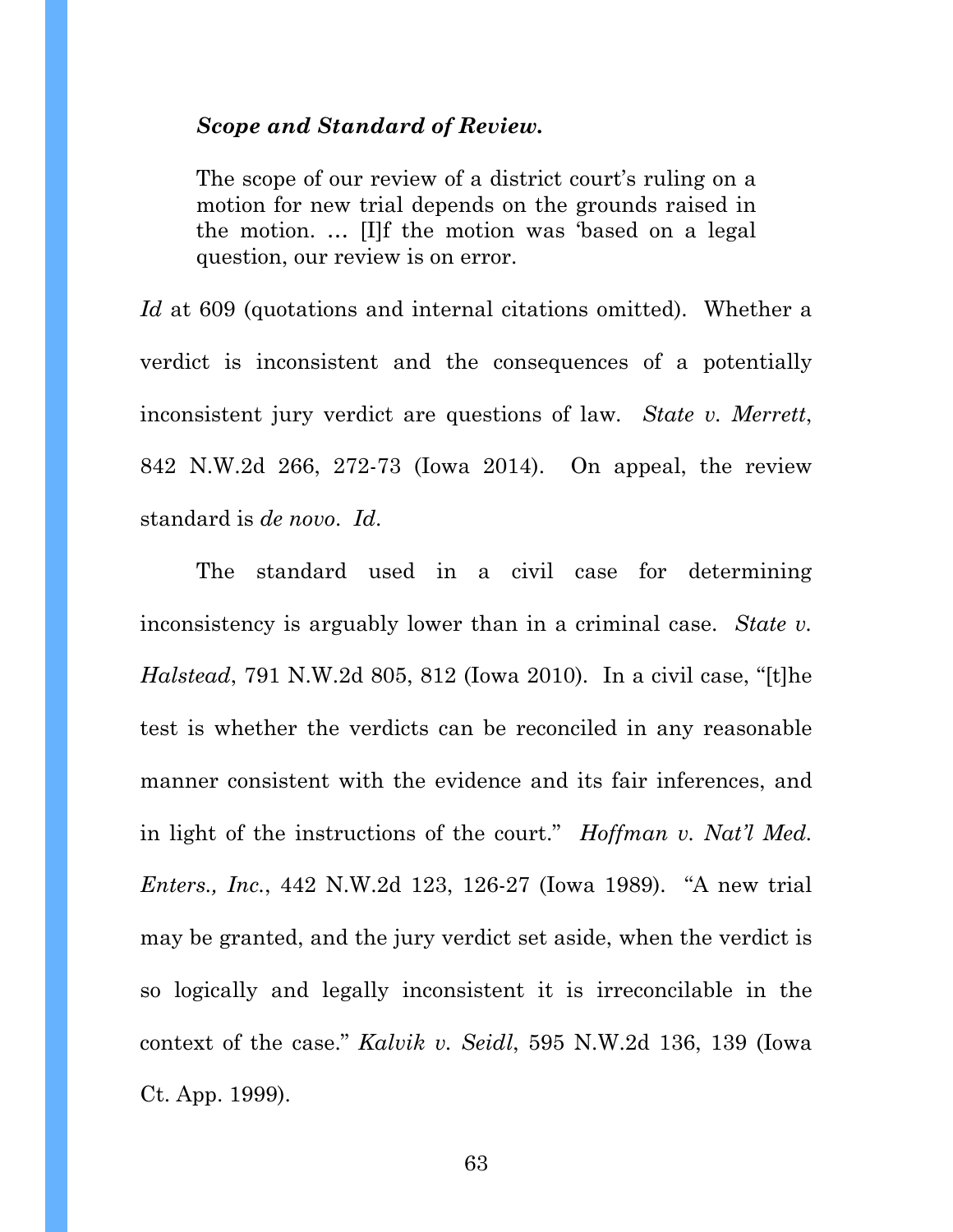### *Scope and Standard of Review.*

The scope of our review of a district court's ruling on a motion for new trial depends on the grounds raised in the motion. … [I]f the motion was 'based on a legal question, our review is on error.

*Id* at 609 (quotations and internal citations omitted). Whether a verdict is inconsistent and the consequences of a potentially inconsistent jury verdict are questions of law*. State v. Merrett*, 842 N.W.2d 266, 272-73 (Iowa 2014). On appeal, the review standard is *de novo*. *Id*.

The standard used in a civil case for determining inconsistency is arguably lower than in a criminal case. *State v. Halstead*, 791 N.W.2d 805, 812 (Iowa 2010). In a civil case, "[t]he test is whether the verdicts can be reconciled in any reasonable manner consistent with the evidence and its fair inferences, and in light of the instructions of the court." *Hoffman v. Nat'l Med. Enters., Inc.*, 442 N.W.2d 123, 126-27 (Iowa 1989). "A new trial may be granted, and the jury verdict set aside, when the verdict is so logically and legally inconsistent it is irreconcilable in the context of the case." *Kalvik v. Seidl*, 595 N.W.2d 136, 139 (Iowa Ct. App. 1999).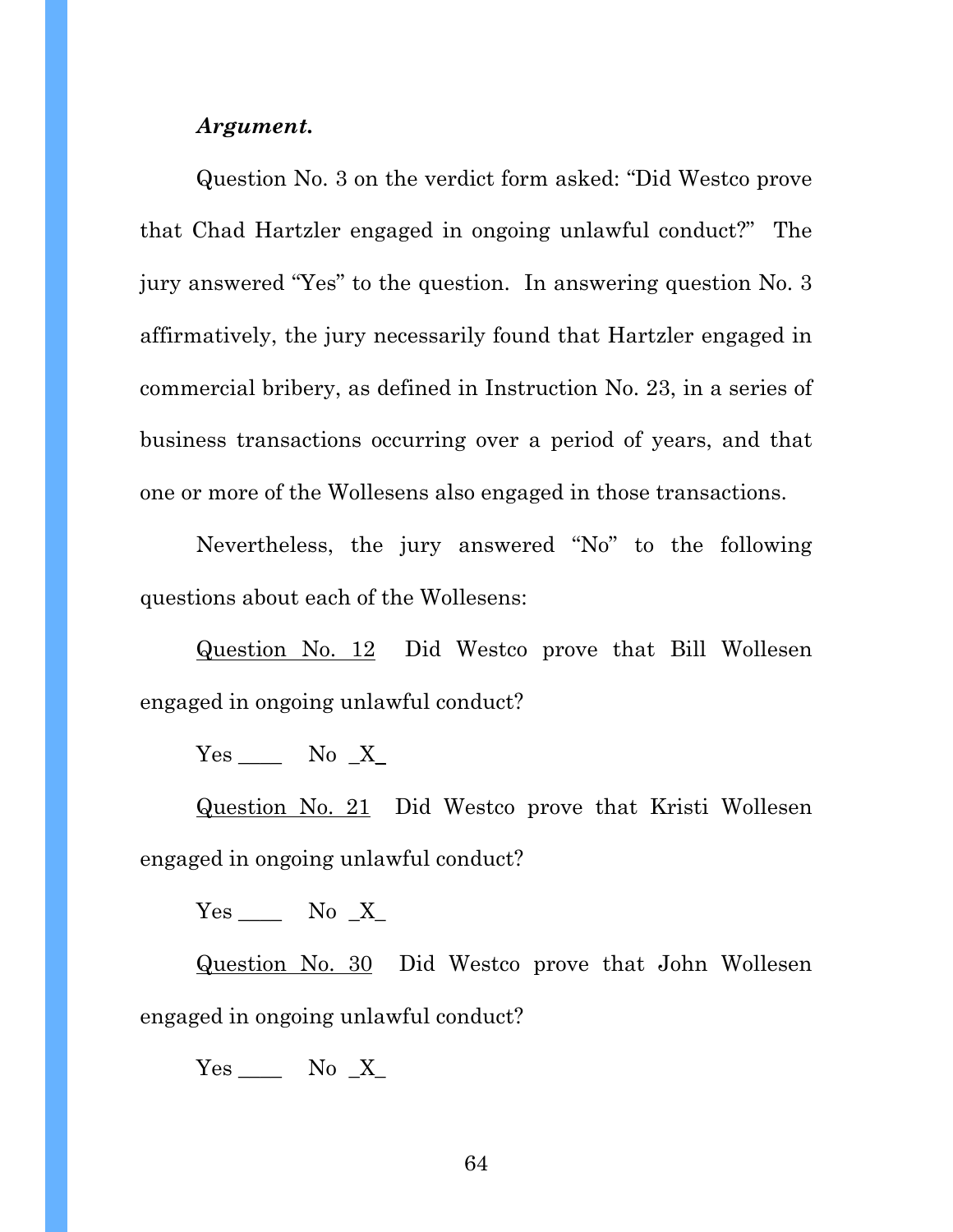#### *Argument.*

Question No. 3 on the verdict form asked: "Did Westco prove that Chad Hartzler engaged in ongoing unlawful conduct?" The jury answered "Yes" to the question. In answering question No. 3 affirmatively, the jury necessarily found that Hartzler engaged in commercial bribery, as defined in Instruction No. 23, in a series of business transactions occurring over a period of years, and that one or more of the Wollesens also engaged in those transactions.

Nevertheless, the jury answered "No" to the following questions about each of the Wollesens:

Question No. 12 Did Westco prove that Bill Wollesen engaged in ongoing unlawful conduct?

 $Yes$  No  $X$ 

Question No. 21 Did Westco prove that Kristi Wollesen engaged in ongoing unlawful conduct?

 $Yes$  No  $X$ 

Question No. 30 Did Westco prove that John Wollesen engaged in ongoing unlawful conduct?

 $Yes$  No  $X$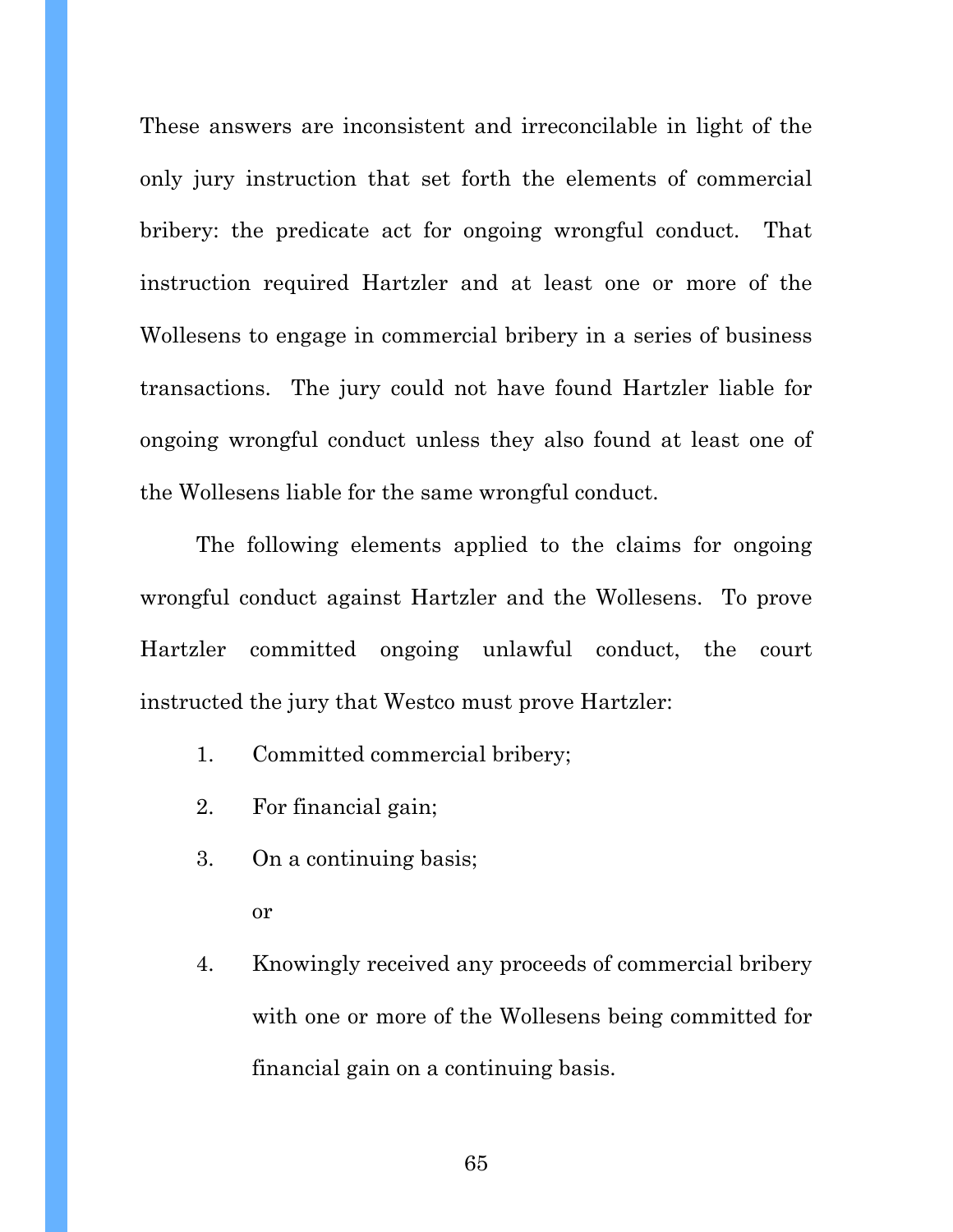These answers are inconsistent and irreconcilable in light of the only jury instruction that set forth the elements of commercial bribery: the predicate act for ongoing wrongful conduct. That instruction required Hartzler and at least one or more of the Wollesens to engage in commercial bribery in a series of business transactions. The jury could not have found Hartzler liable for ongoing wrongful conduct unless they also found at least one of the Wollesens liable for the same wrongful conduct.

The following elements applied to the claims for ongoing wrongful conduct against Hartzler and the Wollesens. To prove Hartzler committed ongoing unlawful conduct, the court instructed the jury that Westco must prove Hartzler:

- 1. Committed commercial bribery;
- 2. For financial gain;
- 3. On a continuing basis;

or

4. Knowingly received any proceeds of commercial bribery with one or more of the Wollesens being committed for financial gain on a continuing basis.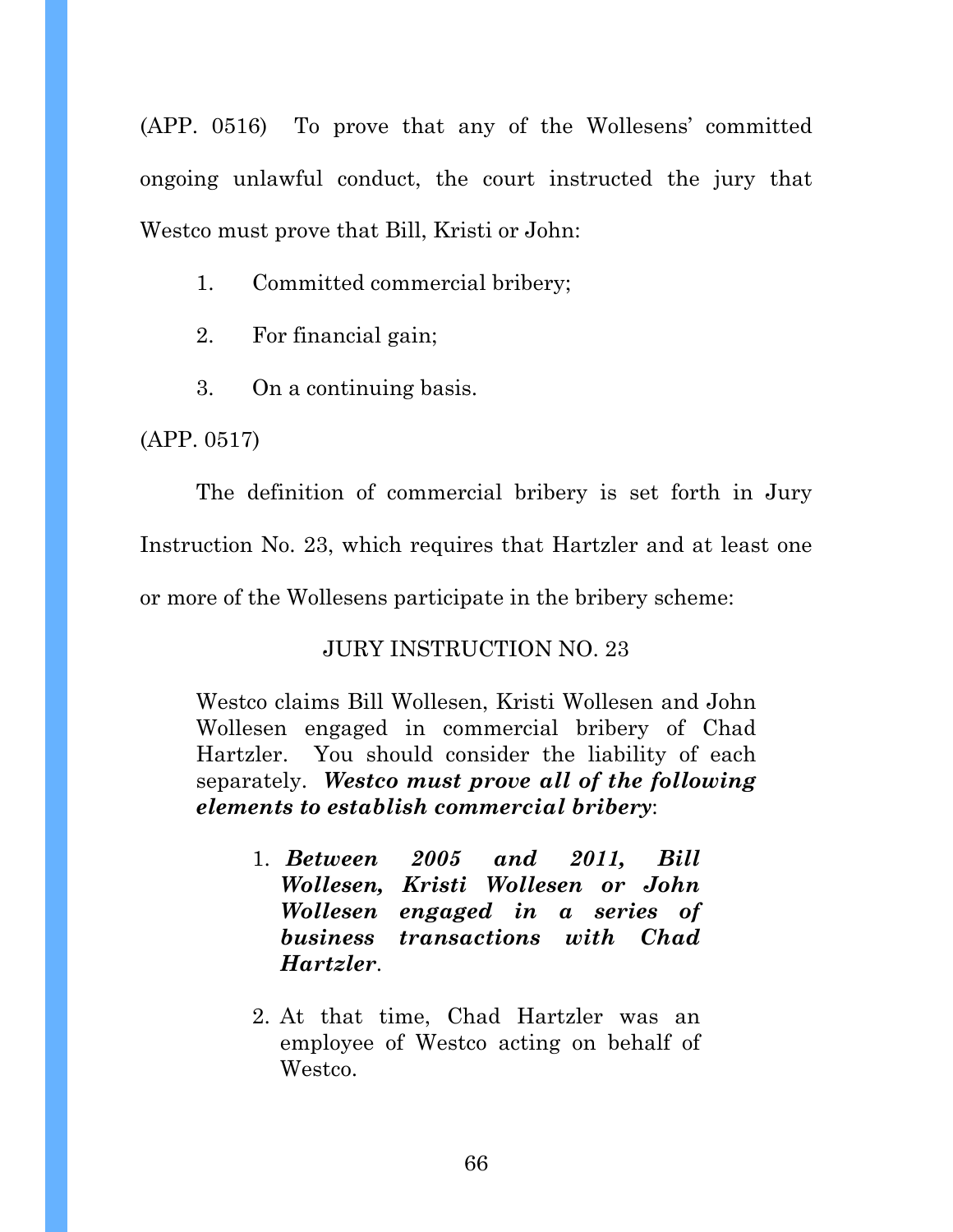(APP. 0516) To prove that any of the Wollesens' committed ongoing unlawful conduct, the court instructed the jury that Westco must prove that Bill, Kristi or John:

- 1. Committed commercial bribery;
- 2. For financial gain;
- 3. On a continuing basis.

(APP. 0517)

The definition of commercial bribery is set forth in Jury Instruction No. 23, which requires that Hartzler and at least one or more of the Wollesens participate in the bribery scheme:

# JURY INSTRUCTION NO. 23

Westco claims Bill Wollesen, Kristi Wollesen and John Wollesen engaged in commercial bribery of Chad Hartzler. You should consider the liability of each separately. *Westco must prove all of the following elements to establish commercial bribery*:

- 1. *Between 2005 and 2011, Bill Wollesen, Kristi Wollesen or John Wollesen engaged in a series of business transactions with Chad Hartzler*.
- 2. At that time, Chad Hartzler was an employee of Westco acting on behalf of Westco.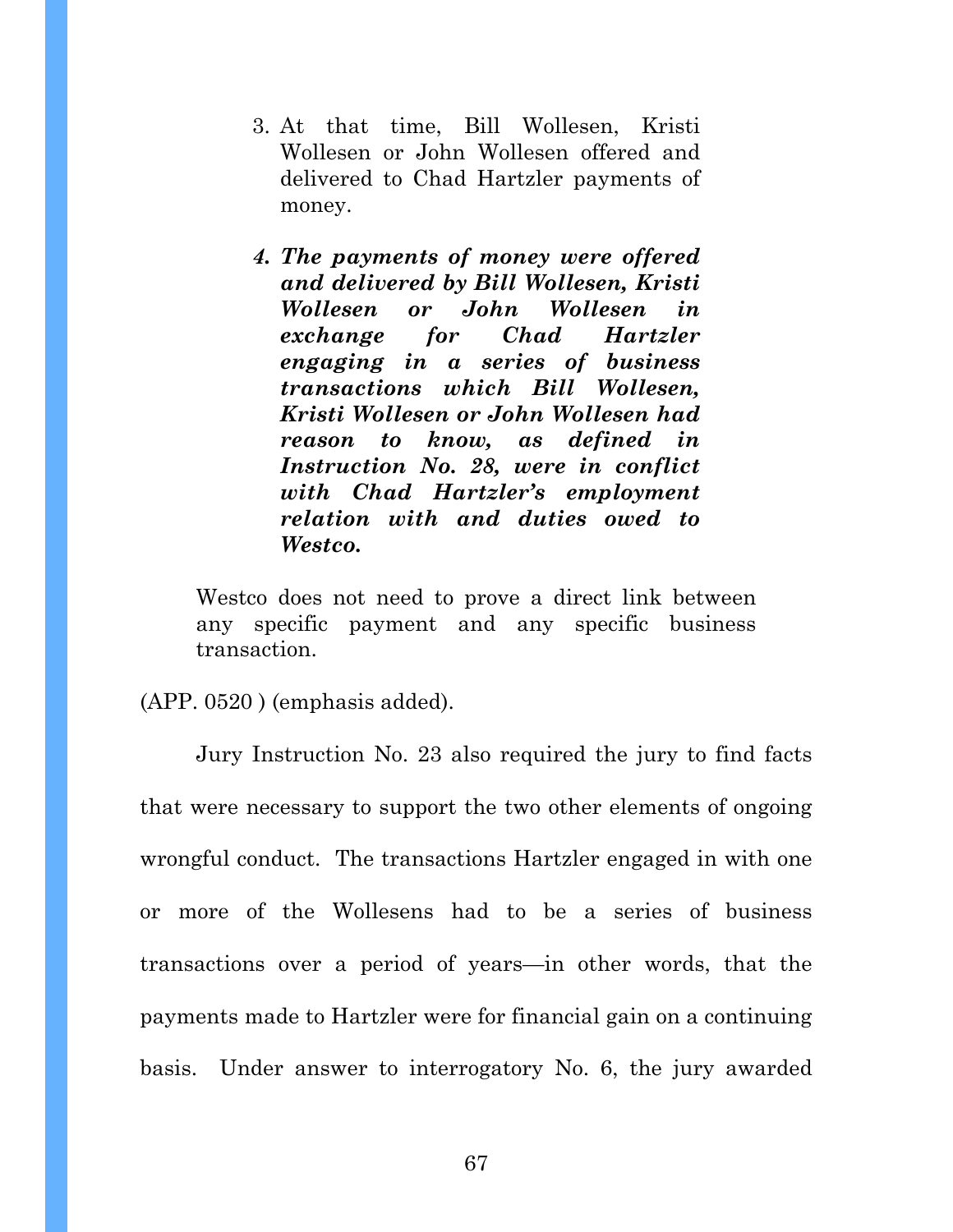- 3. At that time, Bill Wollesen, Kristi Wollesen or John Wollesen offered and delivered to Chad Hartzler payments of money.
- *4. The payments of money were offered and delivered by Bill Wollesen, Kristi Wollesen or John Wollesen in exchange for Chad Hartzler engaging in a series of business transactions which Bill Wollesen, Kristi Wollesen or John Wollesen had reason to know, as defined in Instruction No. 28, were in conflict with Chad Hartzler's employment relation with and duties owed to Westco.*

Westco does not need to prove a direct link between any specific payment and any specific business transaction.

#### (APP. 0520 ) (emphasis added).

 Jury Instruction No. 23 also required the jury to find facts that were necessary to support the two other elements of ongoing wrongful conduct. The transactions Hartzler engaged in with one or more of the Wollesens had to be a series of business transactions over a period of years—in other words, that the payments made to Hartzler were for financial gain on a continuing basis. Under answer to interrogatory No. 6, the jury awarded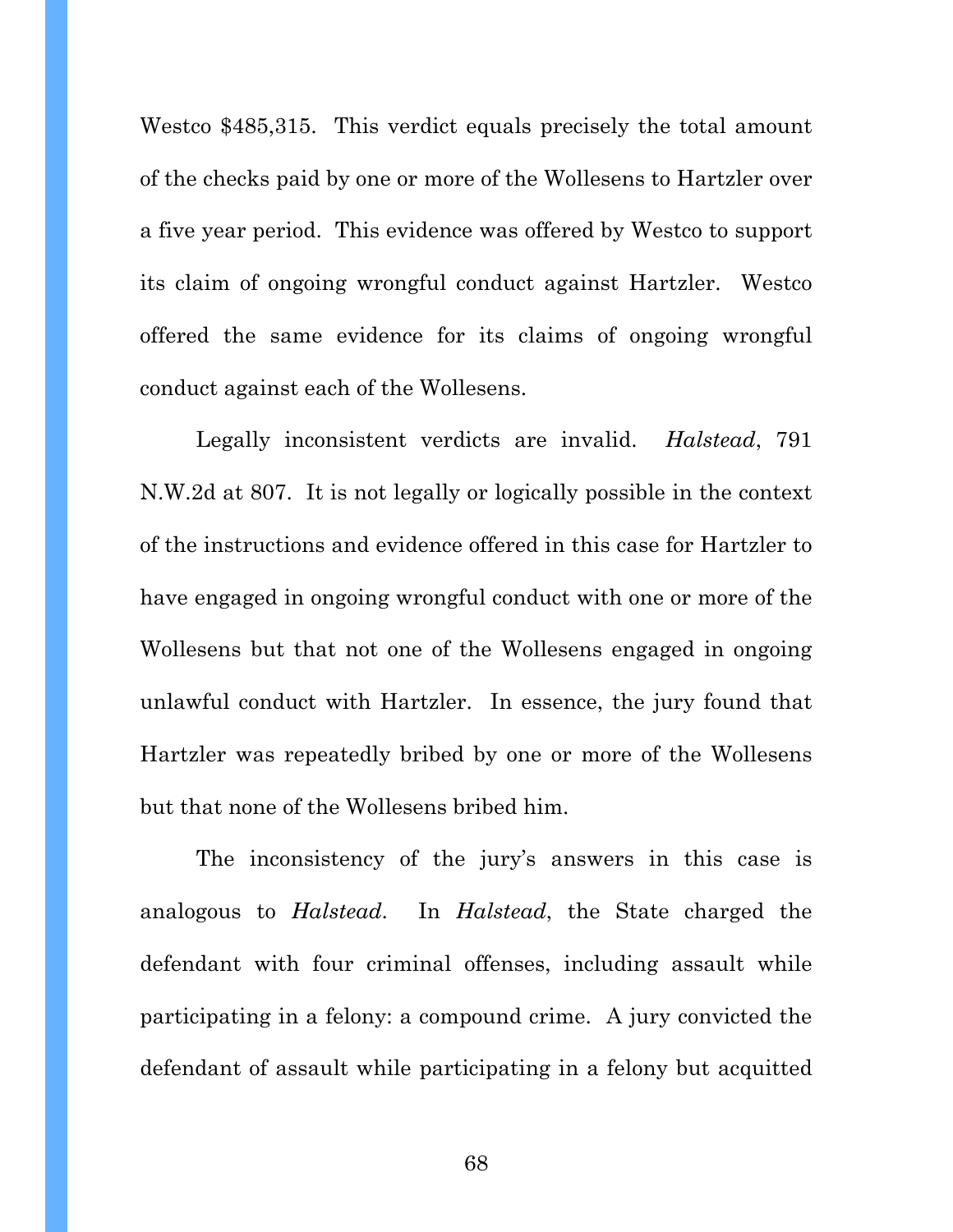Westco \$485,315. This verdict equals precisely the total amount of the checks paid by one or more of the Wollesens to Hartzler over a five year period. This evidence was offered by Westco to support its claim of ongoing wrongful conduct against Hartzler. Westco offered the same evidence for its claims of ongoing wrongful conduct against each of the Wollesens.

Legally inconsistent verdicts are invalid. *Halstead*, 791 N.W.2d at 807. It is not legally or logically possible in the context of the instructions and evidence offered in this case for Hartzler to have engaged in ongoing wrongful conduct with one or more of the Wollesens but that not one of the Wollesens engaged in ongoing unlawful conduct with Hartzler. In essence, the jury found that Hartzler was repeatedly bribed by one or more of the Wollesens but that none of the Wollesens bribed him.

 The inconsistency of the jury's answers in this case is analogous to *Halstead*. In *Halstead*, the State charged the defendant with four criminal offenses, including assault while participating in a felony: a compound crime. A jury convicted the defendant of assault while participating in a felony but acquitted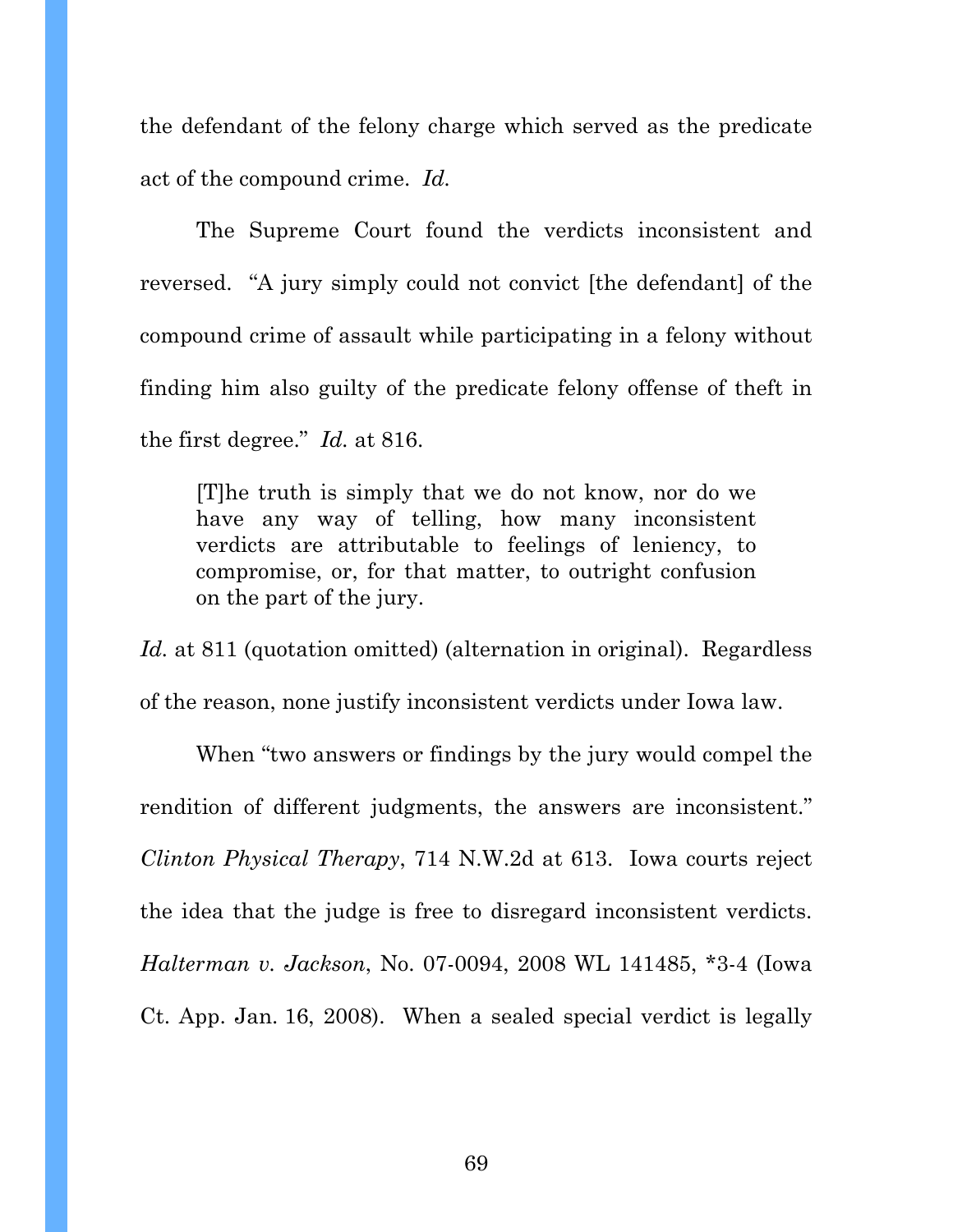the defendant of the felony charge which served as the predicate act of the compound crime. *Id.*

 The Supreme Court found the verdicts inconsistent and reversed. "A jury simply could not convict [the defendant] of the compound crime of assault while participating in a felony without finding him also guilty of the predicate felony offense of theft in the first degree." *Id.* at 816.

[T]he truth is simply that we do not know, nor do we have any way of telling, how many inconsistent verdicts are attributable to feelings of leniency, to compromise, or, for that matter, to outright confusion on the part of the jury.

*Id.* at 811 (quotation omitted) (alternation in original). Regardless of the reason, none justify inconsistent verdicts under Iowa law.

When "two answers or findings by the jury would compel the rendition of different judgments, the answers are inconsistent." *Clinton Physical Therapy*, 714 N.W.2d at 613. Iowa courts reject the idea that the judge is free to disregard inconsistent verdicts. *Halterman v. Jackson*, No. 07-0094, 2008 WL 141485, \*3-4 (Iowa Ct. App. Jan. 16, 2008). When a sealed special verdict is legally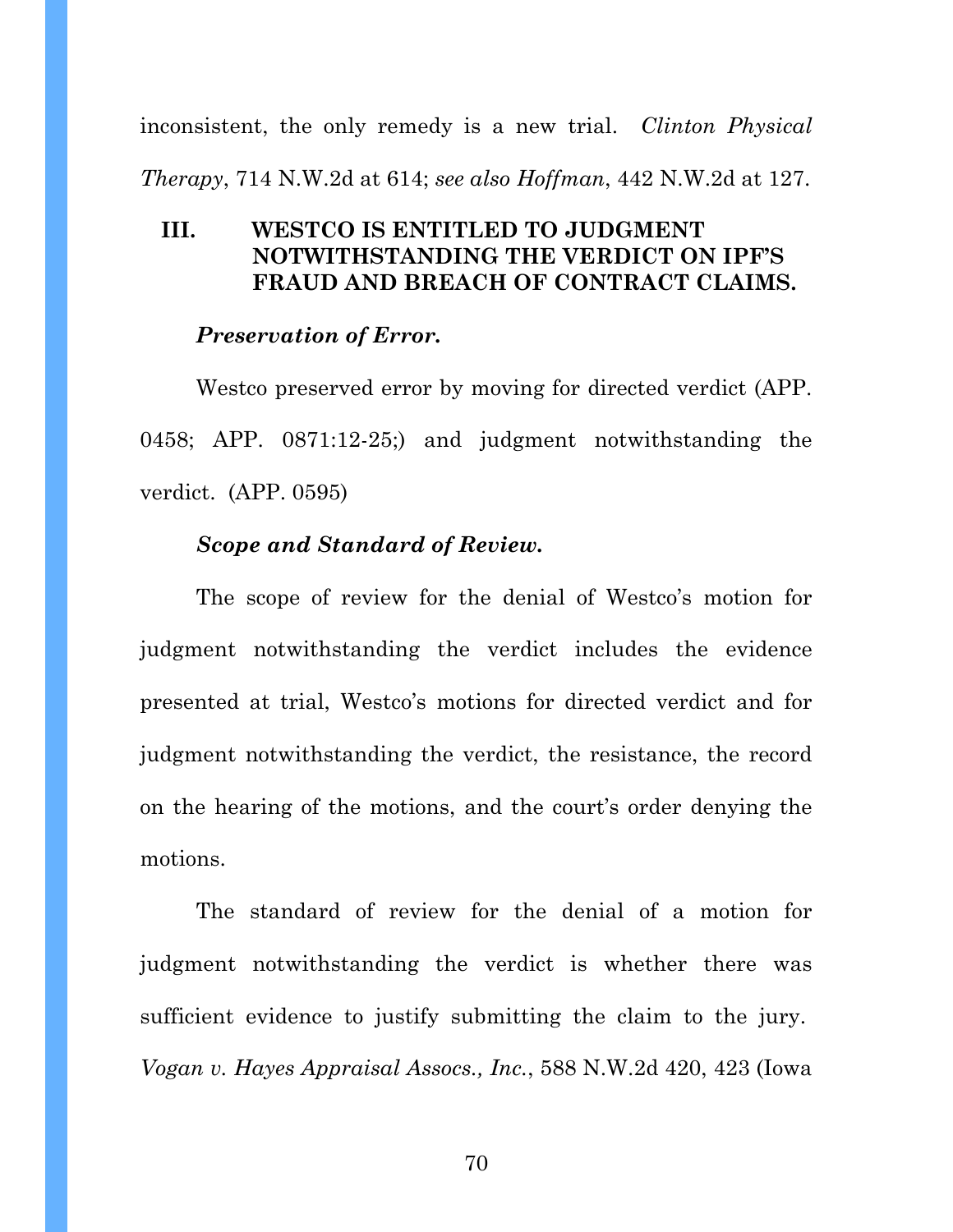inconsistent, the only remedy is a new trial. *Clinton Physical* 

*Therapy*, 714 N.W.2d at 614; *see also Hoffman*, 442 N.W.2d at 127.

## **III. WESTCO IS ENTITLED TO JUDGMENT NOTWITHSTANDING THE VERDICT ON IPF'S FRAUD AND BREACH OF CONTRACT CLAIMS.**

#### *Preservation of Error.*

Westco preserved error by moving for directed verdict (APP. 0458; APP. 0871:12-25;) and judgment notwithstanding the verdict. (APP. 0595)

## *Scope and Standard of Review.*

The scope of review for the denial of Westco's motion for judgment notwithstanding the verdict includes the evidence presented at trial, Westco's motions for directed verdict and for judgment notwithstanding the verdict, the resistance, the record on the hearing of the motions, and the court's order denying the motions.

The standard of review for the denial of a motion for judgment notwithstanding the verdict is whether there was sufficient evidence to justify submitting the claim to the jury. *Vogan v. Hayes Appraisal Assocs., Inc.*, 588 N.W.2d 420, 423 (Iowa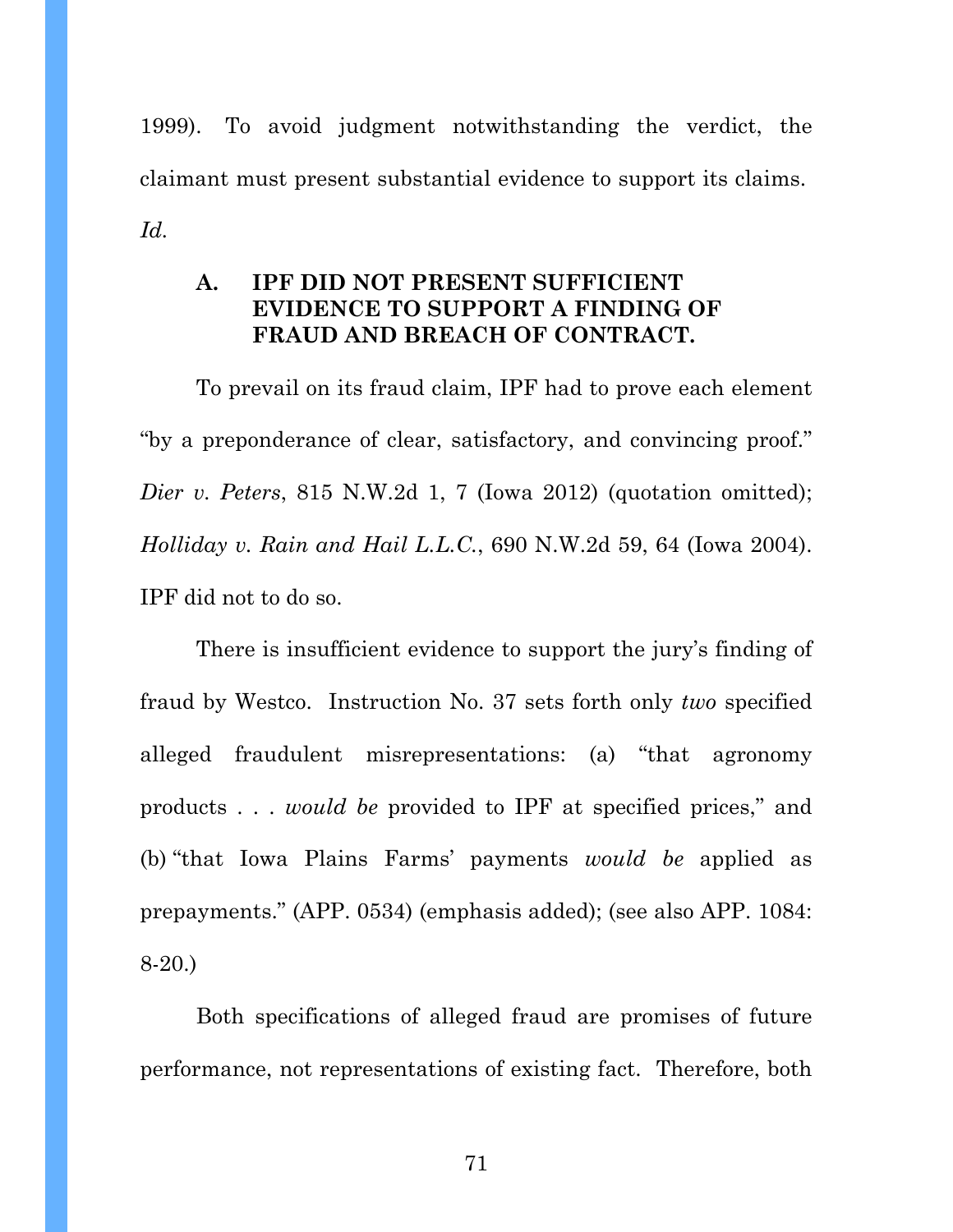1999). To avoid judgment notwithstanding the verdict, the claimant must present substantial evidence to support its claims. *Id.*

## **A. IPF DID NOT PRESENT SUFFICIENT EVIDENCE TO SUPPORT A FINDING OF FRAUD AND BREACH OF CONTRACT.**

To prevail on its fraud claim, IPF had to prove each element "by a preponderance of clear, satisfactory, and convincing proof." *Dier v. Peters*, 815 N.W.2d 1, 7 (Iowa 2012) (quotation omitted); *Holliday v. Rain and Hail L.L.C.*, 690 N.W.2d 59, 64 (Iowa 2004). IPF did not to do so.

There is insufficient evidence to support the jury's finding of fraud by Westco. Instruction No. 37 sets forth only *two* specified alleged fraudulent misrepresentations: (a) "that agronomy products . . . *would be* provided to IPF at specified prices," and (b) "that Iowa Plains Farms' payments *would be* applied as prepayments." (APP. 0534) (emphasis added); (see also APP. 1084: 8-20.)

Both specifications of alleged fraud are promises of future performance, not representations of existing fact. Therefore, both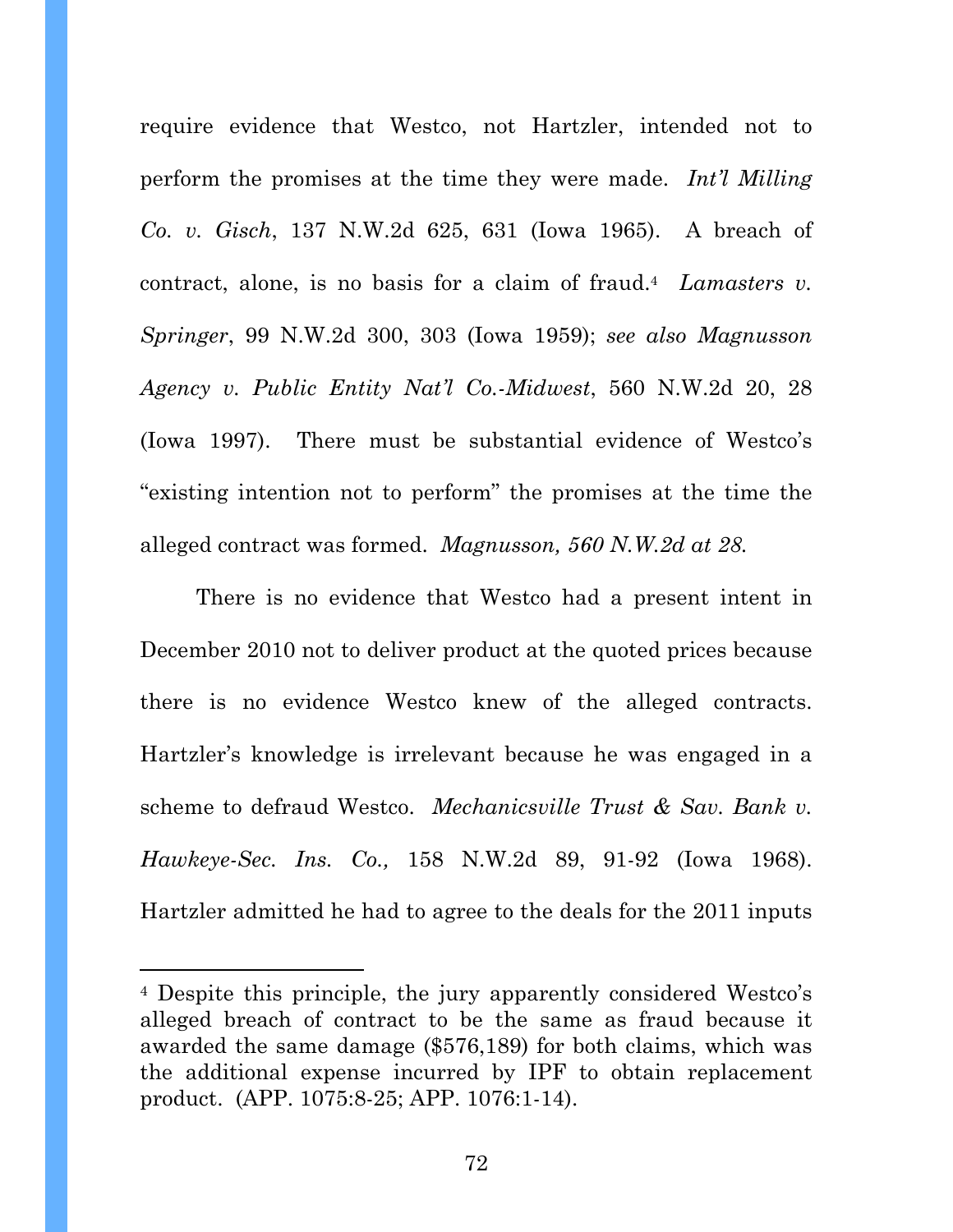require evidence that Westco, not Hartzler, intended not to perform the promises at the time they were made. *Int'l Milling Co. v. Gisch*, 137 N.W.2d 625, 631 (Iowa 1965). A breach of contract, alone, is no basis for a claim of fraud.4 *Lamasters v. Springer*, 99 N.W.2d 300, 303 (Iowa 1959); *see also Magnusson Agency v. Public Entity Nat'l Co.-Midwest*, 560 N.W.2d 20, 28 (Iowa 1997). There must be substantial evidence of Westco's "existing intention not to perform" the promises at the time the alleged contract was formed. *Magnusson, 560 N.W.2d at 28.*

 There is no evidence that Westco had a present intent in December 2010 not to deliver product at the quoted prices because there is no evidence Westco knew of the alleged contracts. Hartzler's knowledge is irrelevant because he was engaged in a scheme to defraud Westco. *Mechanicsville Trust & Sav. Bank v. Hawkeye-Sec. Ins. Co.,* 158 N.W.2d 89, 91-92 (Iowa 1968). Hartzler admitted he had to agree to the deals for the 2011 inputs

<sup>4</sup> Despite this principle, the jury apparently considered Westco's alleged breach of contract to be the same as fraud because it awarded the same damage (\$576,189) for both claims, which was the additional expense incurred by IPF to obtain replacement product. (APP. 1075:8-25; APP. 1076:1-14).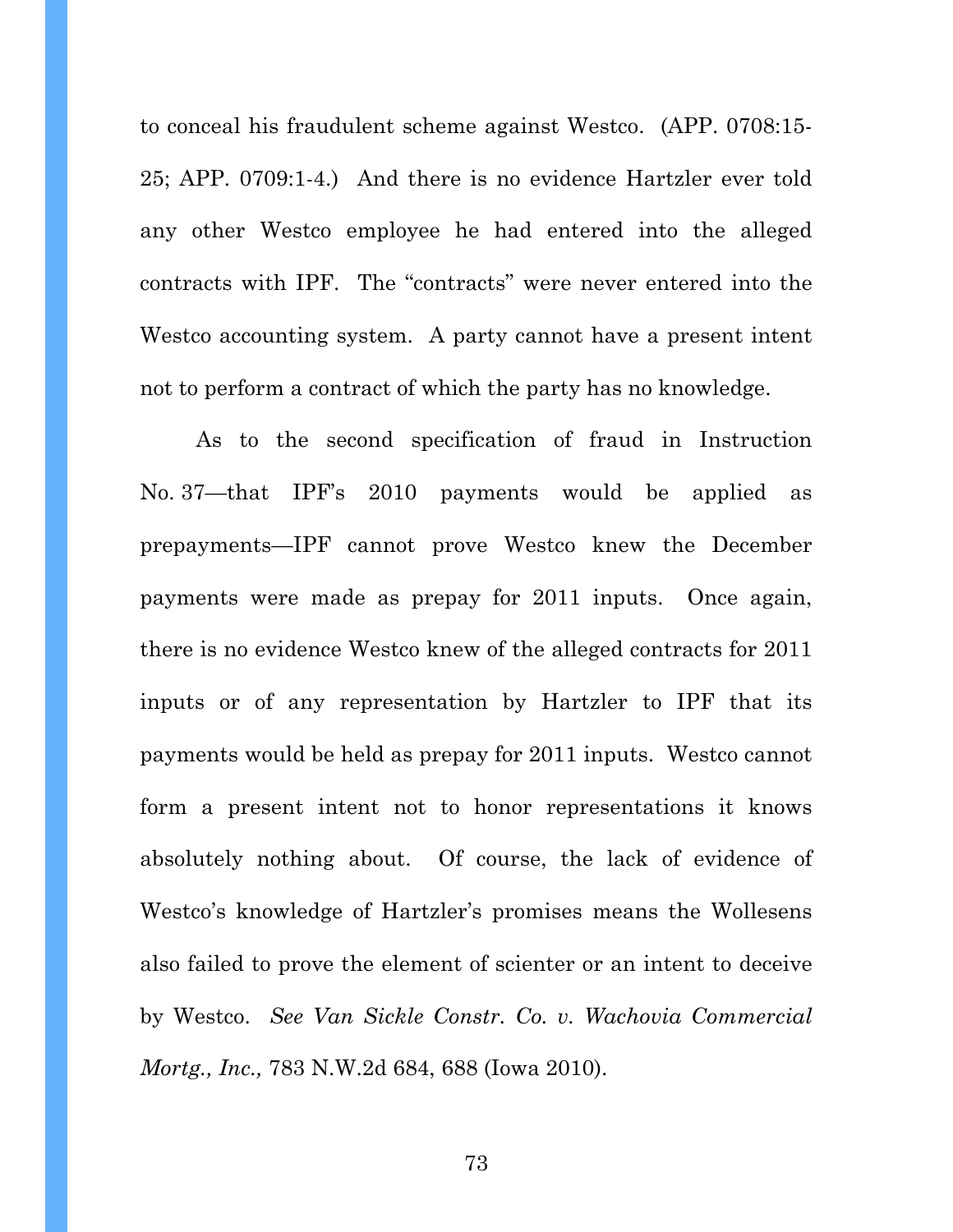to conceal his fraudulent scheme against Westco. (APP. 0708:15- 25; APP. 0709:1-4.) And there is no evidence Hartzler ever told any other Westco employee he had entered into the alleged contracts with IPF. The "contracts" were never entered into the Westco accounting system. A party cannot have a present intent not to perform a contract of which the party has no knowledge.

As to the second specification of fraud in Instruction No. 37—that IPF's 2010 payments would be applied as prepayments—IPF cannot prove Westco knew the December payments were made as prepay for 2011 inputs. Once again, there is no evidence Westco knew of the alleged contracts for 2011 inputs or of any representation by Hartzler to IPF that its payments would be held as prepay for 2011 inputs. Westco cannot form a present intent not to honor representations it knows absolutely nothing about. Of course, the lack of evidence of Westco's knowledge of Hartzler's promises means the Wollesens also failed to prove the element of scienter or an intent to deceive by Westco. *See Van Sickle Constr. Co. v. Wachovia Commercial Mortg., Inc.,* 783 N.W.2d 684, 688 (Iowa 2010).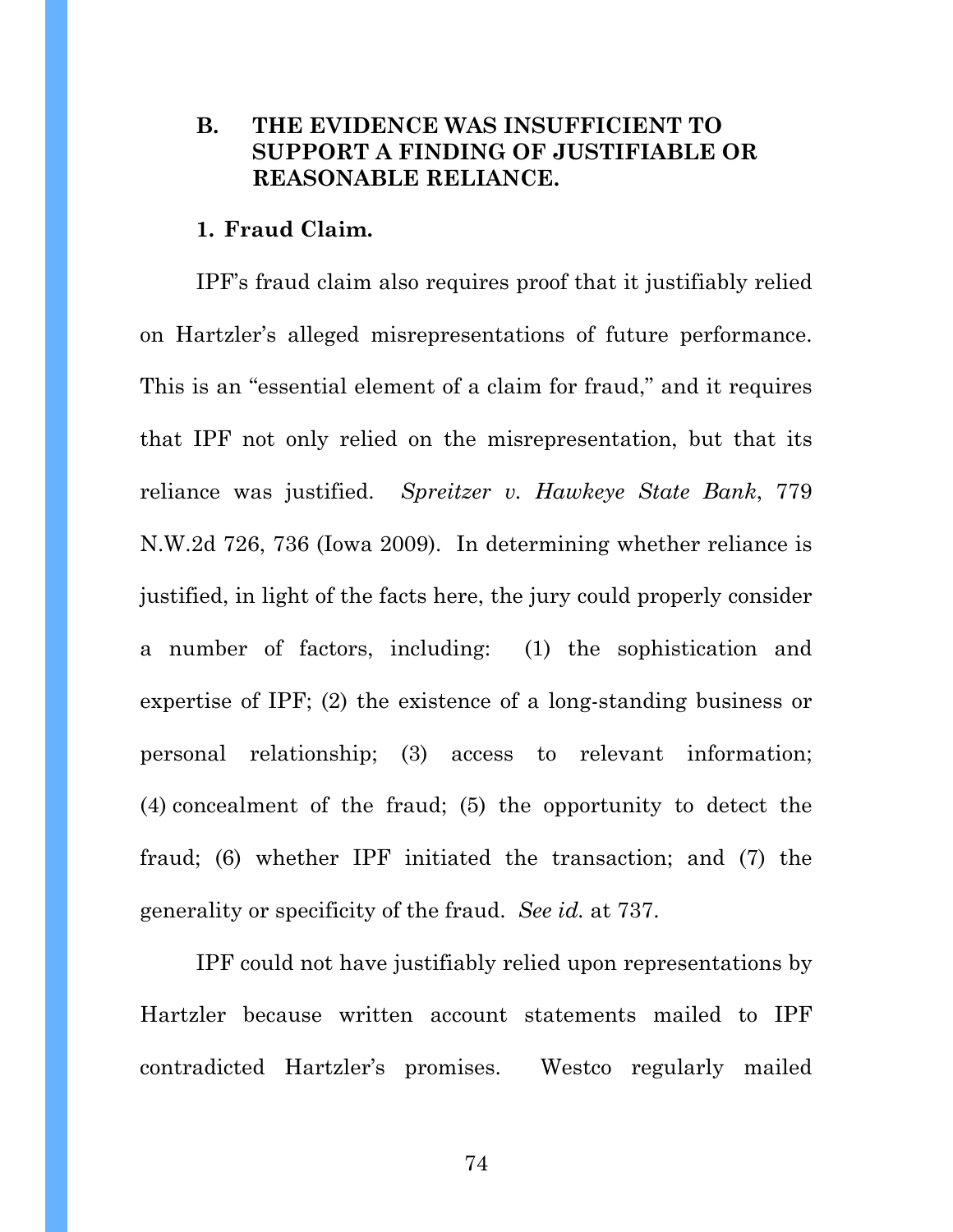## **B. THE EVIDENCE WAS INSUFFICIENT TO SUPPORT A FINDING OF JUSTIFIABLE OR REASONABLE RELIANCE.**

#### **1. Fraud Claim.**

IPF's fraud claim also requires proof that it justifiably relied on Hartzler's alleged misrepresentations of future performance. This is an "essential element of a claim for fraud," and it requires that IPF not only relied on the misrepresentation, but that its reliance was justified. *Spreitzer v. Hawkeye State Bank*, 779 N.W.2d 726, 736 (Iowa 2009). In determining whether reliance is justified, in light of the facts here, the jury could properly consider a number of factors, including: (1) the sophistication and expertise of IPF; (2) the existence of a long-standing business or personal relationship; (3) access to relevant information; (4) concealment of the fraud; (5) the opportunity to detect the fraud; (6) whether IPF initiated the transaction; and (7) the generality or specificity of the fraud. *See id.* at 737.

IPF could not have justifiably relied upon representations by Hartzler because written account statements mailed to IPF contradicted Hartzler's promises. Westco regularly mailed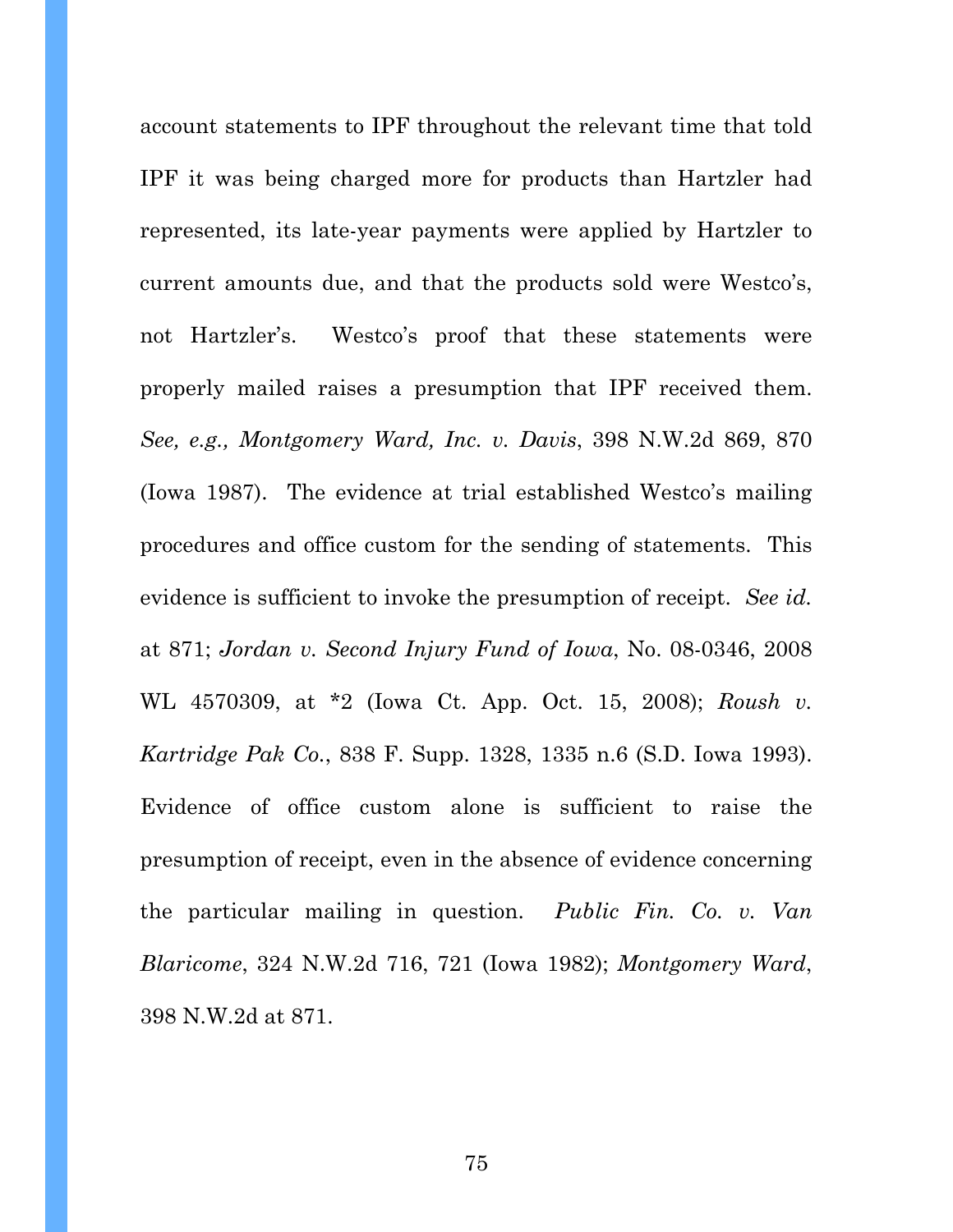account statements to IPF throughout the relevant time that told IPF it was being charged more for products than Hartzler had represented, its late-year payments were applied by Hartzler to current amounts due, and that the products sold were Westco's, not Hartzler's. Westco's proof that these statements were properly mailed raises a presumption that IPF received them. *See, e.g., Montgomery Ward, Inc. v. Davis*, 398 N.W.2d 869, 870 (Iowa 1987). The evidence at trial established Westco's mailing procedures and office custom for the sending of statements. This evidence is sufficient to invoke the presumption of receipt. *See id.*  at 871; *Jordan v. Second Injury Fund of Iowa*, No. 08-0346, 2008 WL 4570309, at \*2 (Iowa Ct. App. Oct. 15, 2008); *Roush v. Kartridge Pak Co.*, 838 F. Supp. 1328, 1335 n.6 (S.D. Iowa 1993). Evidence of office custom alone is sufficient to raise the presumption of receipt, even in the absence of evidence concerning the particular mailing in question. *Public Fin. Co. v. Van Blaricome*, 324 N.W.2d 716, 721 (Iowa 1982); *Montgomery Ward*, 398 N.W.2d at 871.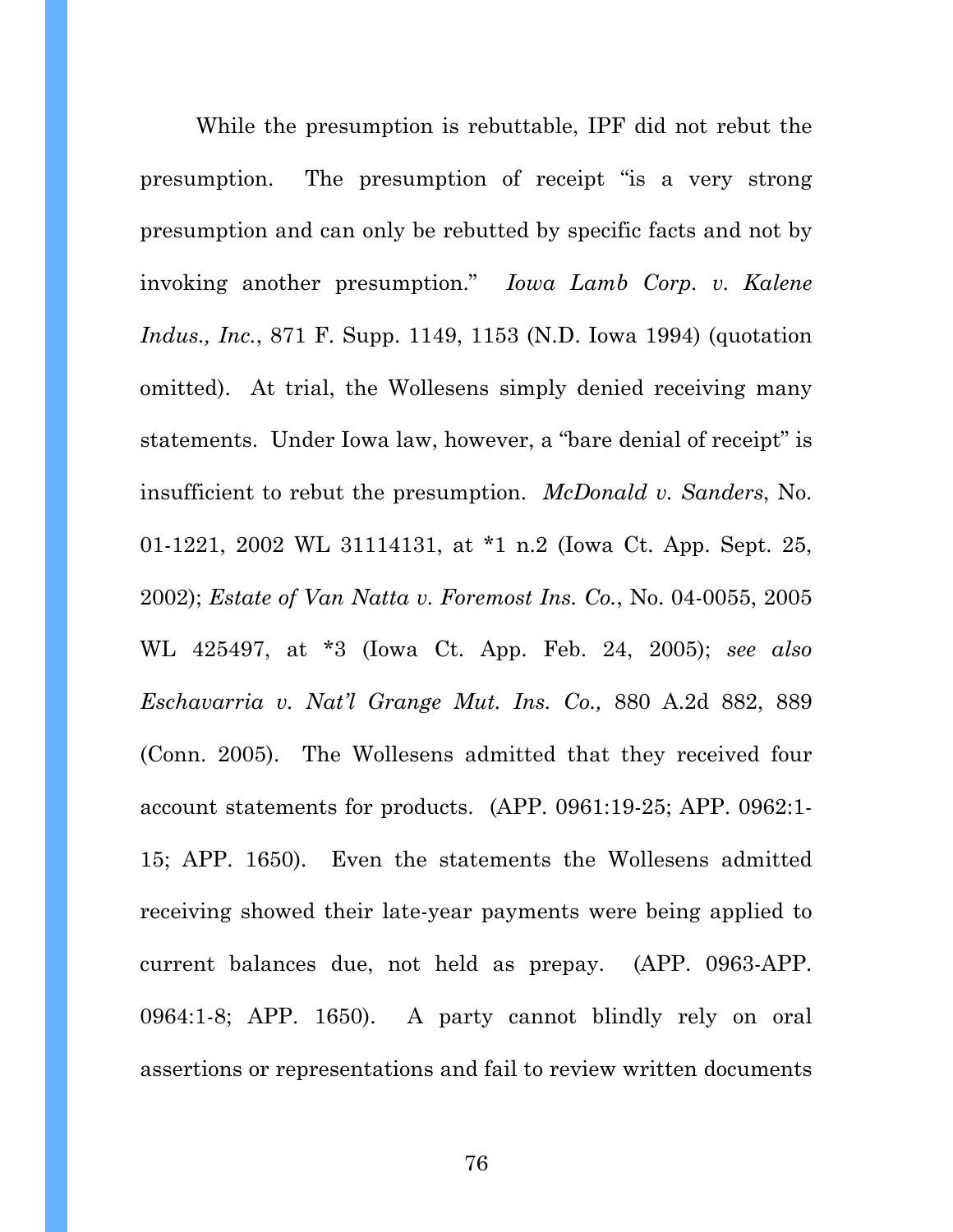While the presumption is rebuttable, IPF did not rebut the presumption. The presumption of receipt "is a very strong presumption and can only be rebutted by specific facts and not by invoking another presumption." *Iowa Lamb Corp. v. Kalene Indus., Inc.*, 871 F. Supp. 1149, 1153 (N.D. Iowa 1994) (quotation omitted). At trial, the Wollesens simply denied receiving many statements. Under Iowa law, however, a "bare denial of receipt" is insufficient to rebut the presumption. *McDonald v. Sanders*, No. 01-1221, 2002 WL 31114131, at \*1 n.2 (Iowa Ct. App. Sept. 25, 2002); *Estate of Van Natta v. Foremost Ins. Co.*, No. 04-0055, 2005 WL 425497, at \*3 (Iowa Ct. App. Feb. 24, 2005); *see also Eschavarria v. Nat'l Grange Mut. Ins. Co.,* 880 A.2d 882, 889 (Conn. 2005). The Wollesens admitted that they received four account statements for products. (APP. 0961:19-25; APP. 0962:1- 15; APP. 1650). Even the statements the Wollesens admitted receiving showed their late-year payments were being applied to current balances due, not held as prepay. (APP. 0963-APP. 0964:1-8; APP. 1650). A party cannot blindly rely on oral assertions or representations and fail to review written documents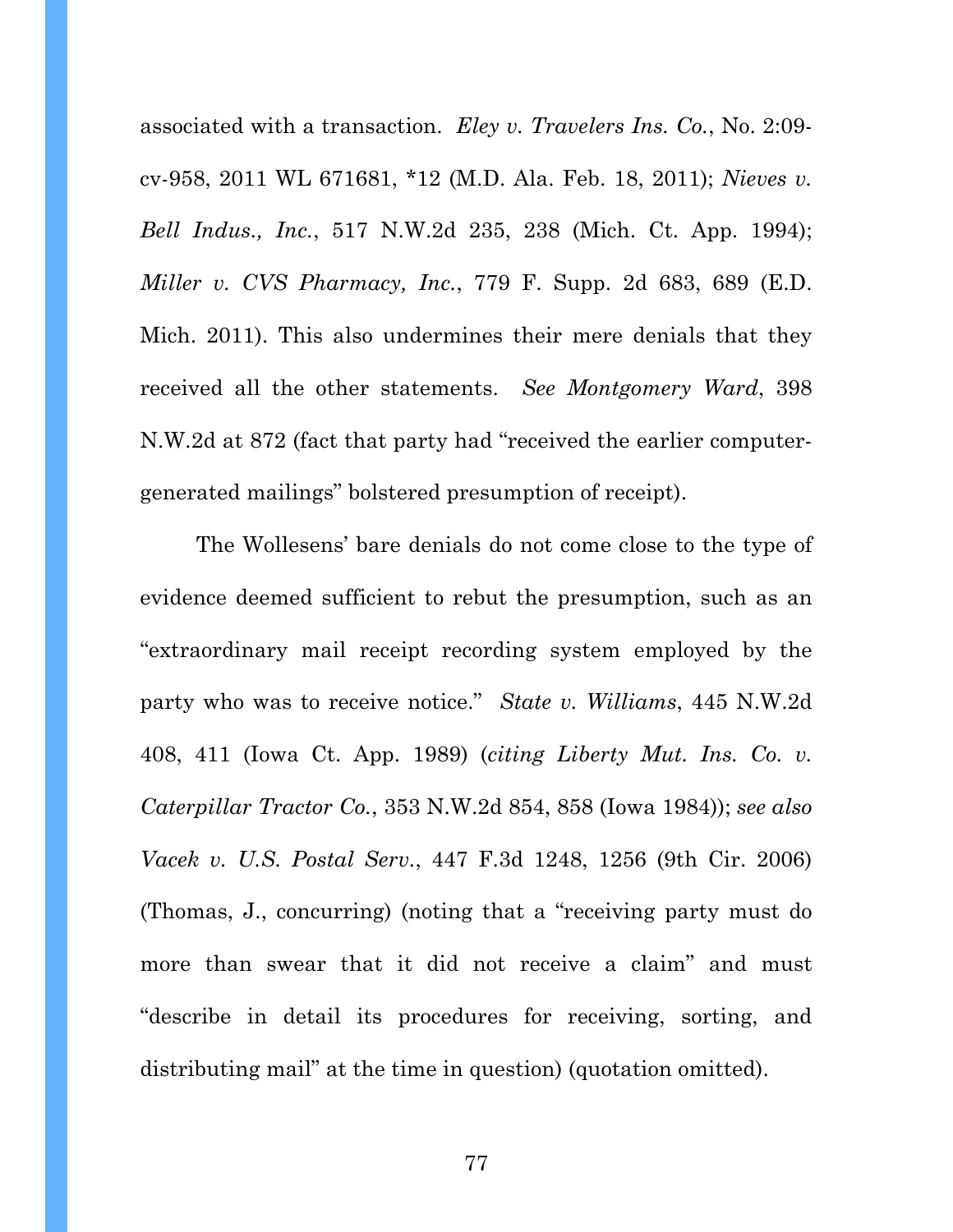associated with a transaction. *Eley v. Travelers Ins. Co.*, No. 2:09 cv-958, 2011 WL 671681, \*12 (M.D. Ala. Feb. 18, 2011); *Nieves v. Bell Indus., Inc.*, 517 N.W.2d 235, 238 (Mich. Ct. App. 1994); *Miller v. CVS Pharmacy, Inc.*, 779 F. Supp. 2d 683, 689 (E.D. Mich. 2011). This also undermines their mere denials that they received all the other statements. *See Montgomery Ward*, 398 N.W.2d at 872 (fact that party had "received the earlier computergenerated mailings" bolstered presumption of receipt).

The Wollesens' bare denials do not come close to the type of evidence deemed sufficient to rebut the presumption, such as an "extraordinary mail receipt recording system employed by the party who was to receive notice." *State v. Williams*, 445 N.W.2d 408, 411 (Iowa Ct. App. 1989) (*citing Liberty Mut. Ins. Co. v. Caterpillar Tractor Co.*, 353 N.W.2d 854, 858 (Iowa 1984)); *see also Vacek v. U.S. Postal Serv.*, 447 F.3d 1248, 1256 (9th Cir. 2006) (Thomas, J., concurring) (noting that a "receiving party must do more than swear that it did not receive a claim" and must "describe in detail its procedures for receiving, sorting, and distributing mail" at the time in question) (quotation omitted).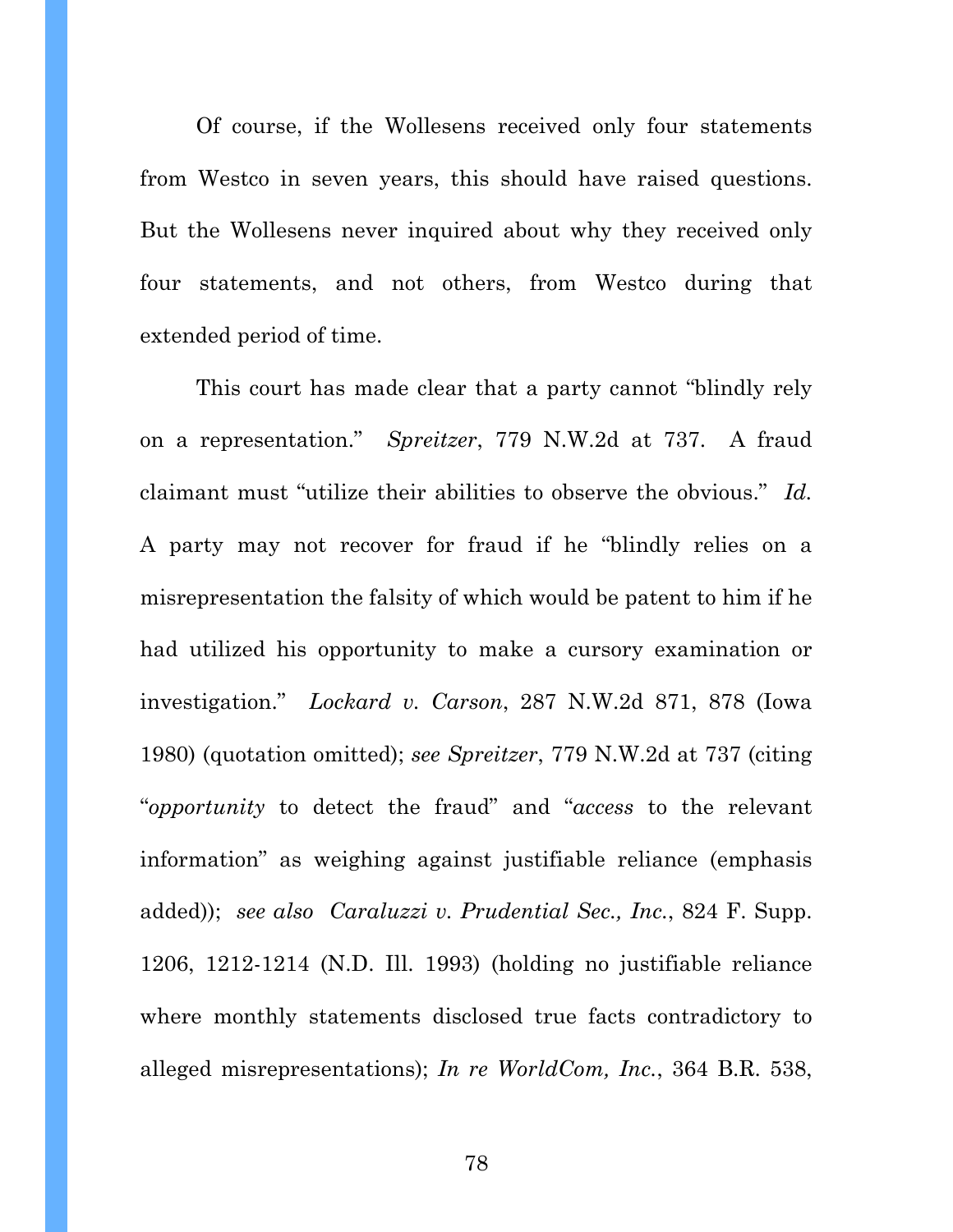Of course, if the Wollesens received only four statements from Westco in seven years, this should have raised questions. But the Wollesens never inquired about why they received only four statements, and not others, from Westco during that extended period of time.

This court has made clear that a party cannot "blindly rely on a representation." *Spreitzer*, 779 N.W.2d at 737. A fraud claimant must "utilize their abilities to observe the obvious." *Id.*  A party may not recover for fraud if he "blindly relies on a misrepresentation the falsity of which would be patent to him if he had utilized his opportunity to make a cursory examination or investigation." *Lockard v. Carson*, 287 N.W.2d 871, 878 (Iowa 1980) (quotation omitted); *see Spreitzer*, 779 N.W.2d at 737 (citing "*opportunity* to detect the fraud" and "*access* to the relevant information" as weighing against justifiable reliance (emphasis added)); *see also Caraluzzi v. Prudential Sec., Inc.*, 824 F. Supp. 1206, 1212-1214 (N.D. Ill. 1993) (holding no justifiable reliance where monthly statements disclosed true facts contradictory to alleged misrepresentations); *In re WorldCom, Inc.*, 364 B.R. 538,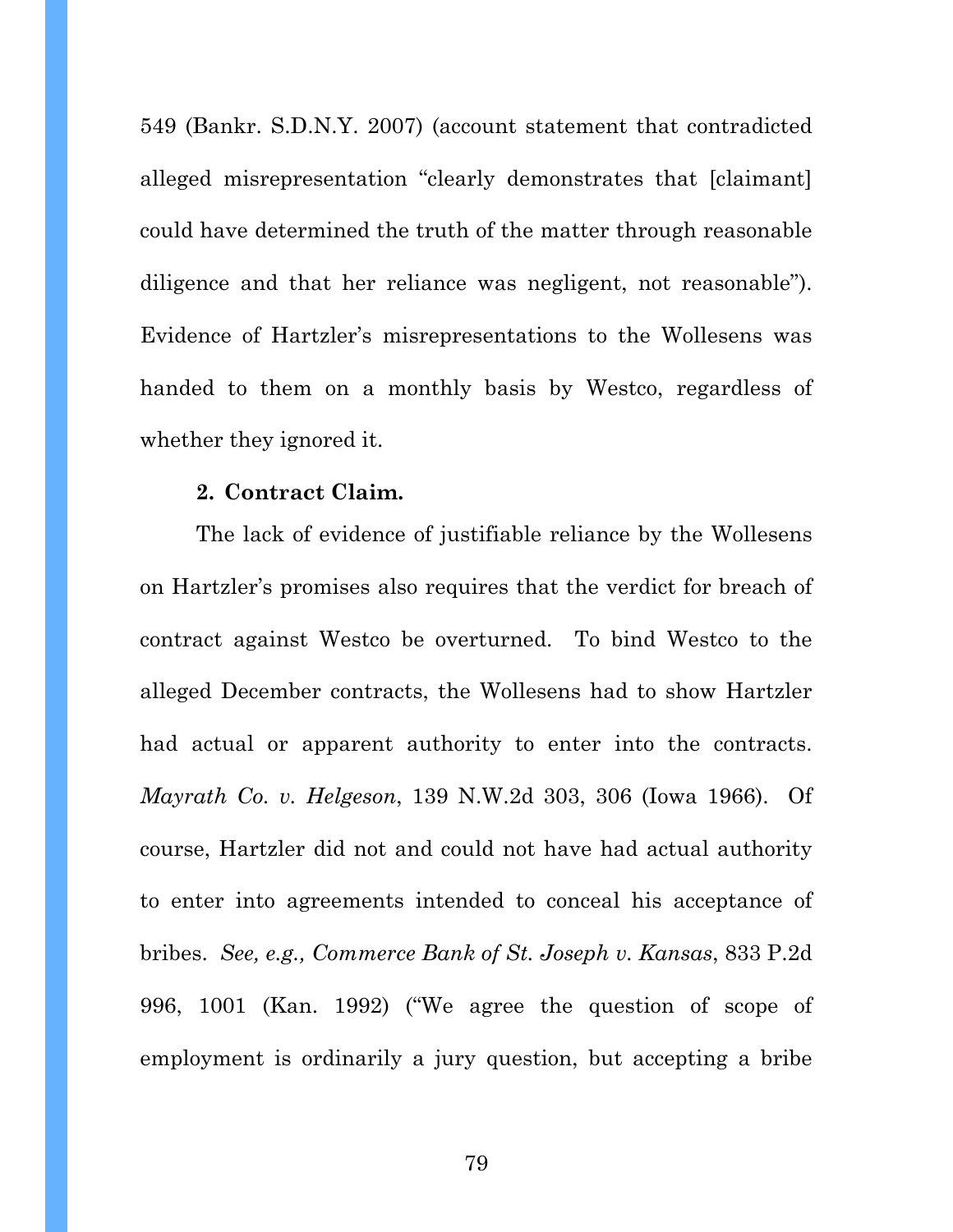549 (Bankr. S.D.N.Y. 2007) (account statement that contradicted alleged misrepresentation "clearly demonstrates that [claimant] could have determined the truth of the matter through reasonable diligence and that her reliance was negligent, not reasonable"). Evidence of Hartzler's misrepresentations to the Wollesens was handed to them on a monthly basis by Westco, regardless of whether they ignored it.

#### **2. Contract Claim.**

The lack of evidence of justifiable reliance by the Wollesens on Hartzler's promises also requires that the verdict for breach of contract against Westco be overturned. To bind Westco to the alleged December contracts, the Wollesens had to show Hartzler had actual or apparent authority to enter into the contracts. *Mayrath Co. v. Helgeson*, 139 N.W.2d 303, 306 (Iowa 1966). Of course, Hartzler did not and could not have had actual authority to enter into agreements intended to conceal his acceptance of bribes. *See, e.g., Commerce Bank of St. Joseph v. Kansas*, 833 P.2d 996, 1001 (Kan. 1992) ("We agree the question of scope of employment is ordinarily a jury question, but accepting a bribe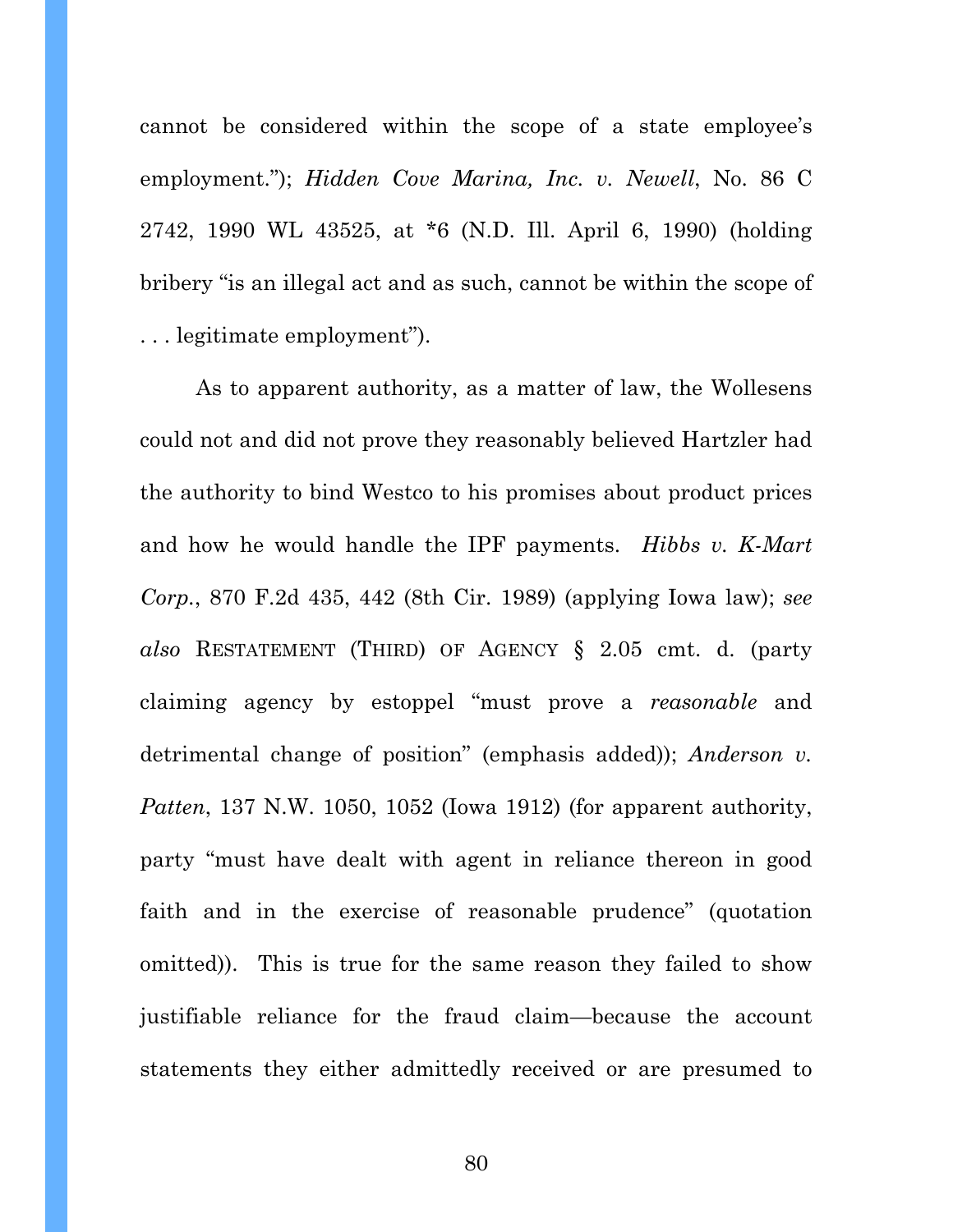cannot be considered within the scope of a state employee's employment."); *Hidden Cove Marina, Inc. v. Newell*, No. 86 C 2742, 1990 WL 43525, at \*6 (N.D. Ill. April 6, 1990) (holding bribery "is an illegal act and as such, cannot be within the scope of . . . legitimate employment").

As to apparent authority, as a matter of law, the Wollesens could not and did not prove they reasonably believed Hartzler had the authority to bind Westco to his promises about product prices and how he would handle the IPF payments. *Hibbs v. K-Mart Corp.*, 870 F.2d 435, 442 (8th Cir. 1989) (applying Iowa law); *see also* RESTATEMENT (THIRD) OF AGENCY § 2.05 cmt. d. (party claiming agency by estoppel "must prove a *reasonable* and detrimental change of position" (emphasis added)); *Anderson v. Patten*, 137 N.W. 1050, 1052 (Iowa 1912) (for apparent authority, party "must have dealt with agent in reliance thereon in good faith and in the exercise of reasonable prudence" (quotation omitted)). This is true for the same reason they failed to show justifiable reliance for the fraud claim—because the account statements they either admittedly received or are presumed to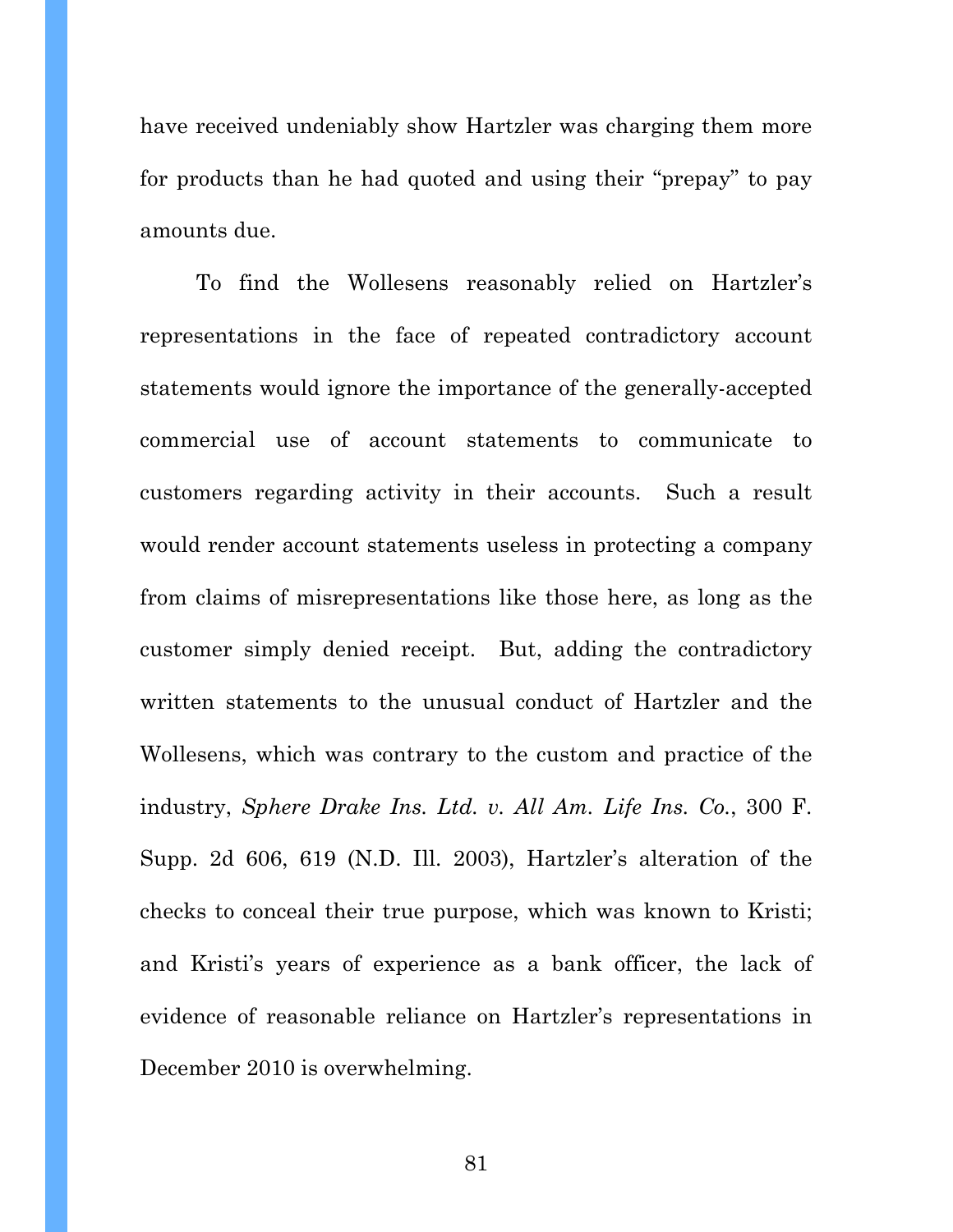have received undeniably show Hartzler was charging them more for products than he had quoted and using their "prepay" to pay amounts due.

To find the Wollesens reasonably relied on Hartzler's representations in the face of repeated contradictory account statements would ignore the importance of the generally-accepted commercial use of account statements to communicate to customers regarding activity in their accounts. Such a result would render account statements useless in protecting a company from claims of misrepresentations like those here, as long as the customer simply denied receipt. But, adding the contradictory written statements to the unusual conduct of Hartzler and the Wollesens, which was contrary to the custom and practice of the industry, *Sphere Drake Ins. Ltd. v. All Am. Life Ins. Co.*, 300 F. Supp. 2d 606, 619 (N.D. Ill. 2003), Hartzler's alteration of the checks to conceal their true purpose, which was known to Kristi; and Kristi's years of experience as a bank officer, the lack of evidence of reasonable reliance on Hartzler's representations in December 2010 is overwhelming.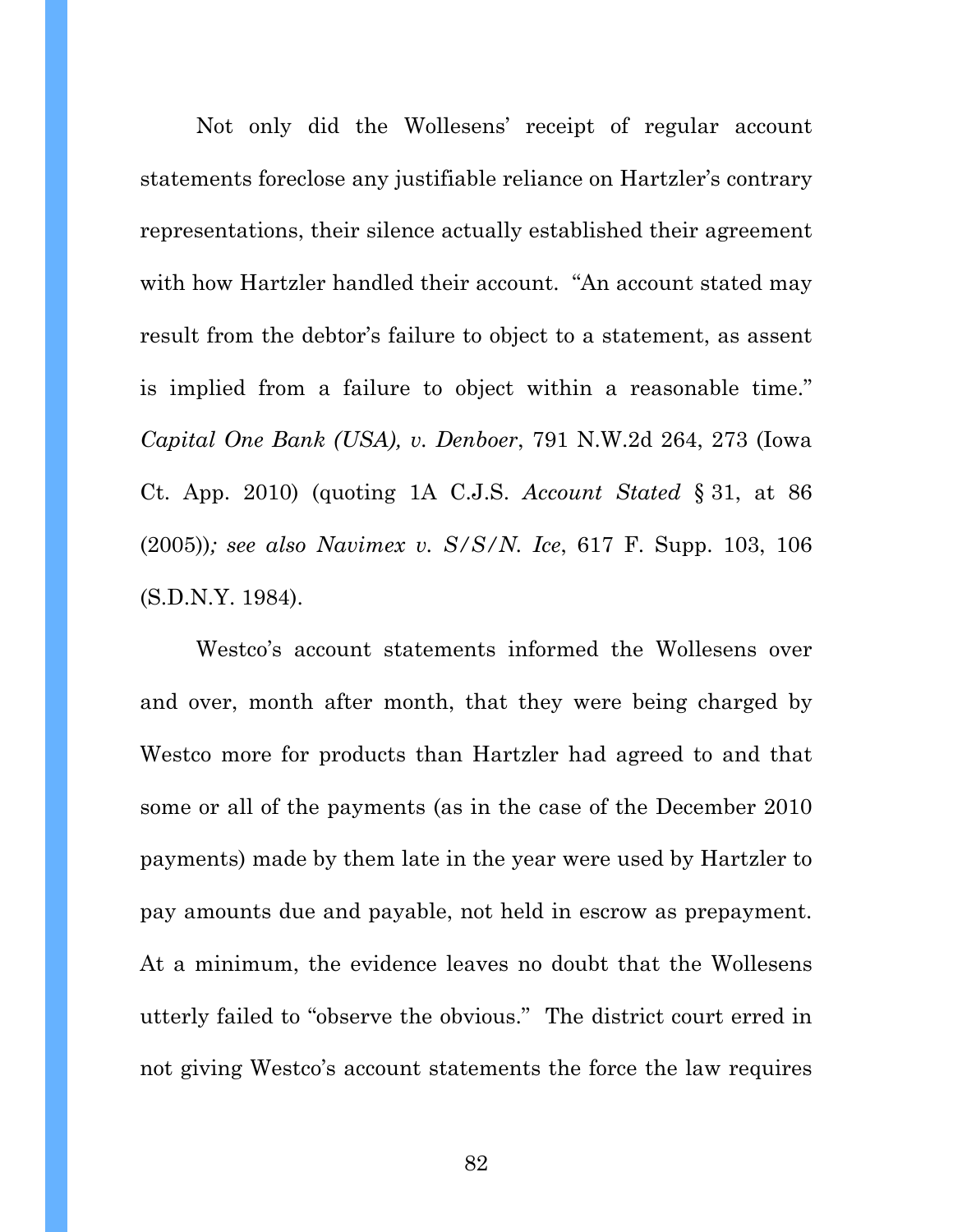Not only did the Wollesens' receipt of regular account statements foreclose any justifiable reliance on Hartzler's contrary representations, their silence actually established their agreement with how Hartzler handled their account. "An account stated may result from the debtor's failure to object to a statement, as assent is implied from a failure to object within a reasonable time." *Capital One Bank (USA), v. Denboer*, 791 N.W.2d 264, 273 (Iowa Ct. App. 2010) (quoting 1A C.J.S. *Account Stated* § 31, at 86 (2005))*; see also Navimex v. S/S/N. Ice*, 617 F. Supp. 103, 106 (S.D.N.Y. 1984).

Westco's account statements informed the Wollesens over and over, month after month, that they were being charged by Westco more for products than Hartzler had agreed to and that some or all of the payments (as in the case of the December 2010 payments) made by them late in the year were used by Hartzler to pay amounts due and payable, not held in escrow as prepayment. At a minimum, the evidence leaves no doubt that the Wollesens utterly failed to "observe the obvious." The district court erred in not giving Westco's account statements the force the law requires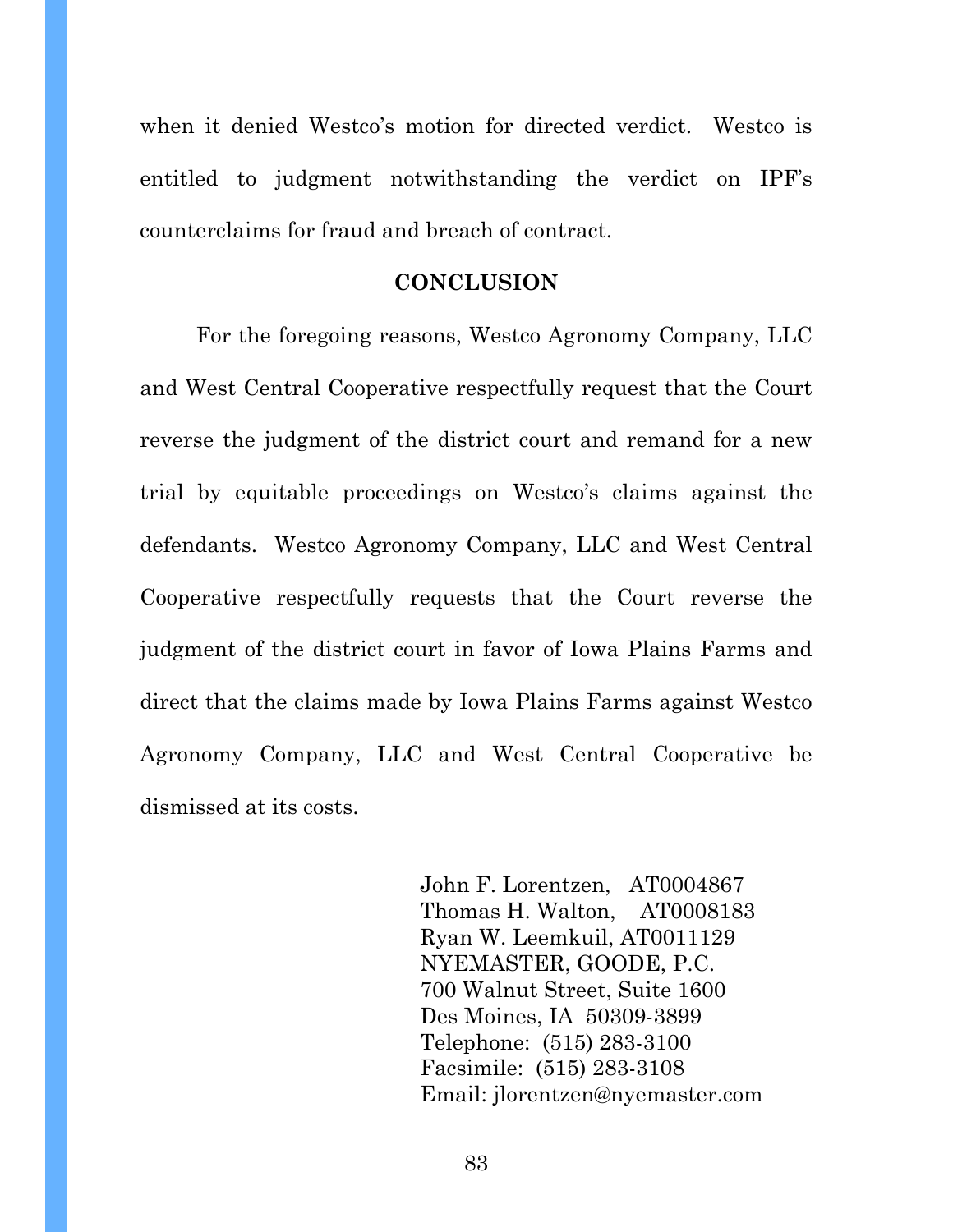when it denied Westco's motion for directed verdict. Westco is entitled to judgment notwithstanding the verdict on IPF's counterclaims for fraud and breach of contract.

#### **CONCLUSION**

For the foregoing reasons, Westco Agronomy Company, LLC and West Central Cooperative respectfully request that the Court reverse the judgment of the district court and remand for a new trial by equitable proceedings on Westco's claims against the defendants. Westco Agronomy Company, LLC and West Central Cooperative respectfully requests that the Court reverse the judgment of the district court in favor of Iowa Plains Farms and direct that the claims made by Iowa Plains Farms against Westco Agronomy Company, LLC and West Central Cooperative be dismissed at its costs.

> John F. Lorentzen, AT0004867 Thomas H. Walton, AT0008183 Ryan W. Leemkuil, AT0011129 NYEMASTER, GOODE, P.C. 700 Walnut Street, Suite 1600 Des Moines, IA 50309-3899 Telephone: (515) 283-3100 Facsimile: (515) 283-3108 Email: jlorentzen@nyemaster.com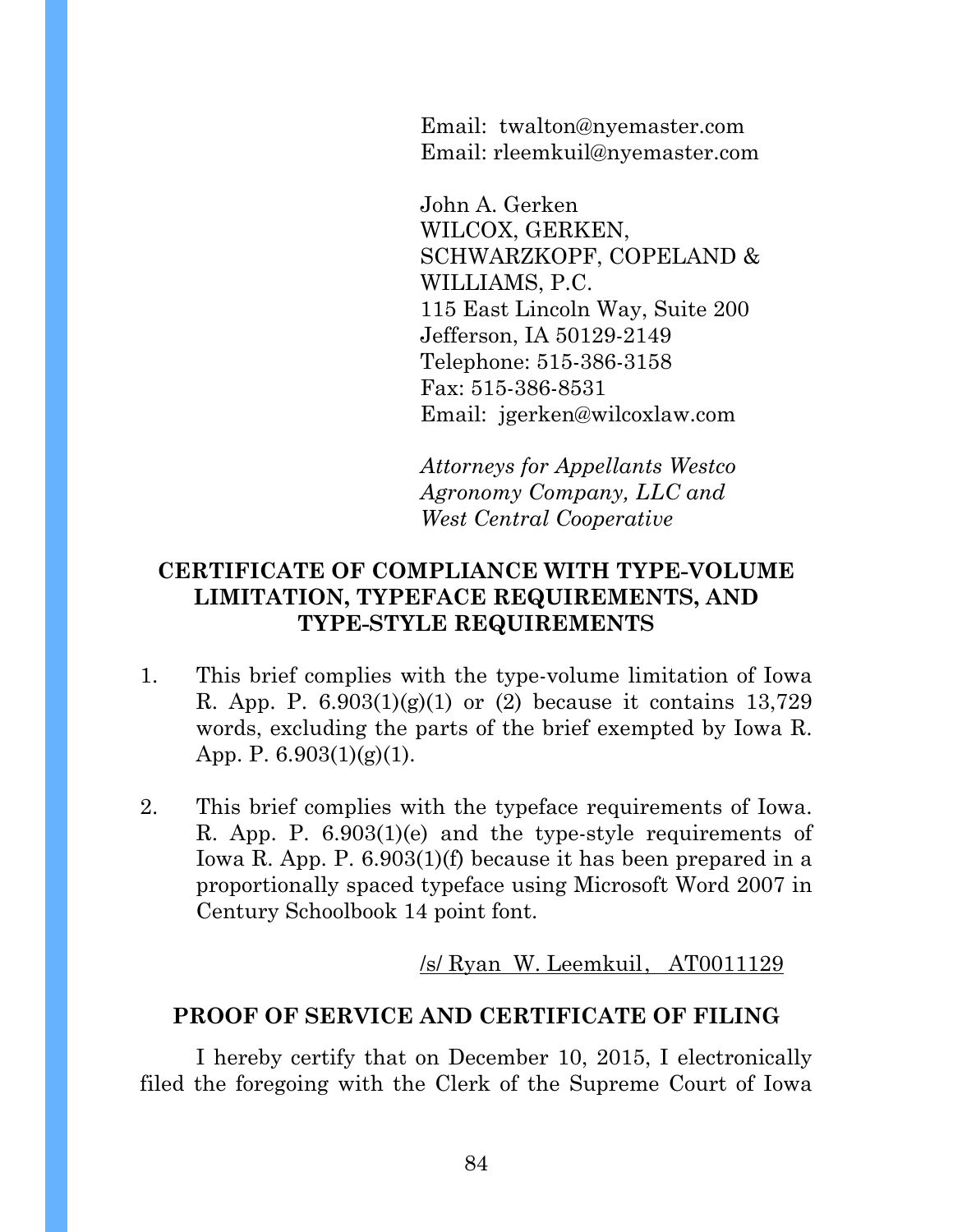Email: twalton@nyemaster.com Email: rleemkuil@nyemaster.com

John A. Gerken WILCOX, GERKEN, SCHWARZKOPF, COPELAND & WILLIAMS, P.C. 115 East Lincoln Way, Suite 200 Jefferson, IA 50129-2149 Telephone: 515-386-3158 Fax: 515-386-8531 Email: jgerken@wilcoxlaw.com

*Attorneys for Appellants Westco Agronomy Company, LLC and West Central Cooperative* 

# **CERTIFICATE OF COMPLIANCE WITH TYPE-VOLUME LIMITATION, TYPEFACE REQUIREMENTS, AND TYPE-STYLE REQUIREMENTS**

- 1. This brief complies with the type-volume limitation of Iowa R. App. P.  $6.903(1)(g)(1)$  or (2) because it contains 13,729 words, excluding the parts of the brief exempted by Iowa R. App. P. 6.903(1)(g)(1).
- 2. This brief complies with the typeface requirements of Iowa. R. App. P. 6.903(1)(e) and the type-style requirements of Iowa R. App. P. 6.903(1)(f) because it has been prepared in a proportionally spaced typeface using Microsoft Word 2007 in Century Schoolbook 14 point font.

 $/s/R$ yan W. Leemkuil, AT0011129

## **PROOF OF SERVICE AND CERTIFICATE OF FILING**

I hereby certify that on December 10, 2015, I electronically filed the foregoing with the Clerk of the Supreme Court of Iowa